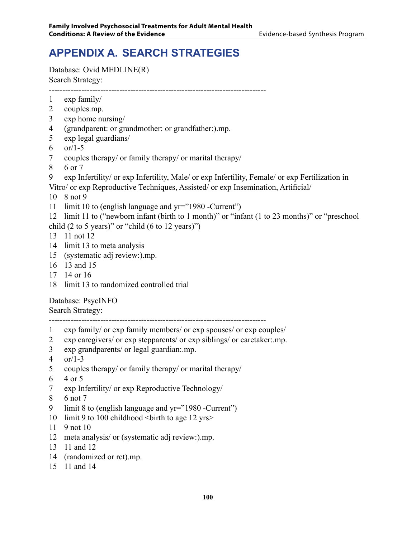# **APPENDIX A. Search Strategies**

Database: Ovid MEDLINE(R) Search Strategy:

--------------------------------------------------------------------------------

- exp family/
- couples.mp.
- exp home nursing/
- (grandparent: or grandmother: or grandfather:).mp.
- exp legal guardians/
- 6  $\sigma$  or/1-5
- couples therapy/ or family therapy/ or marital therapy/
- 6 or 7
- exp Infertility/ or exp Infertility, Male/ or exp Infertility, Female/ or exp Fertilization in
- Vitro/ or exp Reproductive Techniques, Assisted/ or exp Insemination, Artificial/

8 not 9

limit 10 to (english language and yr="1980 -Current")

 limit 11 to ("newborn infant (birth to 1 month)" or "infant (1 to 23 months)" or "preschool child  $(2 \text{ to } 5 \text{ years})$ " or "child  $(6 \text{ to } 12 \text{ years})$ ")

- 11 not 12
- limit 13 to meta analysis
- (systematic adj review:).mp.
- 13 and 15
- 14 or 16
- limit 13 to randomized controlled trial

Database: PsycINFO

#### Search Strategy:

--------------------------------------------------------------------------------

- exp family/ or exp family members/ or exp spouses/ or exp couples/
- exp caregivers/ or exp stepparents/ or exp siblings/ or caretaker:.mp.
- exp grandparents/ or legal guardian:.mp.
- or/1-3
- couples therapy/ or family therapy/ or marital therapy/
- 4 or 5
- exp Infertility/ or exp Reproductive Technology/
- 6 not 7
- limit 8 to (english language and yr="1980 -Current")
- 10 limit 9 to 100 childhood  $\text{5}$  / solution to age 12 yrs
- 9 not 10
- meta analysis/ or (systematic adj review:).mp.
- 11 and 12
- (randomized or rct).mp.
- 11 and 14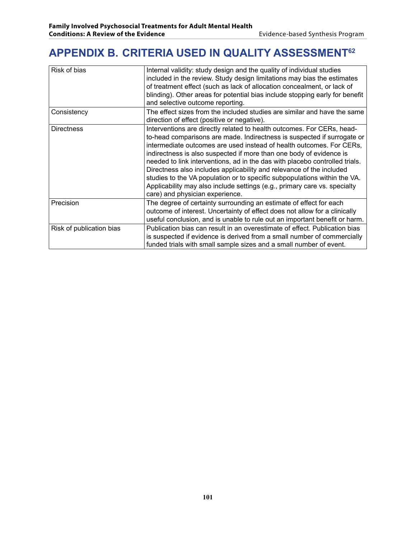## **APPENDIX B. Criteria Used in Quality Assessment62**

| Risk of bias             | Internal validity: study design and the quality of individual studies<br>included in the review. Study design limitations may bias the estimates<br>of treatment effect (such as lack of allocation concealment, or lack of<br>blinding). Other areas for potential bias include stopping early for benefit<br>and selective outcome reporting.                                                                                                                                                                                                                                                                                                      |
|--------------------------|------------------------------------------------------------------------------------------------------------------------------------------------------------------------------------------------------------------------------------------------------------------------------------------------------------------------------------------------------------------------------------------------------------------------------------------------------------------------------------------------------------------------------------------------------------------------------------------------------------------------------------------------------|
| Consistency              | The effect sizes from the included studies are similar and have the same<br>direction of effect (positive or negative).                                                                                                                                                                                                                                                                                                                                                                                                                                                                                                                              |
| <b>Directness</b>        | Interventions are directly related to health outcomes. For CERs, head-<br>to-head comparisons are made. Indirectness is suspected if surrogate or<br>intermediate outcomes are used instead of health outcomes. For CERs,<br>indirectness is also suspected if more than one body of evidence is<br>needed to link interventions, ad in the das with placebo controlled trials.<br>Directness also includes applicability and relevance of the included<br>studies to the VA population or to specific subpopulations within the VA.<br>Applicability may also include settings (e.g., primary care vs. specialty<br>care) and physician experience. |
| Precision                | The degree of certainty surrounding an estimate of effect for each<br>outcome of interest. Uncertainty of effect does not allow for a clinically<br>useful conclusion, and is unable to rule out an important benefit or harm.                                                                                                                                                                                                                                                                                                                                                                                                                       |
| Risk of publication bias | Publication bias can result in an overestimate of effect. Publication bias<br>is suspected if evidence is derived from a small number of commercially<br>funded trials with small sample sizes and a small number of event.                                                                                                                                                                                                                                                                                                                                                                                                                          |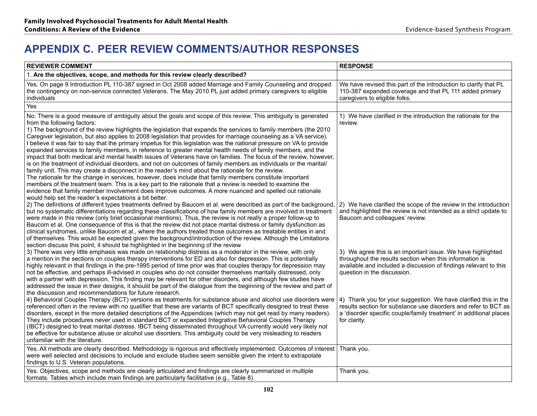#### **APPENDIX C. Peer Review Comments/Author Responses**

| <b>REVIEWER COMMENT</b>                                                                                                                                                                                                                                                                                                                                                                                                                                                                                                                                                                                                                                                                                                                                                                                                                                                                                                                                                                                                                                                                                                                                                                                                                                                                                              | <b>RESPONSE</b>                                                                                                                                                                                                           |
|----------------------------------------------------------------------------------------------------------------------------------------------------------------------------------------------------------------------------------------------------------------------------------------------------------------------------------------------------------------------------------------------------------------------------------------------------------------------------------------------------------------------------------------------------------------------------------------------------------------------------------------------------------------------------------------------------------------------------------------------------------------------------------------------------------------------------------------------------------------------------------------------------------------------------------------------------------------------------------------------------------------------------------------------------------------------------------------------------------------------------------------------------------------------------------------------------------------------------------------------------------------------------------------------------------------------|---------------------------------------------------------------------------------------------------------------------------------------------------------------------------------------------------------------------------|
| 1. Are the objectives, scope, and methods for this review clearly described?                                                                                                                                                                                                                                                                                                                                                                                                                                                                                                                                                                                                                                                                                                                                                                                                                                                                                                                                                                                                                                                                                                                                                                                                                                         |                                                                                                                                                                                                                           |
| Yes. On page 9 Introduction PL 110-387 signed in Oct 2008 added Marriage and Family Counseling and dropped<br>the contingency on non-service connected Veterans. The May 2010 PL just added primary caregivers to eligible<br>individuals                                                                                                                                                                                                                                                                                                                                                                                                                                                                                                                                                                                                                                                                                                                                                                                                                                                                                                                                                                                                                                                                            | We have revised this part of the introduction to clarify that PL<br>110-387 expanded coverage and that PL 111 added primary<br>caregivers to eligible folks.                                                              |
| Yes                                                                                                                                                                                                                                                                                                                                                                                                                                                                                                                                                                                                                                                                                                                                                                                                                                                                                                                                                                                                                                                                                                                                                                                                                                                                                                                  |                                                                                                                                                                                                                           |
| No. There is a good measure of ambiguity about the goals and scope of this review. This ambiguity is generated<br>from the following factors:<br>1) The background of the review highlights the legislation that expands the services to family members (the 2010<br>Caregiver legislation, but also applies to 2008 legislation that provides for marriage counseling as a VA service).<br>I believe it was fair to say that the primary impetus for this legislation was the national pressure on VA to provide<br>expanded services to family members, in reference to greater mental health needs of family members, and the<br>impact that both medical and mental health issues of Veterans have on families. The focus of the review, however,<br>is on the treatment of individual disorders, and not on outcomes of family members as individuals or the marital/<br>family unit. This may create a disconnect in the reader's mind about the rationale for the review.<br>The rationale for the change in services, however, does include that family members constitute important<br>members of the treatment team. This is a key part to the rationale that a review is needed to examine the<br>evidence that family member involvement does improve outcomes. A more nuanced and spelled out rationale | 1) We have clarified in the introduction the rationale for the<br>review.                                                                                                                                                 |
| would help set the reader's expectations a bit better.<br>2) The definitions of different types treatments defined by Baucom et al. were described as part of the background,<br>but no systematic differentiations regarding these classifications of how family members are involved in treatment<br>were made in this review (only brief occasional mentions). Thus, the review is not really a proper follow-up to<br>Baucom et al. One consequence of this is that the review did not place marital distress or family dysfunction as<br>clinical syndromes, unlike Baucom et al., where the authors treated those outcomes as treatable entities in and<br>of themselves. This would be expected given the background/introduction of the review. Although the Limitations<br>section discuss this point, it should be highlighted in the beginning of the review                                                                                                                                                                                                                                                                                                                                                                                                                                              | 2) We have clarified the scope of the review in the introduction<br>and highlighted the review is not intended as a strict update to<br>Baucom and colleagues' review.                                                    |
| 3) There was very little emphasis was made on relationship distress as a moderator in the review, with only<br>a mention in the sections on couples therapy interventions for ED and also for depression. This is potentially<br>highly relevant in that findings in the pre-1995 period of time prior was that couples therapy for depression may<br>not be effective, and perhaps ill-advised in couples who do not consider themselves maritally distressed, only<br>with a partner with depression. This finding may be relevant for other disorders, and although few studies have<br>addressed the issue in their designs, it should be part of the dialogue from the beginning of the review and part of<br>the discussion and recommendations for future research.                                                                                                                                                                                                                                                                                                                                                                                                                                                                                                                                           | 3) We agree this is an important issue. We have highlighted<br>throughout the results section when this information is<br>available and included a discussion of findings relevant to this<br>question in the discussion. |
| 4) Behavioral Couples Therapy (BCT) versions as treatments for substance abuse and alcohol use disorders were<br>referenced often in the review with no qualifier that these are variants of BCT specifically designed to treat these<br>disorders, except in the more detailed descriptions of the Appendices (which may not get read by many readers).<br>They include procedures never used in standard BCT or expanded Integrative Behavioral Couples Therapy<br>(IBCT) designed to treat marital distress. IBCT being disseminated throughout VA currently would very likely not<br>be effective for substance abuse or alcohol use disorders. This ambiguity could be very misleading to readers<br>unfamiliar with the literature.                                                                                                                                                                                                                                                                                                                                                                                                                                                                                                                                                                            | 4) Thank you for your suggestion. We have clarified this in the<br>results section for substance use disorders and refer to BCT as<br>a 'disorder specific couple/family treatment' in additional places<br>for clarity.  |
| Yes. All methods are clearly described. Methodology is rigorous and effectively implemented. Outcomes of interest<br>were well selected and decisions to include and exclude studies seem sensible given the intent to extrapolate<br>findings to U.S. Veteran populations.                                                                                                                                                                                                                                                                                                                                                                                                                                                                                                                                                                                                                                                                                                                                                                                                                                                                                                                                                                                                                                          | Thank you.                                                                                                                                                                                                                |
| Yes. Objectives, scope and methods are clearly articulated and findings are clearly summarized in multiple<br>formats. Tables which include main findings are particularly facilitative (e.g., Table 8).                                                                                                                                                                                                                                                                                                                                                                                                                                                                                                                                                                                                                                                                                                                                                                                                                                                                                                                                                                                                                                                                                                             | Thank you.                                                                                                                                                                                                                |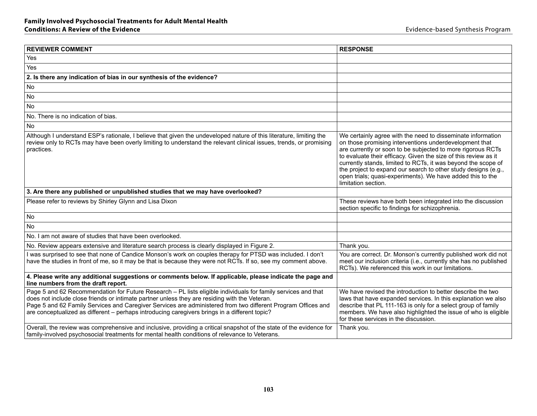| <b>REVIEWER COMMENT</b>                                                                                                                                                                                                                                                                                                                                                                                                         | <b>RESPONSE</b>                                                                                                                                                                                                                                                                                                                                                                                                                                                                 |
|---------------------------------------------------------------------------------------------------------------------------------------------------------------------------------------------------------------------------------------------------------------------------------------------------------------------------------------------------------------------------------------------------------------------------------|---------------------------------------------------------------------------------------------------------------------------------------------------------------------------------------------------------------------------------------------------------------------------------------------------------------------------------------------------------------------------------------------------------------------------------------------------------------------------------|
| Yes                                                                                                                                                                                                                                                                                                                                                                                                                             |                                                                                                                                                                                                                                                                                                                                                                                                                                                                                 |
| Yes                                                                                                                                                                                                                                                                                                                                                                                                                             |                                                                                                                                                                                                                                                                                                                                                                                                                                                                                 |
| 2. Is there any indication of bias in our synthesis of the evidence?                                                                                                                                                                                                                                                                                                                                                            |                                                                                                                                                                                                                                                                                                                                                                                                                                                                                 |
| <b>No</b>                                                                                                                                                                                                                                                                                                                                                                                                                       |                                                                                                                                                                                                                                                                                                                                                                                                                                                                                 |
| <b>No</b>                                                                                                                                                                                                                                                                                                                                                                                                                       |                                                                                                                                                                                                                                                                                                                                                                                                                                                                                 |
| <b>No</b>                                                                                                                                                                                                                                                                                                                                                                                                                       |                                                                                                                                                                                                                                                                                                                                                                                                                                                                                 |
| No. There is no indication of bias.                                                                                                                                                                                                                                                                                                                                                                                             |                                                                                                                                                                                                                                                                                                                                                                                                                                                                                 |
| <b>No</b>                                                                                                                                                                                                                                                                                                                                                                                                                       |                                                                                                                                                                                                                                                                                                                                                                                                                                                                                 |
| Although I understand ESP's rationale, I believe that given the undeveloped nature of this literature, limiting the<br>review only to RCTs may have been overly limiting to understand the relevant clinical issues, trends, or promising<br>practices.                                                                                                                                                                         | We certainly agree with the need to disseminate information<br>on those promising interventions underdevelopment that<br>are currently or soon to be subjected to more rigorous RCTs<br>to evaluate their efficacy. Given the size of this review as it<br>currently stands, limited to RCTs, it was beyond the scope of<br>the project to expand our search to other study designs (e.g.,<br>open trials; quasi-experiments). We have added this to the<br>limitation section. |
| 3. Are there any published or unpublished studies that we may have overlooked?                                                                                                                                                                                                                                                                                                                                                  |                                                                                                                                                                                                                                                                                                                                                                                                                                                                                 |
| Please refer to reviews by Shirley Glynn and Lisa Dixon                                                                                                                                                                                                                                                                                                                                                                         | These reviews have both been integrated into the discussion<br>section specific to findings for schizophrenia.                                                                                                                                                                                                                                                                                                                                                                  |
| No                                                                                                                                                                                                                                                                                                                                                                                                                              |                                                                                                                                                                                                                                                                                                                                                                                                                                                                                 |
| No.                                                                                                                                                                                                                                                                                                                                                                                                                             |                                                                                                                                                                                                                                                                                                                                                                                                                                                                                 |
| No. I am not aware of studies that have been overlooked.                                                                                                                                                                                                                                                                                                                                                                        |                                                                                                                                                                                                                                                                                                                                                                                                                                                                                 |
| No. Review appears extensive and literature search process is clearly displayed in Figure 2.                                                                                                                                                                                                                                                                                                                                    | Thank you.                                                                                                                                                                                                                                                                                                                                                                                                                                                                      |
| was surprised to see that none of Candice Monson's work on couples therapy for PTSD was included. I don't<br>have the studies in front of me, so it may be that is because they were not RCTs. If so, see my comment above.                                                                                                                                                                                                     | You are correct. Dr. Monson's currently published work did not<br>meet our inclusion criteria (i.e., currently she has no published<br>RCTs). We referenced this work in our limitations.                                                                                                                                                                                                                                                                                       |
| 4. Please write any additional suggestions or comments below. If applicable, please indicate the page and<br>line numbers from the draft report.                                                                                                                                                                                                                                                                                |                                                                                                                                                                                                                                                                                                                                                                                                                                                                                 |
| Page 5 and 62 Recommendation for Future Research - PL lists eligible individuals for family services and that<br>does not include close friends or intimate partner unless they are residing with the Veteran.<br>Page 5 and 62 Family Services and Caregiver Services are administered from two different Program Offices and<br>are conceptualized as different - perhaps introducing caregivers brings in a different topic? | We have revised the introduction to better describe the two<br>laws that have expanded services. In this explanation we also<br>describe that PL 111-163 is only for a select group of family<br>members. We have also highlighted the issue of who is eligible<br>for these services in the discussion.                                                                                                                                                                        |
| Overall, the review was comprehensive and inclusive, providing a critical snapshot of the state of the evidence for<br>family-involved psychosocial treatments for mental health conditions of relevance to Veterans.                                                                                                                                                                                                           | Thank you.                                                                                                                                                                                                                                                                                                                                                                                                                                                                      |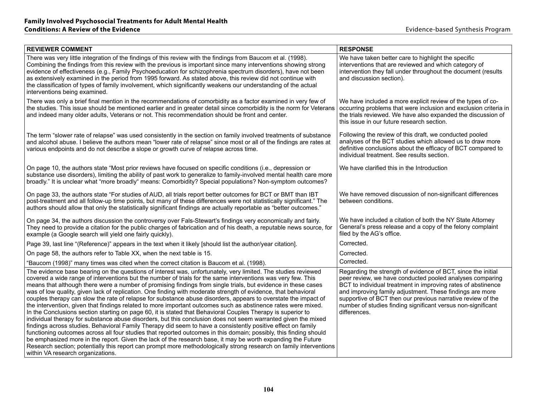| <b>REVIEWER COMMENT</b>                                                                                                                                                                                                                                                                                                                                                                                                                                                                                                                                                                                                                                                                                                                                                                                                                                                                                                                                                                                                                                                                                                                                                                                                                                                                                                                                                                                                                            | <b>RESPONSE</b>                                                                                                                                                                                                                                                                                                                                                                                     |
|----------------------------------------------------------------------------------------------------------------------------------------------------------------------------------------------------------------------------------------------------------------------------------------------------------------------------------------------------------------------------------------------------------------------------------------------------------------------------------------------------------------------------------------------------------------------------------------------------------------------------------------------------------------------------------------------------------------------------------------------------------------------------------------------------------------------------------------------------------------------------------------------------------------------------------------------------------------------------------------------------------------------------------------------------------------------------------------------------------------------------------------------------------------------------------------------------------------------------------------------------------------------------------------------------------------------------------------------------------------------------------------------------------------------------------------------------|-----------------------------------------------------------------------------------------------------------------------------------------------------------------------------------------------------------------------------------------------------------------------------------------------------------------------------------------------------------------------------------------------------|
| There was very little integration of the findings of this review with the findings from Baucom et al. (1998).<br>Combining the findings from this review with the previous is important since many interventions showing strong<br>evidence of effectiveness (e.g., Family Psychoeducation for schizophrenia spectrum disorders), have not been<br>as extensively examined in the period from 1995 forward. As stated above, this review did not continue with<br>the classification of types of family involvement, which significantly weakens our understanding of the actual<br>interventions being examined.                                                                                                                                                                                                                                                                                                                                                                                                                                                                                                                                                                                                                                                                                                                                                                                                                                  | We have taken better care to highlight the specific<br>interventions that are reviewed and which category of<br>intervention they fall under throughout the document (results<br>and discussion section).                                                                                                                                                                                           |
| There was only a brief final mention in the recommendations of comorbidity as a factor examined in very few of<br>the studies. This issue should be mentioned earlier and in greater detail since comorbidity is the norm for Veterans<br>and indeed many older adults, Veterans or not. This recommendation should be front and center.                                                                                                                                                                                                                                                                                                                                                                                                                                                                                                                                                                                                                                                                                                                                                                                                                                                                                                                                                                                                                                                                                                           | We have included a more explicit review of the types of co-<br>occurring problems that were inclusion and exclusion criteria in<br>the trials reviewed. We have also expanded the discussion of<br>this issue in our future research section.                                                                                                                                                       |
| The term "slower rate of relapse" was used consistently in the section on family involved treatments of substance<br>and alcohol abuse. I believe the authors mean "lower rate of relapse" since most or all of the findings are rates at<br>various endpoints and do not describe a slope or growth curve of relapse across time.                                                                                                                                                                                                                                                                                                                                                                                                                                                                                                                                                                                                                                                                                                                                                                                                                                                                                                                                                                                                                                                                                                                 | Following the review of this draft, we conducted pooled<br>analyses of the BCT studies which allowed us to draw more<br>definitive conclusions about the efficacy of BCT compared to<br>individual treatment. See results section.                                                                                                                                                                  |
| On page 10, the authors state "Most prior reviews have focused on specific conditions (i.e., depression or<br>substance use disorders), limiting the ability of past work to generalize to family-involved mental health care more<br>broadly." It is unclear what "more broadly" means: Comorbidity? Special populations? Non-symptom outcomes?                                                                                                                                                                                                                                                                                                                                                                                                                                                                                                                                                                                                                                                                                                                                                                                                                                                                                                                                                                                                                                                                                                   | We have clarified this in the Introduction                                                                                                                                                                                                                                                                                                                                                          |
| On page 33, the authors state "For studies of AUD, all trials report better outcomes for BCT or BMT than IBT<br>post-treatment and all follow-up time points, but many of these differences were not statistically significant." The<br>authors should allow that only the statistically significant findings are actually reportable as "better outcomes."                                                                                                                                                                                                                                                                                                                                                                                                                                                                                                                                                                                                                                                                                                                                                                                                                                                                                                                                                                                                                                                                                        | We have removed discussion of non-significant differences<br>between conditions.                                                                                                                                                                                                                                                                                                                    |
| On page 34, the authors discussion the controversy over Fals-Stewart's findings very economically and fairly.<br>They need to provide a citation for the public charges of fabrication and of his death, a reputable news source, for<br>example (a Google search will yield one fairly quickly).                                                                                                                                                                                                                                                                                                                                                                                                                                                                                                                                                                                                                                                                                                                                                                                                                                                                                                                                                                                                                                                                                                                                                  | We have included a citation of both the NY State Attorney<br>General's press release and a copy of the felony complaint<br>filed by the AG's office.                                                                                                                                                                                                                                                |
| Page 39, last line "(Reference)" appears in the text when it likely [should list the author/year citation].                                                                                                                                                                                                                                                                                                                                                                                                                                                                                                                                                                                                                                                                                                                                                                                                                                                                                                                                                                                                                                                                                                                                                                                                                                                                                                                                        | Corrected.                                                                                                                                                                                                                                                                                                                                                                                          |
| On page 58, the authors refer to Table XX, when the next table is 15.                                                                                                                                                                                                                                                                                                                                                                                                                                                                                                                                                                                                                                                                                                                                                                                                                                                                                                                                                                                                                                                                                                                                                                                                                                                                                                                                                                              | Corrected.                                                                                                                                                                                                                                                                                                                                                                                          |
| "Baucom (1998)" many times was cited when the correct citation is Baucom et al. (1998).                                                                                                                                                                                                                                                                                                                                                                                                                                                                                                                                                                                                                                                                                                                                                                                                                                                                                                                                                                                                                                                                                                                                                                                                                                                                                                                                                            | Corrected.                                                                                                                                                                                                                                                                                                                                                                                          |
| The evidence base bearing on the questions of interest was, unfortunately, very limited. The studies reviewed<br>covered a wide range of interventions but the number of trials for the same interventions was very few. This<br>means that although there were a number of promising findings from single trials, but evidence in these cases<br>was of low quality, given lack of replication. One finding with moderate strength of evidence, that behavioral<br>couples therapy can slow the rate of relapse for substance abuse disorders, appears to overstate the impact of<br>the intervention, given that findings related to more important outcomes such as abstinence rates were mixed.<br>In the Conclusions section starting on page 60, it is stated that Behavioral Couples Therapy is superior to<br>individual therapy for substance abuse disorders, but this conclusion does not seem warranted given the mixed<br>findings across studies. Behavioral Family Therapy did seem to have a consistently positive effect on family<br>functioning outcomes across all four studies that reported outcomes in this domain; possibly, this finding should<br>be emphasized more in the report. Given the lack of the research base, it may be worth expanding the Future<br>Research section; potentially this report can prompt more methodologically strong research on family interventions<br>within VA research organizations. | Regarding the strength of evidence of BCT, since the initial<br>peer review, we have conducted pooled analyses comparing<br>BCT to individual treatment in improving rates of abstinence<br>and improving family adjustment. These findings are more<br>supportive of BCT then our previous narrative review of the<br>number of studies finding significant versus non-significant<br>differences. |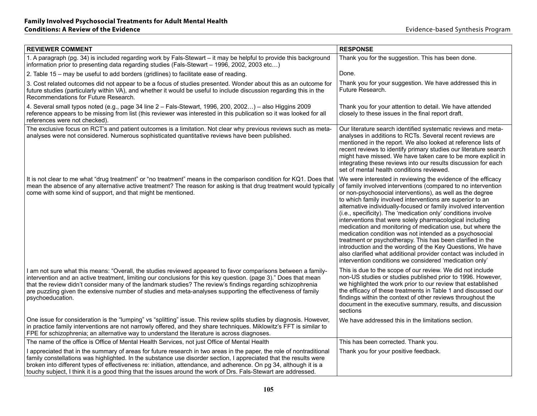| <b>REVIEWER COMMENT</b>                                                                                                                                                                                                                                                                                                                                                                                                                                                            | <b>RESPONSE</b>                                                                                                                                                                                                                                                                                                                                                                                                                                                                                                                                                                                                                                                                                                                                                                                                                             |
|------------------------------------------------------------------------------------------------------------------------------------------------------------------------------------------------------------------------------------------------------------------------------------------------------------------------------------------------------------------------------------------------------------------------------------------------------------------------------------|---------------------------------------------------------------------------------------------------------------------------------------------------------------------------------------------------------------------------------------------------------------------------------------------------------------------------------------------------------------------------------------------------------------------------------------------------------------------------------------------------------------------------------------------------------------------------------------------------------------------------------------------------------------------------------------------------------------------------------------------------------------------------------------------------------------------------------------------|
| 1. A paragraph (pg. 34) is included regarding work by Fals-Stewart – it may be helpful to provide this background<br>information prior to presenting data regarding studies (Fals-Stewart - 1996, 2002, 2003 etc)                                                                                                                                                                                                                                                                  | Thank you for the suggestion. This has been done.                                                                                                                                                                                                                                                                                                                                                                                                                                                                                                                                                                                                                                                                                                                                                                                           |
| 2. Table 15 - may be useful to add borders (gridlines) to facilitate ease of reading.                                                                                                                                                                                                                                                                                                                                                                                              | Done.                                                                                                                                                                                                                                                                                                                                                                                                                                                                                                                                                                                                                                                                                                                                                                                                                                       |
| 3. Cost related outcomes did not appear to be a focus of studies presented. Wonder about this as an outcome for<br>future studies (particularly within VA), and whether it would be useful to include discussion regarding this in the<br>Recommendations for Future Research.                                                                                                                                                                                                     | Thank you for your suggestion. We have addressed this in<br>Future Research.                                                                                                                                                                                                                                                                                                                                                                                                                                                                                                                                                                                                                                                                                                                                                                |
| 4. Several small typos noted (e.g., page 34 line 2 - Fals-Stewart, 1996, 200, 2002) - also Higgins 2009<br>reference appears to be missing from list (this reviewer was interested in this publication so it was looked for all<br>references were not checked).                                                                                                                                                                                                                   | Thank you for your attention to detail. We have attended<br>closely to these issues in the final report draft.                                                                                                                                                                                                                                                                                                                                                                                                                                                                                                                                                                                                                                                                                                                              |
| The exclusive focus on RCT's and patient outcomes is a limitation. Not clear why previous reviews such as meta-<br>analyses were not considered. Numerous sophisticated quantitative reviews have been published.                                                                                                                                                                                                                                                                  | Our literature search identified systematic reviews and meta-<br>analyses in additions to RCTs. Several recent reviews are<br>mentioned in the report. We also looked at reference lists of<br>recent reviews to identify primary studies our literature search<br>might have missed. We have taken care to be more explicit in<br>integrating these reviews into our results discussion for each<br>set of mental health conditions reviewed.                                                                                                                                                                                                                                                                                                                                                                                              |
| It is not clear to me what "drug treatment" or "no treatment" means in the comparison condition for KQ1. Does that<br>mean the absence of any alternative active treatment? The reason for asking is that drug treatment would typically<br>come with some kind of support, and that might be mentioned.                                                                                                                                                                           | We were interested in reviewing the evidence of the efficacy<br>of family involved interventions (compared to no intervention<br>or non-psychosocial interventions), as well as the degree<br>to which family involved interventions are superior to an<br>alternative individually-focused or family involved intervention<br>(i.e., specificity). The 'medication only' conditions involve<br>interventions that were solely pharmacological including<br>medication and monitoring of medication use, but where the<br>medication condition was not intended as a psychosocial<br>treatment or psychotherapy. This has been clarified in the<br>introduction and the wording of the Key Questions, We have<br>also clarified what additional provider contact was included in<br>intervention conditions we considered 'medication only' |
| l am not sure what this means: "Overall, the studies reviewed appeared to favor comparisons between a family-<br>intervention and an active treatment, limiting our conclusions for this key question. (page 3)." Does that mean<br>that the review didn't consider many of the landmark studies? The review's findings regarding schizophrenia<br>are puzzling given the extensive number of studies and meta-analyses supporting the effectiveness of family<br>psychoeducation. | This is due to the scope of our review. We did not include<br>non-US studies or studies published prior to 1996. However,<br>we highlighted the work prior to our review that established<br>the efficacy of these treatments in Table 1 and discussed our<br>findings within the context of other reviews throughout the<br>document in the executive summary, results, and discussion<br>sections                                                                                                                                                                                                                                                                                                                                                                                                                                         |
| One issue for consideration is the "lumping" vs "splitting" issue. This review splits studies by diagnosis. However,<br>in practice family interventions are not narrowly offered, and they share techniques. Miklowitz's FFT is similar to<br>FPE for schizophrenia; an alternative way to understand the literature is across diagnoses.                                                                                                                                         | We have addressed this in the limitations section.                                                                                                                                                                                                                                                                                                                                                                                                                                                                                                                                                                                                                                                                                                                                                                                          |
| The name of the office is Office of Mental Health Services, not just Office of Mental Health                                                                                                                                                                                                                                                                                                                                                                                       | This has been corrected. Thank you.                                                                                                                                                                                                                                                                                                                                                                                                                                                                                                                                                                                                                                                                                                                                                                                                         |
| I appreciated that in the summary of areas for future research in two areas in the paper, the role of nontraditional<br>family constellations was highlighted. In the substance use disorder section, I appreciated that the results were<br>broken into different types of effectiveness re: initiation, attendance, and adherence. On pg 34, although it is a<br>touchy subject, I think it is a good thing that the issues around the work of Drs. Fals-Stewart are addressed.  | Thank you for your positive feedback.                                                                                                                                                                                                                                                                                                                                                                                                                                                                                                                                                                                                                                                                                                                                                                                                       |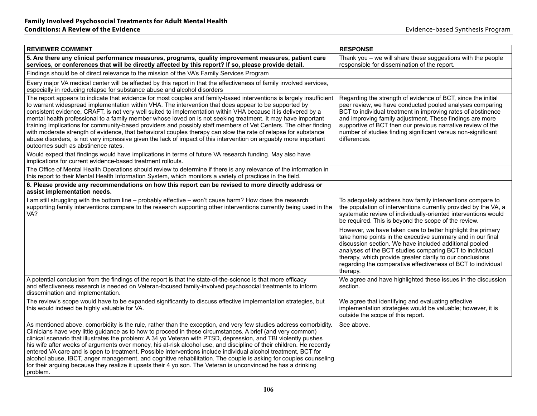| <b>REVIEWER COMMENT</b>                                                                                                                                                                                                                                                                                                                                                                                                                                                                                                                                                                                                                                                                                                                                                                                                                                        | <b>RESPONSE</b>                                                                                                                                                                                                                                                                                                                                                                                     |
|----------------------------------------------------------------------------------------------------------------------------------------------------------------------------------------------------------------------------------------------------------------------------------------------------------------------------------------------------------------------------------------------------------------------------------------------------------------------------------------------------------------------------------------------------------------------------------------------------------------------------------------------------------------------------------------------------------------------------------------------------------------------------------------------------------------------------------------------------------------|-----------------------------------------------------------------------------------------------------------------------------------------------------------------------------------------------------------------------------------------------------------------------------------------------------------------------------------------------------------------------------------------------------|
| 5. Are there any clinical performance measures, programs, quality improvement measures, patient care<br>services, or conferences that will be directly affected by this report? If so, please provide detail.                                                                                                                                                                                                                                                                                                                                                                                                                                                                                                                                                                                                                                                  | Thank you - we will share these suggestions with the people<br>responsible for dissemination of the report.                                                                                                                                                                                                                                                                                         |
| Findings should be of direct relevance to the mission of the VA's Family Services Program                                                                                                                                                                                                                                                                                                                                                                                                                                                                                                                                                                                                                                                                                                                                                                      |                                                                                                                                                                                                                                                                                                                                                                                                     |
| Every major VA medical center will be affected by this report in that the effectiveness of family involved services,<br>especially in reducing relapse for substance abuse and alcohol disorders                                                                                                                                                                                                                                                                                                                                                                                                                                                                                                                                                                                                                                                               |                                                                                                                                                                                                                                                                                                                                                                                                     |
| The report appears to indicate that evidence for most couples and family-based interventions is largely insufficient<br>to warrant widespread implementation within VHA. The intervention that does appear to be supported by<br>consistent evidence, CRAFT, is not very well suited to implementation within VHA because it is delivered by a<br>mental health professional to a family member whose loved on is not seeking treatment. It may have important<br>training implications for community-based providers and possibly staff members of Vet Centers. The other finding<br>with moderate strength of evidence, that behavioral couples therapy can slow the rate of relapse for substance<br>abuse disorders, is not very impressive given the lack of impact of this intervention on arguably more important<br>outcomes such as abstinence rates. | Regarding the strength of evidence of BCT, since the initial<br>peer review, we have conducted pooled analyses comparing<br>BCT to individual treatment in improving rates of abstinence<br>and improving family adjustment. These findings are more<br>supportive of BCT then our previous narrative review of the<br>number of studies finding significant versus non-significant<br>differences. |
| Would expect that findings would have implications in terms of future VA research funding. May also have<br>implications for current evidence-based treatment rollouts.                                                                                                                                                                                                                                                                                                                                                                                                                                                                                                                                                                                                                                                                                        |                                                                                                                                                                                                                                                                                                                                                                                                     |
| The Office of Mental Health Operations should review to determine if there is any relevance of the information in<br>this report to their Mental Health Information System, which monitors a variety of practices in the field.                                                                                                                                                                                                                                                                                                                                                                                                                                                                                                                                                                                                                                |                                                                                                                                                                                                                                                                                                                                                                                                     |
| 6. Please provide any recommendations on how this report can be revised to more directly address or<br>assist implementation needs.                                                                                                                                                                                                                                                                                                                                                                                                                                                                                                                                                                                                                                                                                                                            |                                                                                                                                                                                                                                                                                                                                                                                                     |
| I am still struggling with the bottom line - probably effective - won't cause harm? How does the research<br>supporting family interventions compare to the research supporting other interventions currently being used in the<br>VA?                                                                                                                                                                                                                                                                                                                                                                                                                                                                                                                                                                                                                         | To adequately address how family interventions compare to<br>the population of interventions currently provided by the VA, a<br>systematic review of individually-oriented interventions would<br>be required. This is beyond the scope of the review.                                                                                                                                              |
|                                                                                                                                                                                                                                                                                                                                                                                                                                                                                                                                                                                                                                                                                                                                                                                                                                                                | However, we have taken care to better highlight the primary<br>take home points in the executive summary and in our final<br>discussion section. We have included additional pooled<br>analyses of the BCT studies comparing BCT to individual<br>therapy, which provide greater clarity to our conclusions<br>regarding the comparative effectiveness of BCT to individual<br>therapy.             |
| A potential conclusion from the findings of the report is that the state-of-the-science is that more efficacy<br>and effectiveness research is needed on Veteran-focused family-involved psychosocial treatments to inform<br>dissemination and implementation.                                                                                                                                                                                                                                                                                                                                                                                                                                                                                                                                                                                                | We agree and have highlighted these issues in the discussion<br>section.                                                                                                                                                                                                                                                                                                                            |
| The review's scope would have to be expanded significantly to discuss effective implementation strategies, but<br>this would indeed be highly valuable for VA.                                                                                                                                                                                                                                                                                                                                                                                                                                                                                                                                                                                                                                                                                                 | We agree that identifying and evaluating effective<br>implementation strategies would be valuable; however, it is<br>outside the scope of this report.                                                                                                                                                                                                                                              |
| As mentioned above, comorbidity is the rule, rather than the exception, and very few studies address comorbidity.<br>Clinicians have very little guidance as to how to proceed in these circumstances. A brief (and very common)<br>clinical scenario that illustrates the problem: A 34 yo Veteran with PTSD, depression, and TBI violently pushes<br>his wife after weeks of arguments over money, his at-risk alcohol use, and discipline of their children. He recently<br>entered VA care and is open to treatment. Possible interventions include individual alcohol treatment, BCT for<br>alcohol abuse, IBCT, anger management, and cognitive rehabilitation. The couple is asking for couples counseling<br>for their arguing because they realize it upsets their 4 yo son. The Veteran is unconvinced he has a drinking<br>problem.                 | See above.                                                                                                                                                                                                                                                                                                                                                                                          |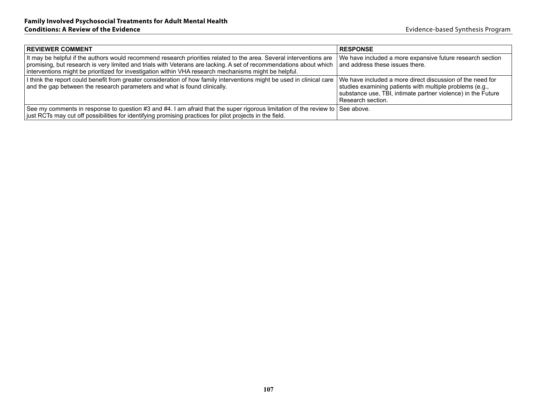| <b>REVIEWER COMMENT</b>                                                                                                                                                                                                                                                                                                                            | <b>RESPONSE</b>                                                                                                                                                                                            |
|----------------------------------------------------------------------------------------------------------------------------------------------------------------------------------------------------------------------------------------------------------------------------------------------------------------------------------------------------|------------------------------------------------------------------------------------------------------------------------------------------------------------------------------------------------------------|
| It may be helpful if the authors would recommend research priorities related to the area. Several interventions are<br>promising, but research is very limited and trials with Veterans are lacking. A set of recommendations about which<br>interventions might be prioritized for investigation within VHA research mechanisms might be helpful. | We have included a more expansive future research section<br>and address these issues there.                                                                                                               |
| I think the report could benefit from greater consideration of how family interventions might be used in clinical care<br>and the gap between the research parameters and what is found clinically.                                                                                                                                                | We have included a more direct discussion of the need for<br>studies examining patients with multiple problems (e.g.,<br>substance use, TBI, intimate partner violence) in the Future<br>Research section. |
| See my comments in response to question #3 and #4. I am afraid that the super rigorous limitation of the review to<br> ust RCTs may cut off possibilities for identifying promising practices for pilot projects in the field.                                                                                                                     | See above.                                                                                                                                                                                                 |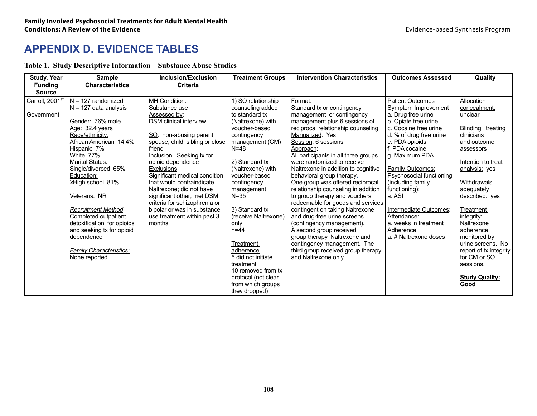### **APPENDIX D. Evidence Tables**

**Table 1. Study Descriptive Information – Substance Abuse Studies**

| <b>Study, Year</b> | <b>Sample</b>                  | Inclusion/Exclusion                                         | <b>Treatment Groups</b> | <b>Intervention Characteristics</b>                                | <b>Outcomes Assessed</b> | Quality                |
|--------------------|--------------------------------|-------------------------------------------------------------|-------------------------|--------------------------------------------------------------------|--------------------------|------------------------|
| <b>Funding</b>     | <b>Characteristics</b>         | <b>Criteria</b>                                             |                         |                                                                    |                          |                        |
| <b>Source</b>      |                                |                                                             |                         |                                                                    |                          |                        |
| Carroll, 200177    | $N = 127$ randomized           | MH Condition:                                               | 1) SO relationship      | Format:                                                            | <b>Patient Outcomes</b>  | <b>Allocation</b>      |
|                    | $N = 127$ data analysis        | Substance use                                               | counseling added        | Standard tx or contingency                                         | Symptom Improvement      | concealment:           |
| Government         |                                | Assessed by:                                                | to standard tx          | management or contingency                                          | a. Drug free urine       | unclear                |
|                    | Gender: 76% male               | <b>DSM</b> clinical interview                               | (Naltrexone) with       | management plus 6 sessions of                                      | b. Opiate free urine     |                        |
|                    | Age: 32.4 years                |                                                             | voucher-based           | reciprocal relationship counseling                                 | c. Cocaine free urine    | Blinding: treating     |
|                    | Race/ethnicity:                | SO: non-abusing parent,                                     | contingency             | Manualized: Yes                                                    | d. % of drug free urine  | clinicians             |
|                    | African American 14.4%         | spouse, child, sibling or close                             | management (CM)         | Session: 6 sessions                                                | e. PDA opioids           | and outcome            |
|                    | Hispanic 7%                    | friend                                                      | $N=48$                  | Approach:                                                          | f. PDA cocaine           | assessors              |
|                    | White 77%                      | Inclusion: Seeking tx for                                   |                         | All participants in all three groups                               | g. Maximum PDA           |                        |
|                    | Marital Status:                | opioid dependence                                           | 2) Standard tx          | were randomized to receive                                         |                          | Intention to treat     |
|                    | Single/divorced 65%            | Exclusions:                                                 | (Naltrexone) with       | Naltrexone in addition to cognitive                                | Family Outcomes:         | analysis: yes          |
|                    | Education:                     | Significant medical condition                               | voucher-based           | behavioral group therapy.                                          | Psychosocial functioning |                        |
|                    | ≥High school 81%               | that would contraindicate                                   | contingency             | One group was offered reciprocal                                   | (including family        | <b>Withdrawals</b>     |
|                    |                                | Naltrexone; did not have                                    | management<br>$N = 35$  | relationship counseling in addition                                | functioning):<br>a. ASI  | adequately             |
|                    | Veterans: NR                   | significant other; met DSM<br>criteria for schizophrenia or |                         | to group therapy and vouchers<br>redeemable for goods and services |                          | described: yes         |
|                    | <b>Recruitment Method</b>      | bipolar or was in substance                                 | 3) Standard tx          | contingent on taking Naltrexone                                    | Intermediate Outcomes:   | Treatment              |
|                    | Completed outpatient           | use treatment within past 3                                 | (receive Naltrexone)    | and drug-free urine screens                                        | Attendance:              | integrity:             |
|                    | detoxification for opioids     | months                                                      | only                    | (contingency management).                                          | a. weeks in treatment    | Naltrexone             |
|                    | and seeking tx for opioid      |                                                             | $n = 44$                | A second group received                                            | Adherence:               | adherence              |
|                    | dependence                     |                                                             |                         | group therapy, Naltrexone and                                      | a. # Naltrexone doses    | monitored by           |
|                    |                                |                                                             | Treatment               | contingency management. The                                        |                          | urine screens. No      |
|                    | <b>Family Characteristics:</b> |                                                             | adherence               | third group received group therapy                                 |                          | report of tx integrity |
|                    | None reported                  |                                                             | 5 did not initiate      | and Naltrexone only.                                               |                          | for CM or SO           |
|                    |                                |                                                             | treatment               |                                                                    |                          | sessions.              |
|                    |                                |                                                             | 10 removed from tx      |                                                                    |                          |                        |
|                    |                                |                                                             | protocol (not clear     |                                                                    |                          | <b>Study Quality:</b>  |
|                    |                                |                                                             | from which groups       |                                                                    |                          | Good                   |
|                    |                                |                                                             | they dropped)           |                                                                    |                          |                        |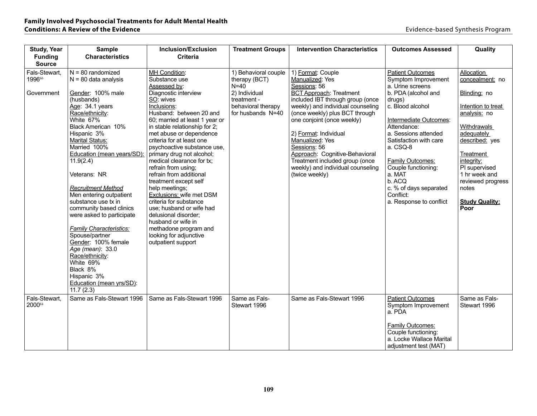| <b>Study, Year</b><br><b>Funding</b>  | <b>Sample</b><br><b>Characteristics</b>                                                                                                                                                                                                                                                                                                                                                                                                                                                                                                                         | <b>Inclusion/Exclusion</b><br><b>Criteria</b>                                                                                                                                                                                                                                                                                                                                                                                                                                                                                                                                                                                                           | <b>Treatment Groups</b>                                                                                                    | <b>Intervention Characteristics</b>                                                                                                                                                                                                                                                                                                                                                                                    | <b>Outcomes Assessed</b>                                                                                                                                                                                                                                                                                                                                               | Quality                                                                                                                                                                                                                                                               |
|---------------------------------------|-----------------------------------------------------------------------------------------------------------------------------------------------------------------------------------------------------------------------------------------------------------------------------------------------------------------------------------------------------------------------------------------------------------------------------------------------------------------------------------------------------------------------------------------------------------------|---------------------------------------------------------------------------------------------------------------------------------------------------------------------------------------------------------------------------------------------------------------------------------------------------------------------------------------------------------------------------------------------------------------------------------------------------------------------------------------------------------------------------------------------------------------------------------------------------------------------------------------------------------|----------------------------------------------------------------------------------------------------------------------------|------------------------------------------------------------------------------------------------------------------------------------------------------------------------------------------------------------------------------------------------------------------------------------------------------------------------------------------------------------------------------------------------------------------------|------------------------------------------------------------------------------------------------------------------------------------------------------------------------------------------------------------------------------------------------------------------------------------------------------------------------------------------------------------------------|-----------------------------------------------------------------------------------------------------------------------------------------------------------------------------------------------------------------------------------------------------------------------|
| <b>Source</b>                         |                                                                                                                                                                                                                                                                                                                                                                                                                                                                                                                                                                 |                                                                                                                                                                                                                                                                                                                                                                                                                                                                                                                                                                                                                                                         |                                                                                                                            |                                                                                                                                                                                                                                                                                                                                                                                                                        |                                                                                                                                                                                                                                                                                                                                                                        |                                                                                                                                                                                                                                                                       |
| Fals-Stewart,<br>199666<br>Government | $N = 80$ randomized<br>$N = 80$ data analysis<br>Gender: 100% male<br>(husbands)<br>Age: 34.1 years<br>Race/ethnicity:<br>White 67%<br>Black American 10%<br>Hispanic 3%<br><b>Marital Status:</b><br>Married 100%<br>Education (mean years/SD):<br>11.9(2.4)<br>Veterans: NR<br><b>Recruitment Method</b><br>Men entering outpatient<br>substance use tx in<br>community based clinics<br>were asked to participate<br><b>Family Characteristics:</b><br>Spouse/partner<br>Gender: 100% female<br>Age (mean): 33.0<br>Race/ethnicity:<br>White 69%<br>Black 8% | MH Condition:<br>Substance use<br>Assessed by:<br>Diagnostic interview<br>SO: wives<br>Inclusions:<br>Husband: between 20 and<br>60; married at least 1 year or<br>in stable relationship for 2;<br>met abuse or dependence<br>criteria for at least one<br>psychoactive substance use,<br>primary drug not alcohol;<br>medical clearance for tx;<br>refrain from using;<br>refrain from additional<br>treatment except self<br>help meetings;<br>Exclusions: wife met DSM<br>criteria for substance<br>use: husband or wife had<br>delusional disorder;<br>husband or wife in<br>methadone program and<br>looking for adjunctive<br>outpatient support | 1) Behavioral couple<br>therapy (BCT)<br>$N=40$<br>2) Individual<br>treatment -<br>behavioral therapy<br>for husbands N=40 | 1) Format: Couple<br>Manualized: Yes<br>Sessions: 56<br><b>BCT Approach: Treatment</b><br>included IBT through group (once<br>weekly) and individual counseling<br>(once weekly) plus BCT through<br>one conjoint (once weekly)<br>2) Format: Individual<br>Manualized: Yes<br>Sessions: 56<br>Approach: Cognitive-Behavioral<br>Treatment included group (once<br>weekly) and individual counseling<br>(twice weekly) | <b>Patient Outcomes</b><br>Symptom Improvement<br>a. Urine screens<br>b. PDA (alcohol and<br>drugs)<br>c. Blood alcohol<br>Intermediate Outcomes:<br>Attendance:<br>a. Sessions attended<br>Satisfaction with care<br>a. CSQ-8<br><b>Family Outcomes:</b><br>Couple functioning:<br>a. MAT<br>b. ACQ<br>c. % of days separated<br>Conflict:<br>a. Response to conflict | Allocation<br>concealment: no<br>Blinding: no<br>Intention to treat<br>analysis: no<br><b>Withdrawals</b><br>adequately<br>described: yes<br>Treatment<br>integrity:<br>PI supervised<br>1 hr week and<br>reviewed progress<br>notes<br><b>Study Quality:</b><br>Poor |
|                                       | Hispanic 3%<br>Education (mean yrs/SD):<br>11.7(2.3)                                                                                                                                                                                                                                                                                                                                                                                                                                                                                                            |                                                                                                                                                                                                                                                                                                                                                                                                                                                                                                                                                                                                                                                         |                                                                                                                            |                                                                                                                                                                                                                                                                                                                                                                                                                        |                                                                                                                                                                                                                                                                                                                                                                        |                                                                                                                                                                                                                                                                       |
| Fals-Stewart,<br>200084               | Same as Fals-Stewart 1996                                                                                                                                                                                                                                                                                                                                                                                                                                                                                                                                       | Same as Fals-Stewart 1996                                                                                                                                                                                                                                                                                                                                                                                                                                                                                                                                                                                                                               | Same as Fals-<br>Stewart 1996                                                                                              | Same as Fals-Stewart 1996                                                                                                                                                                                                                                                                                                                                                                                              | <b>Patient Outcomes</b><br>Symptom Improvement<br>a. PDA                                                                                                                                                                                                                                                                                                               | Same as Fals-<br>Stewart 1996                                                                                                                                                                                                                                         |
|                                       |                                                                                                                                                                                                                                                                                                                                                                                                                                                                                                                                                                 |                                                                                                                                                                                                                                                                                                                                                                                                                                                                                                                                                                                                                                                         |                                                                                                                            |                                                                                                                                                                                                                                                                                                                                                                                                                        | <b>Family Outcomes:</b><br>Couple functioning:<br>a. Locke Wallace Marital<br>adjustment test (MAT)                                                                                                                                                                                                                                                                    |                                                                                                                                                                                                                                                                       |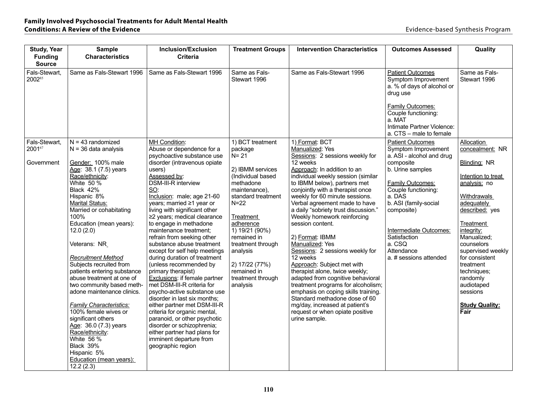| <b>Study, Year</b><br><b>Funding</b><br><b>Source</b> | <b>Sample</b><br><b>Characteristics</b>                                                                                                                                                                                                                                                                                                                                                                                                                                                                                                                                                                                          | <b>Inclusion/Exclusion</b><br><b>Criteria</b>                                                                                                                                                                                                                                                                                                                                                                                                                                                                                                                                                                                                                                                                                                                                                      | <b>Treatment Groups</b>                                                                                                                                                                                                                                           | <b>Intervention Characteristics</b>                                                                                                                                                                                                                                                                                                                                                                                                                                                                                                                                                                                                                                                                           | <b>Outcomes Assessed</b>                                                                                                                                                                                                     | Quality                                                                                                                                                                                                                                                                                                           |
|-------------------------------------------------------|----------------------------------------------------------------------------------------------------------------------------------------------------------------------------------------------------------------------------------------------------------------------------------------------------------------------------------------------------------------------------------------------------------------------------------------------------------------------------------------------------------------------------------------------------------------------------------------------------------------------------------|----------------------------------------------------------------------------------------------------------------------------------------------------------------------------------------------------------------------------------------------------------------------------------------------------------------------------------------------------------------------------------------------------------------------------------------------------------------------------------------------------------------------------------------------------------------------------------------------------------------------------------------------------------------------------------------------------------------------------------------------------------------------------------------------------|-------------------------------------------------------------------------------------------------------------------------------------------------------------------------------------------------------------------------------------------------------------------|---------------------------------------------------------------------------------------------------------------------------------------------------------------------------------------------------------------------------------------------------------------------------------------------------------------------------------------------------------------------------------------------------------------------------------------------------------------------------------------------------------------------------------------------------------------------------------------------------------------------------------------------------------------------------------------------------------------|------------------------------------------------------------------------------------------------------------------------------------------------------------------------------------------------------------------------------|-------------------------------------------------------------------------------------------------------------------------------------------------------------------------------------------------------------------------------------------------------------------------------------------------------------------|
| Fals-Stewart,<br>200285                               | Same as Fals-Stewart 1996                                                                                                                                                                                                                                                                                                                                                                                                                                                                                                                                                                                                        | Same as Fals-Stewart 1996                                                                                                                                                                                                                                                                                                                                                                                                                                                                                                                                                                                                                                                                                                                                                                          | Same as Fals-<br>Stewart 1996                                                                                                                                                                                                                                     | Same as Fals-Stewart 1996                                                                                                                                                                                                                                                                                                                                                                                                                                                                                                                                                                                                                                                                                     | <b>Patient Outcomes</b><br>Symptom Improvement<br>a. % of days of alcohol or<br>drug use<br><b>Family Outcomes:</b><br>Couple functioning:<br>a. MAT<br>Intimate Partner Violence:<br>a. CTS - male to female                | Same as Fals-<br>Stewart 1996                                                                                                                                                                                                                                                                                     |
| Fals-Stewart,<br>200167                               | $N = 43$ randomized<br>$N = 36$ data analysis                                                                                                                                                                                                                                                                                                                                                                                                                                                                                                                                                                                    | <b>MH Condition:</b><br>Abuse or dependence for a<br>psychoactive substance use                                                                                                                                                                                                                                                                                                                                                                                                                                                                                                                                                                                                                                                                                                                    | 1) BCT treatment<br>package<br>$N = 21$                                                                                                                                                                                                                           | 1) Format: BCT<br>Manualized: Yes<br>Sessions: 2 sessions weekly for                                                                                                                                                                                                                                                                                                                                                                                                                                                                                                                                                                                                                                          | <b>Patient Outcomes</b><br>Symptom Improvement<br>a. ASI - alcohol and drug                                                                                                                                                  | <b>Allocation</b><br>concealment: NR                                                                                                                                                                                                                                                                              |
| Government                                            | Gender: 100% male<br>Age: 38.1 (7.5) years<br>Race/ethnicity:<br>White 50 %<br>Black 42%<br>Hispanic 8%<br><b>Marital Status:</b><br>Married or cohabitating<br>100%<br>Education (mean years):<br>12.0(2.0)<br>Veterans: NR<br><b>Recruitment Method</b><br>Subjects recruited from<br>patients entering substance<br>abuse treatment at one of<br>two community based meth-<br>adone maintenance clinics.<br><b>Family Characteristics:</b><br>100% female wives or<br>significant others<br>Age: 36.0 (7.3) years<br>Race/ethnicity:<br>White 56 %<br>Black 39%<br>Hispanic 5%<br><b>Education (mean years):</b><br>12.2(2.3) | disorder (intravenous opiate<br>users)<br>Assessed by:<br><b>DSM-III-R</b> interview<br>SO:<br>Inclusion: male; age 21-60<br>years; married ≥1 year or<br>living with significant other<br>≥2 years; medical clearance<br>to engage in methadone<br>maintenance treatment;<br>refrain from seeking other<br>substance abuse treatment<br>except for self help meetings<br>during duration of treatment<br>(unless recommended by<br>primary therapist)<br>Exclusions: if female partner<br>met DSM-III-R criteria for<br>psycho-active substance use<br>disorder in last six months;<br>either partner met DSM-III-R<br>criteria for organic mental,<br>paranoid, or other psychotic<br>disorder or schizophrenia;<br>either partner had plans for<br>imminent departure from<br>geographic region | 2) IBMM services<br>(Individual based<br>methadone<br>maintenance),<br>standard treatment<br>$N=22$<br>Treatment<br>adherence<br>1) 19/21 (90%)<br>remained in<br>treatment through<br>analysis<br>2) 17/22 (77%)<br>remained in<br>treatment through<br>analysis | 12 weeks<br>Approach: In addition to an<br>individual weekly session (similar<br>to IBMM below), partners met<br>conjointly with a therapist once<br>weekly for 60 minute sessions.<br>Verbal agreement made to have<br>a daily "sobriety trust discussion."<br>Weekly homework reinforcing<br>session content.<br>2) Format: IBMM<br>Manualized: Yes<br>Sessions: 2 sessions weekly for<br>12 weeks<br>Approach: Subject met with<br>therapist alone, twice weekly;<br>adapted from cognitive behavioral<br>treatment programs for alcoholism;<br>emphasis on coping skills training.<br>Standard methadone dose of 60<br>mg/day, increased at patient's<br>request or when opiate positive<br>urine sample. | composite<br>b. Urine samples<br><b>Family Outcomes:</b><br>Couple functioning:<br>a. DAS<br>b. ASI (family-social<br>composite)<br>Intermediate Outcomes:<br>Satisfaction<br>a. CSQ<br>Attendance<br>a. # sessions attended | Blinding: NR<br>Intention to treat<br>analysis: no<br><b>Withdrawals</b><br>adequately<br>described: yes<br><b>Treatment</b><br>integrity:<br>Manualized;<br>counselors<br>supervised weekly<br>for consistent<br>treatment<br>techniques;<br>randomly<br>audiotaped<br>sessions<br><b>Study Quality:</b><br>Fair |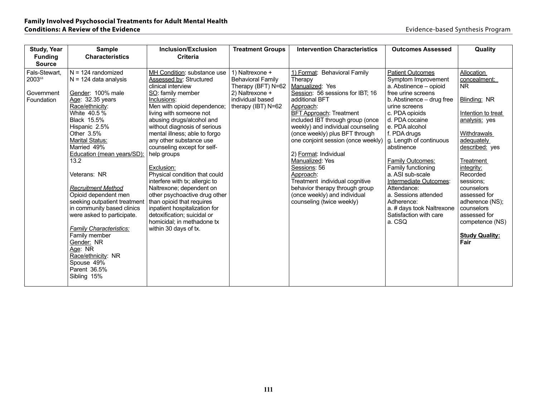| <b>Study, Year</b> | <b>Sample</b>                  | Inclusion/Exclusion            | <b>Treatment Groups</b>  | <b>Intervention Characteristics</b> | <b>Outcomes Assessed</b>  | Quality               |
|--------------------|--------------------------------|--------------------------------|--------------------------|-------------------------------------|---------------------------|-----------------------|
| <b>Funding</b>     | <b>Characteristics</b>         | <b>Criteria</b>                |                          |                                     |                           |                       |
| <b>Source</b>      |                                |                                |                          |                                     |                           |                       |
| Fals-Stewart,      | $N = 124$ randomized           | MH Condition: substance use    | 1) Naltrexone +          | 1) Format: Behavioral Family        | <b>Patient Outcomes</b>   | Allocation            |
| 200368             | $N = 124$ data analysis        | Assessed by: Structured        | <b>Behavioral Family</b> | Therapy                             | Symptom Improvement       | concealment:          |
|                    |                                | clinical interview             | Therapy (BFT) N=62       | Manualized: Yes                     | a. Abstinence - opioid    | <b>NR</b>             |
| Government         | Gender: 100% male              | SO: family member              | 2) Naltrexone +          | Session: 56 sessions for IBT; 16    | free urine screens        |                       |
| Foundation         | Age: 32.35 years               | Inclusions:                    | individual based         | additional BFT                      | b. Abstinence – drug free | Blinding: NR          |
|                    | Race/ethnicity:                | Men with opioid dependence;    | therapy (IBT) N=62       | Approach:                           | urine screens             |                       |
|                    | White 40.5 %                   | living with someone not        |                          | <b>BFT Approach: Treatment</b>      | c. PDA opioids            | Intention to treat    |
|                    | Black 15.5%                    | abusing drugs/alcohol and      |                          | included IBT through group (once    | d. PDA cocaine            | analysis: yes         |
|                    | Hispanic 2.5%                  | without diagnosis of serious   |                          | weekly) and individual counseling   | e. PDA alcohol            |                       |
|                    | Other $3.5%$                   | mental illness; able to forgo  |                          | (once weekly) plus BFT through      | f. PDA drugs              | Withdrawals           |
|                    | <b>Marital Status:</b>         | any other substance use        |                          | one conjoint session (once weekly)  | g. Length of continuous   | adequately            |
|                    | Married 49%                    | counseling except for self-    |                          |                                     | abstinence                | described: yes        |
|                    | Education (mean years/SD):     | help groups                    |                          | 2) Format: Individual               |                           |                       |
|                    | 13.2                           |                                |                          | Manualized: Yes                     | Family Outcomes:          | Treatment             |
|                    |                                | Exclusion:                     |                          | Sessions: 56                        | Family functioning        | integrity:            |
|                    | Veterans: NR                   | Physical condition that could  |                          | Approach:                           | a. ASI sub-scale          | Recorded              |
|                    |                                | interfere with tx; allergic to |                          | Treatment individual cognitive      | Intermediate Outcomes:    | sessions:             |
|                    | <b>Recruitment Method</b>      | Naltrexone; dependent on       |                          | behavior therapy through group      | Attendance:               | counselors            |
|                    | Opioid dependent men           | other psychoactive drug other  |                          | (once weekly) and individual        | a. Sessions attended      | assessed for          |
|                    | seeking outpatient treatment   | than opioid that requires      |                          | counseling (twice weekly)           | Adherence:                | adherence (NS);       |
|                    | in community based clinics     | inpatient hospitalization for  |                          |                                     | a. # days took Naltrexone | counselors            |
|                    | were asked to participate.     | detoxification; suicidal or    |                          |                                     | Satisfaction with care    | assessed for          |
|                    |                                | homicidal: in methadone tx     |                          |                                     | a. CSQ                    | competence (NS)       |
|                    | <b>Family Characteristics:</b> | within 30 days of tx.          |                          |                                     |                           |                       |
|                    | Family member                  |                                |                          |                                     |                           | <b>Study Quality:</b> |
|                    | Gender: NR                     |                                |                          |                                     |                           | Fair                  |
|                    | Age: NR                        |                                |                          |                                     |                           |                       |
|                    | Race/ethnicity: NR             |                                |                          |                                     |                           |                       |
|                    | Spouse 49%                     |                                |                          |                                     |                           |                       |
|                    | Parent 36.5%                   |                                |                          |                                     |                           |                       |
|                    | Sibling 15%                    |                                |                          |                                     |                           |                       |
|                    |                                |                                |                          |                                     |                           |                       |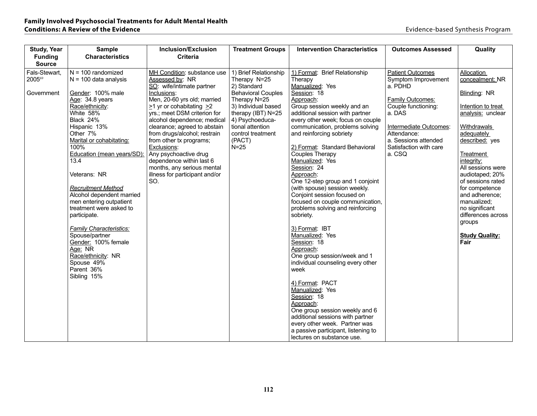| <b>Study, Year</b> | <b>Sample</b>                                      | Inclusion/Exclusion                      | <b>Treatment Groups</b>                  | <b>Intervention Characteristics</b>                                  | <b>Outcomes Assessed</b>         | Quality                              |
|--------------------|----------------------------------------------------|------------------------------------------|------------------------------------------|----------------------------------------------------------------------|----------------------------------|--------------------------------------|
| <b>Funding</b>     | <b>Characteristics</b>                             | <b>Criteria</b>                          |                                          |                                                                      |                                  |                                      |
| <b>Source</b>      |                                                    |                                          |                                          |                                                                      |                                  |                                      |
| Fals-Stewart,      | $N = 100$ randomized                               | MH Condition: substance use              | 1) Brief Relationship                    | 1) Format: Brief Relationship                                        | <b>Patient Outcomes</b>          | Allocation                           |
| 200569             | $N = 100$ data analysis                            | Assessed by: NR                          | Therapy N=25                             | Therapy                                                              | Symptom Improvement              | concealment: NR                      |
| Government         | Gender: 100% male                                  | SO: wife/intimate partner<br>Inclusions: | 2) Standard<br><b>Behavioral Couples</b> | Manualized: Yes<br>Session: 18                                       | a. PDHD                          | Blinding: NR                         |
|                    | Age: 34.8 years                                    | Men, 20-60 yrs old; married              | Therapy N=25                             | Approach:                                                            | <b>Family Outcomes:</b>          |                                      |
|                    | Race/ethnicity:                                    | $\geq$ 1 yr or cohabitating $\geq$ 2     | 3) Individual based                      | Group session weekly and an                                          | Couple functioning:              | Intention to treat                   |
|                    | White 58%                                          | yrs.; meet DSM criterion for             | therapy (IBT) N=25                       | additional session with partner                                      | a. DAS                           | analysis: unclear                    |
|                    | Black 24%                                          | alcohol dependence; medical              | 4) Psychoeduca-                          | every other week; focus on couple                                    |                                  |                                      |
|                    | Hispanic 13%                                       | clearance; agreed to abstain             | tional attention                         | communication, problems solving                                      | Intermediate Outcomes:           | Withdrawals                          |
|                    | Other 7%                                           | from drugs/alcohol; restrain             | control treatment                        | and reinforcing sobriety                                             | Attendance:                      | adequately                           |
|                    | Marital or cohabitating:                           | from other tx programs;                  | (PACT)                                   |                                                                      | a. Sessions attended             | described: yes                       |
|                    | 100%<br>Education (mean years/SD):                 | Exclusions:<br>Any psychoactive drug     | $N=25$                                   | 2) Format: Standard Behavioral<br>Couples Therapy                    | Satisfaction with care<br>a. CSQ | Treatment                            |
|                    | 13.4                                               | dependence within last 6                 |                                          | Manualized: Yes                                                      |                                  | integrity:                           |
|                    |                                                    | months, any serious mental               |                                          | Session: 24                                                          |                                  | All sessions were                    |
|                    | Veterans: NR                                       | illness for participant and/or           |                                          | Approach:                                                            |                                  | audiotaped; 20%                      |
|                    |                                                    | SO.                                      |                                          | One 12-step group and 1 conjoint                                     |                                  | of sessions rated                    |
|                    | <b>Recruitment Method</b>                          |                                          |                                          | (with spouse) session weekly.                                        |                                  | for competence                       |
|                    | Alcohol dependent married                          |                                          |                                          | Conjoint session focused on                                          |                                  | and adherence:                       |
|                    | men entering outpatient<br>treatment were asked to |                                          |                                          | focused on couple communication,<br>problems solving and reinforcing |                                  | manualized:                          |
|                    | participate.                                       |                                          |                                          | sobriety.                                                            |                                  | no significant<br>differences across |
|                    |                                                    |                                          |                                          |                                                                      |                                  | groups                               |
|                    | <b>Family Characteristics:</b>                     |                                          |                                          | 3) Format: IBT                                                       |                                  |                                      |
|                    | Spouse/partner                                     |                                          |                                          | Manualized: Yes                                                      |                                  | <b>Study Quality:</b>                |
|                    | Gender: 100% female                                |                                          |                                          | Session: 18                                                          |                                  | Fair                                 |
|                    | Age: NR                                            |                                          |                                          | Approach:                                                            |                                  |                                      |
|                    | Race/ethnicity: NR                                 |                                          |                                          | One group session/week and 1                                         |                                  |                                      |
|                    | Spouse 49%<br>Parent 36%                           |                                          |                                          | individual counseling every other<br>week                            |                                  |                                      |
|                    | Sibling 15%                                        |                                          |                                          |                                                                      |                                  |                                      |
|                    |                                                    |                                          |                                          | 4) Format: PACT                                                      |                                  |                                      |
|                    |                                                    |                                          |                                          | Manualized: Yes                                                      |                                  |                                      |
|                    |                                                    |                                          |                                          | Session: 18                                                          |                                  |                                      |
|                    |                                                    |                                          |                                          | Approach:                                                            |                                  |                                      |
|                    |                                                    |                                          |                                          | One group session weekly and 6                                       |                                  |                                      |
|                    |                                                    |                                          |                                          | additional sessions with partner                                     |                                  |                                      |
|                    |                                                    |                                          |                                          | every other week. Partner was<br>a passive participant, listening to |                                  |                                      |
|                    |                                                    |                                          |                                          | lectures on substance use.                                           |                                  |                                      |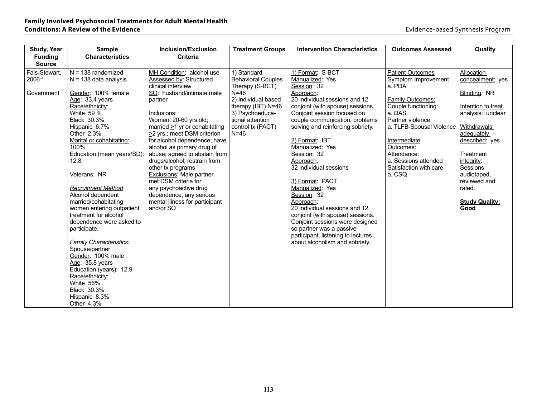| <b>Study, Year</b> | <b>Sample</b>                              | Inclusion/Exclusion                  | <b>Treatment Groups</b>             | <b>Intervention Characteristics</b>                                 | <b>Outcomes Assessed</b>      | Quality                                 |
|--------------------|--------------------------------------------|--------------------------------------|-------------------------------------|---------------------------------------------------------------------|-------------------------------|-----------------------------------------|
| <b>Funding</b>     | <b>Characteristics</b>                     | <b>Criteria</b>                      |                                     |                                                                     |                               |                                         |
| <b>Source</b>      |                                            |                                      |                                     |                                                                     |                               |                                         |
| Fals-Stewart,      | $N = 138$ randomized                       | MH Condition: alcohol use            | 1) Standard                         | 1) Format: S-BCT                                                    | <b>Patient Outcomes</b>       | Allocation                              |
| 200674             | $N = 138$ data analysis                    | Assessed by: Structured              | <b>Behavioral Couples</b>           | Manualized: Yes                                                     | Symptom Improvement           | concealment: yes                        |
|                    |                                            | clinical interview                   | Therapy (S-BCT)                     | Session: 32                                                         | a. PDA                        |                                         |
| Government         | Gender: 100% female                        | SO: husband/intimate male            | $N=46$                              | Approach:                                                           |                               | Blinding: NR                            |
|                    | Age: 33.4 years                            | partner                              | 2) Individual based                 | 20 individual sessions and 12                                       | <b>Family Outcomes:</b>       |                                         |
|                    | Race/ethnicity:<br>White 59 %              |                                      | therapy (IBT) N=46                  | conjoint (with spouse) sessions.                                    | Couple functioning:<br>a. DAS | Intention to treat<br>analysis: unclear |
|                    | Black 30.3%                                | Inclusions:<br>Women, 20-60 yrs old; | 3) Psychoeduca-<br>tional attention | Conjoint session focused on                                         | Partner violence              |                                         |
|                    | Hispanic 6.7%                              | married $\geq$ 1 yr or cohabitating  | control tx (PACT)                   | couple communication, problems<br>solving and reinforcing sobriety. | a. TLFB-Spousal Violence      | <b>Withdrawals</b>                      |
|                    | Other 2.3%                                 | >2 yrs.; meet DSM criterion          | $N=46$                              |                                                                     |                               | adequately                              |
|                    | Marital or cohabitating:                   | for alcohol dependence; have         |                                     | 2) Format: IBT                                                      | Intermediate                  | described: yes                          |
|                    | 100%                                       | alcohol as primary drug of           |                                     | Manualized: Yes                                                     | Outcomes:                     |                                         |
|                    | Education (mean years/SD):                 | abuse; agreed to abstain from        |                                     | Session: 32                                                         | Attendance:                   | Treatment                               |
|                    | 12.8                                       | drugs/alcohol; restrain from         |                                     | Approach:                                                           | a. Sessions attended          | integrity:                              |
|                    |                                            | other tx programs                    |                                     | 32 individual sessions                                              | Satisfaction with care        | Sessions                                |
|                    | Veterans: NR                               | <b>Exclusions:</b> Male partner      |                                     |                                                                     | b. CSQ                        | audiotaped,                             |
|                    |                                            | met DSM criteria for                 |                                     | 3) Format: PACT                                                     |                               | reviewed and                            |
|                    | <b>Recruitment Method</b>                  | any psychoactive drug                |                                     | Manualized: Yes                                                     |                               | rated.                                  |
|                    | Alcohol dependent                          | dependence, any serious              |                                     | Session: 32                                                         |                               |                                         |
|                    | married/cohabitating                       | mental illness for participant       |                                     | Approach:                                                           |                               | <b>Study Quality:</b>                   |
|                    | women entering outpatient                  | and/or SO                            |                                     | 20 individual sessions and 12                                       |                               | Good                                    |
|                    | treatment for alcohol                      |                                      |                                     | conjoint (with spouse) sessions.                                    |                               |                                         |
|                    | dependence were asked to                   |                                      |                                     | Conjoint sessions were designed                                     |                               |                                         |
|                    | participate.                               |                                      |                                     | so partner was a passive                                            |                               |                                         |
|                    |                                            |                                      |                                     | participant, listening to lectures                                  |                               |                                         |
|                    | Family Characteristics:                    |                                      |                                     | about alcoholism and sobriety.                                      |                               |                                         |
|                    | Spouse/partner                             |                                      |                                     |                                                                     |                               |                                         |
|                    | Gender: 100% male                          |                                      |                                     |                                                                     |                               |                                         |
|                    | Age: 35.8 years<br>Education (years): 12.9 |                                      |                                     |                                                                     |                               |                                         |
|                    | Race/ethnicity:                            |                                      |                                     |                                                                     |                               |                                         |
|                    | White 56%                                  |                                      |                                     |                                                                     |                               |                                         |
|                    | Black 30.3%                                |                                      |                                     |                                                                     |                               |                                         |
|                    | Hispanic 8.3%                              |                                      |                                     |                                                                     |                               |                                         |
|                    | Other 4.3%                                 |                                      |                                     |                                                                     |                               |                                         |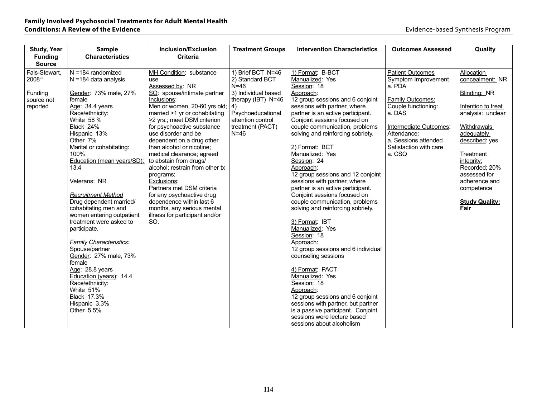| <b>Study, Year</b> | <b>Sample</b>                    | Inclusion/Exclusion                                 | <b>Treatment Groups</b> | <b>Intervention Characteristics</b>                                    | <b>Outcomes Assessed</b>         | Quality                 |
|--------------------|----------------------------------|-----------------------------------------------------|-------------------------|------------------------------------------------------------------------|----------------------------------|-------------------------|
| <b>Funding</b>     | <b>Characteristics</b>           | <b>Criteria</b>                                     |                         |                                                                        |                                  |                         |
| <b>Source</b>      |                                  |                                                     |                         |                                                                        |                                  |                         |
| Fals-Stewart,      | $N = 184$ randomized             | MH Condition: substance                             | 1) Brief BCT N=46       | 1) Format: B-BCT                                                       | <b>Patient Outcomes</b>          | Allocation              |
| 200878             | $N = 184$ data analysis          | use.                                                | 2) Standard BCT         | Manualized: Yes                                                        | Symptom Improvement              | concealment: NR         |
|                    |                                  | Assessed by: NR                                     | $N=46$                  | Session: 18                                                            | a. PDA                           |                         |
| Funding            | Gender: 73% male, 27%            | SO: spouse/intimate partner                         | 3) Individual based     | Approach:                                                              |                                  | Blinding: NR            |
| source not         | female                           | Inclusions:                                         | therapy (IBT) N=46      | 12 group sessions and 6 conjoint                                       | <b>Family Outcomes:</b>          |                         |
| reported           | Age: 34.4 years                  | Men or women, 20-60 yrs old;                        | 4)                      | sessions with partner, where                                           | Couple functioning:              | Intention to treat      |
|                    | Race/ethnicity:                  | married $\geq$ 1 yr or cohabitating                 | Psychoeducational       | partner is an active participant.                                      | a. DAS                           | analysis: unclear       |
|                    | White 58 %                       | $\geq$ 2 yrs.; meet DSM criterion                   | attention control       | Conjoint sessions focused on                                           |                                  |                         |
|                    | Black 24%                        | for psychoactive substance                          | treatment (PACT)        | couple communication, problems                                         | Intermediate Outcomes:           | Withdrawals             |
|                    | Hispanic 13%                     | use disorder and be                                 | $N=46$                  | solving and reinforcing sobriety.                                      | Attendance:                      | adequately              |
|                    | Other 7%                         | dependent on a drug other                           |                         |                                                                        | a. Sessions attended             | described: yes          |
|                    | Marital or cohabitating:<br>100% | than alcohol or nicotine:                           |                         | 2) Format: BCT<br>Manualized: Yes                                      | Satisfaction with care<br>a. CSQ |                         |
|                    | Education (mean years/SD):       | medical clearance; agreed<br>to abstain from drugs/ |                         | Session: 24                                                            |                                  | Treatment<br>integrity: |
|                    | 13.4                             | alcohol; restrain from other tx                     |                         | Approach:                                                              |                                  | Recorded: 20%           |
|                    |                                  | programs;                                           |                         | 12 group sessions and 12 conjoint                                      |                                  | assessed for            |
|                    | Veterans: NR                     | Exclusions:                                         |                         | sessions with partner, where                                           |                                  | adherence and           |
|                    |                                  | Partners met DSM criteria                           |                         | partner is an active participant.                                      |                                  | competence              |
|                    | <b>Recruitment Method</b>        | for any psychoactive drug                           |                         | Conjoint sessions focused on                                           |                                  |                         |
|                    | Drug dependent married/          | dependence within last 6                            |                         | couple communication, problems                                         |                                  | <b>Study Quality:</b>   |
|                    | cohabitating men and             | months, any serious mental                          |                         | solving and reinforcing sobriety.                                      |                                  | Fair                    |
|                    | women entering outpatient        | illness for participant and/or                      |                         |                                                                        |                                  |                         |
|                    | treatment were asked to          | SO.                                                 |                         | 3) Format: IBT                                                         |                                  |                         |
|                    | participate.                     |                                                     |                         | Manualized: Yes                                                        |                                  |                         |
|                    |                                  |                                                     |                         | Session: 18                                                            |                                  |                         |
|                    | <b>Family Characteristics:</b>   |                                                     |                         | Approach:                                                              |                                  |                         |
|                    | Spouse/partner                   |                                                     |                         | 12 group sessions and 6 individual                                     |                                  |                         |
|                    | Gender: 27% male, 73%            |                                                     |                         | counseling sessions                                                    |                                  |                         |
|                    | female                           |                                                     |                         |                                                                        |                                  |                         |
|                    | Age: 28.8 years                  |                                                     |                         | 4) Format: PACT                                                        |                                  |                         |
|                    | Education (years): 14.4          |                                                     |                         | Manualized: Yes                                                        |                                  |                         |
|                    | Race/ethnicity:<br>White 51%     |                                                     |                         | Session: 18                                                            |                                  |                         |
|                    | <b>Black 17.3%</b>               |                                                     |                         | Approach:                                                              |                                  |                         |
|                    | Hispanic 3.3%                    |                                                     |                         | 12 group sessions and 6 conjoint<br>sessions with partner, but partner |                                  |                         |
|                    | Other 5.5%                       |                                                     |                         | is a passive participant. Conjoint                                     |                                  |                         |
|                    |                                  |                                                     |                         | sessions were lecture based                                            |                                  |                         |
|                    |                                  |                                                     |                         | sessions about alcoholism                                              |                                  |                         |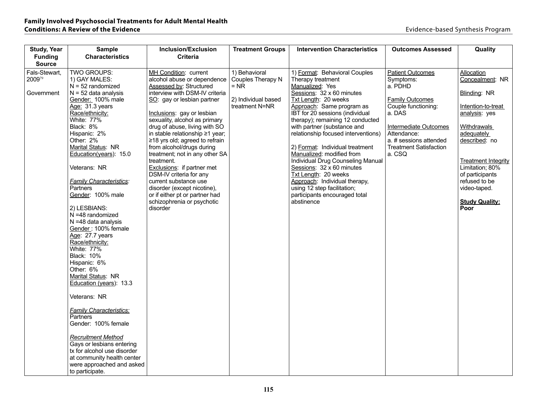| <b>Study, Year</b>                    | <b>Sample</b>                                                                                                                                                                                                                                                                                                                                                                                                                                                                                                                                                                                                                                                                                                                                                                                                                               | <b>Inclusion/Exclusion</b>                                                                                                                                                                                                                                                                                                                                                                                                                                                                                                                                                                           | <b>Treatment Groups</b>                                                               | <b>Intervention Characteristics</b>                                                                                                                                                                                                                                                                                                                                                                                                                                                                                                                                           | <b>Outcomes Assessed</b>                                                                                                                                                                                                | Quality                                                                                                                                                                                                                                                                  |
|---------------------------------------|---------------------------------------------------------------------------------------------------------------------------------------------------------------------------------------------------------------------------------------------------------------------------------------------------------------------------------------------------------------------------------------------------------------------------------------------------------------------------------------------------------------------------------------------------------------------------------------------------------------------------------------------------------------------------------------------------------------------------------------------------------------------------------------------------------------------------------------------|------------------------------------------------------------------------------------------------------------------------------------------------------------------------------------------------------------------------------------------------------------------------------------------------------------------------------------------------------------------------------------------------------------------------------------------------------------------------------------------------------------------------------------------------------------------------------------------------------|---------------------------------------------------------------------------------------|-------------------------------------------------------------------------------------------------------------------------------------------------------------------------------------------------------------------------------------------------------------------------------------------------------------------------------------------------------------------------------------------------------------------------------------------------------------------------------------------------------------------------------------------------------------------------------|-------------------------------------------------------------------------------------------------------------------------------------------------------------------------------------------------------------------------|--------------------------------------------------------------------------------------------------------------------------------------------------------------------------------------------------------------------------------------------------------------------------|
| <b>Funding</b><br><b>Source</b>       | <b>Characteristics</b>                                                                                                                                                                                                                                                                                                                                                                                                                                                                                                                                                                                                                                                                                                                                                                                                                      | <b>Criteria</b>                                                                                                                                                                                                                                                                                                                                                                                                                                                                                                                                                                                      |                                                                                       |                                                                                                                                                                                                                                                                                                                                                                                                                                                                                                                                                                               |                                                                                                                                                                                                                         |                                                                                                                                                                                                                                                                          |
| Fals-Stewart,<br>200979<br>Government | TWO GROUPS:<br>1) GAY MALES:<br>$N = 52$ randomized<br>$N = 52$ data analysis<br>Gender: 100% male<br>Age: 31.3 years<br>Race/ethnicity:<br>White: 77%<br>Black: 8%<br>Hispanic: 2%<br>Other: 2%<br>Marital Status: NR<br>Education(years): 15.0<br>Veterans: NR<br><b>Family Characteristics:</b><br>Partners<br>Gender: 100% male<br>2) LESBIANS:<br>N =48 randomized<br>$N = 48$ data analysis<br>Gender: 100% female<br>Age: 27.7 years<br>Race/ethnicity:<br>White: 77%<br><b>Black: 10%</b><br>Hispanic: 6%<br>Other: 6%<br>Marital Status: NR<br>Education (years): 13.3<br>Veterans: NR<br><b>Family Characteristics:</b><br>Partners<br>Gender: 100% female<br><b>Recruitment Method</b><br>Gays or lesbians entering<br>tx for alcohol use disorder<br>at community health center<br>were approached and asked<br>to participate. | MH Condition: current<br>alcohol abuse or dependence<br>Assessed by: Structured<br>interview with DSM-IV criteria<br>SO: gay or lesbian partner<br>Inclusions: gay or lesbian<br>sexuality, alcohol as primary<br>drug of abuse, living with SO<br>in stable relationship ≥1 year;<br>$\geq$ 18 yrs old; agreed to refrain<br>from alcohol/drugs during<br>treatment; not in any other SA<br>treatment.<br>Exclusions: if partner met<br>DSM-IV criteria for any<br>current substance use<br>disorder (except nicotine),<br>or if either pt or partner had<br>schizophrenia or psychotic<br>disorder | 1) Behavioral<br>Couples Therapy N<br>$=$ NR<br>2) Individual based<br>treatment N=NR | 1) Format: Behavioral Couples<br>Therapy treatment<br>Manualized: Yes<br>Sessions: 32 x 60 minutes<br>Txt Length: 20 weeks<br>Approach: Same program as<br>IBT for 20 sessions (individual<br>therapy); remaining 12 conducted<br>with partner (substance and<br>relationship focused interventions)<br>2) Format: Individual treatment<br>Manualized: modified from<br>Individual Drug Counseling Manual<br>Sessions: 32 x 60 minutes<br>Txt Length: 20 weeks<br>Approach: Individual therapy,<br>using 12 step facilitation;<br>participants encouraged total<br>abstinence | <b>Patient Outcomes</b><br>Symptoms:<br>a. PDHD<br><b>Family Outcomes</b><br>Couple functioning:<br>a. DAS<br>Intermediate Outcomes<br>Attendance:<br>a. # sessions attended<br><b>Treatment Satisfaction</b><br>a. CSQ | Allocation<br>Concealment: NR<br>Blinding: NR<br>Intention-to-treat<br>analysis: yes<br>Withdrawals<br>adequately<br>described: no<br><b>Treatment Integrity</b><br>Limitation; 80%<br>of participants<br>refused to be<br>video-taped.<br><b>Study Quality:</b><br>Poor |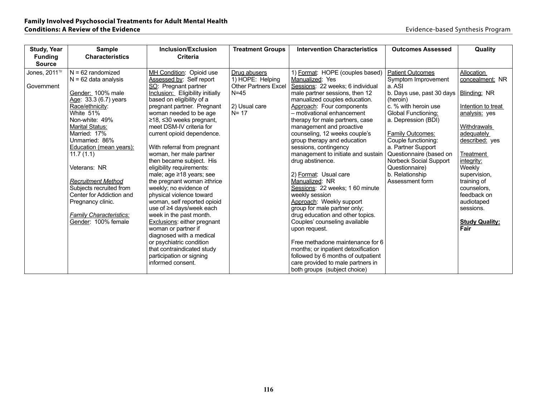| <b>Study, Year</b> | <b>Sample</b>                  | <b>Inclusion/Exclusion</b>       | <b>Treatment Groups</b>     | <b>Intervention Characteristics</b> | <b>Outcomes Assessed</b>                 | Quality               |
|--------------------|--------------------------------|----------------------------------|-----------------------------|-------------------------------------|------------------------------------------|-----------------------|
| <b>Funding</b>     | <b>Characteristics</b>         | <b>Criteria</b>                  |                             |                                     |                                          |                       |
| <b>Source</b>      |                                |                                  |                             |                                     |                                          |                       |
| Jones, $2011^{70}$ | $N = 62$ randomized            | MH Condition: Opioid use         | Drug abusers                | 1) Format: HOPE (couples based)     | <b>Patient Outcomes</b>                  | Allocation            |
|                    | $N = 62$ data analysis         | Assessed by: Self report         | 1) HOPE: Helping            | Manualized: Yes                     | Symptom Improvement                      | concealment: NR       |
| Government         |                                | SO: Pregnant partner             | <b>Other Partners Excel</b> | Sessions: 22 weeks; 6 individual    | a. ASI                                   |                       |
|                    | Gender: 100% male              | Inclusion: Eligibility initially | $N = 45$                    | male partner sessions, then 12      | b. Days use, past 30 days   Blinding: NR |                       |
|                    | Age: 33.3 (6.7) years          | based on eligibility of a        |                             | manualized couples education.       | (heroin)                                 |                       |
|                    | Race/ethnicity:                | pregnant partner. Pregnant       | 2) Usual care               | Approach: Four components           | c. % with heroin use                     | Intention to treat    |
|                    | White 51%                      | woman needed to be age           | $N = 17$                    | - motivational enhancement          | Global Functioning:                      | analysis: yes         |
|                    | Non-white: 49%                 | $≥18, ≤30$ weeks pregnant,       |                             | therapy for male partners, case     | a. Depression (BDI)                      |                       |
|                    | <b>Marital Status:</b>         | meet DSM-IV criteria for         |                             | management and proactive            |                                          | Withdrawals           |
|                    | Married: 17%                   | current opioid dependence.       |                             | counseling, 12 weeks couple's       | Family Outcomes:                         | adequately            |
|                    | Unmarried: 86%                 |                                  |                             | group therapy and education         | Couple functioning:                      | described: yes        |
|                    | <b>Education (mean years):</b> | With referral from pregnant      |                             | sessions, contingency               | a. Partner Support                       |                       |
|                    | 11.7(1.1)                      | woman, her male partner          |                             | management to initiate and sustain  | Questionnaire (based on                  | <b>Treatment</b>      |
|                    |                                | then became subject. His         |                             | drug abstinence.                    | Norbeck Social Support                   | integrity:            |
|                    | Veterans: NR                   | eligibility requirements:        |                             |                                     | Questionnaire)                           | Weekly                |
|                    |                                | male; age $\geq$ 18 years; see   |                             | 2) Format: Usual care               | b. Relationship                          | supervision,          |
|                    | <b>Recruitment Method</b>      | the pregnant woman ≥thrice       |                             | Manualized: NR                      | Assessment form                          | training of           |
|                    | Subjects recruited from        | weekly; no evidence of           |                             | Sessions: 22 weeks; 1 60 minute     |                                          | counselors,           |
|                    | Center for Addiction and       | physical violence toward         |                             | weekly session                      |                                          | feedback on           |
|                    | Pregnancy clinic.              | woman, self reported opioid      |                             | Approach: Weekly support            |                                          | audiotaped            |
|                    |                                | use of ≥4 days/week each         |                             | group for male partner only;        |                                          | sessions.             |
|                    | <b>Family Characteristics:</b> | week in the past month.          |                             | drug education and other topics.    |                                          |                       |
|                    | Gender: 100% female            | Exclusions: either pregnant      |                             | Couples' counseling available       |                                          | <b>Study Quality:</b> |
|                    |                                | woman or partner if              |                             | upon request.                       |                                          | Fair                  |
|                    |                                | diagnosed with a medical         |                             |                                     |                                          |                       |
|                    |                                | or psychiatric condition         |                             | Free methadone maintenance for 6    |                                          |                       |
|                    |                                | that contraindicated study       |                             | months; or inpatient detoxification |                                          |                       |
|                    |                                | participation or signing         |                             | followed by 6 months of outpatient  |                                          |                       |
|                    |                                | informed consent.                |                             | care provided to male partners in   |                                          |                       |
|                    |                                |                                  |                             | both groups (subject choice)        |                                          |                       |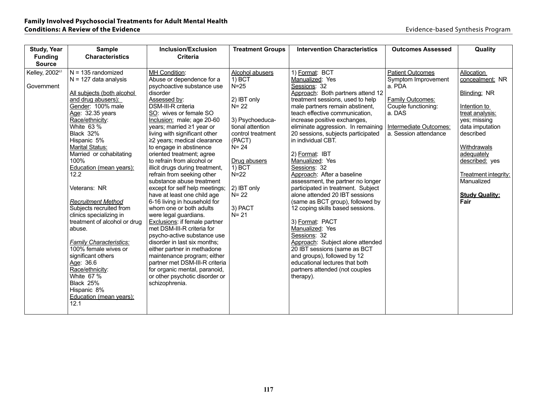| <b>Study, Year</b> | <b>Sample</b>                   | <b>Inclusion/Exclusion</b>                              | <b>Treatment Groups</b> | <b>Intervention Characteristics</b> | <b>Outcomes Assessed</b> | Quality                      |
|--------------------|---------------------------------|---------------------------------------------------------|-------------------------|-------------------------------------|--------------------------|------------------------------|
| <b>Funding</b>     | <b>Characteristics</b>          | <b>Criteria</b>                                         |                         |                                     |                          |                              |
| <b>Source</b>      |                                 |                                                         |                         |                                     |                          |                              |
| Kelley, 200263     | $N = 135$ randomized            | MH Condition:                                           | Alcohol abusers         | 1) Format: BCT                      | <b>Patient Outcomes</b>  | Allocation                   |
|                    | $N = 127$ data analysis         | Abuse or dependence for a                               | 1) BCT                  | Manualized: Yes                     | Symptom Improvement      | concealment: NR              |
| Government         |                                 | psychoactive substance use                              | $N=25$                  | Sessions: 32                        | a. PDA                   |                              |
|                    | All subjects (both alcohol      | disorder                                                |                         | Approach: Both partners attend 12   |                          | Blinding: NR                 |
|                    | and drug abusers):              | Assessed by:                                            | 2) IBT only             | treatment sessions, used to help    | <b>Family Outcomes:</b>  |                              |
|                    | Gender: 100% male               | DSM-III-R criteria                                      | $N = 22$                | male partners remain abstinent,     | Couple functioning:      | Intention to                 |
|                    | Age: 32.35 years                | SO: wives or female SO                                  |                         | teach effective communication.      | a. DAS                   | treat analysis:              |
|                    | Race/ethnicity:                 | Inclusion: male; age 20-60                              | 3) Psychoeduca-         | increase positive exchanges,        |                          | yes; missing                 |
|                    | White 63 %                      | years; married $\geq 1$ year or                         | tional attention        | eliminate aggression. In remaining  | Intermediate Outcomes:   | data imputation              |
|                    | Black 32%                       | living with significant other                           | control treatment       | 20 sessions, subjects participated  | a. Session attendance    | described                    |
|                    | Hispanic 5%                     | ≥2 years; medical clearance                             | (PACT)                  | in individual CBT.                  |                          |                              |
|                    | <b>Marital Status:</b>          | to engage in abstinence                                 | $N = 24$                |                                     |                          | Withdrawals                  |
|                    | Married or cohabitating<br>100% | oriented treatment; agree<br>to refrain from alcohol or | Drug abusers            | 2) Format: IBT<br>Manualized: Yes   |                          | adequately<br>described: yes |
|                    |                                 | illicit drugs during treatment,                         | $1)$ BCT                | Sessions: 32                        |                          |                              |
|                    | Education (mean years):<br>12.2 | refrain from seeking other                              | $N=22$                  | Approach: After a baseline          |                          | Treatment integrity:         |
|                    |                                 | substance abuse treatment                               |                         | assessment, the partner no longer   |                          | Manualized                   |
|                    | Veterans: NR                    | except for self help meetings;                          | 2) IBT only             | participated in treatment. Subject  |                          |                              |
|                    |                                 | have at least one child age                             | $N = 22$                | alone attended 20 IBT sessions      |                          | <b>Study Quality:</b>        |
|                    | <b>Recruitment Method</b>       | 6-16 living in household for                            |                         | (same as BCT group), followed by    |                          | Fair                         |
|                    | Subjects recruited from         | whom one or both adults                                 | 3) PACT                 | 12 coping skills based sessions.    |                          |                              |
|                    | clinics specializing in         | were legal guardians.                                   | $N = 21$                |                                     |                          |                              |
|                    | treatment of alcohol or drug    | Exclusions: if female partner                           |                         | 3) Format: PACT                     |                          |                              |
|                    | abuse.                          | met DSM-III-R criteria for                              |                         | Manualized: Yes                     |                          |                              |
|                    |                                 | psycho-active substance use                             |                         | Sessions: 32                        |                          |                              |
|                    | <b>Family Characteristics:</b>  | disorder in last six months:                            |                         | Approach: Subject alone attended    |                          |                              |
|                    | 100% female wives or            | either partner in methadone                             |                         | 20 IBT sessions (same as BCT        |                          |                              |
|                    | significant others              | maintenance program; either                             |                         | and groups), followed by 12         |                          |                              |
|                    | Age: 36.6                       | partner met DSM-III-R criteria                          |                         | educational lectures that both      |                          |                              |
|                    | Race/ethnicity:                 | for organic mental, paranoid,                           |                         | partners attended (not couples      |                          |                              |
|                    | White 67 %                      | or other psychotic disorder or                          |                         | therapy).                           |                          |                              |
|                    | Black 25%                       | schizophrenia.                                          |                         |                                     |                          |                              |
|                    | Hispanic 8%                     |                                                         |                         |                                     |                          |                              |
|                    | <b>Education (mean years):</b>  |                                                         |                         |                                     |                          |                              |
|                    | 12.1                            |                                                         |                         |                                     |                          |                              |
|                    |                                 |                                                         |                         |                                     |                          |                              |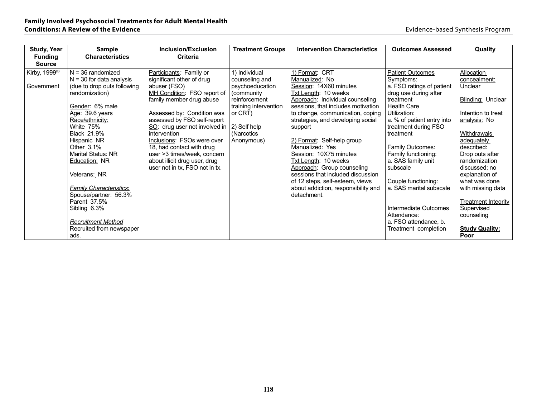| <b>Study, Year</b>              | <b>Sample</b>                   | Inclusion/Exclusion                               | <b>Treatment Groups</b>    | <b>Intervention Characteristics</b> | <b>Outcomes Assessed</b>          | Quality                    |
|---------------------------------|---------------------------------|---------------------------------------------------|----------------------------|-------------------------------------|-----------------------------------|----------------------------|
| <b>Funding</b><br><b>Source</b> | <b>Characteristics</b>          | Criteria                                          |                            |                                     |                                   |                            |
| Kirby, 199980                   | $N = 36$ randomized             | Participants: Family or                           | 1) Individual              | 1) Format: CRT                      | <b>Patient Outcomes</b>           | Allocation                 |
|                                 | $N = 30$ for data analysis      | significant other of drug                         | counseling and             | Manualized: No                      | Symptoms:                         | concealment:               |
| Government                      | (due to drop outs following     | abuser (FSO)                                      | psychoeducation            | Session: 14X60 minutes              | a. FSO ratings of patient         | Unclear                    |
|                                 | randomization)                  | MH Condition: FSO report of                       | (community)                | Txt Length: 10 weeks                | drug use during after             |                            |
|                                 |                                 | family member drug abuse                          | reinforcement              | Approach: Individual counseling     | treatment                         | Blinding: Unclear          |
|                                 | Gender: 6% male                 |                                                   | training intervention      | sessions, that includes motivation  | <b>Health Care</b>                |                            |
|                                 | Age: $39.6$ years               | Assessed by: Condition was                        | or CRT)                    | to change, communication, coping    | Utilization:                      | Intention to treat         |
|                                 | Race/ethnicity:                 | assessed by FSO self-report                       |                            | strategies, and developing social   | a. % of patient entry into        | analysis: No               |
|                                 | White 75%<br><b>Black 21.9%</b> | $SO:$ drug user not involved in  <br>intervention | 2) Self help<br>(Narcotics | support                             | treatment during FSO<br>treatment | Withdrawals                |
|                                 | Hispanic NR                     | Inclusions: FSOs were over                        | Anonymous)                 | 2) Format: Self-help group          |                                   | adequately                 |
|                                 | Other $3.1\%$                   | 18, had contact with drug                         |                            | Manualized: Yes                     | Family Outcomes:                  | described:                 |
|                                 | Marital Status: NR              | user > 3 times/week, concern                      |                            | Session: 10X75 minutes              | Family functioning:               | Drop outs after            |
|                                 | Education: NR                   | about illicit drug user, drug                     |                            | Txt Length: 10 weeks                | a. SAS family unit                | randomization              |
|                                 |                                 | user not in tx, FSO not in tx.                    |                            | Approach: Group counseling          | subscale                          | discussed: no              |
|                                 | Veterans: NR                    |                                                   |                            | sessions that included discussion   |                                   | explanation of             |
|                                 |                                 |                                                   |                            | of 12 steps, self-esteem, views     | Couple functioning:               | what was done              |
|                                 | <b>Family Characteristics:</b>  |                                                   |                            | about addiction, responsibility and | a. SAS marital subscale           | with missing data          |
|                                 | Spouse/partner: 56.3%           |                                                   |                            | detachment.                         |                                   |                            |
|                                 | Parent 37.5%                    |                                                   |                            |                                     | Intermediate Outcomes             | <b>Treatment Integrity</b> |
|                                 | Sibling 6.3%                    |                                                   |                            |                                     | Attendance:                       | Supervised<br>counseling   |
|                                 | <b>Recruitment Method</b>       |                                                   |                            |                                     | a. FSO attendance, b.             |                            |
|                                 | Recruited from newspaper        |                                                   |                            |                                     | Treatment completion              | <b>Study Quality:</b>      |
|                                 | ads.                            |                                                   |                            |                                     |                                   | Poor                       |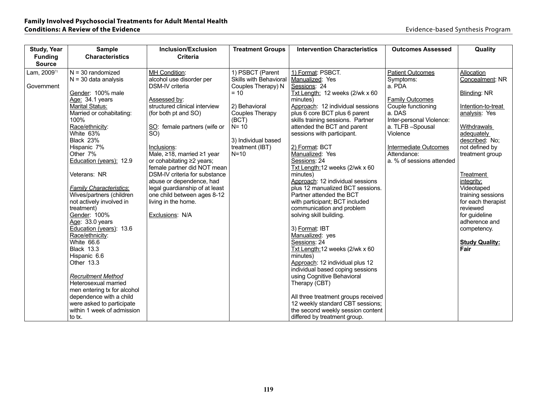| Study, Year    | <b>Sample</b>                                        | Inclusion/Exclusion                    | <b>Treatment Groups</b>       | <b>Intervention Characteristics</b>                                     | <b>Outcomes Assessed</b>  | Quality               |
|----------------|------------------------------------------------------|----------------------------------------|-------------------------------|-------------------------------------------------------------------------|---------------------------|-----------------------|
| <b>Funding</b> | <b>Characteristics</b>                               | <b>Criteria</b>                        |                               |                                                                         |                           |                       |
| <b>Source</b>  |                                                      |                                        |                               |                                                                         |                           |                       |
| Lam, 200971    | $N = 30$ randomized                                  | MH Condition:                          | 1) PSBCT (Parent              | 1) Format: PSBCT.                                                       | <b>Patient Outcomes</b>   | Allocation            |
|                | $N = 30$ data analysis                               | alcohol use disorder per               | <b>Skills with Behavioral</b> | Manualized: Yes                                                         | Symptoms:                 | Concealment: NR       |
| Government     |                                                      | DSM-IV criteria                        | Couples Therapy) N            | Sessions: 24                                                            | a. PDA                    |                       |
|                | Gender: 100% male                                    |                                        | $= 10$                        | Txt Length: 12 weeks (2/wk x 60                                         |                           | Blinding: NR          |
|                | Age: 34.1 years                                      | Assessed by:                           |                               | minutes)                                                                | <b>Family Outcomes</b>    |                       |
|                | <b>Marital Status:</b>                               | structured clinical interview          | 2) Behavioral                 | Approach: 12 individual sessions                                        | Couple functioning        | Intention-to-treat    |
|                | Married or cohabitating:                             | (for both pt and SO)                   | Couples Therapy               | plus 6 core BCT plus 6 parent                                           | a. DAS                    | analysis: Yes         |
|                | 100%                                                 |                                        | (BCT)                         | skills training sessions. Partner                                       | Inter-personal Violence:  |                       |
|                | Race/ethnicity:                                      | SO: female partners (wife or           | $N = 10$                      | attended the BCT and parent                                             | a. TLFB-Spousal           | <b>Withdrawals</b>    |
|                | White 63%                                            | SO)                                    |                               | sessions with participant.                                              | Violence                  | adequately            |
|                | Black 23%                                            |                                        | 3) Individual based           |                                                                         |                           | described: No;        |
|                | Hispanic 7%                                          | Inclusions:                            | treatment (IBT)               | 2) Format: BCT                                                          | Intermediate Outcomes     | not defined by        |
|                | Other 7%                                             | Male, $\geq$ 18, married $\geq$ 1 year | $N=10$                        | Manualized: Yes                                                         | Attendance:               | treatment group       |
|                | Education (years): 12.9                              | or cohabitating ≥2 years;              |                               | Sessions: 24                                                            | a. % of sessions attended |                       |
|                |                                                      | female partner did NOT mean            |                               | Txt Length: 12 weeks (2/wk x 60                                         |                           |                       |
|                | Veterans: NR                                         | DSM-IV criteria for substance          |                               | minutes)                                                                |                           | <b>Treatment</b>      |
|                |                                                      | abuse or dependence, had               |                               | Approach: 12 individual sessions                                        |                           | integrity:            |
|                | <b>Family Characteristics:</b>                       | legal guardianship of at least         |                               | plus 12 manualized BCT sessions.                                        |                           | Videotaped            |
|                | Wives/partners (children                             | one child between ages 8-12            |                               | Partner attended the BCT                                                |                           | training sessions     |
|                | not actively involved in                             | living in the home.                    |                               | with participant; BCT included                                          |                           | for each therapist    |
|                | treatment)                                           |                                        |                               | communication and problem                                               |                           | reviewed              |
|                | Gender: 100%                                         | Exclusions: N/A                        |                               | solving skill building.                                                 |                           | for guideline         |
|                | Age: 33.0 years                                      |                                        |                               |                                                                         |                           | adherence and         |
|                | Education (years): 13.6                              |                                        |                               | 3) Format: IBT                                                          |                           | competency.           |
|                | Race/ethnicity:                                      |                                        |                               | Manualized: yes                                                         |                           |                       |
|                | White 66.6                                           |                                        |                               | Sessions: 24                                                            |                           | <b>Study Quality:</b> |
|                | <b>Black 13.3</b>                                    |                                        |                               | Txt Length: 12 weeks (2/wk x 60                                         |                           | Fair                  |
|                | Hispanic 6.6                                         |                                        |                               | minutes)                                                                |                           |                       |
|                | Other 13.3                                           |                                        |                               | Approach: 12 individual plus 12                                         |                           |                       |
|                |                                                      |                                        |                               | individual based coping sessions                                        |                           |                       |
|                | <b>Recruitment Method</b><br>Heterosexual married    |                                        |                               | using Cognitive Behavioral                                              |                           |                       |
|                |                                                      |                                        |                               | Therapy (CBT)                                                           |                           |                       |
|                | men entering tx for alcohol                          |                                        |                               |                                                                         |                           |                       |
|                | dependence with a child<br>were asked to participate |                                        |                               | All three treatment groups received<br>12 weekly standard CBT sessions; |                           |                       |
|                | within 1 week of admission                           |                                        |                               | the second weekly session content                                       |                           |                       |
|                |                                                      |                                        |                               |                                                                         |                           |                       |
|                | to tx.                                               |                                        |                               | differed by treatment group.                                            |                           |                       |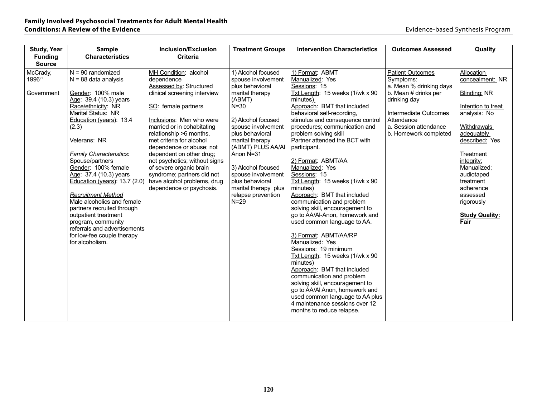| <b>Study, Year</b>        | <b>Sample</b>                                      | <b>Inclusion/Exclusion</b>                               | <b>Treatment Groups</b> | <b>Intervention Characteristics</b>                               | <b>Outcomes Assessed</b>             | Quality                   |
|---------------------------|----------------------------------------------------|----------------------------------------------------------|-------------------------|-------------------------------------------------------------------|--------------------------------------|---------------------------|
| <b>Funding</b>            | <b>Characteristics</b>                             | <b>Criteria</b>                                          |                         |                                                                   |                                      |                           |
| <b>Source</b><br>McCrady, | $N = 90$ randomized                                | MH Condition: alcohol                                    | 1) Alcohol focused      | 1) Format: ABMT                                                   |                                      | Allocation                |
| 199672                    | $N = 88$ data analysis                             | dependence                                               | spouse involvement      | Manualized: Yes                                                   | <b>Patient Outcomes</b><br>Symptoms: | concealment: NR           |
|                           |                                                    | Assessed by: Structured                                  | plus behavioral         | Sessions: 15                                                      | a. Mean % drinking days              |                           |
| Government                | Gender: 100% male                                  | clinical screening interview                             | marital therapy         | Txt Length: 15 weeks (1/wk x 90                                   | b. Mean # drinks per                 | Blinding: NR              |
|                           | Age: 39.4 (10.3) years                             |                                                          | (ABMT)                  | minutes)                                                          | drinking day                         |                           |
|                           | Race/ethnicity: NR                                 | SO: female partners                                      | $N = 30$                | Approach: BMT that included                                       |                                      | Intention to treat        |
|                           | Marital Status: NR<br>Education (years): 13.4      | Inclusions: Men who were                                 | 2) Alcohol focused      | behavioral self-recording,<br>stimulus and consequence control    | Intermediate Outcomes<br>Attendance  | analysis: No              |
|                           | (2.3)                                              | married or in cohabitating                               | spouse involvement      | procedures: communication and                                     | a. Session attendance                | <b>Withdrawals</b>        |
|                           |                                                    | relationship >6 months,                                  | plus behavioral         | problem solving skill                                             | b. Homework completed                | adequately                |
|                           | Veterans: NR                                       | met criteria for alcohol                                 | marital therapy         | Partner attended the BCT with                                     |                                      | described: Yes            |
|                           |                                                    | dependence or abuse; not                                 | (ABMT) PLUS AA/AI       | participant.                                                      |                                      |                           |
|                           | <b>Family Characteristics:</b>                     | dependent on other drug;                                 | Anon N=31               |                                                                   |                                      | Treatment                 |
|                           | Spouse/partners<br>Gender: 100% female             | not psychotics; without signs<br>of severe organic brain | 3) Alcohol focused      | 2) Format: ABMT/AA<br>Manualized: Yes                             |                                      | integrity:<br>Manualized; |
|                           | Age: 37.4 (10.3) years                             | syndrome; partners did not                               | spouse involvement      | Sessions: 15                                                      |                                      | audiotaped                |
|                           | Education (years): $13.7(2.0)$                     | have alcohol problems, drug                              | plus behavioral         | Txt Length: 15 weeks (1/wk x 90                                   |                                      | treatment                 |
|                           |                                                    | dependence or psychosis.                                 | marital therapy plus    | minutes)                                                          |                                      | adherence                 |
|                           | <b>Recruitment Method</b>                          |                                                          | relapse prevention      | Approach: BMT that included                                       |                                      | assessed                  |
|                           | Male alcoholics and female                         |                                                          | $N=29$                  | communication and problem                                         |                                      | rigorously                |
|                           | partners recruited through<br>outpatient treatment |                                                          |                         | solving skill, encouragement to<br>go to AA/AI-Anon, homework and |                                      | <b>Study Quality:</b>     |
|                           | program, community                                 |                                                          |                         | used common language to AA.                                       |                                      | Fair                      |
|                           | referrals and advertisements                       |                                                          |                         |                                                                   |                                      |                           |
|                           | for low-fee couple therapy                         |                                                          |                         | 3) Format: ABMT/AA/RP                                             |                                      |                           |
|                           | for alcoholism.                                    |                                                          |                         | Manualized: Yes                                                   |                                      |                           |
|                           |                                                    |                                                          |                         | Sessions: 19 minimum                                              |                                      |                           |
|                           |                                                    |                                                          |                         | $\overline{\text{Txt}}$ Length: 15 weeks (1/wk x 90<br>minutes)   |                                      |                           |
|                           |                                                    |                                                          |                         | Approach: BMT that included                                       |                                      |                           |
|                           |                                                    |                                                          |                         | communication and problem                                         |                                      |                           |
|                           |                                                    |                                                          |                         | solving skill, encouragement to                                   |                                      |                           |
|                           |                                                    |                                                          |                         | go to AA/AI Anon, homework and                                    |                                      |                           |
|                           |                                                    |                                                          |                         | used common language to AA plus                                   |                                      |                           |
|                           |                                                    |                                                          |                         | 4 maintenance sessions over 12<br>months to reduce relapse.       |                                      |                           |
|                           |                                                    |                                                          |                         |                                                                   |                                      |                           |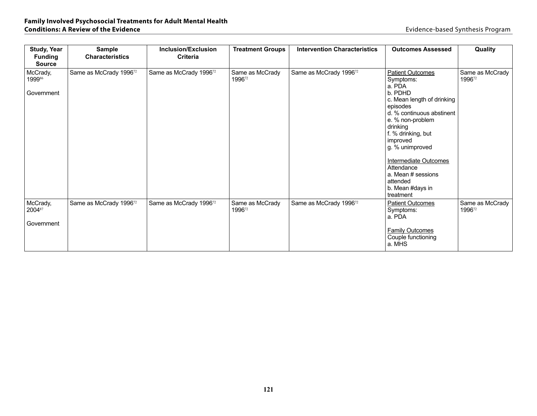| <b>Study, Year</b><br><b>Funding</b><br><b>Source</b> | <b>Sample</b><br><b>Characteristics</b> | Inclusion/Exclusion<br><b>Criteria</b> | <b>Treatment Groups</b>   | <b>Intervention Characteristics</b> | <b>Outcomes Assessed</b>                                                                                                                                                                                                                                                                                                               | Quality                   |
|-------------------------------------------------------|-----------------------------------------|----------------------------------------|---------------------------|-------------------------------------|----------------------------------------------------------------------------------------------------------------------------------------------------------------------------------------------------------------------------------------------------------------------------------------------------------------------------------------|---------------------------|
| McCrady,<br>199986<br>Government                      | Same as McCrady 1996 <sup>72</sup>      | Same as McCrady 1996 <sup>72</sup>     | Same as McCrady<br>199672 | Same as McCrady 1996 <sup>72</sup>  | <b>Patient Outcomes</b><br>Symptoms:<br>a. PDA<br>b. PDHD<br>c. Mean length of drinking<br>episodes<br>d. % continuous abstinent<br>e. % non-problem<br>drinking<br>f. % drinking, but<br>improved<br>g. % unimproved<br><b>Intermediate Outcomes</b><br>Attendance<br>a. Mean # sessions<br>attended<br>b. Mean #days in<br>treatment | Same as McCrady<br>199672 |
| McCrady,<br>200487<br>Government                      | Same as McCrady 1996 <sup>72</sup>      | Same as McCrady 199672                 | Same as McCrady<br>199672 | Same as McCrady 199672              | <b>Patient Outcomes</b><br>Symptoms:<br>a. PDA<br><b>Family Outcomes</b><br>Couple functioning<br>a. MHS                                                                                                                                                                                                                               | Same as McCrady<br>199672 |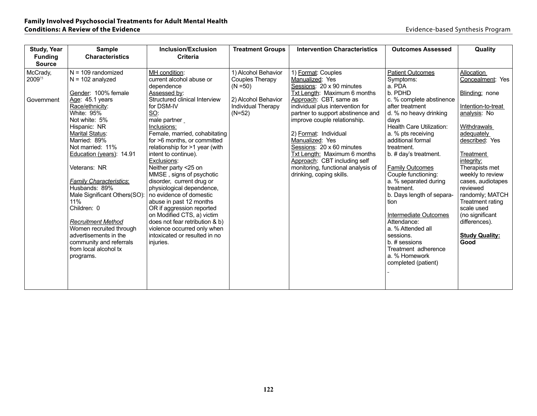| <b>Study, Year</b> | <b>Sample</b>                                        | <b>Inclusion/Exclusion</b>                           | <b>Treatment Groups</b>   | <b>Intervention Characteristics</b> | <b>Outcomes Assessed</b>  | Quality                          |
|--------------------|------------------------------------------------------|------------------------------------------------------|---------------------------|-------------------------------------|---------------------------|----------------------------------|
| <b>Funding</b>     | <b>Characteristics</b>                               | <b>Criteria</b>                                      |                           |                                     |                           |                                  |
| <b>Source</b>      |                                                      |                                                      |                           |                                     |                           |                                  |
| McCrady,           | $N = 109$ randomized                                 | MH condition:                                        | 1) Alcohol Behavior       | 1) Format: Couples                  | <b>Patient Outcomes</b>   | Allocation                       |
| 200975             | $N = 102$ analyzed                                   | current alcohol abuse or                             | Couples Therapy           | Manualized: Yes                     | Symptoms:                 | Concealment: Yes                 |
|                    |                                                      | dependence                                           | $(N = 50)$                | Sessions: 20 x 90 minutes           | a. PDA                    |                                  |
|                    | Gender: 100% female                                  | Assessed by:                                         |                           | Txt Length: Maximum 6 months        | b. PDHD                   | Blinding: none                   |
| Government         | Age: 45.1 years                                      | Structured clinical Interview                        | 2) Alcohol Behavior       | Approach: CBT, same as              | c. % complete abstinence  |                                  |
|                    | Race/ethnicity:                                      | for DSM-IV                                           | <b>Individual Therapy</b> | individual plus intervention for    | after treatment           | Intention-to-treat               |
|                    | White: 95%                                           | SO:                                                  | $(N=52)$                  | partner to support abstinence and   | d. % no heavy drinking    | analysis: No                     |
|                    | Not white: 5%                                        | male partner                                         |                           | improve couple relationship.        | days                      |                                  |
|                    | Hispanic: NR                                         | Inclusions:                                          |                           |                                     | Health Care Utilization:  | Withdrawals                      |
|                    | Marital Status:                                      | Female, married, cohabitating                        |                           | 2) Format: Individual               | a. % pts receiving        | adequately                       |
|                    | Married: 89%                                         | for >6 months, or committed                          |                           | Manualized: Yes                     | additional formal         | described: Yes                   |
|                    | Not married: 11%                                     | relationship for >1 year (with                       |                           | Sessions: 20 x 60 minutes           | treatment.                |                                  |
|                    | Education (years): 14.91                             | intent to continue).                                 |                           | Txt Length: Maximum 6 months        | b. # day's treatment.     | <b>Treatment</b>                 |
|                    |                                                      | Exclusions:                                          |                           | Approach: CBT including self        |                           | integrity:                       |
|                    | Veterans: NR                                         | Neither party <25 on                                 |                           | monitoring, functional analysis of  | <b>Family Outcomes</b>    | Therapists met                   |
|                    |                                                      | MMSE, signs of psychotic                             |                           | drinking, coping skills.            | Couple functioning:       | weekly to review                 |
|                    | <b>Family Characteristics:</b>                       | disorder, current drug or                            |                           |                                     | a. % separated during     | cases, audiotapes                |
|                    | Husbands: 89%                                        | physiological dependence,<br>no evidence of domestic |                           |                                     | treatment.                | reviewed                         |
|                    | Male Significant Others(SO):<br>11%                  |                                                      |                           |                                     | b. Days length of separa- | randomly; MATCH                  |
|                    | Children: 0                                          | abuse in past 12 months<br>OR if aggression reported |                           |                                     | tion                      | Treatment rating<br>scale used   |
|                    |                                                      | on Modified CTS, a) victim                           |                           |                                     | Intermediate Outcomes     |                                  |
|                    |                                                      | does not fear retribution & b)                       |                           |                                     | Attendance:               | (no significant<br>differences). |
|                    | <b>Recruitment Method</b><br>Women recruited through | violence occurred only when                          |                           |                                     | a. % Attended all         |                                  |
|                    | advertisements in the                                | intoxicated or resulted in no                        |                           |                                     | sessions.                 | <b>Study Quality:</b>            |
|                    | community and referrals                              | injuries.                                            |                           |                                     | b. # sessions             | Good                             |
|                    | from local alcohol tx                                |                                                      |                           |                                     | Treatment adherence       |                                  |
|                    | programs.                                            |                                                      |                           |                                     | a. % Homework             |                                  |
|                    |                                                      |                                                      |                           |                                     | completed (patient)       |                                  |
|                    |                                                      |                                                      |                           |                                     |                           |                                  |
|                    |                                                      |                                                      |                           |                                     |                           |                                  |
|                    |                                                      |                                                      |                           |                                     |                           |                                  |
|                    |                                                      |                                                      |                           |                                     |                           |                                  |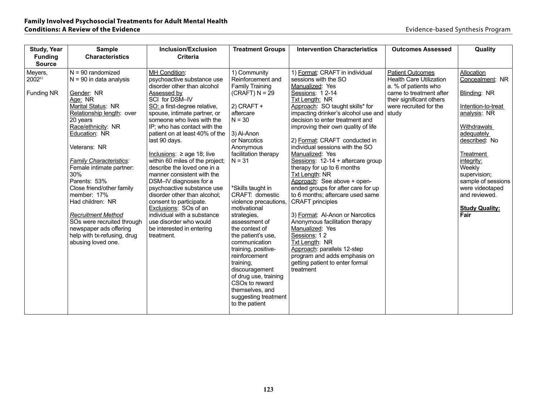| <b>Study, Year</b>              | <b>Sample</b>                            | Inclusion/Exclusion                                            | <b>Treatment Groups</b>              | <b>Intervention Characteristics</b>                                    | <b>Outcomes Assessed</b>       | Quality                   |
|---------------------------------|------------------------------------------|----------------------------------------------------------------|--------------------------------------|------------------------------------------------------------------------|--------------------------------|---------------------------|
| <b>Funding</b><br><b>Source</b> | <b>Characteristics</b>                   | <b>Criteria</b>                                                |                                      |                                                                        |                                |                           |
| Meyers,                         | $N = 90$ randomized                      | MH Condition:                                                  | 1) Community                         | 1) Format: CRAFT in individual                                         | <b>Patient Outcomes</b>        | Allocation                |
| 200283                          | $N = 90$ in data analysis                | psychoactive substance use                                     | Reinforcement and                    | sessions with the SO                                                   | <b>Health Care Utilization</b> | Concealment: NR           |
|                                 |                                          | disorder other than alcohol                                    | <b>Family Training</b>               | Manualized: Yes                                                        | a. % of patients who           |                           |
| Funding NR                      | Gender: NR                               | Assessed by                                                    | $(CRAFT) N = 29$                     | Sessions: 12-14                                                        | came to treatment after        | Blinding: NR              |
|                                 | Age: NR                                  | SCI for DSM-IV                                                 |                                      | Txt Length: NR                                                         | their significant others       |                           |
|                                 | Marital Status: NR                       | SO: a first-degree relative,                                   | $2)$ CRAFT +                         | Approach: SO taught skills* for                                        | were recruited for the         | Intention-to-treat        |
|                                 | Relationship length: over                | spouse, intimate partner, or                                   | aftercare                            | impacting drinker's alcohol use and                                    | study                          | analysis: NR              |
|                                 | 20 years                                 | someone who lives with the                                     | $N = 30$                             | decision to enter treatment and                                        |                                |                           |
|                                 | Race/ethnicity: NR<br>Education: NR      | IP: who has contact with the<br>patient on at least 40% of the | 3) Al-Anon                           | improving their own quality of life                                    |                                | Withdrawals<br>adequately |
|                                 |                                          | last 90 days.                                                  | or Narcotics                         | 2) Format: CRAFT conducted in                                          |                                | described: No             |
|                                 | Veterans: NR                             |                                                                | Anonymous                            | individual sessions with the SO                                        |                                |                           |
|                                 |                                          | Inclusions: $\geq$ age 18; live                                | facilitation therapy                 | Manualized: Yes                                                        |                                | Treatment                 |
|                                 | <b>Family Characteristics:</b>           | within 60 miles of the project;                                | $N = 31$                             | Sessions: 12-14 + aftercare group                                      |                                | integrity:                |
|                                 | Female intimate partner:                 | describe the loved one in a                                    |                                      | therapy for up to 6 months                                             |                                | Weekly                    |
|                                 | 30%                                      | manner consistent with the                                     |                                      | <b>Txt Length: NR</b>                                                  |                                | supervision;              |
|                                 | Parents: 53%                             | DSM-IV diagnoses for a                                         |                                      | Approach: See above + open-                                            |                                | sample of sessions        |
|                                 | Close friend/other family<br>member: 17% | psychoactive substance use<br>disorder other than alcohol:     | *Skills taught in<br>CRAFT: domestic | ended groups for after care for up<br>to 6 months; aftercare used same |                                | were videotaped           |
|                                 | Had children: NR                         | consent to participate.                                        | violence precautions,                | <b>CRAFT</b> principles                                                |                                | and reviewed.             |
|                                 |                                          | Exclusions: SOs of an                                          | motivational                         |                                                                        |                                | <b>Study Quality:</b>     |
|                                 | <b>Recruitment Method</b>                | individual with a substance                                    | strategies,                          | 3) Format: Al-Anon or Narcotics                                        |                                | Fair                      |
|                                 | SOs were recruited through               | use disorder who would                                         | assessment of                        | Anonymous facilitation therapy                                         |                                |                           |
|                                 | newspaper ads offering                   | be interested in entering                                      | the context of                       | Manualized: Yes                                                        |                                |                           |
|                                 | help with tx-refusing, drug              | treatment.                                                     | the patient's use.                   | Sessions: 12                                                           |                                |                           |
|                                 | abusing loved one.                       |                                                                | communication                        | Txt Length: NR                                                         |                                |                           |
|                                 |                                          |                                                                | training, positive-                  | Approach: parallels 12-step                                            |                                |                           |
|                                 |                                          |                                                                | reinforcement                        | program and adds emphasis on                                           |                                |                           |
|                                 |                                          |                                                                | training,<br>discouragement          | getting patient to enter formal<br>treatment                           |                                |                           |
|                                 |                                          |                                                                | of drug use, training                |                                                                        |                                |                           |
|                                 |                                          |                                                                | CSOs to reward                       |                                                                        |                                |                           |
|                                 |                                          |                                                                | themselves, and                      |                                                                        |                                |                           |
|                                 |                                          |                                                                | suggesting treatment                 |                                                                        |                                |                           |
|                                 |                                          |                                                                | to the patient                       |                                                                        |                                |                           |
|                                 |                                          |                                                                |                                      |                                                                        |                                |                           |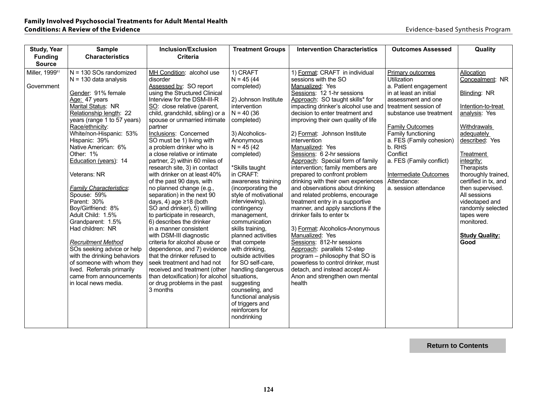| Study, Year    | <b>Sample</b>                                           | Inclusion/Exclusion                                        | <b>Treatment Groups</b>              | <b>Intervention Characteristics</b>                                   | <b>Outcomes Assessed</b> | Quality                       |
|----------------|---------------------------------------------------------|------------------------------------------------------------|--------------------------------------|-----------------------------------------------------------------------|--------------------------|-------------------------------|
| <b>Funding</b> | <b>Characteristics</b>                                  | <b>Criteria</b>                                            |                                      |                                                                       |                          |                               |
| <b>Source</b>  |                                                         |                                                            |                                      |                                                                       |                          |                               |
| Miller, 199981 | $N = 130$ SOs randomized                                | MH Condition: alcohol use                                  | 1) CRAFT                             | 1) Format: CRAFT in individual                                        | Primary outcomes         | Allocation                    |
|                | $N = 130$ data analysis                                 | disorder                                                   | $N = 45(44)$                         | sessions with the SO                                                  | <b>Utilization</b>       | Concealment: NR               |
| Government     |                                                         | Assessed by: SO report                                     | completed)                           | Manualized: Yes                                                       | a. Patient engagement    |                               |
|                | Gender: 91% female                                      | using the Structured Clinical                              |                                      | Sessions: 12 1-hr sessions                                            | in at least an initial   | Blinding: NR                  |
|                | Age: 47 years                                           | Interview for the DSM-III-R                                | 2) Johnson Institute                 | Approach: SO taught skills* for                                       | assessment and one       |                               |
|                | Marital Status: NR                                      | SO: close relative (parent,                                | intervention                         | impacting drinker's alcohol use and                                   | treatment session of     | Intention-to-treat            |
|                | Relationship length: 22                                 | child, grandchild, sibling) or a                           | $N = 40(36)$                         | decision to enter treatment and                                       | substance use treatment  | analysis: Yes                 |
|                | years (range 1 to 57 years)                             | spouse or unmarried intimate                               | completed)                           | improving their own quality of life                                   |                          |                               |
|                | Race/ethnicity:                                         | partner                                                    |                                      |                                                                       | <b>Family Outcomes</b>   | <b>Withdrawals</b>            |
|                | White/non-Hispanic: 53%                                 | Inclusions: Concerned                                      | 3) Alcoholics-                       | 2) Format: Johnson Institute                                          | Family functioning       | adequately                    |
|                | Hispanic: 39%                                           | SO must be 1) living with                                  | Anonymous                            | intervention                                                          | a. FES (Family cohesion) | described: Yes                |
|                | Native American: 6%                                     | a problem drinker who is                                   | $N = 45(42)$                         | Manualized: Yes                                                       | b. RHS                   |                               |
|                | Other: 1%                                               | a close relative or intimate                               | completed)                           | Sessions: 6 2-hr sessions                                             | Conflict                 | Treatment                     |
|                | Education (years): 14                                   | partner, 2) within 60 miles of                             |                                      | Approach: Special form of family                                      | a. FES (Family conflict) | integrity:                    |
|                |                                                         | research site, 3) in contact                               | *Skills taught                       | intervention; family members are                                      |                          | Therapists                    |
|                | Veterans: NR                                            | with drinker on at least 40%                               | in CRAFT:                            | prepared to confront problem                                          | Intermediate Outcomes    | thoroughly trained,           |
|                |                                                         | of the past 90 days, with                                  | awareness training                   | drinking with their own experiences                                   | Attendance:              | certified in tx, and          |
|                | <b>Family Characteristics:</b>                          | no planned change (e.g.,                                   | (incorporating the                   | and observations about drinking                                       | a. session attendance    | then supervised.              |
|                | Spouse: 59%                                             | separation) in the next 90                                 | style of motivational                | and related problems, encourage                                       |                          | All sessions                  |
|                | Parent: 30%                                             | days, 4) age $\geq$ 18 (both                               | interviewing),                       | treatment entry in a supportive                                       |                          | videotaped and                |
|                | Boy/Girlfriend: 8%                                      | SO and drinker), 5) willing                                | contingency                          | manner, and apply sanctions if the                                    |                          | randomly selected             |
|                | Adult Child: 1.5%                                       | to participate in research,                                | management,                          | drinker fails to enter tx                                             |                          | tapes were                    |
|                | Grandparent: 1.5%                                       | 6) describes the drinker                                   | communication                        |                                                                       |                          | monitored.                    |
|                | Had children: NR                                        | in a manner consistent                                     | skills training,                     | 3) Format: Alcoholics-Anonymous<br>Manualized: Yes                    |                          |                               |
|                |                                                         | with DSM-III diagnostic                                    | planned activities                   |                                                                       |                          | <b>Study Quality:</b><br>Good |
|                | <b>Recruitment Method</b><br>SOs seeking advice or help | criteria for alcohol abuse or                              | that compete                         | Sessions: 812-hr sessions                                             |                          |                               |
|                | with the drinking behaviors                             | dependence, and 7) evidence<br>that the drinker refused to | with drinking,<br>outside activities | Approach: parallels 12-step                                           |                          |                               |
|                | of someone with whom they                               | seek treatment and had not                                 | for SO self-care,                    | program - philosophy that SO is<br>powerless to control drinker, must |                          |                               |
|                | lived. Referrals primarily                              | received and treatment (other                              | handling dangerous                   | detach, and instead accept Al-                                        |                          |                               |
|                | came from announcements                                 | than detoxification) for alcohol                           | situations,                          | Anon and strengthen own mental                                        |                          |                               |
|                | in local news media.                                    | or drug problems in the past                               | suggesting                           | health                                                                |                          |                               |
|                |                                                         | 3 months                                                   | counseling, and                      |                                                                       |                          |                               |
|                |                                                         |                                                            | functional analysis                  |                                                                       |                          |                               |
|                |                                                         |                                                            | of triggers and                      |                                                                       |                          |                               |
|                |                                                         |                                                            | reinforcers for                      |                                                                       |                          |                               |
|                |                                                         |                                                            | nondrinking                          |                                                                       |                          |                               |
|                |                                                         |                                                            |                                      |                                                                       |                          |                               |

**Return to Contents**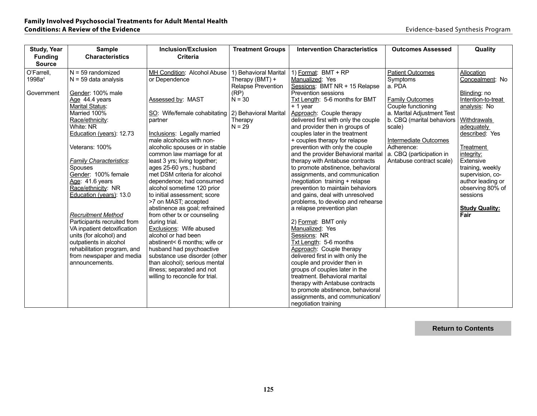| <b>Study, Year</b> | <b>Sample</b>                  | <b>Inclusion/Exclusion</b>                            | <b>Treatment Groups</b> | <b>Intervention Characteristics</b>  | <b>Outcomes Assessed</b>   | Quality               |
|--------------------|--------------------------------|-------------------------------------------------------|-------------------------|--------------------------------------|----------------------------|-----------------------|
| <b>Funding</b>     | <b>Characteristics</b>         | <b>Criteria</b>                                       |                         |                                      |                            |                       |
| <b>Source</b>      |                                |                                                       |                         |                                      |                            |                       |
| O'Farrell,         | $N = 59$ randomized            | MH Condition: Alcohol Abuse                           | 1) Behavioral Marital   | 1) Format: BMT + RP                  | <b>Patient Outcomes</b>    | Allocation            |
| 1998a <sup>4</sup> | $N = 59$ data analysis         | or Dependence                                         | Therapy (BMT) +         | Manualized: Yes                      | <b>Symptoms</b>            | Concealment: No       |
|                    |                                |                                                       | Relapse Prevention      | Sessions: BMT NR + 15 Relapse        | a. PDA                     |                       |
| Government         | Gender: 100% male              |                                                       | (RP)                    | <b>Prevention sessions</b>           |                            | Blinding: no          |
|                    | Age 44.4 years                 | Assessed by: MAST                                     | $N = 30$                | Txt Length: 5-6 months for BMT       | <b>Family Outcomes</b>     | Intention-to-treat    |
|                    | <b>Marital Status:</b>         |                                                       |                         | + 1 year                             | Couple functioning         | analysis: No          |
|                    | Married 100%                   | SO: Wife/female cohabitating 2) Behavioral Marital    |                         | Approach: Couple therapy             | a. Marital Adjustment Test |                       |
|                    | Race/ethnicity:                | partner                                               | Therapy                 | delivered first with only the couple | b. CBQ (marital behaviors  | Withdrawals           |
|                    | White: NR                      |                                                       | $N = 29$                | and provider then in groups of       | scale)                     | adequately            |
|                    | Education (years): 12.73       | Inclusions: Legally married                           |                         | couples later in the treatment       |                            | described: Yes        |
|                    |                                | male alcoholics with non-                             |                         | + couples therapy for relapse        | Intermediate Outcomes      |                       |
|                    | Veterans: 100%                 | alcoholic spouses or in stable                        |                         | prevention with only the couple      | Adherence:                 | <b>Treatment</b>      |
|                    |                                | common law marriage for at                            |                         | and the provider Behavioral marital  | a. CBQ (participation in   | integrity:            |
|                    | <b>Family Characteristics:</b> | least 3 yrs; living together;                         |                         | therapy with Antabuse contracts      | Antabuse contract scale)   | Extensive             |
|                    | <b>Spouses</b>                 | ages 25-60 yrs.; husband                              |                         | to promote abstinence, behavioral    |                            | training, weekly      |
|                    | Gender: 100% female            | met DSM criteria for alcohol                          |                         | assignments, and communication       |                            | supervision, co-      |
|                    | Age: 41.6 years                | dependence; had consumed                              |                         | /negotiation training + relapse      |                            | author leading or     |
|                    | Race/ethnicity: NR             | alcohol sometime 120 prior                            |                         | prevention to maintain behaviors     |                            | observing 80% of      |
|                    | Education (years): 13.0        | to initial assessment; score                          |                         | and gains, deal with unresolved      |                            | sessions              |
|                    |                                | >7 on MAST; accepted<br>abstinence as goal; refrained |                         | problems, to develop and rehearse    |                            | <b>Study Quality:</b> |
|                    | <b>Recruitment Method</b>      | from other tx or counseling                           |                         | a relapse prevention plan            |                            | Fair                  |
|                    | Participants recruited from    | during trial.                                         |                         | 2) Format: BMT only                  |                            |                       |
|                    | VA inpatient detoxification    | Exclusions: Wife abused                               |                         | Manualized: Yes                      |                            |                       |
|                    | units (for alcohol) and        | alcohol or had been                                   |                         | Sessions: NR                         |                            |                       |
|                    | outpatients in alcohol         | abstinent< 6 months: wife or                          |                         | Txt Length: 5-6 months               |                            |                       |
|                    | rehabilitation program, and    | husband had psychoactive                              |                         | Approach: Couple therapy             |                            |                       |
|                    | from newspaper and media       | substance use disorder (other                         |                         | delivered first in with only the     |                            |                       |
|                    | announcements.                 | than alcohol); serious mental                         |                         | couple and provider then in          |                            |                       |
|                    |                                | illness; separated and not                            |                         | groups of couples later in the       |                            |                       |
|                    |                                | willing to reconcile for trial.                       |                         | treatment. Behavioral marital        |                            |                       |
|                    |                                |                                                       |                         | therapy with Antabuse contracts      |                            |                       |
|                    |                                |                                                       |                         | to promote abstinence, behavioral    |                            |                       |
|                    |                                |                                                       |                         | assignments, and communication/      |                            |                       |
|                    |                                |                                                       |                         | negotiation training                 |                            |                       |

**Return to Contents**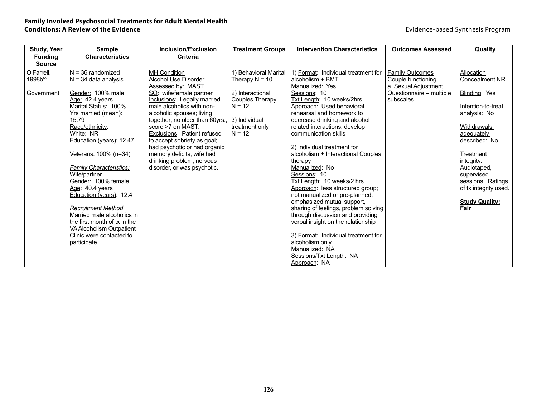| <b>Study, Year</b>  | <b>Sample</b>                  | Inclusion/Exclusion                                      | <b>Treatment Groups</b> | <b>Intervention Characteristics</b>  | <b>Outcomes Assessed</b> | Quality                 |
|---------------------|--------------------------------|----------------------------------------------------------|-------------------------|--------------------------------------|--------------------------|-------------------------|
| <b>Funding</b>      | <b>Characteristics</b>         | Criteria                                                 |                         |                                      |                          |                         |
| <b>Source</b>       |                                |                                                          |                         |                                      |                          |                         |
| O'Farrell.          | $N = 36$ randomized            | <b>MH Condition</b>                                      | 1) Behavioral Marital   | 1) Format: Individual treatment for  | <b>Family Outcomes</b>   | Allocation              |
| 1998b <sup>65</sup> | $N = 34$ data analysis         | Alcohol Use Disorder                                     | Therapy $N = 10$        | alcoholism + BMT                     | Couple functioning       | <b>Concealment NR</b>   |
|                     |                                | Assessed by: MAST                                        |                         | Manualized: Yes                      | a. Sexual Adjustment     |                         |
| Government          | Gender: 100% male              | SO: wife/female partner                                  | 2) Interactional        | Sessions: 10                         | Questionnaire - multiple | Blinding: Yes           |
|                     | Age: 42.4 years                | Inclusions: Legally married                              | <b>Couples Therapy</b>  | Txt Length: 10 weeks/2hrs.           | subscales                |                         |
|                     | Marital Status: 100%           | male alcoholics with non-                                | $N = 12$                | Approach: Used behavioral            |                          | Intention-to-treat      |
|                     | Yrs married (mean):            | alcoholic spouses; living                                |                         | rehearsal and homework to            |                          | analysis: No            |
|                     | 15.79                          | together; no older than 60yrs.;                          | 3) Individual           | decrease drinking and alcohol        |                          |                         |
|                     | Race/ethnicity:                | score >7 on MAST.                                        | treatment only          | related interactions; develop        |                          | Withdrawals             |
|                     | White: NR                      | Exclusions: Patient refused                              | $N = 12$                | communication skills                 |                          | adequately              |
|                     | Education (years): 12.47       | to accept sobriety as goal;                              |                         |                                      |                          | described: No           |
|                     |                                | had psychotic or had organic                             |                         | 2) Individual treatment for          |                          |                         |
|                     | Veterans: 100% (n=34)          | memory deficits; wife had                                |                         | alcoholism + Interactional Couples   |                          | Treatment<br>integrity: |
|                     | <b>Family Characteristics:</b> | drinking problem, nervous<br>disorder, or was psychotic. |                         | therapy<br>Manualized: No            |                          | Audiotaped,             |
|                     | Wife/partner                   |                                                          |                         | Sessions: 10                         |                          | supervised              |
|                     | Gender: 100% female            |                                                          |                         | Txt Lenath: 10 weeks/2 hrs.          |                          | sessions. Ratings       |
|                     | Age: 40.4 years                |                                                          |                         | Approach: less structured group;     |                          | of tx integrity used.   |
|                     | Education (years): 12.4        |                                                          |                         | not manualized or pre-planned;       |                          |                         |
|                     |                                |                                                          |                         | emphasized mutual support,           |                          | <b>Study Quality:</b>   |
|                     | <b>Recruitment Method</b>      |                                                          |                         | sharing of feelings, problem solving |                          | Fair                    |
|                     | Married male alcoholics in     |                                                          |                         | through discussion and providing     |                          |                         |
|                     | the first month of tx in the   |                                                          |                         | verbal insight on the relationship   |                          |                         |
|                     | VA Alcoholism Outpatient       |                                                          |                         |                                      |                          |                         |
|                     | Clinic were contacted to       |                                                          |                         | 3) Format: Individual treatment for  |                          |                         |
|                     | participate.                   |                                                          |                         | alcoholism only                      |                          |                         |
|                     |                                |                                                          |                         | Manualized: NA                       |                          |                         |
|                     |                                |                                                          |                         | Sessions/Txt Length: NA              |                          |                         |
|                     |                                |                                                          |                         | Approach: NA                         |                          |                         |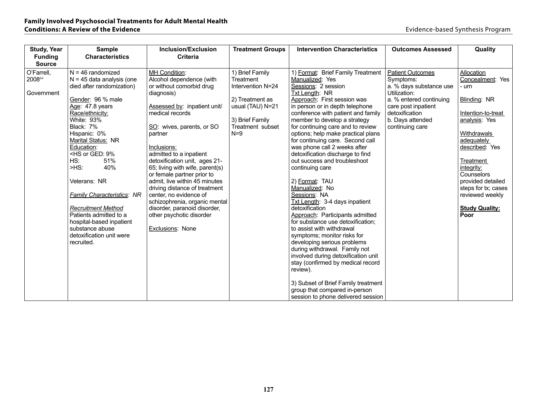| <b>Study, Year</b>                                  | <b>Sample</b>                                                                                                                                                                                                       | <b>Inclusion/Exclusion</b>                                                                                                                                                                                                                                                 | <b>Treatment Groups</b>                                              | <b>Intervention Characteristics</b>                                                                                                                                                                                                                                                                                                                                                                                 | <b>Outcomes Assessed</b>                                                                                   | Quality                                                                                                                  |
|-----------------------------------------------------|---------------------------------------------------------------------------------------------------------------------------------------------------------------------------------------------------------------------|----------------------------------------------------------------------------------------------------------------------------------------------------------------------------------------------------------------------------------------------------------------------------|----------------------------------------------------------------------|---------------------------------------------------------------------------------------------------------------------------------------------------------------------------------------------------------------------------------------------------------------------------------------------------------------------------------------------------------------------------------------------------------------------|------------------------------------------------------------------------------------------------------------|--------------------------------------------------------------------------------------------------------------------------|
| <b>Funding</b>                                      | <b>Characteristics</b>                                                                                                                                                                                              | <b>Criteria</b>                                                                                                                                                                                                                                                            |                                                                      |                                                                                                                                                                                                                                                                                                                                                                                                                     |                                                                                                            |                                                                                                                          |
| <b>Source</b><br>O'Farrell,<br>200864<br>Government | $N = 46$ randomized<br>$N = 45$ data analysis (one<br>died after randomization)<br>Gender: 96 % male                                                                                                                | MH Condition:<br>Alcohol dependence (with<br>or without comorbid drug<br>diagnosis)                                                                                                                                                                                        | 1) Brief Family<br>Treatment<br>Intervention N=24<br>2) Treatment as | 1) Format: Brief Family Treatment<br>Manualized: Yes<br>Sessions: 2 session<br>Txt Length: NR<br>Approach: First session was                                                                                                                                                                                                                                                                                        | <b>Patient Outcomes</b><br>Symptoms:<br>a. % days substance use<br>Utilization:<br>a. % entered continuing | Allocation<br>Concealment: Yes<br>- urn<br>Blinding: NR                                                                  |
|                                                     | Age: 47.8 years<br>Race/ethnicity:<br>White: 93%<br>Black: 7%<br>Hispanic: 0%<br>Marital Status: NR<br>Education:<br><hs 9%<br="" ged:="" or="">HS:<br/>51%</hs>                                                    | Assessed by: inpatient unit/<br>medical records<br>SO: wives, parents, or SO<br>partner<br>Inclusions:<br>admitted to a inpatient<br>detoxification unit, ages 21-                                                                                                         | usual (TAU) N=21<br>3) Brief Family<br>Treatment subset<br>$N=9$     | in person or in depth telephone<br>conference with patient and family<br>member to develop a strategy<br>for continuing care and to review<br>options; help make practical plans<br>for continuing care. Second call<br>was phone call 2 weeks after<br>detoxification discharge to find<br>out success and troubleshoot                                                                                            | care post inpatient<br>detoxification<br>b. Days attended<br>continuing care                               | Intention-to-treat<br>analysis: Yes<br>Withdrawals<br>adequately<br>described: Yes<br>Treatment                          |
|                                                     | $-HS$ :<br>40%<br>Veterans: NR<br><b>Family Characteristics: NR</b><br><b>Recruitment Method</b><br>Patients admitted to a<br>hospital-based inpatient<br>substance abuse<br>detoxification unit were<br>recruited. | 65; living with wife, parent(s)<br>or female partner prior to<br>admit, live within 45 minutes<br>driving distance of treatment<br>center, no evidence of<br>schizophrenia, organic mental<br>disorder, paranoid disorder,<br>other psychotic disorder<br>Exclusions: None |                                                                      | continuing care<br>2) Format: TAU<br>Manualized: No<br>Sessions: NA<br>Txt Length: 3-4 days inpatient<br>detoxification<br>Approach: Participants admitted<br>for substance use detoxification;<br>to assist with withdrawal<br>symptoms; monitor risks for<br>developing serious problems<br>during withdrawal. Family not<br>involved during detoxification unit<br>stay (confirmed by medical record<br>review). |                                                                                                            | integrity:<br>Counselors<br>provided detailed<br>steps for tx; cases<br>reviewed weekly<br><b>Study Quality:</b><br>Poor |
|                                                     |                                                                                                                                                                                                                     |                                                                                                                                                                                                                                                                            |                                                                      | 3) Subset of Brief Family treatment<br>group that compared in-person<br>session to phone delivered session                                                                                                                                                                                                                                                                                                          |                                                                                                            |                                                                                                                          |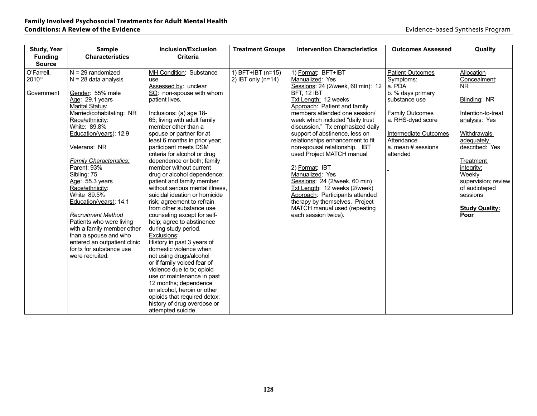| <b>Study, Year</b> | <b>Sample</b>                      | Inclusion/Exclusion                                      | <b>Treatment Groups</b> | <b>Intervention Characteristics</b> | <b>Outcomes Assessed</b> | Quality               |
|--------------------|------------------------------------|----------------------------------------------------------|-------------------------|-------------------------------------|--------------------------|-----------------------|
| <b>Funding</b>     | <b>Characteristics</b>             | <b>Criteria</b>                                          |                         |                                     |                          |                       |
| <b>Source</b>      |                                    |                                                          |                         |                                     |                          |                       |
| O'Farrell,         | $N = 29$ randomized                | MH Condition: Substance                                  | 1) BFT+IBT (n=15)       | 1) Format: BFT+IBT                  | <b>Patient Outcomes</b>  | Allocation            |
| 201082             | $N = 28$ data analysis             | use                                                      | 2) IBT only $(n=14)$    | Manualized: Yes                     | Symptoms:                | Concealment:          |
|                    |                                    | Assessed by: unclear                                     |                         | Sessions: 24 (2/week, 60 min): 12   | a. PDA                   | NR.                   |
| Government         | Gender: 55% male                   | SO: non-spouse with whom                                 |                         | BFT, 12 IBT                         | b. % days primary        |                       |
|                    | Age: 29.1 years                    | patient lives.                                           |                         | Txt Length: 12 weeks                | substance use            | Blinding: NR          |
|                    | Marital Status:                    |                                                          |                         | Approach: Patient and family        |                          |                       |
|                    | Married/cohabitating: NR           | $Inclusions: (a) age 18-$                                |                         | members attended one session/       | <b>Family Outcomes</b>   | Intention-to-treat    |
|                    | Race/ethnicity:                    | 65; living with adult family                             |                         | week which included "daily trust    | a. RHS-dyad score        | analysis: Yes         |
|                    | White: 89.8%                       | member other than a                                      |                         | discussion." Tx emphasized daily    |                          |                       |
|                    | Education(years): 12.9             | spouse or partner for at                                 |                         | support of abstinence, less on      | Intermediate Outcomes    | Withdrawals           |
|                    |                                    | least 6 months in prior year;                            |                         | relationships enhancement to fit    | Attendance               | adequately            |
|                    | Veterans: NR                       | participant meets DSM                                    |                         | non-spousal relationship. IBT       | a. mean # sessions       | described: Yes        |
|                    |                                    | criteria for alcohol or drug                             |                         | used Project MATCH manual           | attended                 |                       |
|                    | <b>Family Characteristics:</b>     | dependence or both; family                               |                         |                                     |                          | Treatment             |
|                    | Parent: 93%                        | member without current                                   |                         | 2) Format: IBT<br>Manualized: Yes   |                          | integrity:<br>Weekly  |
|                    | Sibling: 75                        | drug or alcohol dependence;<br>patient and family member |                         | Sessions: 24 (2/week, 60 min)       |                          | supervision; review   |
|                    | Age: 55.3 years<br>Race/ethnicity: | without serious mental illness,                          |                         | Txt Length: 12 weeks (2/week)       |                          | of audiotaped         |
|                    | White 89.5%                        | suicidal ideation or homicide                            |                         | Approach: Participants attended     |                          | sessions              |
|                    | Education(years): 14.1             | risk; agreement to refrain                               |                         | therapy by themselves. Project      |                          |                       |
|                    |                                    | from other substance use                                 |                         | MATCH manual used (repeating        |                          | <b>Study Quality:</b> |
|                    | <b>Recruitment Method</b>          | counseling except for self-                              |                         | each session twice).                |                          | Poor                  |
|                    | Patients who were living           | help; agree to abstinence                                |                         |                                     |                          |                       |
|                    | with a family member other         | during study period.                                     |                         |                                     |                          |                       |
|                    | than a spouse and who              | Exclusions:                                              |                         |                                     |                          |                       |
|                    | entered an outpatient clinic       | History in past 3 years of                               |                         |                                     |                          |                       |
|                    | for tx for substance use           | domestic violence when                                   |                         |                                     |                          |                       |
|                    | were recruited.                    | not using drugs/alcohol                                  |                         |                                     |                          |                       |
|                    |                                    | or if family voiced fear of                              |                         |                                     |                          |                       |
|                    |                                    | violence due to tx; opioid                               |                         |                                     |                          |                       |
|                    |                                    | use or maintenance in past                               |                         |                                     |                          |                       |
|                    |                                    | 12 months; dependence                                    |                         |                                     |                          |                       |
|                    |                                    | on alcohol, heroin or other                              |                         |                                     |                          |                       |
|                    |                                    | opioids that required detox;                             |                         |                                     |                          |                       |
|                    |                                    | history of drug overdose or                              |                         |                                     |                          |                       |
|                    |                                    | attempted suicide.                                       |                         |                                     |                          |                       |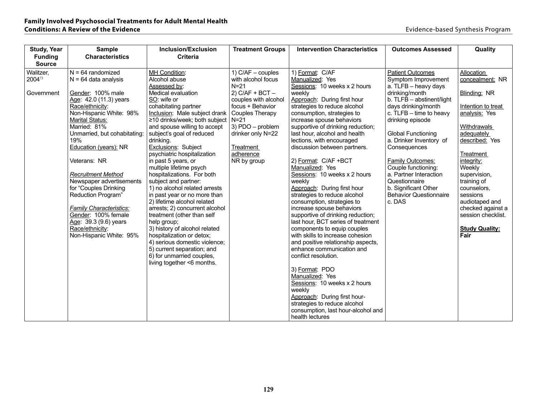| <b>Study, Year</b> | <b>Sample</b>                  | Inclusion/Exclusion                                | <b>Treatment Groups</b> | <b>Intervention Characteristics</b>                                | <b>Outcomes Assessed</b>      | Quality               |
|--------------------|--------------------------------|----------------------------------------------------|-------------------------|--------------------------------------------------------------------|-------------------------------|-----------------------|
| <b>Funding</b>     | <b>Characteristics</b>         | <b>Criteria</b>                                    |                         |                                                                    |                               |                       |
| <b>Source</b>      |                                |                                                    |                         |                                                                    |                               |                       |
| Walitzer,          | $N = 64$ randomized            | MH Condition:                                      | 1) $C/AF - couples$     | 1) Format: C/AF                                                    | <b>Patient Outcomes</b>       | Allocation            |
| 200473             | $N = 64$ data analysis         | Alcohol abuse                                      | with alcohol focus      | Manualized: Yes                                                    | Symptom Improvement           | concealment: NR       |
|                    |                                | Assessed by:                                       | $N=21$                  | Sessions: 10 weeks x 2 hours                                       | a. TLFB - heavy days          |                       |
| Government         | Gender: 100% male              | Medical evaluation                                 | $2)$ C/AF + BCT $-$     | weekly                                                             | drinking/month                | Blinding: NR          |
|                    | Age: 42.0 (11.3) years         | SO: wife or                                        | couples with alcohol    | Approach: During first hour                                        | b. TLFB - abstinent/light     |                       |
|                    | Race/ethnicity:                | cohabitating partner                               | focus + Behavior        | strategies to reduce alcohol                                       | days drinking/month           | Intention to treat    |
|                    | Non-Hispanic White: 98%        | Inclusion: Male subject drank                      | Couples Therapy         | consumption, strategies to                                         | c. $TLFB - time to heavy$     | analysis: Yes         |
|                    | Marital Status:                | ≥10 drinks/week; both subject                      | $N = 21$                | increase spouse behaviors                                          | drinking episode              |                       |
|                    | Married: 81%                   | and spouse willing to accept                       | 3) PDO - problem        | supportive of drinking reduction;                                  |                               | Withdrawals           |
|                    | Unmarried, but cohabitating:   | subject's goal of reduced                          | drinker only N=22       | last hour, alcohol and health                                      | <b>Global Functioning</b>     | adequately            |
|                    | 19%                            | drinking.                                          |                         | lections, with encouraged<br>discussion between partners.          | a. Drinker Inventory of       | described: Yes        |
|                    | <b>Education (years): NR</b>   | Exclusions: Subject<br>psychiatric hospitalization | Treatment<br>adherence  |                                                                    | Consequences                  | Treatment             |
|                    | Veterans: NR                   | in past 5 years, or                                | NR by group             | 2) Format: C/AF +BCT                                               | <b>Family Outcomes:</b>       | integrity:            |
|                    |                                | multiple lifetime psych                            |                         | Manualized: Yes                                                    | Couple functioning:           | Weekly                |
|                    | <b>Recruitment Method</b>      | hospitalizations. For both                         |                         | Sessions: 10 weeks x 2 hours                                       | a. Partner Interaction        | supervision,          |
|                    | Newspaper advertisements       | subject and partner:                               |                         | weekly                                                             | Questionnaire                 | training of           |
|                    | for "Couples Drinking          | 1) no alcohol related arrests                      |                         | Approach: During first hour                                        | b. Significant Other          | counselors,           |
|                    | Reduction Program"             | in past year or no more than                       |                         | strategies to reduce alcohol                                       | <b>Behavior Questionnaire</b> | sessions              |
|                    |                                | 2) lifetime alcohol related                        |                         | consumption, strategies to                                         | c. DAS                        | audiotaped and        |
|                    | <b>Family Characteristics:</b> | arrests; 2) concurrent alcohol                     |                         | increase spouse behaviors                                          |                               | checked against a     |
|                    | Gender: 100% female            | treatment (other than self                         |                         | supportive of drinking reduction;                                  |                               | session checklist.    |
|                    | Age: 39.3 (9.6) years          | help group;                                        |                         | last hour, BCT series of treatment                                 |                               |                       |
|                    | Race/ethnicity:                | 3) history of alcohol related                      |                         | components to equip couples                                        |                               | <b>Study Quality:</b> |
|                    | Non-Hispanic White: 95%        | hospitalization or detox;                          |                         | with skills to increase cohesion                                   |                               | Fair                  |
|                    |                                | 4) serious domestic violence;                      |                         | and positive relationship aspects,                                 |                               |                       |
|                    |                                | 5) current separation; and                         |                         | enhance communication and                                          |                               |                       |
|                    |                                | 6) for unmarried couples,                          |                         | conflict resolution.                                               |                               |                       |
|                    |                                | living together <6 months.                         |                         |                                                                    |                               |                       |
|                    |                                |                                                    |                         | 3) Format: PDO                                                     |                               |                       |
|                    |                                |                                                    |                         | Manualized: Yes                                                    |                               |                       |
|                    |                                |                                                    |                         | Sessions: 10 weeks x 2 hours<br>weekly                             |                               |                       |
|                    |                                |                                                    |                         | Approach: During first hour-                                       |                               |                       |
|                    |                                |                                                    |                         |                                                                    |                               |                       |
|                    |                                |                                                    |                         |                                                                    |                               |                       |
|                    |                                |                                                    |                         | strategies to reduce alcohol<br>consumption, last hour-alcohol and |                               |                       |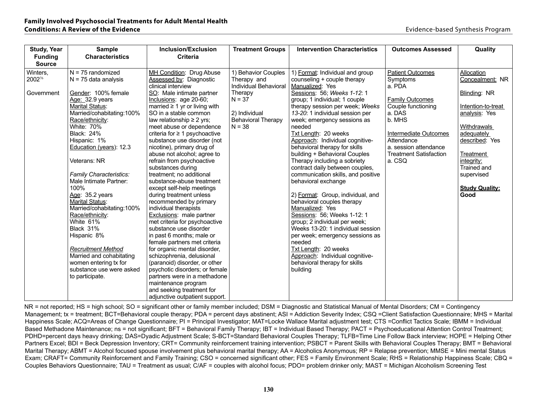| <b>Study, Year</b> | <b>Sample</b>                                     | Inclusion/Exclusion                                            | <b>Treatment Groups</b>   | <b>Intervention Characteristics</b> | <b>Outcomes Assessed</b>      | Quality               |
|--------------------|---------------------------------------------------|----------------------------------------------------------------|---------------------------|-------------------------------------|-------------------------------|-----------------------|
| <b>Funding</b>     | <b>Characteristics</b>                            | <b>Criteria</b>                                                |                           |                                     |                               |                       |
| <b>Source</b>      |                                                   |                                                                |                           |                                     |                               |                       |
| Winters.           | $N = 75$ randomized                               | MH Condition: Drug Abuse                                       | 1) Behavior Couples       | 1) Format: Individual and group     | <b>Patient Outcomes</b>       | Allocation            |
| 200276             | $N = 75$ data analysis                            | Assessed by: Diagnostic                                        | Therapy and               | counseling + couple therapy         | Symptoms                      | Concealment: NR       |
|                    |                                                   | clinical interview                                             | Individual Behavioral     | Manualized: Yes                     | a. PDA                        |                       |
| Government         | Gender: 100% female                               | SO: Male intimate partner                                      | Therapy                   | Sessions: 56; Weeks 1-12: 1         |                               | Blinding: NR          |
|                    | Age: 32.9 years                                   | Inclusions: age 20-60;                                         | $N = 37$                  | group; 1 individual; 1 couple       | <b>Family Outcomes</b>        |                       |
|                    | <b>Marital Status:</b>                            | married $\geq 1$ yr or living with                             |                           | therapy session per week; Weeks     | Couple functioning            | Intention-to-treat    |
|                    | Married/cohabitating:100%                         | SO in a stable common                                          | 2) Individual             | 13-20: 1 individual session per     | a. DAS                        | analysis: Yes         |
|                    | Race/ethnicity:                                   | law relationship $\geq 2$ yrs;                                 | <b>Behavioral Therapy</b> | week; emergency sessions as         | b. MHS                        |                       |
|                    | White: 70%                                        | meet abuse or dependence                                       | $N = 38$                  | needed                              |                               | Withdrawals           |
|                    | <b>Black: 24%</b>                                 | criteria for $\geq 1$ psychoactive                             |                           | Txt Length: 20 weeks                | Intermediate Outcomes         | adequately            |
|                    | Hispanic: 1%                                      | substance use disorder (not                                    |                           | Approach: Individual cognitive-     | Attendance                    | described: Yes        |
|                    | Education (years): 12.3                           | nicotine), primary drug of                                     |                           | behavioral therapy for skills       | a. session attendance         |                       |
|                    |                                                   | abuse not alcohol; agree to                                    |                           | building + Behavioral Couples       | <b>Treatment Satisfaction</b> | Treatment             |
|                    | Veterans: NR                                      | refrain from psychoactive                                      |                           | Therapy including a sobriety        | a. CSQ                        | integrity:            |
|                    |                                                   | substances during                                              |                           | contract daily between couples,     |                               | Trained and           |
|                    | Family Characteristics:                           | treatment; no additional                                       |                           | communication skills, and positive  |                               | supervised            |
|                    | Male Intimate Partner:                            | substance-abuse treatment                                      |                           | behavioral exchange                 |                               |                       |
|                    | 100%                                              | except self-help meetings                                      |                           |                                     |                               | <b>Study Quality:</b> |
|                    | Age: 35.2 years                                   | during treatment unless                                        |                           | 2) Format: Group, individual, and   |                               | Good                  |
|                    | <b>Marital Status:</b>                            | recommended by primary                                         |                           | behavioral couples therapy          |                               |                       |
|                    | Married/cohabitating:100%                         | individual therapists                                          |                           | Manualized: Yes                     |                               |                       |
|                    | Race/ethnicity:                                   | <b>Exclusions:</b> male partner                                |                           | Sessions: 56; Weeks 1-12: 1         |                               |                       |
|                    | White 61%                                         | met criteria for psychoactive                                  |                           | group; 2 individual per week;       |                               |                       |
|                    | Black 31%                                         | substance use disorder                                         |                           | Weeks 13-20: 1 individual session   |                               |                       |
|                    | Hispanic 8%                                       | in past 6 months; male or                                      |                           | per week; emergency sessions as     |                               |                       |
|                    |                                                   | female partners met criteria                                   |                           | needed<br>Txt Length: 20 weeks      |                               |                       |
|                    | <b>Recruitment Method</b>                         | for organic mental disorder,                                   |                           |                                     |                               |                       |
|                    | Married and cohabitating                          | schizophrenia, delusional                                      |                           | Approach: Individual cognitive-     |                               |                       |
|                    | women entering tx for<br>substance use were asked | (paranoid) disorder, or other                                  |                           | behavioral therapy for skills       |                               |                       |
|                    |                                                   | psychotic disorders; or female<br>partners were in a methadone |                           | building                            |                               |                       |
|                    | to participate.                                   | maintenance program                                            |                           |                                     |                               |                       |
|                    |                                                   | and seeking treatment for                                      |                           |                                     |                               |                       |
|                    |                                                   |                                                                |                           |                                     |                               |                       |
|                    |                                                   | adjunctive outpatient support.                                 |                           |                                     |                               |                       |

NR = not reported; HS = high school; SO = significant other or family member included; DSM = Diagnostic and Statistical Manual of Mental Disorders; CM = Contingency Management; tx = treatment; BCT=Behavioral couple therapy; PDA = percent days abstinent; ASI = Addiction Severity Index; CSQ = Client Satisfaction Questionnaire; MHS = Marital Happiness Scale; ACQ=Areas of Change Questionnaire; PI = Principal Investigator; MAT=Locke Wallace Marital adjustment test; CTS = Conflict Tactics Scale; IBMM = Individual Based Methadone Maintenance; ns = not significant; BFT = Behavioral Family Therapy; IBT = Individual Based Therapy; PACT = Psychoeducational Attention Control Treatment; PDHD=percent days heavy drinking; DAS=Dyadic Adjustment Scale; S-BCT=Standard Behavioral Couples Therapy; TLFB=Time Line Follow Back interview; HOPE = Helping Other Partners Excel; BDI = Beck Depression Inventory; CRT= Community reinforcement training intervention; PSBCT = Parent Skills with Behavioral Couples Therapy; BMT = Behavioral Marital Therapy; ABMT = Alcohol focused spouse involvement plus behavioral marital therapy; AA = Alcoholics Anonymous; RP = Relapse prevention; MMSE = Mini mental Status Exam; CRAFT= Community Reinforcement and Family Training; CSO = concerned significant other; FES = Family Environment Scale; RHS = Relationship Happiness Scale; CBQ = Couples Behaviors Questionnaire; TAU = Treatment as usual; C/AF = couples with alcohol focus; PDO= problem drinker only; MAST = Michigan Alcoholism Screening Test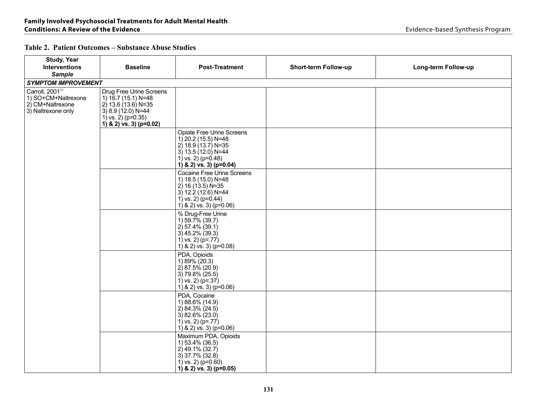#### **Table 2. Patient Outcomes – Substance Abuse Studies**

| <b>Study, Year</b>                                            |                                                                                                                             |                                                                                                                                                                  |                             |                     |
|---------------------------------------------------------------|-----------------------------------------------------------------------------------------------------------------------------|------------------------------------------------------------------------------------------------------------------------------------------------------------------|-----------------------------|---------------------|
| <b>Interventions</b><br><b>Sample</b>                         | <b>Baseline</b>                                                                                                             | <b>Post-Treatment</b>                                                                                                                                            | <b>Short-term Follow-up</b> | Long-term Follow-up |
| <b>SYMPTOM IMPROVEMENT</b>                                    |                                                                                                                             |                                                                                                                                                                  |                             |                     |
| Carroll, 200177                                               | Drug Free Urine Screens                                                                                                     |                                                                                                                                                                  |                             |                     |
| 1) SO+CM+Naltrexone<br>2) CM+Naltrexone<br>3) Naltrexone only | 1) 16.7 (15.1) N=48<br>2) 13.6 (13.6) N=35<br>$3) 8.9 (12.0) N = 44$<br>1) vs. $2)$ (p=0.35)<br>1) & 2) vs. 3) ( $p=0.02$ ) |                                                                                                                                                                  |                             |                     |
|                                                               |                                                                                                                             | <b>Opiate Free Urine Screens</b><br>1) 20.2 (15.5) N=48<br>$2)$ 18.9 (13.7) N=35<br>$3)$ 13.5 (12.0) N=44<br>1) vs. 2) $(p=0.48)$<br>1) & 2) vs. 3) ( $p=0.04$ ) |                             |                     |
|                                                               |                                                                                                                             | <b>Cocaine Free Urine Screens</b><br>1) 18.5 (15.0) N=48<br>$2)$ 16 (13.5) N=35<br>3) $12.2$ (12.6) N=44<br>1) vs. $2)$ (p=0.44)<br>1) & 2) vs. 3) ( $p=0.06$ )  |                             |                     |
|                                                               |                                                                                                                             | % Drug-Free Urine<br>1) 59.7% (39.7)<br>$2)$ 57.4% (39.1)<br>$3)$ 45.2% (39.3)<br>1) vs. 2) $(p= .77)$<br>1) & 2) $\sqrt{9}$ ( $\sqrt{9}$ =0.08)                 |                             |                     |
|                                                               |                                                                                                                             | PDA, Opioids<br>1) 89% (20.3)<br>$2)$ 87.5% (20.9)<br>3) 79.8% (25.5)<br>1) vs. 2) $(p=.37)$<br>1) & 2) vs. 3) ( $p=0.06$ )                                      |                             |                     |
|                                                               |                                                                                                                             | PDA, Cocaine<br>1) 88.6% (14.9)<br>2) 84.3% (24.5)<br>$3) 82.6\% (23.0)$<br>1) vs. 2) $(p=.77)$<br>1) & 2) vs. 3) ( $p=0.06$ )                                   |                             |                     |
|                                                               |                                                                                                                             | Maximum PDA, Opioids<br>1) 53.4% (36.5)<br>$2)$ 49.1% (32.7)<br>$3)$ 37.7% (32.8)<br>1) vs. 2) ( $p=0.60$ )<br>1) & 2) vs. 3) ( $p=0.05$ )                       |                             |                     |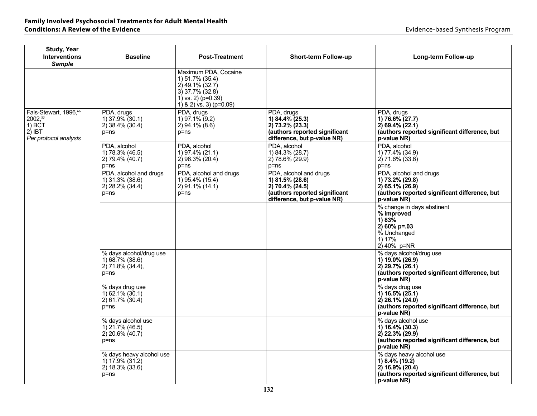| <b>Study, Year</b><br><b>Interventions</b><br><b>Sample</b>                                   | <b>Baseline</b>                                                                 | <b>Post-Treatment</b>                                                                                                                    | <b>Short-term Follow-up</b>                                                                                                  | Long-term Follow-up                                                                                                                |
|-----------------------------------------------------------------------------------------------|---------------------------------------------------------------------------------|------------------------------------------------------------------------------------------------------------------------------------------|------------------------------------------------------------------------------------------------------------------------------|------------------------------------------------------------------------------------------------------------------------------------|
|                                                                                               |                                                                                 | Maximum PDA, Cocaine<br>1) 51.7% (35.4)<br>2) 49.1% (32.7)<br>$3)$ 37.7% (32.8)<br>1) vs. 2) ( $p=0.39$ )<br>1) & 2) vs. 3) ( $p=0.09$ ) |                                                                                                                              |                                                                                                                                    |
| Fals-Stewart, 1996, <sup>66</sup><br>2002,85<br>$1)$ BCT<br>$2)$ IBT<br>Per protocol analysis | PDA, drugs<br>1) 37.9% (30.1)<br>$2)$ 38.4% (30.4)<br>$p = ns$                  | PDA, drugs<br>1) 97.1% (9.2)<br>$2)$ 94.1% (8.6)<br>p=ns                                                                                 | PDA, drugs<br>1) 84.4% (25.3)<br>$2)$ 73.2% (23.3)<br>(authors reported significant<br>difference, but p-value NR)           | PDA, drugs<br>1) 76.6% (27.7)<br>$2) 69.4\% (22.1)$<br>(authors reported significant difference, but<br>p-value NR)                |
|                                                                                               | PDA, alcohol<br>1) 78.3% (46.5)<br>2) 79.4% (40.7)<br>$p = ns$                  | PDA, alcohol<br>1) 97.4% (21.1)<br>$2)96.3\%(20.4)$<br>$p = ns$                                                                          | PDA, alcohol<br>1) 84.3% (28.7)<br>$2)$ 78.6% (29.9)<br>$p = ns$                                                             | PDA, alcohol<br>1) 77.4% (34.9)<br>$2)$ 71.6% (33.6)<br>p=ns                                                                       |
|                                                                                               | PDA, alcohol and drugs<br>1) 31.3% (38.6)<br>$(2)$ 28.2% $(34.4)$<br>$p = ns$   | PDA, alcohol and drugs<br>1) 95.4% (15.4)<br>$2)$ 91.1% (14.1)<br>$p = ns$                                                               | PDA, alcohol and drugs<br>1) 81.5% (28.6)<br>2) 70.4% (24.5)<br>(authors reported significant<br>difference, but p-value NR) | PDA, alcohol and drugs<br>1) 73.2% (29.8)<br>$2)$ 65.1% (26.9)<br>(authors reported significant difference, but<br>p-value NR)     |
|                                                                                               |                                                                                 |                                                                                                                                          |                                                                                                                              | % change in days abstinent<br>% improved<br>1) 83%<br>$2)$ 60% p=.03<br>% Unchanged<br>1) 17%<br>$2)$ 40% p=NR                     |
|                                                                                               | % days alcohol/drug use<br>1) 68.7% (38.6)<br>$2)$ 71.8% (34.4),<br>$p = ns$    |                                                                                                                                          |                                                                                                                              | % days alcohol/drug use<br>1) 19.0% (26.9)<br>$2)$ 29.7% (26.1)<br>(authors reported significant difference, but<br>p-value NR)    |
|                                                                                               | % days drug use<br>$(1)$ 62.1% $(30.1)$<br>2) 61.7% (30.4)<br>$p = ns$          |                                                                                                                                          |                                                                                                                              | % days drug use<br>1) 16.5% (25.1)<br>2) 26.1% (24.0)<br>(authors reported significant difference, but<br>p-value NR)              |
|                                                                                               | % days alcohol use<br>1) 21.7% (46.5)<br>2) 20.6% (40.7)<br>$p = ns$            |                                                                                                                                          |                                                                                                                              | % days alcohol use<br>1) 16.4% (30.3)<br>2) 22.3% (29.9)<br>(authors reported significant difference, but<br>p-value NR)           |
|                                                                                               | % days heavy alcohol use<br>$(1)$ 17.9% $(31.2)$<br>2) 18.3% (33.6)<br>$p = ns$ |                                                                                                                                          |                                                                                                                              | % days heavy alcohol use<br>1) $8.4\%$ (19.2)<br>$2)$ 16.9% (20.4)<br>(authors reported significant difference, but<br>p-value NR) |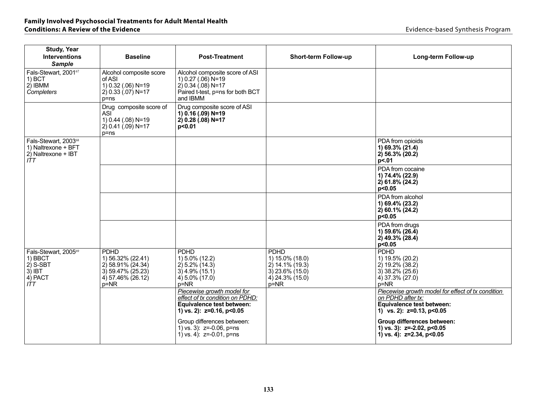# **Family Involved Psychosocial Treatments for Adult Mental Health**

| <b>Study, Year</b><br><b>Interventions</b><br><b>Sample</b>                           | <b>Baseline</b>                                                                                           | <b>Post-Treatment</b>                                                                                                           | <b>Short-term Follow-up</b>                                                                           | Long-term Follow-up                                                                                                                   |
|---------------------------------------------------------------------------------------|-----------------------------------------------------------------------------------------------------------|---------------------------------------------------------------------------------------------------------------------------------|-------------------------------------------------------------------------------------------------------|---------------------------------------------------------------------------------------------------------------------------------------|
| Fals-Stewart, 200167<br>$1)$ BCT<br>2) IBMM<br>Completers                             | Alcohol composite score<br>of ASI<br>1) 0.32 (.06) N=19<br>$(2)$ 0.33 $(.07)$ N=17<br>$p = ns$            | Alcohol composite score of ASI<br>1) 0.27 (.06) N=19<br>$(2)$ 0.34 $(.08)$ N=17<br>Paired t-test, p=ns for both BCT<br>and IBMM |                                                                                                       |                                                                                                                                       |
|                                                                                       | Drug composite score of<br>ASI <sup>'</sup><br>1) 0.44 (.08) N=19<br>$(2)$ 0.41 $(.09)$ N=17<br>$p = ns$  | Drug composite score of ASI<br>1) 0.16 (.09) N=19<br>2) $0.28(0.08)$ N=17<br>p < 0.01                                           |                                                                                                       |                                                                                                                                       |
| Fals-Stewart, 2003 <sup>68</sup><br>1) Naltrexone + BFT<br>2) Naltrexone + IBT<br>ITT |                                                                                                           |                                                                                                                                 |                                                                                                       | PDA from opioids<br>1) 69.3% (21.4)<br>2) 56.3% (20.2)<br>p<.01                                                                       |
|                                                                                       |                                                                                                           |                                                                                                                                 |                                                                                                       | PDA from cocaine<br>1) 74.4% (22.9)<br>2) 61.8% (24.2)<br>p<0.05                                                                      |
|                                                                                       |                                                                                                           |                                                                                                                                 |                                                                                                       | PDA from alcohol<br>1) 69.4% (23.2)<br>2) 60.1% (24.2)<br>p<0.05                                                                      |
|                                                                                       |                                                                                                           |                                                                                                                                 |                                                                                                       | PDA from drugs<br>1) 59.6% (26.4)<br>2) 49.3% (28.4)<br>p<0.05                                                                        |
| Fals-Stewart, 200569<br>1) BBCT<br>$2)$ S-SBT<br>$3)$ IBT<br>4) PACT<br>ITT           | <b>PDHD</b><br>1) 56.32% (22.41)<br>2) 58.91% (24.34)<br>3) 59.47% (25.23)<br>4) 57.46% (26.12)<br>$p=NR$ | <b>PDHD</b><br>1) 5.0% (12.2)<br>2) 5.2% (14.3)<br>$3)$ 4.9% (15.1)<br>4) 5.0% (17.0)<br>$p=NR$                                 | <b>PDHD</b><br>1) 15.0% (18.0)<br>$2)$ 14.1% (19.3)<br>$3)$ 23.6% (15.0)<br>4) 24.3% (15.0)<br>$p=NR$ | <b>PDHD</b><br>1) 19.5% (20.2)<br>2) 19.2% (38.2)<br>$3)$ 38.2% (25.6)<br>4) 37.3% (27.0)<br>p=NR                                     |
|                                                                                       |                                                                                                           | Piecewise growth model for<br>effect of tx condition on PDHD:<br>Equivalence test between:<br>1) vs. 2): z=0.16, p<0.05         |                                                                                                       | Piecewise growth model for effect of tx condition<br>on PDHD after tx:<br>Equivalence test between:<br>1) vs. 2): $z=0.13$ , $p<0.05$ |
|                                                                                       |                                                                                                           | Group differences between:<br>1) vs. 3): z=-0.06, p=ns<br>1) vs. 4): $z=-0.01$ , $p=ns$                                         |                                                                                                       | Group differences between:<br>1) vs. 3): z=-2.02, p<0.05<br>1) vs. 4): z=2.34, p<0.05                                                 |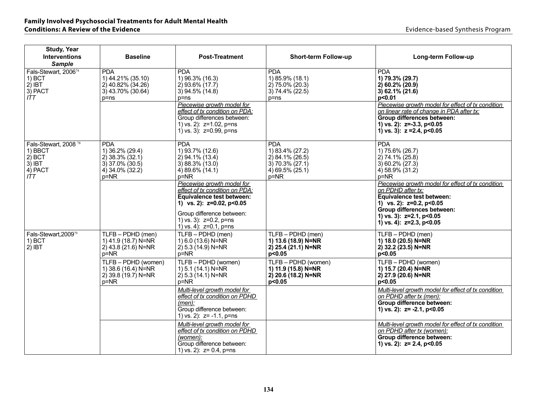#### **Family Involved Psychosocial Treatments for Adult Mental Health Conditions: A Review of the Evidence Evidence Evidence Conditions: A Review of the Evidence Evidence Evidence Evidence Evidence Evidence Evidence Evidence Evidence Evidence Evidence Evidence**

| <b>Study, Year</b><br><b>Interventions</b><br><b>Sample</b>                            | <b>Baseline</b>                                                                                | <b>Post-Treatment</b>                                                                                                                                                                                               | <b>Short-term Follow-up</b>                                                                             | Long-term Follow-up                                                                                                                                                                                                             |
|----------------------------------------------------------------------------------------|------------------------------------------------------------------------------------------------|---------------------------------------------------------------------------------------------------------------------------------------------------------------------------------------------------------------------|---------------------------------------------------------------------------------------------------------|---------------------------------------------------------------------------------------------------------------------------------------------------------------------------------------------------------------------------------|
| Fals-Stewart, 200674<br>$1)$ BCT<br>$2)$ IBT<br>3) PACT<br>ITT.                        | <b>PDA</b><br>1) 44.21% (35.10)<br>2) 40.82% (34.26)<br>3) 43.70% (30.64)<br>p=ns              | <b>PDA</b><br>1) 96.3% (16.3)<br>$2)$ 93.6% (17.7)<br>$3)$ 94.5% (14.8)<br>$p = ns$<br>Piecewise growth model for                                                                                                   | <b>PDA</b><br>1) 85.9% (18.1)<br>$2)$ 75.0% (20.3)<br>3) 74.4% (22.5)<br>$p = ns$                       | <b>PDA</b><br>1) 79.3% (29.7)<br>$2)$ 60.2% (20.9)<br>$3) 62.1\% (21.6)$<br>p<0.01<br>Piecewise growth model for effect of tx condition                                                                                         |
|                                                                                        |                                                                                                | effect of tx condition on PDA:<br>Group differences between:<br>1) vs. 2): z=1.02, p=ns<br>1) vs. 3): z=0.99, p=ns                                                                                                  |                                                                                                         | on linear rate of change in PDA after tx:<br>Group differences between:<br>1) vs. 2): $z=-3.3$ , $p<0.05$<br>1) vs. 3): $z = 2.4$ , $p < 0.05$                                                                                  |
| Fals-Stewart, 2008 <sup>78</sup><br>1) BBCT<br>$2)$ BCT<br>$3)$ IBT<br>4) PACT<br>ITT. | <b>PDA</b><br>1) 36.2% (29.4)<br>2) 38.3% (32.1)<br>3) 37.0% (30.5)<br>4) 34.0% (32.2)<br>p=NR | <b>PDA</b><br>1) 93.7% (12.6)<br>2) 94.1% (13.4)<br>3) 88.3% (13.0)<br>$4)89.6\%$ (14.1)<br>$p = NR$                                                                                                                | <b>PDA</b><br>1) 83.4% (27.2)<br>2) 84.1% (26.5)<br>3) 70.3% (27.1)<br>$(4)$ 69.5% $(25.1)$<br>$p = NR$ | <b>PDA</b><br>1) 75.6% (26.7)<br>2) 74.1% (25.8)<br>3) 60.2% (27.3)<br>$4)$ 58.9% (31.2)<br>$p = NR$                                                                                                                            |
|                                                                                        |                                                                                                | Piecewise growth model for<br>effect of tx condition on PDA:<br><b>Equivalence test between:</b><br>1) vs. 2): $z=0.02$ , $p<0.05$<br>Group difference between:<br>1) vs. 3): z=0.2, p=ns<br>1) vs. 4): z=0.1, p=ns |                                                                                                         | Piecewise growth model for effect of tx condition<br>on PDHD after tx:<br>Equivalence test between:<br>1) vs. 2): z=0.2, p<0.05<br>Group differences between:<br>1) vs. 3): $z=2.1$ , $p<0.05$<br>1) vs. 4): $z=2.3$ , $p<0.05$ |
| Fals-Stewart, 200979<br>$1)$ BCT<br>$2)$ IBT                                           | TLFB - PDHD (men)<br>1) 41.9 (18.7) N=NR<br>$(2)$ 43.8 $(21.6)$ N=NR<br>$p = NR$               | TLFB - PDHD (men)<br>$(1)$ 6.0 (13.6) N=NR<br>$(2)$ 5.3 (14.9) N=NR<br>$p = NR$                                                                                                                                     | TLFB - PDHD (men)<br>1) 13.6 (18.9) N=NR<br>2) 25.4 (21.1) N=NR<br>p<0.05                               | TLFB - PDHD (men)<br>1) 18.0 (20.5) N=NR<br>2) 32.2 (23.5) N=NR<br>p<0.05                                                                                                                                                       |
|                                                                                        | TLFB - PDHD (women)<br>1) 38.6 (16.4) N=NR<br>2) 39.8 (19.7) N=NR<br>p=NR                      | TLFB - PDHD (women)<br>1) 5.1 (14.1) N=NR<br>2) 5.3 (14.1) N=NR<br>p=NR                                                                                                                                             | TLFB - PDHD (women)<br>1) 11.9 (15.8) N=NR<br>2) 20.6 (18.2) N=NR<br>p<0.05                             | TLFB - PDHD (women)<br>1) 15.7 (20.4) N=NR<br>2) 27.9 (20.6) N=NR<br>p<0.05                                                                                                                                                     |
|                                                                                        |                                                                                                | Multi-level growth model for<br>effect of tx condition on PDHD<br>$(men)$ :<br>Group difference between:<br>1) vs. 2): $z = -1.1$ , p=ns                                                                            |                                                                                                         | Multi-level growth model for effect of tx condition<br>on PDHD after tx (men):<br>Group difference between:<br>1) vs. 2): $z = -2.1$ , $p < 0.05$                                                                               |
|                                                                                        |                                                                                                | Multi-level arowth model for<br>effect of tx condition on PDHD<br>(women):<br>Group difference between:<br>1) vs. 2): $z = 0.4$ , $p = ns$                                                                          |                                                                                                         | Multi-level growth model for effect of tx condition<br>on PDHD after tx (women):<br>Group difference between:<br>1) vs. 2): $z=$ 2.4, p<0.05                                                                                    |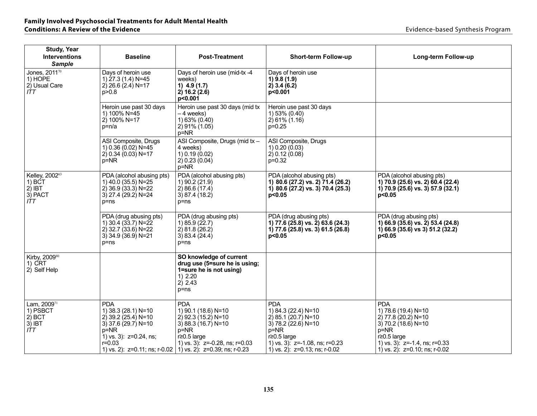| <b>Study, Year</b><br><b>Interventions</b><br><b>Sample</b> | <b>Baseline</b>                                                                                                                        | <b>Post-Treatment</b>                                                                                                                                                                                       | Short-term Follow-up                                                                                                                                                              | Long-term Follow-up                                                                                                                                                             |
|-------------------------------------------------------------|----------------------------------------------------------------------------------------------------------------------------------------|-------------------------------------------------------------------------------------------------------------------------------------------------------------------------------------------------------------|-----------------------------------------------------------------------------------------------------------------------------------------------------------------------------------|---------------------------------------------------------------------------------------------------------------------------------------------------------------------------------|
| Jones, 201170<br>1) HOPE<br>2) Usual Care<br>ITT            | Days of heroin use<br>1) 27.3 (1.4) N=45<br>2) 26.6 $(2.4)$ N=17<br>p > 0.8                                                            | Days of heroin use (mid-tx -4<br>weeks)<br>1) $4.9(1.7)$<br>2) 16.2 (2.6)<br>p<0.001                                                                                                                        | Days of heroin use<br>$1)$ 9.8 (1.9)<br>2) 3.4 (6.2)<br>p<0.001                                                                                                                   |                                                                                                                                                                                 |
|                                                             | Heroin use past 30 days<br>1) 100% N=45<br>2) 100% N=17<br>$p=n/a$                                                                     | Heroin use past 30 days (mid tx<br>-4 weeks)<br>1) 63% (0.40)<br>$2) 91\% (1.05)$<br>p=NR                                                                                                                   | Heroin use past 30 days<br>1) 53% (0.40)<br>$2) 61\% (1.16)$<br>$p=0.25$                                                                                                          |                                                                                                                                                                                 |
|                                                             | ASI Composite, Drugs<br>1) 0.36 (0.02) N=45<br>2) 0.34 (0.03) N=17<br>$p = NR$                                                         | ASI Composite, Drugs (mid tx -<br>4 weeks)<br>1) 0.19 (0.02)<br>2) 0.23 (0.04)<br>$p = NR$                                                                                                                  | ASI Composite, Drugs<br>(0.20)(0.03)<br>2) 0.12 (0.08)<br>$p=0.32$                                                                                                                |                                                                                                                                                                                 |
| Kelley, 200263<br>$1)$ BCT<br>$2)$ IBT<br>3) PACT<br>ITT    | PDA (alcohol abusing pts)<br>1) 40.0 (35.5) N=25<br>$2)$ 36.9 (33.3) N=22<br>3) 27.4 (29.2) N=24<br>$p = ns$                           | PDA (alcohol abusing pts)<br>1) 90.2 (21.9)<br>2)86.6(17.4)<br>3) 87.4 (18.2)<br>$p = ns$                                                                                                                   | PDA (alcohol abusing pts)<br>1) 80.6 (27.2) vs. 2) 71.4 (26.2)<br>1) 80.6 $(27.2)$ vs. 3) 70.4 $(25.3)$<br>p<0.05                                                                 | PDA (alcohol abusing pts)<br>1) 70.9 (25.6) vs. 2) 60.4 (22.4)<br>1) 70.9 (25.6) vs. 3) 57.9 (32.1)<br>p<0.05                                                                   |
|                                                             | PDA (drug abusing pts)<br>1) 30.4 (33.7) N=22<br>2) 32.7 (33.6) N=22<br>$3)$ 34.9 (36.9) N=21<br>$p = ns$                              | PDA (drug abusing pts)<br>1) 85.9 (22.7)<br>2) 81.8 (26.2)<br>3) 83.4 (24.4)<br>p=ns                                                                                                                        | PDA (drug abusing pts)<br>1) 77.6 (25.8) vs. 2) 63.6 (24.3)<br>1) 77.6 (25.8) vs. 3) 61.5 (26.8)<br>p<0.05                                                                        | PDA (drug abusing pts)<br>1) 66.9 (35.6) vs. 2) 53.4 (24.8)<br>1) 66.9 (35.6) vs 3) 51.2 (32.2)<br>p<0.05                                                                       |
| Kirby, 2009 <sup>80</sup><br>1) CRT<br>2) Self Help         |                                                                                                                                        | SO knowledge of current<br>drug use (5=sure he is using;<br>1=sure he is not using)<br>1) 2.20<br>2) 2.43<br>$p = ns$                                                                                       |                                                                                                                                                                                   |                                                                                                                                                                                 |
| Lam, 200971<br>1) PSBCT<br>$2)$ BCT<br>3) IBT<br>ITT        | <b>PDA</b><br>1) 38.3 (28.1) N=10<br>2) 39.2 $(25.4)$ N=10<br>$3)$ 37.6 (29.7) N=10<br>p=NR<br>1) vs. 3): $z=0.24$ , ns;<br>$r = 0.03$ | PDA<br>1) 90.1 (18.6) N=10<br>2) 92.3 (15.2) N=10<br>3) 88.3 (16.7) N=10<br>$p = NR$<br>r≥0.5 large<br>1) vs. 3): $z=-0.28$ , ns; $r=0.03$<br>1) vs. 2): z=0.11; ns; r-0.02   1) vs. 2): z=0.39; ns; r-0.23 | <b>PDA</b><br>1) 84.3 (22.4) N=10<br>2) 85.1 (20.7) N=10<br>3) 78.2 (22.6) N=10<br>$p=NR$<br>$r \ge 0.5$ large<br>1) vs. 3): z=-1.08, ns; r=0.23<br>1) vs. 2): z=0.13; ns; r-0.02 | <b>PDA</b><br>1) 78.6 (19.4) N=10<br>2) 77.8 (20.2) N=10<br>3) 70.2 (18.6) N=10<br>p=NR<br>$r \geq 0.5$ large<br>1) vs. 3): z=-1.4, ns; r=0.33<br>1) vs. 2): z=0.10; ns; r-0.02 |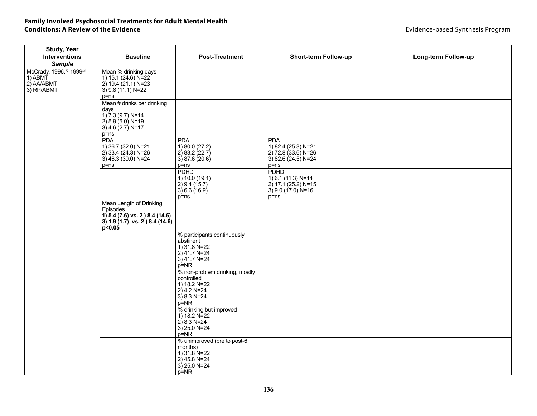# **Family Involved Psychosocial Treatments for Adult Mental Health**

| <b>Study, Year</b><br><b>Interventions</b>                                                                               | <b>Baseline</b>                                                                                          | <b>Post-Treatment</b>                                                                                       | <b>Short-term Follow-up</b>                                                                     | Long-term Follow-up |  |
|--------------------------------------------------------------------------------------------------------------------------|----------------------------------------------------------------------------------------------------------|-------------------------------------------------------------------------------------------------------------|-------------------------------------------------------------------------------------------------|---------------------|--|
| <b>Sample</b>                                                                                                            |                                                                                                          |                                                                                                             |                                                                                                 |                     |  |
| McCrady, 1996, <sup>72</sup> 1999 <sup>86</sup><br>1) ABMT<br>2) AA/ABMT<br>3) RP/ABMT                                   | Mean % drinking days<br>1) 15.1 (24.6) N=22<br>$2)$ 19.4 (21.1) N=23<br>$3)$ 9.8 (11.1) N=22<br>$p = ns$ |                                                                                                             |                                                                                                 |                     |  |
| Mean # drinks per drinking<br>days<br>1) $7.3$ (9.7) N=14<br>$(2)$ 5.9 (5.0) N=19<br>$3)$ 4.6 (2.7) N=17<br>$p = ns$     |                                                                                                          |                                                                                                             |                                                                                                 |                     |  |
|                                                                                                                          | <b>PDA</b><br>1) 36.7 (32.0) N=21<br>$(2)$ 33.4 $(24.3)$ N=26<br>$3)$ 46.3 (30.0) N=24<br>p=ns           | <b>PDA</b><br>1) 80.0 (27.2)<br>$2)$ 83.2 (22.7)<br>3) 87.6 (20.6)<br>p=ns                                  | <b>PDA</b><br>1) 82.4 (25.3) N=21<br>$(2)$ 72.8 (33.6) N=26<br>3) 82.6 (24.5) N=24<br>$p = ns$  |                     |  |
|                                                                                                                          |                                                                                                          | <b>PDHD</b><br>1) 10.0 (19.1)<br>$2)$ 9.4 (15.7)<br>3) 6.6 (16.9)<br>$p = ns$                               | <b>PDHD</b><br>1) 6.1 (11.3) N=14<br>$2$ ) 17.1 (25.2) N=15<br>$3)$ 9.0 (17.0) N=16<br>$p = ns$ |                     |  |
| Mean Length of Drinking<br>Episodes<br>1) 5.4 (7.6) vs. 2 ) 8.4 (14.6)<br>$3) 1.9 (1.7)$ vs. $2) 8.4 (14.6)$<br>p < 0.05 |                                                                                                          |                                                                                                             |                                                                                                 |                     |  |
|                                                                                                                          |                                                                                                          | % participants continuously<br>abstinent<br>1) 31.8 N=22<br>2) 41.7 N=24<br>$3)$ 41.7 N=24<br>$p = NR$      |                                                                                                 |                     |  |
|                                                                                                                          |                                                                                                          | % non-problem drinking, mostly<br>controlled<br>1) 18.2 N=22<br>$(2)$ 4.2 N=24<br>$3)$ 8.3 N=24<br>$p = NR$ |                                                                                                 |                     |  |
|                                                                                                                          |                                                                                                          | % drinking but improved<br>1) 18.2 N=22<br>$(2)$ 8.3 N=24<br>$3)$ 25.0 N=24<br>$p=NR$                       |                                                                                                 |                     |  |
|                                                                                                                          |                                                                                                          | % unimproved (pre to post-6<br>months)<br>1) 31.8 N=22<br>$2)$ 45.8 N=24<br>$3)$ 25.0 N=24<br>$p = NR$      |                                                                                                 |                     |  |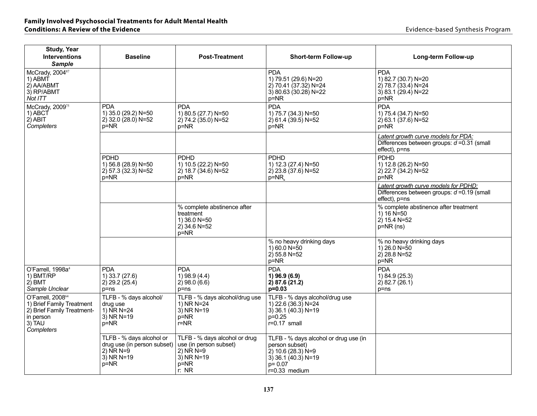| <b>Study, Year</b><br><b>Interventions</b><br><b>Sample</b>                                                                   | <b>Baseline</b>                                                                                | <b>Post-Treatment</b>                                                                                     | <b>Short-term Follow-up</b>                                                                                                             | Long-term Follow-up                                                                                    |
|-------------------------------------------------------------------------------------------------------------------------------|------------------------------------------------------------------------------------------------|-----------------------------------------------------------------------------------------------------------|-----------------------------------------------------------------------------------------------------------------------------------------|--------------------------------------------------------------------------------------------------------|
| McCrady, 200487<br>1) ABMT<br>2) AA/ABMT<br>3) RP/ABMT<br>Not ITT                                                             |                                                                                                |                                                                                                           | <b>PDA</b><br>1) 79.51 (29.6) N=20<br>2) 70.41 (37.32) N=24<br>$3)$ 80.63 (30.28) N=22<br>$p=NR$                                        | <b>PDA</b><br>1) 82.7 (30.7) N=20<br>2) 78.7 (33.4) N=24<br>3) 83.1 $(29.4)$ N=22<br>p=NR              |
| McCrady, 200975<br>1) ABCT<br>$2)$ ABIT<br>Completers                                                                         | <b>PDA</b><br>1) 35.0 (29.2) N=50<br>2) 32.0 (28.0) N=52<br>$p = NR$                           | <b>PDA</b><br>1) 80.5 (27.7) N=50<br>2) 74.2 (35.0) N=52<br>$p = NR$                                      | <b>PDA</b><br>1) 75.7 (34.3) N=50<br>2) 61.4 (39.5) N=52<br>$p=NR$                                                                      | <b>PDA</b><br>1) 75.4 (34.7) N=50<br>2) 63.1 (37.6) N=52<br>$p = NR$                                   |
|                                                                                                                               |                                                                                                |                                                                                                           |                                                                                                                                         | Latent growth curve models for PDA:<br>Differences between groups: $d = 0.31$ (small<br>effect), p=ns  |
|                                                                                                                               | <b>PDHD</b><br>1) 56.8 (28.9) N=50<br>$2)$ 57.3 (32.3) N=52<br>$p = NR$                        | <b>PDHD</b><br>1) 10.5 (22.2) N=50<br>$2)$ 18.7 (34.6) N=52<br>$p=NR$                                     | <b>PDHD</b><br>1) 12.3 (27.4) N=50<br>$2)$ 23.8 (37.6) N=52<br>$p = NR$                                                                 | <b>PDHD</b><br>1) 12.8 (26.2) N=50<br>2) 22.7 (34.2) N=52<br>$p = NR$                                  |
|                                                                                                                               |                                                                                                |                                                                                                           |                                                                                                                                         | Latent growth curve models for PDHD:<br>Differences between groups: $d = 0.19$ (small<br>effect), p=ns |
|                                                                                                                               |                                                                                                | % complete abstinence after<br>treatment<br>1) 36.0 N=50<br>$2)$ 34.6 N=52<br>p=NR                        |                                                                                                                                         | % complete abstinence after treatment<br>1) $16 N = 50$<br>$2)$ 15.4 N=52<br>$p=NR$ (ns)               |
|                                                                                                                               |                                                                                                |                                                                                                           | % no heavy drinking days<br>1) 60.0 $N = 50$<br>$2)$ 55.8 N=52<br>p=NR                                                                  | % no heavy drinking days<br>1) 26.0 $N = 50$<br>$2)$ 28.8 N=52<br>p=NR                                 |
| O'Farrell, 1998a4<br>1) BMT/RP<br>$2)$ BMT<br>Sample Unclear                                                                  | <b>PDA</b><br>1) 33.7 (27.6)<br>$2)$ 29.2 (25.4)<br>p=ns                                       | <b>PDA</b><br>$1)$ 98.9 (4.4)<br>$(2)$ 98.0 $(6.6)$<br>$p = ns$                                           | <b>PDA</b><br>1) 96.9 (6.9)<br>2) 87.6(21.2)<br>$p=0.03$                                                                                | <b>PDA</b><br>1) 84.9 (25.3)<br>$2)$ 82.7 (26.1)<br>$p = ns$                                           |
| O'Farrell, 2008 <sup>64</sup><br>1) Brief Family Treatment<br>2) Brief Family Treatment-<br>in person<br>3) TAU<br>Completers | TLFB - % days alcohol/<br>drug use<br>1) NR N=24<br>$3)$ NR N=19<br>$p = NR$                   | TLFB - % days alcohol/drug use<br>1) NR N=24<br>$3)$ NR N=19<br>$p = NR$<br>$r = NR$                      | TLFB - % days alcohol/drug use<br>1) 22.6 (36.3) N=24<br>$3)$ 36.1 (40.3) N=19<br>$p = 0.25$<br>$r=0.17$ small                          |                                                                                                        |
|                                                                                                                               | TLFB - % days alcohol or<br>drug use (in person subset)<br>$2)$ NR N=9<br>$3)$ NR N=19<br>p=NR | TLFB - % days alcohol or drug<br>use (in person subset)<br>2) NR N=9<br>$3)$ NR N=19<br>$p = NR$<br>r: NR | TLFB - % days alcohol or drug use (in<br>person subset)<br>$2)$ 10.6 (28.3) N=9<br>$3)$ 36.1 (40.3) N=19<br>$p = 0.07$<br>r=0.33 medium |                                                                                                        |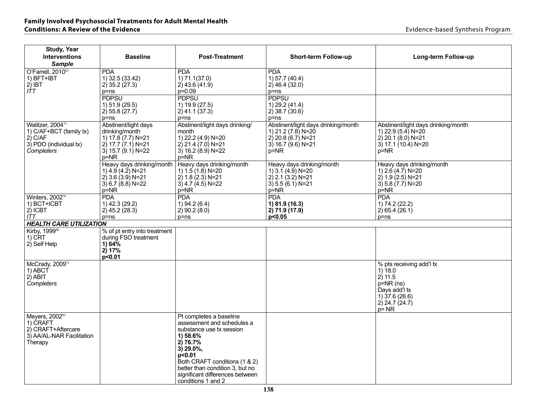| <b>Study, Year</b><br><b>Interventions</b><br><b>Sample</b>                                                  | <b>Baseline</b>                                                                                                            | <b>Post-Treatment</b>                                                                                                                                                                                                                                           | <b>Short-term Follow-up</b>                                                                                         | Long-term Follow-up                                                                                                                 |
|--------------------------------------------------------------------------------------------------------------|----------------------------------------------------------------------------------------------------------------------------|-----------------------------------------------------------------------------------------------------------------------------------------------------------------------------------------------------------------------------------------------------------------|---------------------------------------------------------------------------------------------------------------------|-------------------------------------------------------------------------------------------------------------------------------------|
| O'Farrell. 2010 <sup>82</sup><br>1) BFT+IBT<br>$2)$ IBT<br>ITT                                               | <b>PDA</b><br>1) 32.5 (33.42)<br>$2)$ 35.2 (27.3)<br>$p = ns$                                                              | <b>PDA</b><br>1) 71.1(37.0)<br>$2)$ 43.6 (41.9)<br>p=0.09                                                                                                                                                                                                       | <b>PDA</b><br>1) 57.7 (40.4)<br>$(2)$ 46.4 $(32.0)$<br>$p = ns$                                                     |                                                                                                                                     |
|                                                                                                              | <b>PDPSU</b><br>1) 51.9 (29.5)<br>2) 55.8 (27.7)<br>$p = ns$                                                               | <b>PDPSU</b><br>1) 19.9 (27.5)<br>$2)$ 41.1 (37.3)<br>p=ns                                                                                                                                                                                                      | <b>PDPSU</b><br>1) 29.2 (41.4)<br>2) 38.7 (30.6)<br>$p = ns$                                                        |                                                                                                                                     |
| Walitzer, 2004 <sup>73</sup><br>1) C/AF+BCT (family tx)<br>$2)$ C/AF<br>3) PDO (individual tx)<br>Completers | Abstinent/light days<br>drinking/month<br>1) 17.8 (7.7) N=21<br>$2)$ 17.7 $(7.1)$ N=21<br>3) 15.7 (9.1) $N=22$<br>$p = NR$ | Abstinent/light days drinking/<br>month<br>1) 22.2 (4.9) N=20<br>$2)$ 21.4 $(7.0)$ N=21<br>3) $16.2(8.9)$ N=22<br>$p = NR$                                                                                                                                      | Abstinent/light days drinking/month<br>1) 21.2 (7.8) N=20<br>$2)$ 20.8 (6.7) N=21<br>$3)$ 16.7 (9.6) N=21<br>$p=NR$ | Abstinent/light days drinking/month<br>1) 22.9 (5.4) N=20<br>$2)$ 20.1 (8.0) N=21<br>$3)$ 17.1 (10.4) N=20<br>$p = NR$              |
|                                                                                                              | Heavy days drinking/month<br>1) $4.9(4.2)$ N=21<br>$2)$ 3.6 (3.9) N=21<br>3) 6.7 (8.8) N=22<br>$p = NR$                    | Heavy days drinking/month<br>1) $1.5(1.8)$ N=20<br>$2) 1.8 (2.3) N = 21$<br>3) 4.7 (4.5) N=22<br>$p = NR$                                                                                                                                                       | Heavy days drinking/month<br>1) $3.1(4.9)$ N=20<br>$(2)$ 2.1 $(3.2)$ N=21<br>3) 5.5 (6.1) N=21<br>$p = NR$          | Heavy days drinking/month<br>1) $2.6(4.7)$ N=20<br>$2) 1.9 (2.5) N = 21$<br>$3)$ 5.8 $(7.7)$ N=20<br>$p = NR$                       |
| Winters, 2002 <sup>76</sup><br>1) BCT+ICBT<br>$2)$ ICBT<br>ITT                                               | <b>PDA</b><br>1) 42.3 (29.2)<br>$(2)$ 45.2 $(28.3)$<br>$p = ns$                                                            | <b>PDA</b><br>1) 94.2 (6.4)<br>$2)$ 90.2 (8.0)<br>p=ns                                                                                                                                                                                                          | <b>PDA</b><br>1) 81.9 (16.3)<br>$2)$ 71.9 (17.9)<br>p < 0.05                                                        | <b>PDA</b><br>1) 74.2 (22.2)<br>$2)$ 65.4 (26.1)<br>p=ns                                                                            |
| <b>HEALTH CARE UTILIZATION</b>                                                                               |                                                                                                                            |                                                                                                                                                                                                                                                                 |                                                                                                                     |                                                                                                                                     |
| Kirby, 199980<br>1) CRT<br>2) Self Help                                                                      | % of pt entry into treatment<br>during FSO treatment<br>1) 64%<br>2)17%<br>p < 0.01                                        |                                                                                                                                                                                                                                                                 |                                                                                                                     |                                                                                                                                     |
| McCrady, 200975<br>1) ABCT<br>$2)$ ABIT<br>Completers                                                        |                                                                                                                            |                                                                                                                                                                                                                                                                 |                                                                                                                     | % pts receiving add'l tx<br>$1)$ 18.0<br>2)11.5<br>$p=NR$ (ns)<br>Days add'l tx<br>$1)$ 37.6 (26.6)<br>$2)$ 24.7 (24.7)<br>$p = NR$ |
| Meyers, 200283<br>1) CRAFT<br>2) CRAFT+Aftercare<br>3) AA/AL-NAR Facilitation<br>Therapy                     |                                                                                                                            | Pt completes a baseline<br>assessment and schedules a<br>substance use tx session<br>1) 58.6%<br>2) 76.7%<br>$3)$ 29.0%,<br>p<0.01<br>Both CRAFT conditions (1 & 2)<br>better than condition 3, but no<br>significant differences between<br>conditions 1 and 2 |                                                                                                                     |                                                                                                                                     |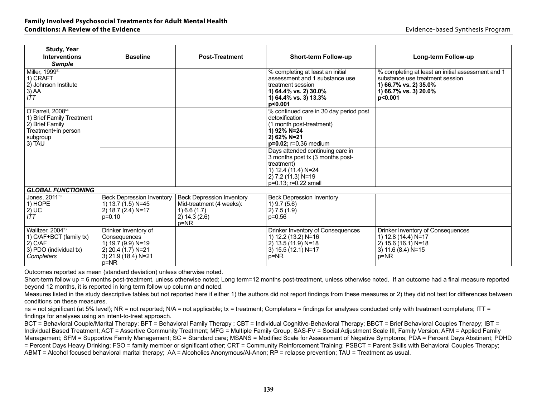| <b>Study, Year</b><br><b>Interventions</b><br><b>Sample</b>                                                                | <b>Baseline</b>                                                                                                       | <b>Post-Treatment</b>                                                                                          | <b>Short-term Follow-up</b>                                                                                                                             | Long-term Follow-up                                                                                                                               |
|----------------------------------------------------------------------------------------------------------------------------|-----------------------------------------------------------------------------------------------------------------------|----------------------------------------------------------------------------------------------------------------|---------------------------------------------------------------------------------------------------------------------------------------------------------|---------------------------------------------------------------------------------------------------------------------------------------------------|
| Miller, 1999 <sup>81</sup><br>1) CRAFT<br>2) Johnson Institute<br>$3)$ AA<br>ITT                                           |                                                                                                                       |                                                                                                                | % completing at least an initial<br>assessment and 1 substance use<br>treatment session<br>1) 64.4% vs. 2) 30.0%<br>1) 64.4% vs. 3) 13.3%<br>p<0.001    | % completing at least an initial assessment and 1<br>substance use treatment session<br>1) 66.7% vs. 2) 35.0%<br>1) 66.7% vs. 3) 20.0%<br>p<0.001 |
| O'Farrell, 2008 <sup>64</sup><br>1) Brief Family Treatment<br>2) Brief Family<br>Treatment+in person<br>subgroup<br>3) TAU |                                                                                                                       |                                                                                                                | % continued care in 30 day period post<br>detoxification<br>(1 month post-treatment)<br>1) 92% N=24<br>2) 62% N=21<br>$p=0.02$ ; $r=0.36$ medium        |                                                                                                                                                   |
|                                                                                                                            |                                                                                                                       |                                                                                                                | Days attended continuing care in<br>3 months post tx (3 months post-<br>treatment)<br>1) 12.4 (11.4) N=24<br>2) 7.2 (11.3) N=19<br>p=0.13; r=0.22 small |                                                                                                                                                   |
| <b>GLOBAL FUNCTIONING</b>                                                                                                  |                                                                                                                       |                                                                                                                |                                                                                                                                                         |                                                                                                                                                   |
| Jones, 201170<br>1) HOPE<br>2)UC<br>ITT                                                                                    | <b>Beck Depression Inventory</b><br>1) 13.7 (1.5) N=45<br>2) 18.7 (2.4) N=17<br>$p=0.10$                              | <b>Beck Depression Inventory</b><br>Mid-treatment (4 weeks):<br>$(1)$ 6.6 $(1.7)$<br>2) 14.3 (2.6)<br>$p = NR$ | <b>Beck Depression Inventory</b><br>$1)$ 9.7 (5.6)<br>2) 7.5(1.9)<br>$p=0.56$                                                                           |                                                                                                                                                   |
| Walitzer, 200473<br>1) C/AF+BCT (family tx)<br>$2)$ C/AF<br>3) PDO (individual tx)<br>Completers                           | Drinker Inventory of<br>Consequences<br>1) 19.7 (9.9) N=19<br>2) 20.4 (1.7) N=21<br>$3)$ 21.9 (18.4) N=21<br>$p = NR$ |                                                                                                                | Drinker Inventory of Consequences<br>1) 12.2 (13.2) N=16<br>2) 13.5 (11.9) N=18<br>3) 15.5 (12.1) N=17<br>p=NR                                          | Drinker Inventory of Consequences<br>1) 12.8 (14.4) N=17<br>2) 15.6 (16.1) N=18<br>3) 11.6 (8.4) N=15<br>p=NR                                     |

Short-term follow up = 6 months post-treatment, unless otherwise noted; Long term=12 months post-treatment, unless otherwise noted. If an outcome had a final measure reported beyond 12 months, it is reported in long term follow up column and noted.

Measures listed in the study descriptive tables but not reported here if either 1) the authors did not report findings from these measures or 2) they did not test for differences between conditions on these measures.

ns = not significant (at 5% level); NR = not reported; N/A = not applicable; tx = treatment; Completers = findings for analyses conducted only with treatment completers; ITT = findings for analyses using an intent-to-treat approach.

BCT = Behavioral Couple/Marital Therapy; BFT = Behavioral Family Therapy; CBT = Individual Cognitive-Behavioral Therapy; BBCT = Brief Behavioral Couples Therapy; IBT = Individual Based Treatment; ACT = Assertive Community Treatment; MFG = Multiple Family Group; SAS-FV = Social Adjustment Scale III, Family Version; AFM = Applied Family Management; SFM = Supportive Family Management; SC = Standard care; MSANS = Modified Scale for Assessment of Negative Symptoms; PDA = Percent Davs Abstinent; PDHD = Percent Days Heavy Drinking; FSO = family member or significant other; CRT = Community Reinforcement Training; PSBCT = Parent Skills with Behavioral Couples Therapy; ABMT = Alcohol focused behavioral marital therapy; AA = Alcoholics Anonymous/Al-Anon; RP = relapse prevention; TAU = Treatment as usual.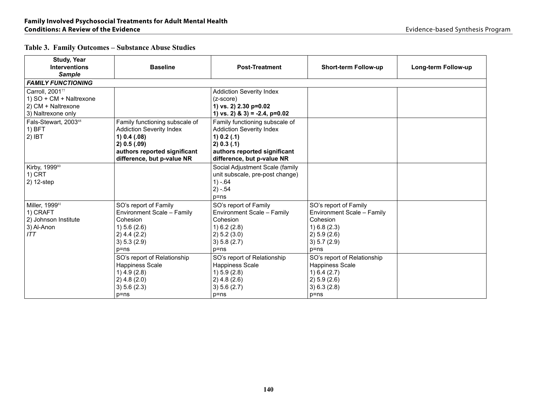| <b>Study, Year</b><br><b>Interventions</b><br><b>Sample</b>                            | <b>Baseline</b>                                                                                                                                                 | <b>Post-Treatment</b>                                                                                                                                           | <b>Short-term Follow-up</b>                                                                                          | Long-term Follow-up |
|----------------------------------------------------------------------------------------|-----------------------------------------------------------------------------------------------------------------------------------------------------------------|-----------------------------------------------------------------------------------------------------------------------------------------------------------------|----------------------------------------------------------------------------------------------------------------------|---------------------|
| <b>FAMILY FUNCTIONING</b>                                                              |                                                                                                                                                                 |                                                                                                                                                                 |                                                                                                                      |                     |
| Carroll, 200177<br>1) SO + CM + Naltrexone<br>2) CM + Naltrexone<br>3) Naltrexone only |                                                                                                                                                                 | <b>Addiction Severity Index</b><br>$(z-score)$<br>1) vs. 2) 2.30 p=0.02<br>1) vs. 2) & 3) = -2.4, $p=0.02$                                                      |                                                                                                                      |                     |
| Fals-Stewart, 200368<br>$1)$ BFT<br>$2)$ IBT                                           | Family functioning subscale of<br><b>Addiction Severity Index</b><br>1) 0.4 (0.8)<br>2) 0.5 (0.9)<br>authors reported significant<br>difference, but p-value NR | Family functioning subscale of<br><b>Addiction Severity Index</b><br>1) 0.2 (0.1)<br>2) 0.3 (0.1)<br>authors reported significant<br>difference, but p-value NR |                                                                                                                      |                     |
| Kirby, 199980<br>$1)$ CRT<br>2) 12-step                                                |                                                                                                                                                                 | Social Adjustment Scale (family<br>unit subscale, pre-post change)<br>$1) - 64$<br>$2) - 54$<br>$p = ns$                                                        |                                                                                                                      |                     |
| Miller, 199981<br>1) CRAFT<br>2) Johnson Institute<br>3) Al-Anon<br>ITT                | SO's report of Family<br>Environment Scale - Family<br>Cohesion<br>1) 5.6 (2.6)<br>$2)$ 4.4 (2.2)<br>3) 5.3 (2.9)<br>$p = ns$                                   | SO's report of Family<br>Environment Scale - Family<br>Cohesion<br>1) 6.2 (2.8)<br>2) 5.2 (3.0)<br>3) 5.8 (2.7)<br>$p = ns$                                     | SO's report of Family<br>Environment Scale - Family<br>Cohesion<br>(2.3)<br>2) 5.9 (2.6)<br>3) 5.7 (2.9)<br>$p = ns$ |                     |
|                                                                                        | SO's report of Relationship<br>Happiness Scale<br>$1)$ 4.9 (2.8)<br>$2)$ 4.8 (2.0)<br>3) 5.6 (2.3)<br>p=ns                                                      | SO's report of Relationship<br><b>Happiness Scale</b><br>1) 5.9 (2.8)<br>$2)$ 4.8 (2.6)<br>3) 5.6 (2.7)<br>$p = ns$                                             | SO's report of Relationship<br><b>Happiness Scale</b><br>1) 6.4 (2.7)<br>2) 5.9 (2.6)<br>3) 6.3 (2.8)<br>$p = ns$    |                     |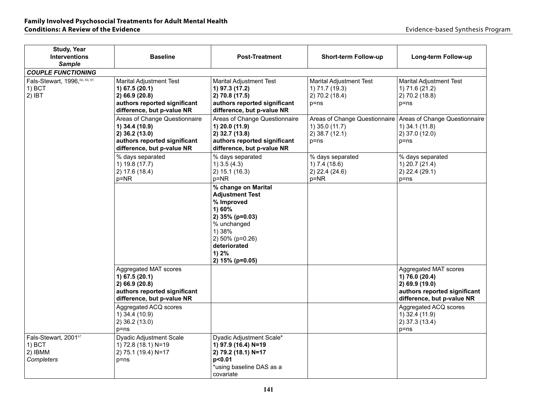| <b>Study, Year</b><br><b>Interventions</b><br><b>Sample</b><br><b>COUPLE FUNCTIONING</b> | <b>Baseline</b>                                                                                                                  | <b>Post-Treatment</b>                                                                                                                                                            | Short-term Follow-up                                                           | Long-term Follow-up                                                                                                     |
|------------------------------------------------------------------------------------------|----------------------------------------------------------------------------------------------------------------------------------|----------------------------------------------------------------------------------------------------------------------------------------------------------------------------------|--------------------------------------------------------------------------------|-------------------------------------------------------------------------------------------------------------------------|
| Fals-Stewart, 1996, 66, 84, 85<br>1) BCT<br>$2)$ IBT                                     | <b>Marital Adjustment Test</b><br>1) 67.5 (20.1)<br>2) 66.9 (20.8)<br>authors reported significant<br>difference, but p-value NR | <b>Marital Adjustment Test</b><br>1) 97.3 (17.2)<br>2) 70.8 (17.5)<br>authors reported significant<br>difference, but p-value NR                                                 | <b>Marital Adjustment Test</b><br>1) 71.7 (19.3)<br>2) 70.2 (18.4)<br>$p = ns$ | <b>Marital Adjustment Test</b><br>1) 71.6 (21.2)<br>2) 70.2 (18.8)<br>$p = ns$                                          |
|                                                                                          | Areas of Change Questionnaire<br>1) 34.4 (10.9)<br>2) 36.2 (13.0)<br>authors reported significant<br>difference, but p-value NR  | Areas of Change Questionnaire<br>1) 20.0 (11.9)<br>2) 32.7 (13.8)<br>authors reported significant<br>difference, but p-value NR                                                  | Areas of Change Questionnaire<br>1) 35.0 (11.7)<br>2) 38.7 (12.1)<br>$p = ns$  | Areas of Change Questionnaire<br>1) 34.1 (11.8)<br>2) 37.0 (12.0)<br>p=ns                                               |
|                                                                                          | % days separated<br>1) 19.8 (17.7)<br>2) 17.6 (18.4)<br>$p = NR$                                                                 | % days separated<br>$1)$ 3.5 (4.3)<br>2) 15.1 (16.3)<br>$p = NR$                                                                                                                 | % days separated<br>1) 7.4 (18.6)<br>$2)$ 22.4 (24.6)<br>$p = NR$              | % days separated<br>1) 20.7 (21.4)<br>2) 22.4 (29.1)<br>$p = ns$                                                        |
|                                                                                          |                                                                                                                                  | % change on Marital<br><b>Adjustment Test</b><br>% Improved<br>1) 60%<br>2) 35% (p=0.03)<br>% unchanged<br>1) 38%<br>2) 50% (p=0.26)<br>deteriorated<br>1) 2%<br>2) 15% (p=0.05) |                                                                                |                                                                                                                         |
|                                                                                          | Aggregated MAT scores<br>1) 67.5 (20.1)<br>2) 66.9 (20.8)<br>authors reported significant<br>difference, but p-value NR          |                                                                                                                                                                                  |                                                                                | Aggregated MAT scores<br>1) 76.0 (20.4)<br>2) 69.9 (19.0)<br>authors reported significant<br>difference, but p-value NR |
|                                                                                          | Aggregated ACQ scores<br>1) 34.4 (10.9)<br>2) 36.2 (13.0)<br>$p = ns$                                                            |                                                                                                                                                                                  |                                                                                | Aggregated ACQ scores<br>1) 32.4 (11.9)<br>2) 37.3 (13.4)<br>p=ns                                                       |
| Fals-Stewart, 200167<br>1) BCT<br>2) IBMM<br>Completers                                  | Dyadic Adjustment Scale<br>1) 72.8 (18.1) N=19<br>2) 75.1 (19.4) N=17<br>$p = ns$                                                | Dyadic Adjustment Scale*<br>1) 97.9 (16.4) N=19<br>2) 79.2 (18.1) N=17<br>p<0.01<br>*using baseline DAS as a<br>covariate                                                        |                                                                                |                                                                                                                         |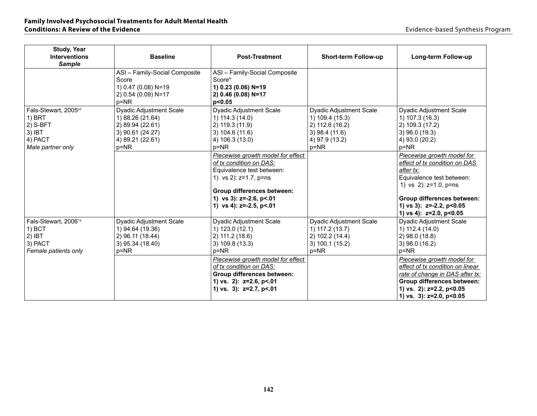| <b>Study, Year</b>                                                                         |                                                                                                                        |                                                                                                                                                                                                                     |                                                                                                                        |                                                                                                                                                                                                                               |
|--------------------------------------------------------------------------------------------|------------------------------------------------------------------------------------------------------------------------|---------------------------------------------------------------------------------------------------------------------------------------------------------------------------------------------------------------------|------------------------------------------------------------------------------------------------------------------------|-------------------------------------------------------------------------------------------------------------------------------------------------------------------------------------------------------------------------------|
| <b>Interventions</b>                                                                       | <b>Baseline</b>                                                                                                        | <b>Post-Treatment</b>                                                                                                                                                                                               | <b>Short-term Follow-up</b>                                                                                            | Long-term Follow-up                                                                                                                                                                                                           |
| <b>Sample</b>                                                                              |                                                                                                                        |                                                                                                                                                                                                                     |                                                                                                                        |                                                                                                                                                                                                                               |
|                                                                                            | ASI - Family-Social Composite<br>Score<br>1) 0.47 (0.08) N=19<br>2) 0.54 (0.09) N=17<br>p=NR                           | ASI - Family-Social Composite<br>Score*<br>1) 0.23 (0.06) N=19<br>2) 0.46 (0.08) N=17<br>p<0.05                                                                                                                     |                                                                                                                        |                                                                                                                                                                                                                               |
| Fals-Stewart, 200569<br>$1)$ BRT<br>$2)$ S-BFT<br>$3)$ IBT<br>4) PACT<br>Male partner only | <b>Dyadic Adjustment Scale</b><br>1) 88.26 (21.64)<br>2) 89.94 (22.61)<br>3) 90.61 (24.27)<br>4) 89.21 (22.61)<br>p=NR | <b>Dyadic Adjustment Scale</b><br>$(1)$ 114.3 $(14.0)$<br>2) 119.3 (11.9)<br>3) 104.6(11.6)<br>4) 106.3 (13.0)<br>$p = NR$                                                                                          | <b>Dyadic Adjustment Scale</b><br>1) 109.4 (15.3)<br>2) 112.6 (16.2)<br>$3)$ 98.4 (11.6)<br>4) 97.9 (13.2)<br>$p = NR$ | Dyadic Adjustment Scale<br>1) 107.3 (16.3)<br>2) 109.3 (17.2)<br>$3)$ 96.0 (19.3)<br>4) 93.0 (20.2)<br>$p = NR$                                                                                                               |
|                                                                                            |                                                                                                                        | Piecewise growth model for effect<br>of tx condition on DAS:<br>Equivalence test between:<br>1) vs 2): $z=1.7$ , $p=ns$<br>Group differences between:<br>1) vs 3): $z=-2.6$ , $p<01$<br>1) vs 4): $z=-2.5$ , $p<01$ |                                                                                                                        | Piecewise growth model for<br>effect of tx condition on DAS<br>after tx:<br>Equivalence test between:<br>1) vs 2): z=1.0, p=ns<br>Group differences between:<br>1) vs 3): $z=-2.2$ , $p<0.05$<br>1) vs 4): $z=2.0$ , $p<0.05$ |
| Fals-Stewart, 200674<br>1) BCT<br>$2)$ IBT<br>3) PACT<br>Female patients only              | <b>Dyadic Adjustment Scale</b><br>1) 94.64 (19.36)<br>2) 96.11 (18.44)<br>3) 95.34 (18.40)<br>p=NR                     | <b>Dyadic Adjustment Scale</b><br>1) 123.0 (12.1)<br>2) 111.2 (18.6)<br>3) 109.8(13.3)<br>p=NR                                                                                                                      | <b>Dyadic Adjustment Scale</b><br>1) 117.2 (13.7)<br>2) 102.2 (14.4)<br>3) 100.1 (15.2)<br>p=NR                        | <b>Dyadic Adjustment Scale</b><br>1) 112.4 (14.0)<br>2) 98.0 (18.8)<br>$3)$ 98.0 (16.2)<br>p=NR                                                                                                                               |
|                                                                                            |                                                                                                                        | Piecewise growth model for effect<br>of tx condition on DAS:<br><b>Group differences between:</b><br>1) vs. 2): $z=2.6$ , $p<01$<br>1) vs. 3): z=2.7, p<.01                                                         |                                                                                                                        | Piecewise growth model for<br>effect of tx condition on linear<br>rate of change in DAS after tx:<br>Group differences between:<br>1) vs. 2): $z=2.2$ , $p<0.05$<br>1) vs. $3$ : z=2.0, p<0.05                                |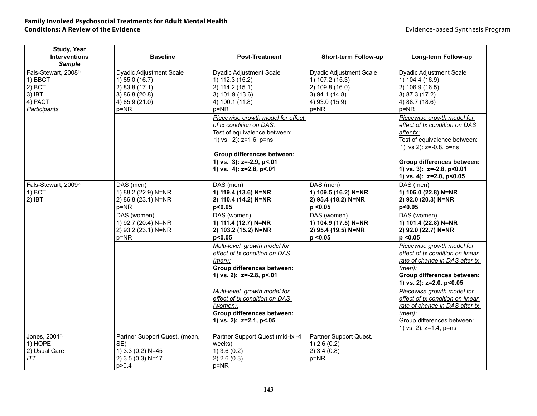| <b>Study, Year</b><br><b>Interventions</b><br><b>Sample</b>                        | <b>Baseline</b>                                                                                      | <b>Post-Treatment</b>                                                                                                                                                                                         | <b>Short-term Follow-up</b>                                                                                        | Long-term Follow-up                                                                                                                                                                                                                 |
|------------------------------------------------------------------------------------|------------------------------------------------------------------------------------------------------|---------------------------------------------------------------------------------------------------------------------------------------------------------------------------------------------------------------|--------------------------------------------------------------------------------------------------------------------|-------------------------------------------------------------------------------------------------------------------------------------------------------------------------------------------------------------------------------------|
| Fals-Stewart, 200878<br>1) BBCT<br>$2)$ BCT<br>$3)$ IBT<br>4) PACT<br>Participants | Dyadic Adjustment Scale<br>1) 85.0 (16.7)<br>2) 83.8(17.1)<br>3)86.8(20.8)<br>4) 85.9 (21.0)<br>p=NR | Dyadic Adjustment Scale<br>1) 112.3 (15.2)<br>2) 114.2 (15.1)<br>3) 101.9 (13.6)<br>4) 100.1 (11.8)<br>$p = NR$                                                                                               | <b>Dyadic Adjustment Scale</b><br>1) 107.2 (15.3)<br>2) 109.8 (16.0)<br>$3)$ 94.1 (14.8)<br>4) 93.0 (15.9)<br>p=NR | Dyadic Adjustment Scale<br>1) 104.4 (16.9)<br>2) 106.9 (16.5)<br>3) 87.3 (17.2)<br>4) 88.7 (18.6)<br>$p = NR$                                                                                                                       |
|                                                                                    |                                                                                                      | Piecewise growth model for effect<br>of tx condition on DAS:<br>Test of equivalence between:<br>1) vs. 2): z=1.6, p=ns<br>Group differences between:<br>1) vs. $3$ : z=-2.9, p<.01<br>1) vs. 4): z=2.8, p<.01 |                                                                                                                    | Piecewise growth model for<br>effect of tx condition on DAS<br>after tx:<br>Test of equivalence between:<br>1) vs 2): z=-0.8, p=ns<br>Group differences between:<br>1) vs. 3): $z=-2.8$ , $p<0.01$<br>1) vs. 4): $z=2.0$ , $p<0.05$ |
| Fals-Stewart, 200979<br>$1)$ BCT<br>$2)$ IBT                                       | DAS (men)<br>1) 88.2 (22.9) N=NR<br>2) 86.8 (23.1) N=NR<br>p=NR                                      | DAS (men)<br>1) 119.4 (13.6) N=NR<br>2) 110.4 (14.2) N=NR<br>p<0.05                                                                                                                                           | DAS (men)<br>1) 109.5 (16.2) N=NR<br>2) 95.4 (18.2) N=NR<br>p < 0.05                                               | DAS (men)<br>1) 106.0 (22.8) N=NR<br>2) 92.0 (20.3) N=NR<br>p<0.05                                                                                                                                                                  |
|                                                                                    | DAS (women)<br>1) 92.7 (20.4) N=NR<br>2) 93.2 (23.1) N=NR<br>$p = NR$                                | DAS (women)<br>1) 111.4 (12.7) N=NR<br>2) 103.2 (15.2) N=NR<br>p<0.05                                                                                                                                         | DAS (women)<br>1) 104.9 (17.5) N=NR<br>2) 95.4 (19.5) N=NR<br>p < 0.05                                             | DAS (women)<br>1) 101.4 (22.8) N=NR<br>2) 92.0 (22.7) N=NR<br>p < 0.05                                                                                                                                                              |
|                                                                                    |                                                                                                      | Multi-level growth model for<br>effect of tx condition on DAS<br>$(men)$ :<br><b>Group differences between:</b><br>1) vs. 2): z=-2.8, p<.01                                                                   |                                                                                                                    | Piecewise growth model for<br>effect of tx condition on linear<br>rate of change in DAS after tx<br>(men):<br><b>Group differences between:</b><br>1) vs. 2): z=2.0, p<0.05                                                         |
|                                                                                    |                                                                                                      | Multi-level growth model for<br>effect of tx condition on DAS<br>(women):<br>Group differences between:<br>1) vs. 2): z=2.1, p<.05                                                                            |                                                                                                                    | Piecewise growth model for<br>effect of tx condition on linear<br>rate of change in DAS after tx<br>$(men)$ :<br>Group differences between:<br>1) vs. 2): z=1.4, p=ns                                                               |
| Jones, 200170<br>1) HOPE<br>2) Usual Care<br>ITT                                   | Partner Support Quest. (mean,<br>SE)<br>1) 3.3 (0.2) N=45<br>2) 3.5 (0.3) N=17<br>p > 0.4            | Partner Support Quest.(mid-tx -4<br>weeks)<br>$1)$ 3.6 (0.2)<br>2) 2.6 (0.3)<br>$p = NR$                                                                                                                      | Partner Support Quest.<br>$1)$ 2.6 (0.2)<br>$2)$ 3.4 (0.8)<br>p=NR                                                 |                                                                                                                                                                                                                                     |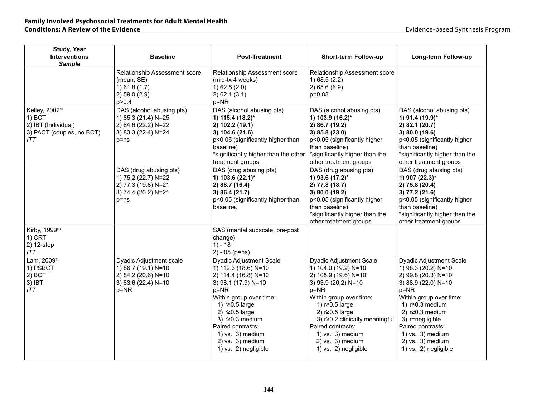| <b>Study, Year</b><br><b>Interventions</b><br><b>Sample</b>                         | <b>Baseline</b>                                                                                          | <b>Post-Treatment</b>                                                                                                                                                                                                                                                                                      | Short-term Follow-up                                                                                                                                                                                                                                                                                                | Long-term Follow-up                                                                                                                                                                                                                                                                                 |
|-------------------------------------------------------------------------------------|----------------------------------------------------------------------------------------------------------|------------------------------------------------------------------------------------------------------------------------------------------------------------------------------------------------------------------------------------------------------------------------------------------------------------|---------------------------------------------------------------------------------------------------------------------------------------------------------------------------------------------------------------------------------------------------------------------------------------------------------------------|-----------------------------------------------------------------------------------------------------------------------------------------------------------------------------------------------------------------------------------------------------------------------------------------------------|
|                                                                                     | Relationship Assessment score<br>(mean, SE)<br>1) 61.8(1.7)<br>2) 59.0 (2.9)<br>p > 0.4                  | Relationship Assessment score<br>(mid-tx 4 weeks)<br>1) 62.5 (2.0)<br>$2)$ 62.1 (3.1)<br>$p = NR$                                                                                                                                                                                                          | Relationship Assessment score<br>(2.2)<br>2) 65.6(6.9)<br>$p=0.83$                                                                                                                                                                                                                                                  |                                                                                                                                                                                                                                                                                                     |
| Kelley, 200263<br>1) BCT<br>2) IBT (Individual)<br>3) PACT (couples, no BCT)<br>ITT | DAS (alcohol abusing pts)<br>1) 85.3 (21.4) N=25<br>2) 84.6 (22.2) N=22<br>3) 83.3 (22.4) N=24<br>p=ns   | DAS (alcohol abusing pts)<br>1) 115.4 (18.2)*<br>2) 102.2 (19.1)<br>3) 104.6 (21.6)<br>p<0.05 (significantly higher than<br>baseline)<br>*significantly higher than the other<br>treatment groups                                                                                                          | DAS (alcohol abusing pts)<br>1) 103.9 (16.2)*<br>2) 86.7 (19.2)<br>3) 85.8 (23.0)<br>p<0.05 (significantly higher<br>than baseline)<br>*significantly higher than the<br>other treatment groups                                                                                                                     | DAS (alcohol abusing pts)<br>1) 91.4 (19.9)*<br>2) 82.1 (20.7)<br>3) 80.0 (19.6)<br>p<0.05 (significantly higher<br>than baseline)<br>*significantly higher than the<br>other treatment groups                                                                                                      |
|                                                                                     | DAS (drug abusing pts)<br>1) 75.2 (22.7) N=22<br>2) 77.3 (19.8) N=21<br>3) 74.4 (20.2) N=21<br>$p = ns$  | DAS (drug abusing pts)<br>1) 103.6 $(22.1)^*$<br>2) 88.7 (16.4)<br>3) 86.4 (21.7)<br>p<0.05 (significantly higher than<br>baseline)                                                                                                                                                                        | DAS (drug abusing pts)<br>1) 93.6 (17.2)*<br>2) 77.8 (18.7)<br>3) 80.0 (19.2)<br>p<0.05 (significantly higher<br>than baseline)<br>*significantly higher than the<br>other treatment groups                                                                                                                         | DAS (drug abusing pts)<br>1) 907 (22.3)*<br>2) 75.8 (20.4)<br>3) 77.2 (21.6)<br>p<0.05 (significantly higher<br>than baseline)<br>*significantly higher than the<br>other treatment groups                                                                                                          |
| Kirby, 199980<br>1) CRT<br>2) 12-step<br>ITT                                        |                                                                                                          | SAS (marital subscale, pre-post<br>change)<br>$1) - 18$<br>$2) - 05$ (p=ns)                                                                                                                                                                                                                                |                                                                                                                                                                                                                                                                                                                     |                                                                                                                                                                                                                                                                                                     |
| Lam, 200971<br>1) PSBCT<br>$2)$ BCT<br>3) IBT<br>ITT                                | Dyadic Adjustment scale<br>1) 86.7 (19.1) N=10<br>2) 84.2 (20.6) N=10<br>3) 83.6 (22.4) N=10<br>$p = NR$ | <b>Dyadic Adjustment Scale</b><br>1) 112.3 (18.6) N=10<br>2) 114.4 (16.8) N=10<br>3) 98.1 (17.9) N=10<br>$p = NR$<br>Within group over time:<br>1) r≥0.5 large<br>2) $r \ge 0.5$ large<br>3) $r \ge 0.3$ medium<br>Paired contrasts:<br>1) vs. $3)$ medium<br>$2)$ vs. $3)$ medium<br>1) vs. 2) negligible | <b>Dyadic Adjustment Scale</b><br>1) 104.0 (19.2) N=10<br>2) 105.9 (19.6) N=10<br>3) 93.9 (20.2) N=10<br>$p = NR$<br>Within group over time:<br>1) r≥0.5 large<br>2) $r \ge 0.5$ large<br>3) r≥0.2 clinically meaningful<br>Paired contrasts:<br>1) vs. $3)$ medium<br>$2)$ vs. $3)$ medium<br>1) vs. 2) negligible | Dyadic Adjustment Scale<br>1) 98.3 (20.2) N=10<br>2) 99.8 (20.3) N=10<br>3) 88.9 (22.0) N=10<br>$p = NR$<br>Within group over time:<br>1) $r \ge 0.3$ medium<br>2) $r \ge 0.3$ medium<br>3) r=negligible<br>Paired contrasts:<br>1) vs. $3)$ medium<br>$2)$ vs. $3)$ medium<br>1) vs. 2) negligible |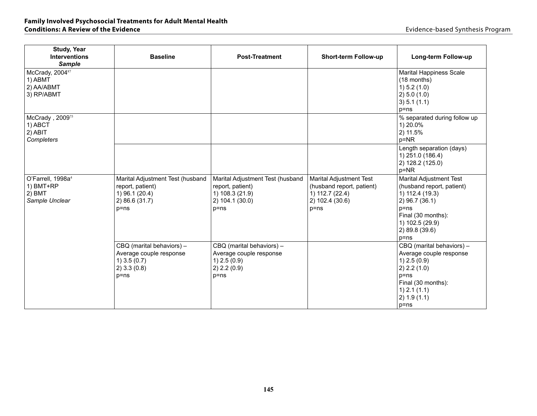| <b>Study, Year</b><br><b>Interventions</b><br><b>Sample</b>              | <b>Baseline</b>                                                                                      | <b>Post-Treatment</b>                                                                                  | <b>Short-term Follow-up</b>                                                                                   | Long-term Follow-up                                                                                                                                                                 |
|--------------------------------------------------------------------------|------------------------------------------------------------------------------------------------------|--------------------------------------------------------------------------------------------------------|---------------------------------------------------------------------------------------------------------------|-------------------------------------------------------------------------------------------------------------------------------------------------------------------------------------|
| McCrady, 200487<br>1) ABMT<br>2) AA/ABMT<br>3) RP/ABMT                   |                                                                                                      |                                                                                                        |                                                                                                               | <b>Marital Happiness Scale</b><br>(18 months)<br>1) 5.2 (1.0)<br>2) 5.0 (1.0)<br>3) 5.1 (1.1)<br>$p = ns$                                                                           |
| McCrady, 2009 <sup>75</sup><br>1) ABCT<br>2) ABIT<br>Completers          |                                                                                                      |                                                                                                        |                                                                                                               | % separated during follow up<br>1) 20.0%<br>2) 11.5%<br>$p = NR$                                                                                                                    |
|                                                                          |                                                                                                      |                                                                                                        |                                                                                                               | Length separation (days)<br>1) 251.0 (186.4)<br>2) 128.2 (125.0)<br>p=NR                                                                                                            |
| O'Farrell, 1998a <sup>4</sup><br>1) BMT+RP<br>$2)$ BMT<br>Sample Unclear | Marital Adjustment Test (husband<br>report, patient)<br>1) 96.1 (20.4)<br>2) 86.6 (31.7)<br>$p = ns$ | Marital Adjustment Test (husband<br>report, patient)<br>1) 108.3 (21.9)<br>2) 104.1 (30.0)<br>$p = ns$ | <b>Marital Adjustment Test</b><br>(husband report, patient)<br>1) 112.7 (22.4)<br>2) 102.4 (30.6)<br>$p = ns$ | <b>Marital Adjustment Test</b><br>(husband report, patient)<br>1) 112.4 (19.3)<br>2) 96.7 (36.1)<br>$p = ns$<br>Final (30 months):<br>1) 102.5 (29.9)<br>2) 89.8 (39.6)<br>$p = ns$ |
|                                                                          | CBQ (marital behaviors) -<br>Average couple response<br>$1)$ 3.5 (0.7)<br>$2)$ 3.3 (0.8)<br>$p = ns$ | CBQ (marital behaviors) -<br>Average couple response<br>$1)$ 2.5 (0.9)<br>2) 2.2 (0.9)<br>$p = ns$     |                                                                                                               | CBQ (marital behaviors) -<br>Average couple response<br>$1)$ 2.5 (0.9)<br>2) 2.2 (1.0)<br>$p = ns$<br>Final (30 months):<br>$1)$ 2.1 $(1.1)$<br>2) 1.9(1.1)<br>$p = ns$             |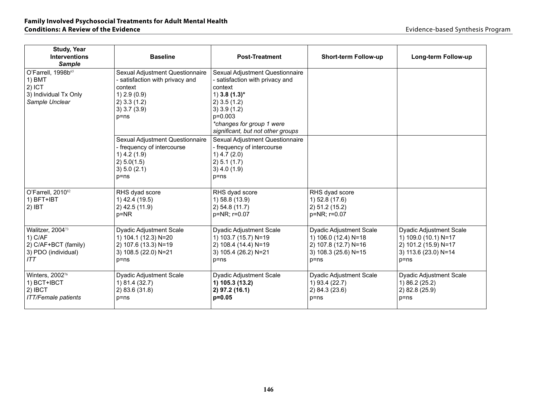| <b>Study, Year</b><br><b>Interventions</b><br><b>Sample</b>                         | <b>Baseline</b>                                                                                                                               | <b>Post-Treatment</b>                                                                                                                                                                                                | <b>Short-term Follow-up</b>                                                                                        | Long-term Follow-up                                                                                                |
|-------------------------------------------------------------------------------------|-----------------------------------------------------------------------------------------------------------------------------------------------|----------------------------------------------------------------------------------------------------------------------------------------------------------------------------------------------------------------------|--------------------------------------------------------------------------------------------------------------------|--------------------------------------------------------------------------------------------------------------------|
| O'Farrell, 1998b65<br>1) BMT<br>$2)$ ICT<br>3) Individual Tx Only<br>Sample Unclear | Sexual Adjustment Questionnaire<br>- satisfaction with privacy and<br>context<br>$1)$ 2.9 (0.9)<br>$2)$ 3.3 (1.2)<br>3) 3.7 (3.9)<br>$p = ns$ | Sexual Adjustment Questionnaire<br>- satisfaction with privacy and<br>context<br>1) 3.8 $(1.3)$ *<br>$2)$ 3.5 (1.2)<br>$3)$ 3.9 (1.2)<br>$p=0.003$<br>*changes for group 1 were<br>significant, but not other groups |                                                                                                                    |                                                                                                                    |
|                                                                                     | Sexual Adjustment Questionnaire<br>- frequency of intercourse<br>$1)$ 4.2 (1.9)<br>2) 5.0(1.5)<br>3) 5.0 (2.1)<br>$p = ns$                    | Sexual Adjustment Questionnaire<br>- frequency of intercourse<br>$1)$ 4.7 (2.0)<br>2) 5.1 (1.7)<br>$3)$ 4.0 (1.9)<br>$p = ns$                                                                                        |                                                                                                                    |                                                                                                                    |
| O'Farrell, 2010 <sup>82</sup><br>1) BFT+IBT<br>$2)$ IBT                             | RHS dyad score<br>1) 42.4 (19.5)<br>2) 42.5 (11.9)<br>$p = NR$                                                                                | RHS dyad score<br>1) 58.8 (13.9)<br>2) 54.8 (11.7)<br>p=NR; r=0.07                                                                                                                                                   | RHS dyad score<br>1) 52.8 (17.6)<br>2) 51.2 (15.2)<br>p=NR; r=0.07                                                 |                                                                                                                    |
| Walitzer, 200473<br>$1)$ C/AF<br>2) C/AF+BCT (family)<br>3) PDO (individual)<br>ITT | <b>Dyadic Adjustment Scale</b><br>1) 104.1 (12.3) N=20<br>2) 107.6 (13.3) N=19<br>3) 108.5 (22.0) N=21<br>$p = ns$                            | <b>Dyadic Adjustment Scale</b><br>1) 103.7 (15.7) N=19<br>2) 108.4 (14.4) N=19<br>3) 105.4 (26.2) N=21<br>$p = ns$                                                                                                   | <b>Dyadic Adjustment Scale</b><br>1) 106.0 (12.4) N=18<br>2) 107.8 (12.7) N=16<br>3) 108.3 (25.6) N=15<br>$p = ns$ | <b>Dyadic Adjustment Scale</b><br>1) 109.0 (10.1) N=17<br>2) 101.2 (15.9) N=17<br>3) 113.6 (23.0) N=14<br>$p = ns$ |
| Winters, 2002 <sup>76</sup><br>1) BCT+IBCT<br>2) IBCT<br><b>ITT/Female patients</b> | Dyadic Adjustment Scale<br>1) 81.4 (32.7)<br>2) 83.6 (31.8)<br>$p = ns$                                                                       | <b>Dyadic Adjustment Scale</b><br>1) 105.3 (13.2)<br>2) 97.2 (16.1)<br>$p=0.05$                                                                                                                                      | Dyadic Adjustment Scale<br>1) 93.4 (22.7)<br>2) 84.3 (23.6)<br>$p = ns$                                            | <b>Dyadic Adjustment Scale</b><br>1) 86.2 (25.2)<br>2) 82.8 (25.9)<br>$p = ns$                                     |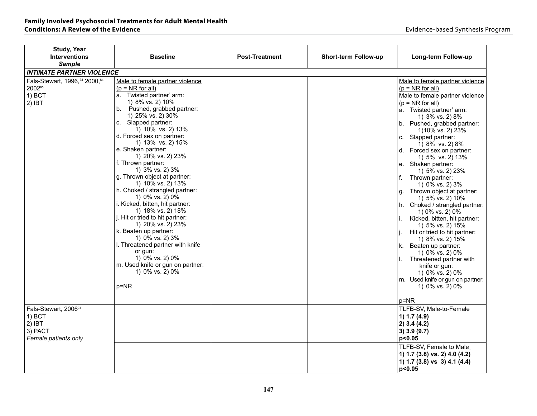| <b>Study, Year</b>               |                                                      |                       |                      |                                                  |
|----------------------------------|------------------------------------------------------|-----------------------|----------------------|--------------------------------------------------|
| <b>Interventions</b>             | <b>Baseline</b>                                      | <b>Post-Treatment</b> | Short-term Follow-up | Long-term Follow-up                              |
| <b>Sample</b>                    |                                                      |                       |                      |                                                  |
| <b>INTIMATE PARTNER VIOLENCE</b> |                                                      |                       |                      |                                                  |
| Fals-Stewart, 1996, 74 2000, 84  | Male to female partner violence                      |                       |                      | Male to female partner violence                  |
| 200285                           | $(p = NR for all)$                                   |                       |                      | $(p = NR for all)$                               |
| $1)$ BCT                         | a. Twisted partner' arm:                             |                       |                      | Male to female partner violence                  |
| $2)$ IBT                         | 1) 8% vs. 2) 10%                                     |                       |                      | $(p = NR for all)$                               |
|                                  | b. Pushed, grabbed partner:                          |                       |                      | a. Twisted partner' arm:                         |
|                                  | 1) 25% vs. 2) 30%                                    |                       |                      | 1) 3% vs. 2) 8%                                  |
|                                  | c. Slapped partner:                                  |                       |                      | b. Pushed, grabbed partner:                      |
|                                  | 1) 10% vs. 2) 13%                                    |                       |                      | 1)10% vs. 2) 23%                                 |
|                                  | d. Forced sex on partner:                            |                       |                      | c. Slapped partner:                              |
|                                  | 1) 13% vs. 2) 15%                                    |                       |                      | 1) 8% vs. 2) 8%                                  |
|                                  | e. Shaken partner:                                   |                       |                      | d. Forced sex on partner:                        |
|                                  | 1) 20% vs. 2) 23%                                    |                       |                      | 1) 5% vs. 2) 13%                                 |
|                                  | f. Thrown partner:                                   |                       |                      | e. Shaken partner:                               |
|                                  | 1) 3% vs. 2) 3%                                      |                       |                      | 1) 5% vs. 2) 23%                                 |
|                                  | g. Thrown object at partner:                         |                       |                      | f.<br>Thrown partner:                            |
|                                  | 1) 10% vs. 2) 13%                                    |                       |                      | 1) 0% vs. 2) 3%                                  |
|                                  | h. Choked / strangled partner:                       |                       |                      | Thrown object at partner:<br>g.                  |
|                                  | 1) 0% vs. 2) 0%                                      |                       |                      | 1) 5% vs. 2) 10%                                 |
|                                  | i. Kicked, bitten, hit partner:<br>1) 18% vs. 2) 18% |                       |                      | h. Choked / strangled partner:                   |
|                                  | j. Hit or tried to hit partner:                      |                       |                      | 1) 0% vs. 2) 0%                                  |
|                                  | 1) 20% vs. 2) 23%                                    |                       |                      | Kicked, bitten, hit partner:<br>j.               |
|                                  | k. Beaten up partner:                                |                       |                      | 1) 5% vs. 2) 15%<br>Hit or tried to hit partner: |
|                                  | 1) 0% vs. 2) 3%                                      |                       |                      | 1) 8% vs. 2) 15%                                 |
|                                  | I. Threatened partner with knife                     |                       |                      | k. Beaten up partner:                            |
|                                  | or gun:                                              |                       |                      | 1) 0% vs. 2) 0%                                  |
|                                  | 1) 0% vs. 2) 0%                                      |                       |                      | Threatened partner with                          |
|                                  | m. Used knife or gun on partner:                     |                       |                      | knife or gun:                                    |
|                                  | 1) 0% vs. 2) 0%                                      |                       |                      | 1) 0% vs. 2) 0%                                  |
|                                  |                                                      |                       |                      | m. Used knife or gun on partner:                 |
|                                  | p=NR                                                 |                       |                      | 1) 0% vs. 2) 0%                                  |
|                                  |                                                      |                       |                      |                                                  |
|                                  |                                                      |                       |                      | $p = NR$                                         |
| Fals-Stewart, 200674             |                                                      |                       |                      | TLFB-SV, Male-to-Female                          |
| $1)$ BCT                         |                                                      |                       |                      | 1) $1.7(4.9)$                                    |
| $2)$ IBT                         |                                                      |                       |                      | $2)$ 3.4 (4.2)                                   |
| 3) PACT                          |                                                      |                       |                      | 3) 3.9 (9.7)                                     |
| Female patients only             |                                                      |                       |                      | p<0.05                                           |
|                                  |                                                      |                       |                      |                                                  |
|                                  |                                                      |                       |                      | TLFB-SV, Female to Male                          |
|                                  |                                                      |                       |                      | 1) 1.7 (3.8) vs. 2) 4.0 (4.2)                    |
|                                  |                                                      |                       |                      | 1) 1.7 (3.8) vs 3) 4.1 (4.4)                     |
|                                  |                                                      |                       |                      | p<0.05                                           |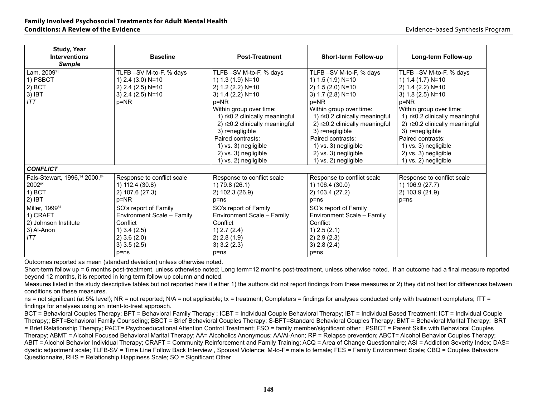| <b>Study, Year</b><br><b>Interventions</b><br><b>Sample</b> | <b>Baseline</b>            | <b>Post-Treatment</b>          | <b>Short-term Follow-up</b>    | Long-term Follow-up            |
|-------------------------------------------------------------|----------------------------|--------------------------------|--------------------------------|--------------------------------|
| Lam, 200971                                                 | TLFB-SV M-to-F, % days     | TLFB-SV M-to-F, % days         | TLFB-SV M-to-F, % days         | TLFB-SV M-to-F, % days         |
| 1) PSBCT                                                    | 1) 2.4 (3.0) N=10          | 1) 1.3 (1.9) N=10              | 1) 1.5 (1.9) N=10              | 1) 1.4 (1.7) N=10              |
| $2)$ BCT                                                    | 2) 2.4 (2.5) N=10          | 2) 1.2 (2.2) N=10              | 2) 1.5 (2.0) N=10              | 2) 1.4 (2.2) N=10              |
| 3) IBT                                                      | $3)$ 2.4 (2.5) N=10        | 3) $1.4$ (2.2) N=10            | 3) $1.7$ (2.8) $N=10$          | 3) 1.8 (2.5) N=10              |
| <b>ITT</b>                                                  | $p = NR$                   | $p=NR$                         | $p = NR$                       | $p = NR$                       |
|                                                             |                            | Within group over time:        | Within group over time:        | Within group over time:        |
|                                                             |                            | 1) r≥0.2 clinically meaningful | 1) r≥0.2 clinically meaningful | 1) r≥0.2 clinically meaningful |
|                                                             |                            | 2) r≥0.2 clinically meaningful | 2) r≥0.2 clinically meaningful | 2) r≥0.2 clinically meaningful |
|                                                             |                            | 3) r=negligible                | 3) r=negligible                | 3) r=negligible                |
|                                                             |                            | Paired contrasts:              | Paired contrasts:              | Paired contrasts:              |
|                                                             |                            | 1) vs. 3) negligible           | 1) vs. 3) negligible           | 1) vs. 3) negligible           |
|                                                             |                            | 2) vs. 3) negligible           | 2) vs. 3) negligible           | 2) vs. 3) negligible           |
|                                                             |                            | 1) vs. 2) negligible           | 1) vs. 2) negligible           | 1) vs. 2) negligible           |
| <b>CONFLICT</b>                                             |                            |                                |                                |                                |
| Fals-Stewart, 1996,74 2000,84                               | Response to conflict scale | Response to conflict scale     | Response to conflict scale     | Response to conflict scale     |
| 200285                                                      | 1) 112.4 (30.8)            | 1) 79.8 (26.1)                 | 1) 106.4 (30.0)                | 1) 106.9 (27.7)                |
| 1) BCT                                                      | 2) 107.6 (27.3)            | 2) 102.3 (26.9)                | 2) 103.4 (27.2)                | 2) 103.9 (21.9)                |
| $2)$ IBT                                                    | $p = NR$                   | $p = ns$                       | $p = ns$                       | p=ns                           |
| Miller, 1999 <sup>81</sup>                                  | SO's report of Family      | SO's report of Family          | SO's report of Family          |                                |
| 1) CRAFT                                                    | Environment Scale - Family | Environment Scale - Family     | Environment Scale - Family     |                                |
| 2) Johnson Institute                                        | Conflict                   | Conflict                       | Conflict                       |                                |
| 3) Al-Anon                                                  | $1)$ 3.4 (2.5)             | 1) 2.7 (2.4)                   | $1)$ 2.5 (2.1)                 |                                |
| ITT                                                         | $2)$ 3.6 (2.0)             | 2) 2.8(1.9)                    | 2) 2.9 (2.3)                   |                                |
|                                                             | $3)$ 3.5 (2.5)             | $3)$ 3.2 (2.3)                 | 3) 2.8 (2.4)                   |                                |
|                                                             | $p = ns$                   | p=ns                           | $p = ns$                       |                                |

Short-term follow up = 6 months post-treatment, unless otherwise noted; Long term=12 months post-treatment, unless otherwise noted. If an outcome had a final measure reported beyond 12 months, it is reported in long term follow up column and noted.

Measures listed in the study descriptive tables but not reported here if either 1) the authors did not report findings from these measures or 2) they did not test for differences between conditions on these measures.

ns = not significant (at 5% level); NR = not reported; N/A = not applicable; tx = treatment; Completers = findings for analyses conducted only with treatment completers; ITT = findings for analyses using an intent-to-treat approach.

BCT = Behavioral Couples Therapy; BFT = Behavioral Family Therapy ; ICBT = Individual Couple Behavioral Therapy; IBT = Individual Based Treatment; ICT = Individual Couple Therapy;; BFT=Behavioral Family Counseling; BBCT = Brief Behavioral Couples Therapy; S-BFT=Standard Behavioral Couples Therapy; BMT = Behavioral Marital Therapy; BRT = Brief Relationship Therapy; PACT= Psychoeducational Attention Control Treatment; FSO = family member/significant other ; PSBCT = Parent Skills with Behavioral Couples Therapy; ABMT = Alcohol Focused Behavioral Marital Therapy; AA= Alcoholics Anonymous; AA/Al-Anon; RP = Relapse prevention; ABCT= Alcohol Behavior Couples Therapy; ABIT = Alcohol Behavior Individual Therapy; CRAFT = Community Reinforcement and Family Training; ACQ = Area of Change Questionnaire; ASI = Addiction Severity Index; DAS= dyadic adjustment scale; TLFB-SV = Time Line Follow Back Interview , Spousal Violence; M-to-F= male to female; FES = Family Environment Scale; CBQ = Couples Behaviors Questionnaire, RHS = Relationship Happiness Scale; SO = Significant Other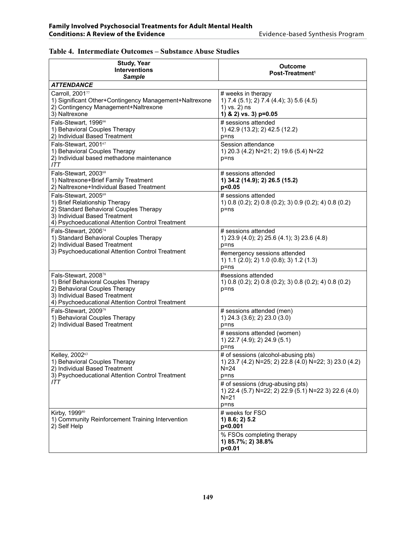| <b>Study, Year</b>                                                                                                                                                                   |                                                                                                                      |
|--------------------------------------------------------------------------------------------------------------------------------------------------------------------------------------|----------------------------------------------------------------------------------------------------------------------|
| <b>Interventions</b><br><b>Sample</b>                                                                                                                                                | <b>Outcome</b><br>Post-Treatment <sup>1</sup>                                                                        |
| <i><b>ATTENDANCE</b></i>                                                                                                                                                             |                                                                                                                      |
| Carroll, 200177<br>1) Significant Other+Contingency Management+Naltrexone<br>2) Contingency Management+Naltrexone<br>3) Naltrexone                                                   | # weeks in therapy<br>1) 7.4 (5.1); 2) 7.4 (4.4); 3) 5.6 (4.5)<br>1) vs. 2) ns<br>1) & 2) vs. 3) p=0.05              |
| Fals-Stewart, 199666<br>1) Behavioral Couples Therapy<br>2) Individual Based Treatment                                                                                               | # sessions attended<br>1) 42.9 (13.2); 2) 42.5 (12.2)<br>p=ns                                                        |
| Fals-Stewart, 200167<br>1) Behavioral Couples Therapy<br>2) Individual based methadone maintenance<br>ITT                                                                            | Session attendance<br>1) 20.3 (4.2) N=21; 2) 19.6 (5.4) N=22<br>$p = ns$                                             |
| Fals-Stewart, 200368<br>1) Naltrexone+Brief Family Treatment<br>2) Naltrexone+Individual Based Treatment                                                                             | # sessions attended<br>1) 34.2 (14.9); 2) 26.5 (15.2)<br>p<0.05                                                      |
| Fals-Stewart, 200569<br>1) Brief Relationship Therapy<br>2) Standard Behavioral Couples Therapy<br>3) Individual Based Treatment<br>4) Psychoeducational Attention Control Treatment | # sessions attended<br>1) 0.8 (0.2); 2) 0.8 (0.2); 3) 0.9 (0.2); 4) 0.8 (0.2)<br>$p = ns$                            |
| Fals-Stewart, 200674<br>1) Standard Behavioral Couples Therapy<br>2) Individual Based Treatment                                                                                      | # sessions attended<br>1) 23.9 (4.0); 2) 25.6 (4.1); 3) 23.6 (4.8)<br>$p = ns$                                       |
| 3) Psychoeducational Attention Control Treatment                                                                                                                                     | #emergency sessions attended<br>1) 1.1 (2.0); 2) 1.0 (0.8); 3) 1.2 (1.3)<br>$p = nS$                                 |
| Fals-Stewart, 200878<br>1) Brief Behavioral Couples Therapy<br>2) Behavioral Couples Therapy<br>3) Individual Based Treatment<br>4) Psychoeducational Attention Control Treatment    | #sessions attended<br>1) 0.8 (0.2); 2) 0.8 (0.2); 3) 0.8 (0.2); 4) 0.8 (0.2)<br>p=ns                                 |
| Fals-Stewart, 200979<br>1) Behavioral Couples Therapy<br>2) Individual Based Treatment                                                                                               | # sessions attended (men)<br>1) 24.3 (3.6); 2) 23.0 (3.0)<br>$p = ns$                                                |
|                                                                                                                                                                                      | # sessions attended (women)<br>1) 22.7 (4.9); 2) 24.9 (5.1)<br>$p = ns$                                              |
| Kelley, 200263<br>1) Behavioral Couples Therapy<br>2) Individual Based Treatment<br>3) Psychoeducational Attention Control Treatment                                                 | # of sessions (alcohol-abusing pts)<br>1) 23.7 (4.2) N=25; 2) 22.8 (4.0) N=22; 3) 23.0 (4.2)<br>$N = 24$<br>$p = ns$ |
| ITT                                                                                                                                                                                  | # of sessions (drug-abusing pts)<br>1) 22.4 (5.7) N=22; 2) 22.9 (5.1) N=22 3) 22.6 (4.0)<br>$N = 21$<br>$p = ns$     |
| Kirby, 199980<br>1) Community Reinforcement Training Intervention<br>2) Self Help                                                                                                    | # weeks for FSO<br>1) 8.6; 2) 5.2<br>p<0.001                                                                         |
|                                                                                                                                                                                      | % FSOs completing therapy<br>1) 85.7%; 2) 38.8%<br>p<0.01                                                            |

#### **Table 4. Intermediate Outcomes – Substance Abuse Studies**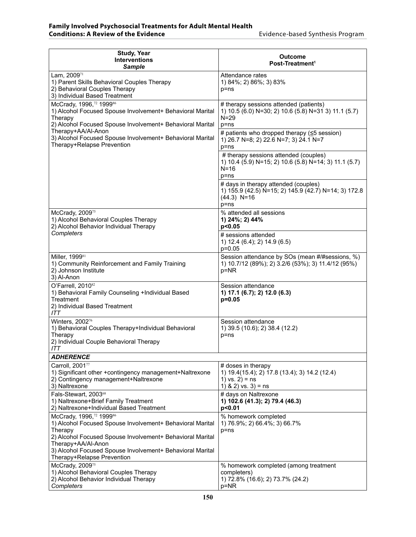| <b>Study, Year</b><br><b>Interventions</b><br>Sample                                                                                                         | Outcome<br>Post-Treatment <sup>1</sup>                                                                                    |
|--------------------------------------------------------------------------------------------------------------------------------------------------------------|---------------------------------------------------------------------------------------------------------------------------|
| Lam, 200971<br>1) Parent Skills Behavioral Couples Therapy<br>2) Behavioral Couples Therapy<br>3) Individual Based Treatment                                 | Attendance rates<br>1) 84%; 2) 86%; 3) 83%<br>p=ns                                                                        |
| McCrady, 1996,72 199986<br>1) Alcohol Focused Spouse Involvement+ Behavioral Marital<br>Therapy<br>2) Alcohol Focused Spouse Involvement+ Behavioral Marital | # therapy sessions attended (patients)<br>1) 10.5 (6.0) N=30; 2) 10.6 (5.8) N=31 3) 11.1 (5.7)<br>N=29<br>$p = ns$        |
| Therapy+AA/Al-Anon<br>3) Alcohol Focused Spouse Involvement+ Behavioral Marital<br>Therapy+Relapse Prevention                                                | # patients who dropped therapy (≤5 session)<br>1) 26.7 N=8; 2) 22.6 N=7; 3) 24.1 N=7<br>p=ns                              |
|                                                                                                                                                              | # therapy sessions attended (couples)<br>1) 10.4 (5.9) N=15; 2) 10.6 (5.8) N=14; 3) 11.1 (5.7)<br>N=16<br>p=ns            |
|                                                                                                                                                              | # days in therapy attended (couples)<br>1) 155.9 (42.5) N=15; 2) 145.9 (42.7) N=14; 3) 172.8<br>$(44.3)$ N=16<br>$p = ns$ |
| McCrady, 200975<br>1) Alcohol Behavioral Couples Therapy<br>2) Alcohol Behavior Individual Therapy                                                           | % attended all sessions<br>1) 24%; 2) 44%<br>p<0.05                                                                       |
| Completers                                                                                                                                                   | # sessions attended<br>1) 12.4 (6.4); 2) 14.9 (6.5)<br>$p=0.05$                                                           |
| Miller, 1999 <sup>81</sup><br>1) Community Reinforcement and Family Training<br>2) Johnson Institute<br>3) Al-Anon                                           | Session attendance by SOs (mean #/#sessions, %)<br>1) 10.7/12 (89%); 2) 3.2/6 (53%); 3) 11.4/12 (95%)<br>p=NR             |
| O'Farrell, 2010 <sup>82</sup><br>1) Behavioral Family Counseling +Individual Based<br>Treatment<br>2) Individual Based Treatment<br>ITT                      | Session attendance<br>1) 17.1 (6.7); 2) 12.0 (6.3)<br>$p=0.05$                                                            |
| Winters, 2002 <sup>76</sup><br>1) Behavioral Couples Therapy+Individual Behavioral<br>Therapy<br>2) Individual Couple Behavioral Therapy<br>ITT              | Session attendance<br>1) 39.5 (10.6); 2) 38.4 (12.2)<br>p=ns                                                              |
| <b>ADHERENCE</b>                                                                                                                                             |                                                                                                                           |
| Carroll, 200177<br>1) Significant other +contingency management+Naltrexone<br>2) Contingency management+Naltrexone<br>3) Naltrexone                          | # doses in therapy<br>1) 19.4(15.4); 2) 17.8 (13.4); 3) 14.2 (12.4)<br>1) $vs. 2$ ) = ns<br>1) & 2) vs. $3$ ) = ns        |
| Fals-Stewart, 200368<br>1) Naltrexone+Brief Family Treatment<br>2) Naltrexone+Individual Based Treatment                                                     | # days on Naltrexone<br>1) 102.6 (41.3); 2) 79.4 (46.3)<br>p<0.01                                                         |
| McCrady, 1996,72 199986<br>1) Alcohol Focused Spouse Involvement+ Behavioral Marital<br>Therapy<br>2) Alcohol Focused Spouse Involvement+ Behavioral Marital | % homework completed<br>1) 76.9%; 2) 66.4%; 3) 66.7%<br>p=ns                                                              |
| Therapy+AA/Al-Anon<br>3) Alcohol Focused Spouse Involvement+ Behavioral Marital<br>Therapy+Relapse Prevention                                                |                                                                                                                           |
| McCrady, 2009 <sup>75</sup><br>1) Alcohol Behavioral Couples Therapy<br>2) Alcohol Behavior Individual Therapy<br>Completers                                 | % homework completed (among treatment<br>completers)<br>1) 72.8% (16.6); 2) 73.7% (24.2)<br>p=NR                          |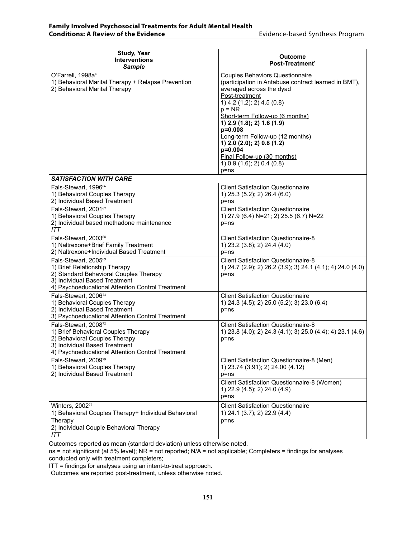| <b>Study, Year</b><br><b>Interventions</b><br><b>Sample</b>                                                                                                                          | Outcome<br>Post-Treatment <sup>1</sup>                                                                                                                                                                                                                                                                                                                                                                                                |
|--------------------------------------------------------------------------------------------------------------------------------------------------------------------------------------|---------------------------------------------------------------------------------------------------------------------------------------------------------------------------------------------------------------------------------------------------------------------------------------------------------------------------------------------------------------------------------------------------------------------------------------|
| O'Farrell, 1998a <sup>4</sup><br>1) Behavioral Marital Therapy + Relapse Prevention<br>2) Behavioral Marital Therapy                                                                 | <b>Couples Behaviors Questionnaire</b><br>(participation in Antabuse contract learned in BMT),<br>averaged across the dyad<br>Post-treatment<br>1) $4.2$ (1.2); 2) $4.5$ (0.8)<br>$p = NR$<br>Short-term Follow-up (6 months)<br>$1)$ 2.9 (1.8); 2) 1.6 (1.9)<br>$p=0.008$<br>Long-term Follow-up (12 months)<br>$1)$ 2.0 (2.0); 2) 0.8 (1.2)<br>p=0.004<br>Final Follow-up (30 months)<br>1) $0.9$ (1.6); 2) $0.4$ (0.8)<br>$p = ns$ |
| <b>SATISFACTION WITH CARE</b>                                                                                                                                                        |                                                                                                                                                                                                                                                                                                                                                                                                                                       |
| Fals-Stewart, 1996 <sup>66</sup><br>1) Behavioral Couples Therapy<br>2) Individual Based Treatment                                                                                   | <b>Client Satisfaction Questionnaire</b><br>1) 25.3 (5.2); 2) 26.4 (6.0)<br>p=ns                                                                                                                                                                                                                                                                                                                                                      |
| Fals-Stewart, 200167<br>1) Behavioral Couples Therapy<br>2) Individual based methadone maintenance<br>ITT                                                                            | <b>Client Satisfaction Questionnaire</b><br>1) 27.9 (6.4) N=21; 2) 25.5 (6.7) N=22<br>p=ns                                                                                                                                                                                                                                                                                                                                            |
| Fals-Stewart, 200368<br>1) Naltrexone+Brief Family Treatment<br>2) Naltrexone+Individual Based Treatment                                                                             | <b>Client Satisfaction Questionnaire-8</b><br>1) 23.2 (3.8); 2) 24.4 (4.0)<br>$p = ns$                                                                                                                                                                                                                                                                                                                                                |
| Fals-Stewart, 200569<br>1) Brief Relationship Therapy<br>2) Standard Behavioral Couples Therapy<br>3) Individual Based Treatment<br>4) Psychoeducational Attention Control Treatment | <b>Client Satisfaction Questionnaire-8</b><br>1) 24.7 (2.9); 2) 26.2 (3.9); 3) 24.1 (4.1); 4) 24.0 (4.0)<br>$p = ns$                                                                                                                                                                                                                                                                                                                  |
| Fals-Stewart, 200674<br>1) Behavioral Couples Therapy<br>2) Individual Based Treatment<br>3) Psychoeducational Attention Control Treatment                                           | <b>Client Satisfaction Questionnaire</b><br>1) 24.3 (4.5); 2) 25.0 (5.2); 3) 23.0 (6.4)<br>$p = ns$                                                                                                                                                                                                                                                                                                                                   |
| Fals-Stewart, 200878<br>1) Brief Behavioral Couples Therapy<br>2) Behavioral Couples Therapy<br>3) Individual Based Treatment<br>4) Psychoeducational Attention Control Treatment    | <b>Client Satisfaction Questionnaire-8</b><br>1) 23.8 (4.0); 2) 24.3 (4.1); 3) 25.0 (4.4); 4) 23.1 (4.6)<br>$p = ns$                                                                                                                                                                                                                                                                                                                  |
| Fals-Stewart, 200979<br>1) Behavioral Couples Therapy<br>2) Individual Based Treatment                                                                                               | Client Satisfaction Questionnaire-8 (Men)<br>1) 23.74 (3.91); 2) 24.00 (4.12)<br>p=ns                                                                                                                                                                                                                                                                                                                                                 |
|                                                                                                                                                                                      | Client Satisfaction Questionnaire-8 (Women)<br>1) 22.9 (4.5); 2) 24.0 (4.9)<br>$p = ns$                                                                                                                                                                                                                                                                                                                                               |
| Winters, 2002 <sup>76</sup><br>1) Behavioral Couples Therapy+ Individual Behavioral<br>Therapy<br>2) Individual Couple Behavioral Therapy<br><b>ITT</b>                              | <b>Client Satisfaction Questionnaire</b><br>1) 24.1 (3.7); 2) 22.9 (4.4)<br>$p = ns$                                                                                                                                                                                                                                                                                                                                                  |

ns = not significant (at 5% level); NR = not reported; N/A = not applicable; Completers = findings for analyses conducted only with treatment completers;

ITT = findings for analyses using an intent-to-treat approach.

1 Outcomes are reported post-treatment, unless otherwise noted.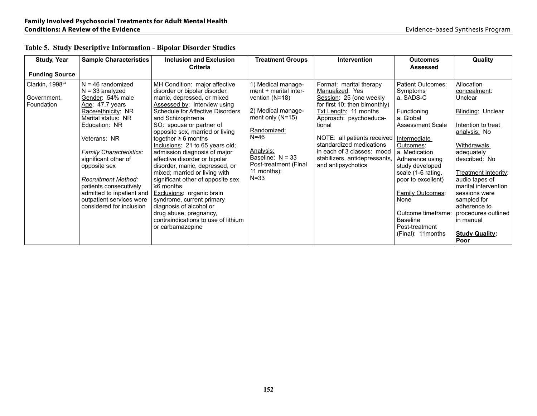| <b>Study, Year</b>                                       | <b>Sample Characteristics</b>                                                                                                                                                                                   | <b>Inclusion and Exclusion</b>                                                                                                                                                                                                                                                                                                                                                       | <b>Treatment Groups</b>                                                                                                                                                                            | <b>Intervention</b>                                                                                                                                                                                                                                                                           | <b>Outcomes</b>                                                                                                                                                                 | Quality                                                                                                                                                                             |
|----------------------------------------------------------|-----------------------------------------------------------------------------------------------------------------------------------------------------------------------------------------------------------------|--------------------------------------------------------------------------------------------------------------------------------------------------------------------------------------------------------------------------------------------------------------------------------------------------------------------------------------------------------------------------------------|----------------------------------------------------------------------------------------------------------------------------------------------------------------------------------------------------|-----------------------------------------------------------------------------------------------------------------------------------------------------------------------------------------------------------------------------------------------------------------------------------------------|---------------------------------------------------------------------------------------------------------------------------------------------------------------------------------|-------------------------------------------------------------------------------------------------------------------------------------------------------------------------------------|
|                                                          |                                                                                                                                                                                                                 | <b>Criteria</b>                                                                                                                                                                                                                                                                                                                                                                      |                                                                                                                                                                                                    |                                                                                                                                                                                                                                                                                               | <b>Assessed</b>                                                                                                                                                                 |                                                                                                                                                                                     |
| <b>Funding Source</b>                                    |                                                                                                                                                                                                                 |                                                                                                                                                                                                                                                                                                                                                                                      |                                                                                                                                                                                                    |                                                                                                                                                                                                                                                                                               |                                                                                                                                                                                 |                                                                                                                                                                                     |
| Clarkin, 1998 <sup>94</sup><br>Government,<br>Foundation | $N = 46$ randomized<br>$N = 33$ analyzed<br>Gender: 54% male<br>Age: 47.7 years<br>Race/ethnicity: NR<br>Marital status: NR<br>Education: NR<br>Veterans: NR<br>Family Characteristics:<br>significant other of | MH Condition: major affective<br>disorder or bipolar disorder,<br>manic, depressed, or mixed<br>Assessed by: Interview using<br>Schedule for Affective Disorders<br>and Schizophrenia<br>SO: spouse or partner of<br>opposite sex, married or living<br>together $\geq 6$ months<br>Inclusions: 21 to 65 years old;<br>admission diagnosis of major<br>affective disorder or bipolar | 1) Medical manage-<br>ment + marital inter-<br>vention $(N=18)$<br>2) Medical manage-<br>ment only $(N=15)$<br>Randomized:<br>$N = 46$<br>Analysis:<br>Baseline: $N = 33$<br>Post-treatment (Final | Format: marital therapy<br>Manualized: Yes<br>Session: 25 (one weekly<br>for first 10; then bimonthly)<br>Txt Length: 11 months<br>Approach: psychoeduca-<br>tional<br>NOTE: all patients received<br>standardized medications<br>in each of 3 classes: mood<br>stabilizers, antidepressants, | Patient Outcomes:<br>Symptoms<br>a. SADS-C<br>Functioning<br>a. Global<br>Assessment Scale<br>Intermediate<br>Outcomes:<br>a. Medication<br>Adherence using                     | Allocation<br>concealment:<br>Unclear<br>Blinding: Unclear<br>Intention to treat<br>analysis: No<br>Withdrawals<br>adequately<br>described: No                                      |
|                                                          | opposite sex<br><b>Recruitment Method:</b><br>patients consecutively<br>admitted to inpatient and<br>outpatient services were<br>considered for inclusion                                                       | disorder, manic, depressed, or<br>mixed; married or living with<br>significant other of opposite sex<br>$\geq 6$ months<br>Exclusions: organic brain<br>syndrome, current primary<br>diagnosis of alcohol or<br>drug abuse, pregnancy,<br>contraindications to use of lithium<br>or carbamazepine                                                                                    | 11 months):<br>$N = 33$                                                                                                                                                                            | and antipsychotics                                                                                                                                                                                                                                                                            | study developed<br>scale (1-6 rating,<br>poor to excellent)<br><b>Family Outcomes:</b><br>None<br>Outcome timeframe:<br><b>Baseline</b><br>Post-treatment<br>(Final): 11 months | Treatment Integrity:<br>audio tapes of<br>marital intervention<br>sessions were<br>sampled for<br>adherence to<br>procedures outlined<br>in manual<br><b>Study Quality:</b><br>Poor |

### **Table 5. Study Descriptive Information - Bipolar Disorder Studies**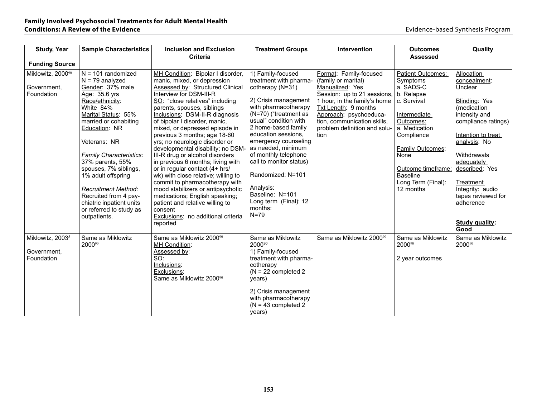| <b>Study, Year</b>           | <b>Sample Characteristics</b>                | <b>Inclusion and Exclusion</b>                                  | <b>Treatment Groups</b>                       | <b>Intervention</b>                                   | <b>Outcomes</b>            | Quality               |
|------------------------------|----------------------------------------------|-----------------------------------------------------------------|-----------------------------------------------|-------------------------------------------------------|----------------------------|-----------------------|
|                              |                                              | <b>Criteria</b>                                                 |                                               |                                                       | <b>Assessed</b>            |                       |
| <b>Funding Source</b>        |                                              |                                                                 |                                               |                                                       |                            |                       |
| Miklowitz, 200090            | $N = 101$ randomized                         | MH Condition: Bipolar I disorder,                               | 1) Family-focused                             | Format: Family-focused                                | <b>Patient Outcomes:</b>   | Allocation            |
|                              | $N = 79$ analyzed                            | manic, mixed, or depression                                     | treatment with pharma-                        | (family or marital)                                   | Symptoms                   | concealment:          |
| Government,                  | Gender: 37% male                             | Assessed by: Structured Clinical                                | cotherapy (N=31)                              | Manualized: Yes                                       | a. SADS-C                  | Unclear               |
| Foundation                   | Age: 35.6 yrs                                | Interview for DSM-III-R                                         |                                               | Session: up to 21 sessions.                           | b. Relapse                 |                       |
|                              | Race/ethnicity:                              | SO: "close relatives" including                                 | 2) Crisis management                          | 1 hour, in the family's home                          | c. Survival                | Blinding: Yes         |
|                              | White 84%                                    | parents, spouses, siblings                                      | with pharmacotherapy<br>(N=70) ("treatment as | Txt Length: 9 months                                  |                            | (medication           |
|                              | Marital Status: 55%<br>married or cohabiting | Inclusions: DSM-II-R diagnosis<br>of bipolar I disorder, manic, | usual" condition with                         | Approach: psychoeduca-<br>tion, communication skills, | Intermediate               | intensity and         |
|                              | Education: NR                                | mixed, or depressed episode in                                  | 2 home-based family                           | problem definition and solu-                          | Outcomes:<br>a. Medication | compliance ratings)   |
|                              |                                              | previous 3 months; age 18-60                                    | education sessions.                           | tion                                                  | Compliance                 | Intention to treat    |
|                              | Veterans: NR                                 | yrs; no neurologic disorder or                                  | emergency counseling                          |                                                       |                            | analysis: No          |
|                              |                                              | developmental disability; no DSM-                               | as needed, minimum                            |                                                       | Family Outcomes:           |                       |
|                              | Family Characteristics:                      | III-R drug or alcohol disorders                                 | of monthly telephone                          |                                                       | None                       | Withdrawals           |
|                              | 37% parents, 55%                             | in previous 6 months; living with                               | call to monitor status)                       |                                                       |                            | adequately            |
|                              | spouses, 7% siblings,                        | or in regular contact (4+ hrs/                                  |                                               |                                                       | Outcome timeframe:         | described: Yes        |
|                              | 1% adult offspring                           | wk) with close relative; willing to                             | Randomized: N=101                             |                                                       | <b>Baseline</b>            |                       |
|                              |                                              | commit to pharmacotherapy with                                  |                                               |                                                       | Long Term (Final):         | Treatment             |
|                              | <b>Recruitment Method:</b>                   | mood stabilizers or antipsychotic                               | Analysis:                                     |                                                       | 12 months                  | Integrity: audio      |
|                              | Recruited from 4 psy-                        | medications; English speaking;                                  | Baseline: N=101                               |                                                       |                            | tapes reviewed for    |
|                              | chiatric inpatient units                     | patient and relative willing to                                 | Long term (Final): 12<br>months:              |                                                       |                            | adherence             |
|                              | or referred to study as                      | consent                                                         | $N=79$                                        |                                                       |                            |                       |
|                              | outpatients.                                 | Exclusions: no additional criteria                              |                                               |                                                       |                            | <b>Study quality:</b> |
|                              |                                              | reported                                                        |                                               |                                                       |                            | Good                  |
| Miklowitz, 2003 <sup>5</sup> | Same as Miklowitz                            | Same as Miklowitz 2000 <sup>90</sup>                            | Same as Miklowitz                             | Same as Miklowitz 2000 <sup>90</sup>                  | Same as Miklowitz          | Same as Miklowitz     |
|                              | 2000%                                        | <b>MH Condition:</b>                                            | 200090                                        |                                                       | 2000%                      | 2000%                 |
| Government,                  |                                              | Assessed by:                                                    | 1) Family-focused                             |                                                       |                            |                       |
| Foundation                   |                                              | SO:                                                             | treatment with pharma-                        |                                                       | 2 year outcomes            |                       |
|                              |                                              | Inclusions:<br>Exclusions:                                      | cotherapy<br>$(N = 22$ completed 2            |                                                       |                            |                       |
|                              |                                              | Same as Miklowitz 2000 <sup>90</sup>                            | years)                                        |                                                       |                            |                       |
|                              |                                              |                                                                 |                                               |                                                       |                            |                       |
|                              |                                              |                                                                 | 2) Crisis management                          |                                                       |                            |                       |
|                              |                                              |                                                                 | with pharmacotherapy                          |                                                       |                            |                       |
|                              |                                              |                                                                 | $(N = 43$ completed 2                         |                                                       |                            |                       |
|                              |                                              |                                                                 | years)                                        |                                                       |                            |                       |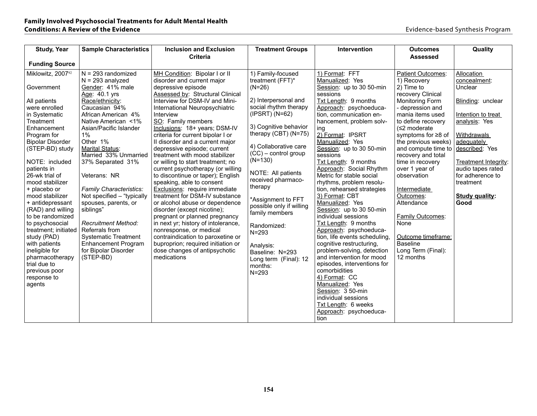| <b>Study, Year</b>                     | <b>Sample Characteristics</b>                 | <b>Inclusion and Exclusion</b>                                       | <b>Treatment Groups</b>                     | Intervention                                            | <b>Outcomes</b>                           | Quality                    |
|----------------------------------------|-----------------------------------------------|----------------------------------------------------------------------|---------------------------------------------|---------------------------------------------------------|-------------------------------------------|----------------------------|
|                                        |                                               | <b>Criteria</b>                                                      |                                             |                                                         | <b>Assessed</b>                           |                            |
| <b>Funding Source</b>                  |                                               |                                                                      |                                             |                                                         |                                           |                            |
| Miklowitz, 200792                      | $N = 293$ randomized<br>$N = 293$ analyzed    | MH Condition: Bipolar I or II<br>disorder and current major          | 1) Family-focused<br>treatment (FFT)*       | 1) Format: FFT<br>Manualized: Yes                       | Patient Outcomes:<br>1) Recovery          | Allocation<br>concealment: |
| Government                             | Gender: 41% male                              | depressive episode                                                   | $(N=26)$                                    | Session: up to 30 50-min<br>sessions                    | 2) Time to                                | Unclear                    |
| All patients                           | Age: 40.1 yrs<br>Race/ethnicity:              | Assessed by: Structural Clinical<br>Interview for DSM-IV and Mini-   | 2) Interpersonal and                        | Txt Length: 9 months                                    | recovery Clinical<br>Monitoring Form      | Blinding: unclear          |
| were enrolled<br>in Systematic         | Caucasian 94%<br>African American 4%          | International Neuropsychiatric<br>Interview                          | social rhythm therapy<br>$(IPSRT)$ $(N=62)$ | Approach: psychoeduca-<br>tion, communication en-       | - depression and<br>mania items used      | Intention to treat         |
| Treatment                              | Native American <1%                           | SO: Family members                                                   |                                             | hancement, problem solv-                                | to define recovery                        | analysis: Yes              |
| Enhancement                            | Asian/Pacific Islander                        | Inclusions: 18+ years; DSM-IV                                        | 3) Cognitive behavior                       | ing                                                     | $(≤2$ moderate                            |                            |
| Program for<br><b>Bipolar Disorder</b> | $1\%$<br>Other 1%                             | criteria for current bipolar I or<br>Il disorder and a current major | therapy (CBT) (N=75)                        | 2) Format: IPSRT<br>Manualized: Yes                     | symptoms for ≥8 of<br>the previous weeks) | Withdrawals<br>adequately  |
| (STEP-BD) study                        | Marital Status:                               | depressive episode; current                                          | 4) Collaborative care                       | Session: up to 30 50-min                                | and compute time to                       | described: Yes             |
| NOTE: included                         | Married 33% Unmarried<br>37% Separated 31%    | treatment with mood stabilizer<br>or willing to start treatment; no  | $(CC)$ – control group<br>$(N=130)$         | sessions<br>Txt Length: 9 months                        | recovery and total<br>time in recovery    | Treatment Integrity:       |
| patients in                            |                                               | current psychotherapy (or willing                                    |                                             | Approach: Social Rhythm                                 | over 1 year of                            | audio tapes rated          |
| 26-wk trial of                         | Veterans: NR                                  | to discontinue or taper); English                                    | NOTE: All patients<br>received pharmaco-    | Metric for stable social                                | observation                               | for adherence to           |
| mood stabilizer<br>+ placebo or        | Family Characteristics:                       | speaking, able to consent<br>Exclusions: require immediate           | therapy                                     | rhythms, problem resolu-<br>tion, rehearsed strategies  | Intermediate                              | treatment                  |
| mood stabilizer                        | Not specified - "typically                    | treatment for DSM-IV substance                                       | *Assignment to FFT                          | 3) Format: CBT                                          | Outcomes:                                 | <b>Study quality:</b>      |
| + antidepressant<br>(RAD) and willing  | spouses, parents, or<br>siblings"             | or alcohol abuse or dependence<br>disorder (except nicotine);        | possible only if willing                    | Manualized: Yes<br>Session: up to 30 50-min             | Attendance                                | Good                       |
| to be randomized                       |                                               | pregnant or planned pregnancy                                        | family members                              | individual sessions                                     | <b>Family Outcomes:</b>                   |                            |
| to psychosocial                        | <b>Recruitment Method:</b>                    | in next yr; history of intolerance,                                  | Randomized:                                 | Txt Length: 9 months                                    | None                                      |                            |
| treatment; initiated<br>study (PAD)    | Referrals from<br><b>Systematic Treatment</b> | nonresponse, or medical<br>contraindication to paroxetine or         | $N = 293$                                   | Approach: psychoeduca-<br>tion, life events scheduling, | Outcome timeframe:                        |                            |
| with patients                          | <b>Enhancement Program</b>                    | buproprion; required initiation or                                   | Analysis:                                   | cognitive restructuring,                                | <b>Baseline</b>                           |                            |
| ineligible for<br>pharmacotherapy      | for Bipolar Disorder<br>(STEP-BD)             | dose changes of antipsychotic<br>medications                         | Baseline: N=293                             | problem-solving, detection<br>and intervention for mood | Long Term (Final):<br>12 months           |                            |
| trial due to                           |                                               |                                                                      | Long term (Final): 12<br>months:            | episodes, interventions for                             |                                           |                            |
| previous poor                          |                                               |                                                                      | $N = 293$                                   | comorbidities                                           |                                           |                            |
| response to<br>agents                  |                                               |                                                                      |                                             | 4) Format: CC<br>Manualized: Yes                        |                                           |                            |
|                                        |                                               |                                                                      |                                             | Session: 3 50-min                                       |                                           |                            |
|                                        |                                               |                                                                      |                                             | individual sessions                                     |                                           |                            |
|                                        |                                               |                                                                      |                                             | Txt Length: 6 weeks<br>Approach: psychoeduca-           |                                           |                            |
|                                        |                                               |                                                                      |                                             | tion                                                    |                                           |                            |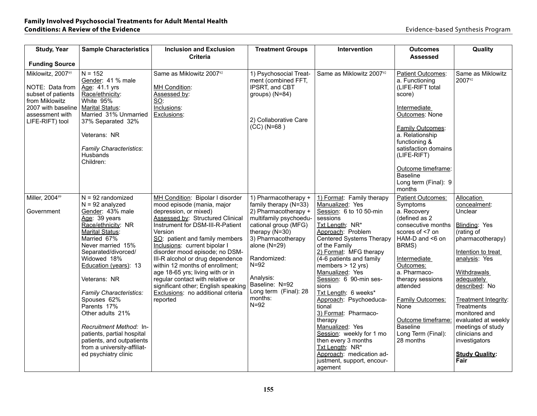| <b>Study, Year</b>                                                                                                                       | <b>Sample Characteristics</b>                                                                                                                                                                                                                                                                                                                                                                                                                                       | <b>Inclusion and Exclusion</b>                                                                                                                                                                                                                                                                                                                                                                                                                                                                                          | <b>Treatment Groups</b>                                                                                                                                                                                                                                                                     | Intervention                                                                                                                                                                                                                                                                                                                                                                                                                                                                                                                                                              | <b>Outcomes</b>                                                                                                                                                                                                                                                                                                                       | Quality                                                                                                                                                                                                                                                                                                                                                     |
|------------------------------------------------------------------------------------------------------------------------------------------|---------------------------------------------------------------------------------------------------------------------------------------------------------------------------------------------------------------------------------------------------------------------------------------------------------------------------------------------------------------------------------------------------------------------------------------------------------------------|-------------------------------------------------------------------------------------------------------------------------------------------------------------------------------------------------------------------------------------------------------------------------------------------------------------------------------------------------------------------------------------------------------------------------------------------------------------------------------------------------------------------------|---------------------------------------------------------------------------------------------------------------------------------------------------------------------------------------------------------------------------------------------------------------------------------------------|---------------------------------------------------------------------------------------------------------------------------------------------------------------------------------------------------------------------------------------------------------------------------------------------------------------------------------------------------------------------------------------------------------------------------------------------------------------------------------------------------------------------------------------------------------------------------|---------------------------------------------------------------------------------------------------------------------------------------------------------------------------------------------------------------------------------------------------------------------------------------------------------------------------------------|-------------------------------------------------------------------------------------------------------------------------------------------------------------------------------------------------------------------------------------------------------------------------------------------------------------------------------------------------------------|
| <b>Funding Source</b>                                                                                                                    |                                                                                                                                                                                                                                                                                                                                                                                                                                                                     | <b>Criteria</b>                                                                                                                                                                                                                                                                                                                                                                                                                                                                                                         |                                                                                                                                                                                                                                                                                             |                                                                                                                                                                                                                                                                                                                                                                                                                                                                                                                                                                           | <b>Assessed</b>                                                                                                                                                                                                                                                                                                                       |                                                                                                                                                                                                                                                                                                                                                             |
| Miklowitz, 200795<br>NOTE: Data from<br>subset of patients<br>from Miklowitz<br>2007 with baseline<br>assessment with<br>LIFE-RIFT) tool | $N = 152$<br>Gender: 41 % male<br>Age: 41.1 yrs<br>Race/ethnicity:<br>White 95%<br><b>Marital Status:</b><br>Married 31% Unmarried<br>37% Separated 32%<br>Veterans: NR<br><b>Family Characteristics:</b><br>Husbands<br>Children:                                                                                                                                                                                                                                  | Same as Miklowitz 200792<br>MH Condition:<br>Assessed by:<br>SO:<br>Inclusions:<br>Exclusions:                                                                                                                                                                                                                                                                                                                                                                                                                          | 1) Psychosocial Treat-<br>ment (combined FFT,<br>IPSRT, and CBT<br>groups) (N=84)<br>2) Collaborative Care<br>$(CC) (N=68)$                                                                                                                                                                 | Same as Miklowitz 2007 <sup>92</sup>                                                                                                                                                                                                                                                                                                                                                                                                                                                                                                                                      | <b>Patient Outcomes:</b><br>a. Functioning<br>(LIFE-RIFT total<br>score)<br>Intermediate<br><b>Outcomes: None</b><br>Family Outcomes:<br>a. Relationship<br>functioning &<br>satisfaction domains<br>(LIFE-RIFT)<br>Outcome timeframe:<br><b>Baseline</b><br>Long term (Final): 9<br>months                                           | Same as Miklowitz<br>200792                                                                                                                                                                                                                                                                                                                                 |
| Miller, 200489<br>Government                                                                                                             | $N = 92$ randomized<br>$N = 92$ analyzed<br>Gender: 43% male<br>Age: 39 years<br>Race/ethnicity: NR<br>Marital Status:<br>Married 67%<br>Never married 15%<br>Separated/divorced/<br>Widowed 18%<br>Education (years): 13<br>Veterans: NR<br>Family Characteristics:<br>Spouses 62%<br>Parents 17%<br>Other adults 21%<br>Recruitment Method: In-<br>patients, partial hospital<br>patients, and outpatients<br>from a university-affiliat-<br>ed psychiatry clinic | MH Condition: Bipolar I disorder<br>mood episode (mania, major<br>depression, or mixed)<br>Assessed by: Structured Clinical<br>Instrument for DSM-III-R-Patient<br>Version<br>SO: patient and family members<br>Inclusions: current bipolar I<br>disorder mood episode; no DSM-<br>III-R alcohol or drug dependence<br>within 12 months of enrollment;<br>age 18-65 yrs; living with or in<br>regular contact with relative or<br>significant other; English speaking<br>Exclusions: no additional criteria<br>reported | 1) Pharmacotherapy +<br>family therapy (N=33)<br>2) Pharmacotherapy +<br>multifamily psychoedu-<br>cational group (MFG)<br>therapy $(N=30)$<br>3) Pharmacotherapy<br>alone $(N=29)$<br>Randomized:<br>$N=92$<br>Analysis:<br>Baseline: N=92<br>Long term (Final): 28<br>months:<br>$N = 92$ | 1) Format: Family therapy<br>Manualized: Yes<br>Session: 6 to 10 50-min<br>sessions<br>Txt Length: NR*<br>Approach: Problem<br>Centered Systems Therapy<br>of the Family<br>2) Format: MFG therapy<br>(4-6 patients and family)<br>members $> 12$ yrs)<br>Manualized: Yes<br>Session: 6 90-min ses-<br>sions<br>Txt Length: 6 weeks*<br>Approach: Psychoeduca-<br>tional<br>3) Format: Pharmaco-<br>therapy<br>Manualized: Yes<br>Session: weekly for 1 mo<br>then every 3 months<br>Txt Length: NR*<br>Approach: medication ad-<br>justment, support, encour-<br>agement | <b>Patient Outcomes:</b><br>Symptoms<br>a. Recovery<br>(defined as 2<br>consecutive months<br>scores of <7 on<br>HAM-D and <6 on<br>BRMS)<br>Intermediate<br>Outcomes:<br>a. Pharmaco-<br>therapy sessions<br>attended<br><b>Family Outcomes:</b><br>None<br>Outcome timeframe:<br><b>Baseline</b><br>Long Term (Final):<br>28 months | <b>Allocation</b><br>concealment:<br>Unclear<br>Blinding: Yes<br>(rating of<br>pharmacotherapy)<br>Intention to treat<br>analysis: Yes<br>Withdrawals<br>adequately<br>described: No<br>Treatment Integrity:<br>Treatments<br>monitored and<br>evaluated at weekly<br>meetings of study<br>clinicians and<br>investigators<br><b>Study Quality:</b><br>Fair |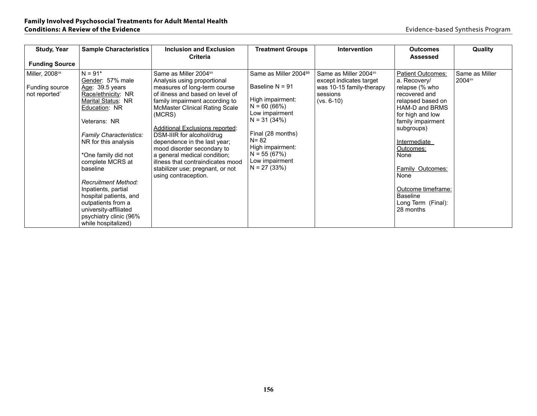| <b>Study, Year</b>         | <b>Sample Characteristics</b>  | <b>Inclusion and Exclusion</b>        | <b>Treatment Groups</b>           | <b>Intervention</b>               | <b>Outcomes</b>                       | Quality        |
|----------------------------|--------------------------------|---------------------------------------|-----------------------------------|-----------------------------------|---------------------------------------|----------------|
| <b>Funding Source</b>      |                                | <b>Criteria</b>                       |                                   |                                   | <b>Assessed</b>                       |                |
|                            |                                |                                       |                                   |                                   |                                       |                |
| Miller, 2008 <sup>98</sup> | $N = 91*$                      | Same as Miller 2004 <sup>89</sup>     | Same as Miller 2004 <sup>89</sup> | Same as Miller 2004 <sup>89</sup> | <b>Patient Outcomes:</b>              | Same as Miller |
|                            | Gender: 57% male               | Analysis using proportional           |                                   | except indicates target           | a. Recovery/                          | 200489         |
| Funding source             | Age: $39.5$ years              | measures of long-term course          | Baseline $N = 91$                 | was 10-15 family-therapy          | relapse (% who                        |                |
| not reported               | Race/ethnicity: NR             | of illness and based on level of      | High impairment:                  | sessions                          | recovered and                         |                |
|                            | Marital Status: NR             | family impairment according to        | $N = 60(66%)$                     | $(vs. 6-10)$                      | relapsed based on                     |                |
|                            | Education: NR                  | <b>McMaster Clinical Rating Scale</b> | Low impairment                    |                                   | HAM-D and BRMS                        |                |
|                            | Veterans: NR                   | (MCRS)                                | $N = 31 (34%)$                    |                                   | for high and low<br>family impairment |                |
|                            |                                | Additional Exclusions reported:       |                                   |                                   | subgroups)                            |                |
|                            | <b>Family Characteristics:</b> | DSM-IIIR for alcohol/drug             | Final (28 months)                 |                                   |                                       |                |
|                            | NR for this analysis           | dependence in the last year;          | $N = 82$                          |                                   | Intermediate                          |                |
|                            |                                | mood disorder secondary to            | High impairment:                  |                                   | Outcomes:                             |                |
|                            | *One family did not            | a general medical condition;          | $N = 55(67%)$                     |                                   | None                                  |                |
|                            | complete MCRS at               | illness that contraindicates mood     | Low impairment                    |                                   |                                       |                |
|                            | baseline                       | stabilizer use; pregnant, or not      | $N = 27(33%)$                     |                                   | Family Outcomes:                      |                |
|                            |                                | using contraception.                  |                                   |                                   | None                                  |                |
|                            | Recruitment Method:            |                                       |                                   |                                   |                                       |                |
|                            | Inpatients, partial            |                                       |                                   |                                   | Outcome timeframe:                    |                |
|                            | hospital patients, and         |                                       |                                   |                                   | <b>Baseline</b>                       |                |
|                            | outpatients from a             |                                       |                                   |                                   | Long Term (Final):                    |                |
|                            | university-affiliated          |                                       |                                   |                                   | 28 months                             |                |
|                            | psychiatry clinic (96%         |                                       |                                   |                                   |                                       |                |
|                            | while hospitalized)            |                                       |                                   |                                   |                                       |                |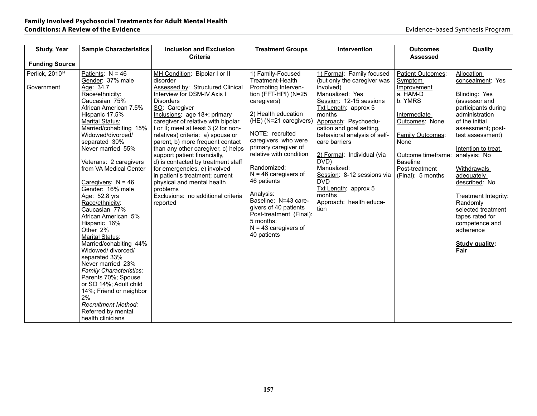| <b>Study, Year</b>                                     | <b>Sample Characteristics</b>                                                                                                                                                                                                                                                                                                                                                                                                                                             | <b>Inclusion and Exclusion</b>                                                                                                                                                                                                                                                                                                                                                                                                                       | <b>Treatment Groups</b>                                                                                                                                                                                                                                          | Intervention                                                                                                                                                                                                                                                                                                    | <b>Outcomes</b>                                                                                                                                                                         | Quality                                                                                                                                                                                                    |
|--------------------------------------------------------|---------------------------------------------------------------------------------------------------------------------------------------------------------------------------------------------------------------------------------------------------------------------------------------------------------------------------------------------------------------------------------------------------------------------------------------------------------------------------|------------------------------------------------------------------------------------------------------------------------------------------------------------------------------------------------------------------------------------------------------------------------------------------------------------------------------------------------------------------------------------------------------------------------------------------------------|------------------------------------------------------------------------------------------------------------------------------------------------------------------------------------------------------------------------------------------------------------------|-----------------------------------------------------------------------------------------------------------------------------------------------------------------------------------------------------------------------------------------------------------------------------------------------------------------|-----------------------------------------------------------------------------------------------------------------------------------------------------------------------------------------|------------------------------------------------------------------------------------------------------------------------------------------------------------------------------------------------------------|
|                                                        |                                                                                                                                                                                                                                                                                                                                                                                                                                                                           | <b>Criteria</b>                                                                                                                                                                                                                                                                                                                                                                                                                                      |                                                                                                                                                                                                                                                                  |                                                                                                                                                                                                                                                                                                                 | <b>Assessed</b>                                                                                                                                                                         |                                                                                                                                                                                                            |
|                                                        |                                                                                                                                                                                                                                                                                                                                                                                                                                                                           |                                                                                                                                                                                                                                                                                                                                                                                                                                                      |                                                                                                                                                                                                                                                                  |                                                                                                                                                                                                                                                                                                                 |                                                                                                                                                                                         |                                                                                                                                                                                                            |
| <b>Funding Source</b><br>Perlick, 201093<br>Government | Patients: $N = 46$<br>Gender: 37% male<br>Age: 34.7<br>Race/ethnicity:<br>Caucasian 75%<br>African American 7.5%<br>Hispanic 17.5%<br><b>Marital Status:</b><br>Married/cohabiting 15%<br>Widowed/divorced/<br>separated 30%<br>Never married 55%<br>Veterans: 2 caregivers                                                                                                                                                                                               | MH Condition: Bipolar I or II<br>disorder<br>Assessed by: Structured Clinical<br>Interview for DSM-IV Axis I<br><b>Disorders</b><br>SO: Caregiver<br>Inclusions: age 18+; primary<br>caregiver of relative with bipolar<br>I or II; meet at least 3 (2 for non-<br>relatives) criteria: a) spouse or<br>parent, b) more frequent contact<br>than any other caregiver, c) helps<br>support patient financially,<br>d) is contacted by treatment staff | 1) Family-Focused<br>Treatment-Health<br>Promoting Interven-<br>tion (FFT-HPI) (N=25<br>caregivers)<br>2) Health education<br>(HE) (N=21 caregivers)<br>NOTE: recruited<br>caregivers who were<br>primary caregiver of<br>relative with condition<br>Randomized: | 1) Format: Family focused<br>(but only the caregiver was<br>involved)<br>Manualized: Yes<br>Session: 12-15 sessions<br>Txt Length: approx 5<br>months<br>Approach: Psychoedu-<br>cation and goal setting,<br>behavioral analysis of self-<br>care barriers<br>2) Format: Individual (via<br>DVD)<br>Manualized: | Patient Outcomes:<br><b>Symptom</b><br>Improvement<br>a. HAM-D<br>b. YMRS<br>Intermediate<br>Outcomes: None<br><b>Family Outcomes:</b><br>None<br>Outcome timeframe:<br><b>Baseline</b> | Allocation<br>concealment: Yes<br>Blinding: Yes<br>(assessor and<br>participants during<br>administration<br>of the initial<br>assessment; post-<br>test assessment)<br>Intention to treat<br>analysis: No |
|                                                        | from VA Medical Center<br>Caregivers: $N = 46$<br>Gender: 16% male<br>Age: 52.8 yrs<br>Race/ethnicity:<br>Caucasian 77%<br>African American 5%<br>Hispanic 16%<br>Other 2%<br>Marital Status:<br>Married/cohabiting 44%<br>Widowed/ divorced/<br>separated 33%<br>Never married 23%<br>Family Characteristics:<br>Parents 70%; Spouse<br>or SO 14%; Adult child<br>14%; Friend or neighbor<br>2%<br><b>Recruitment Method:</b><br>Referred by mental<br>health clinicians | for emergencies, e) involved<br>in patient's treatment; current<br>physical and mental health<br>problems<br>Exclusions: no additional criteria<br>reported                                                                                                                                                                                                                                                                                          | $N = 46$ caregivers of<br>46 patients<br>Analysis:<br>Baseline: N=43 care-<br>givers of 40 patients<br>Post-treatment (Final):<br>5 months:<br>$N = 43$ caregivers of<br>40 patients                                                                             | Session: 8-12 sessions via<br><b>DVD</b><br>Txt Length: approx 5<br>months<br>Approach: health educa-<br>tion                                                                                                                                                                                                   | Post-treatment<br>(Final): 5 months                                                                                                                                                     | Withdrawals<br>adequately<br>described: No<br>Treatment Integrity:<br>Randomly<br>selected treatment<br>tapes rated for<br>competence and<br>adherence<br><b>Study quality:</b><br>Fair                    |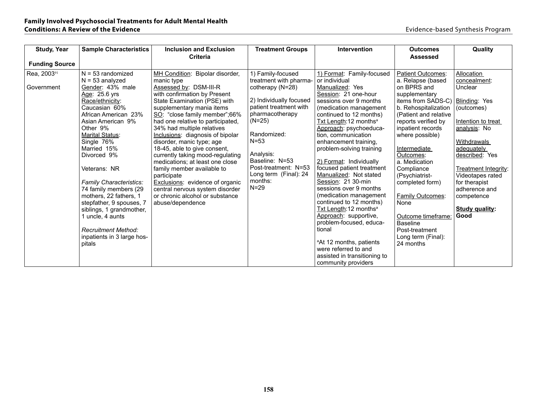| Allocation                                                          |
|---------------------------------------------------------------------|
| concealment:                                                        |
| Unclear                                                             |
|                                                                     |
| items from SADS-C)   Blinding: Yes                                  |
| (outcomes)                                                          |
|                                                                     |
| Intention to treat                                                  |
| analysis: No                                                        |
|                                                                     |
| Withdrawals                                                         |
| adequately                                                          |
| described: Yes                                                      |
|                                                                     |
| Treatment Integrity:                                                |
| Videotapes rated                                                    |
| for therapist                                                       |
| adherence and                                                       |
| competence                                                          |
| <b>Study quality:</b>                                               |
| Good                                                                |
|                                                                     |
|                                                                     |
|                                                                     |
|                                                                     |
|                                                                     |
|                                                                     |
|                                                                     |
| b. Rehospitalization<br>(Patient and relative<br>Outcome timeframe: |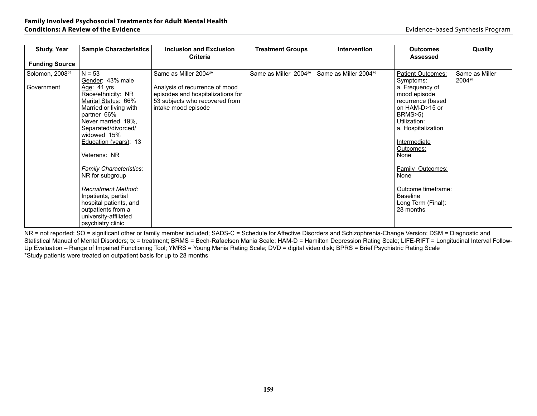| <b>Study, Year</b>                                     | <b>Sample Characteristics</b>                                                                                                                                                                                                                                                               | Inclusion and Exclusion                                                                                                                                           | <b>Treatment Groups</b>           | Intervention                      | <b>Outcomes</b>                                                                                                                                                                                                                          | Quality                  |
|--------------------------------------------------------|---------------------------------------------------------------------------------------------------------------------------------------------------------------------------------------------------------------------------------------------------------------------------------------------|-------------------------------------------------------------------------------------------------------------------------------------------------------------------|-----------------------------------|-----------------------------------|------------------------------------------------------------------------------------------------------------------------------------------------------------------------------------------------------------------------------------------|--------------------------|
|                                                        |                                                                                                                                                                                                                                                                                             | <b>Criteria</b>                                                                                                                                                   |                                   |                                   | <b>Assessed</b>                                                                                                                                                                                                                          |                          |
|                                                        |                                                                                                                                                                                                                                                                                             |                                                                                                                                                                   |                                   |                                   |                                                                                                                                                                                                                                          |                          |
| <b>Funding Source</b><br>Solomon, 200897<br>Government | $N = 53$<br>Gender: 43% male<br>Age: 41 yrs<br>Race/ethnicity: NR<br>Marital Status: 66%<br>Married or living with<br>partner 66%<br>Never married 19%,<br>Separated/divorced/<br>widowed 15%<br>Education (years): 13<br>Veterans: NR<br><b>Family Characteristics:</b><br>NR for subgroup | Same as Miller 2004 <sup>89</sup><br>Analysis of recurrence of mood<br>episodes and hospitalizations for<br>53 subjects who recovered from<br>intake mood episode | Same as Miller 2004 <sup>89</sup> | Same as Miller 2004 <sup>89</sup> | <b>Patient Outcomes:</b><br>Symptoms:<br>a. Frequency of<br>mood episode<br>recurrence (based<br>on HAM-D>15 or<br>BRMS>5)<br>Utilization:<br>a. Hospitalization<br>Intermediate<br>Outcomes:<br>None<br><b>Family Outcomes:</b><br>None | Same as Miller<br>200489 |
|                                                        | <b>Recruitment Method:</b><br>Inpatients, partial<br>hospital patients, and<br>outpatients from a<br>university-affiliated<br>psychiatry clinic                                                                                                                                             |                                                                                                                                                                   |                                   |                                   | Outcome timeframe:<br><b>Baseline</b><br>Long Term (Final):<br>28 months                                                                                                                                                                 |                          |

NR = not reported; SO = significant other or family member included; SADS-C = Schedule for Affective Disorders and Schizophrenia-Change Version; DSM = Diagnostic and Statistical Manual of Mental Disorders; tx = treatment; BRMS = Bech-Rafaelsen Mania Scale; HAM-D = Hamilton Depression Rating Scale; LIFE-RIFT = Longitudinal Interval Follow-Up Evaluation – Range of Impaired Functioning Tool; YMRS = Young Mania Rating Scale; DVD = digital video disk; BPRS = Brief Psychiatric Rating Scale \*Study patients were treated on outpatient basis for up to 28 months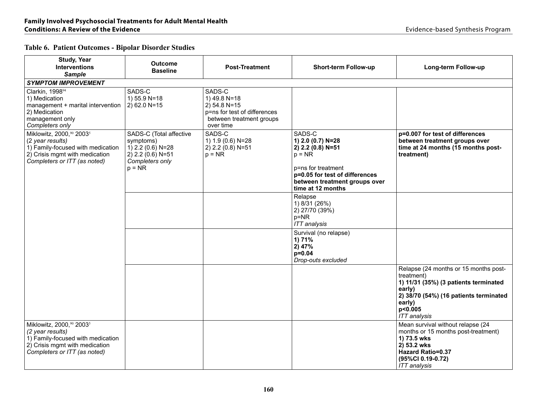### **Table 6. Patient Outcomes - Bipolar Disorder Studies**

| Study, Year<br><b>Interventions</b><br><b>Sample</b>                                                                                                            | <b>Outcome</b><br><b>Baseline</b>                                                                                | <b>Post-Treatment</b>                                                                                             | Short-term Follow-up                                                                                                                                                       | Long-term Follow-up                                                                                                                                                                          |
|-----------------------------------------------------------------------------------------------------------------------------------------------------------------|------------------------------------------------------------------------------------------------------------------|-------------------------------------------------------------------------------------------------------------------|----------------------------------------------------------------------------------------------------------------------------------------------------------------------------|----------------------------------------------------------------------------------------------------------------------------------------------------------------------------------------------|
| <b>SYMPTOM IMPROVEMENT</b>                                                                                                                                      |                                                                                                                  |                                                                                                                   |                                                                                                                                                                            |                                                                                                                                                                                              |
| Clarkin, 199894<br>1) Medication<br>management + marital intervention<br>2) Medication<br>management only<br>Completers only                                    | SADS-C<br>1) 55.9 N=18<br>2) 62.0 N=15                                                                           | SADS-C<br>1) 49.8 N=18<br>$2)$ 54.8 N=15<br>p=ns for test of differences<br>between treatment groups<br>over time |                                                                                                                                                                            |                                                                                                                                                                                              |
| Miklowitz, 2000,90 2003 <sup>5</sup><br>(2 year results)<br>1) Family-focused with medication<br>2) Crisis mgmt with medication<br>Completers or ITT (as noted) | SADS-C (Total affective<br>symptoms)<br>$(1)$ 2.2 (0.6) N=28<br>2) 2.2 (0.6) N=51<br>Completers only<br>$p = NR$ | SADS-C<br>1) 1.9 (0.6) N=28<br>2) 2.2 (0.8) N=51<br>$p = NR$                                                      | SADS-C<br>1) 2.0 (0.7) N=28<br>2) 2.2 (0.8) N=51<br>$p = NR$<br>p=ns for treatment<br>p=0.05 for test of differences<br>between treatment groups over<br>time at 12 months | p=0.007 for test of differences<br>between treatment groups over<br>time at 24 months (15 months post-<br>treatment)                                                                         |
|                                                                                                                                                                 |                                                                                                                  |                                                                                                                   | Relapse<br>1) 8/31 (26%)<br>2) 27/70 (39%)<br>$p = NR$<br><b>ITT</b> analysis                                                                                              |                                                                                                                                                                                              |
|                                                                                                                                                                 |                                                                                                                  |                                                                                                                   | Survival (no relapse)<br>1) 71%<br>2)47%<br>$p=0.04$<br>Drop-outs excluded                                                                                                 |                                                                                                                                                                                              |
|                                                                                                                                                                 |                                                                                                                  |                                                                                                                   |                                                                                                                                                                            | Relapse (24 months or 15 months post-<br>treatment)<br>1) 11/31 (35%) (3 patients terminated<br>early)<br>2) 38/70 (54%) (16 patients terminated<br>early)<br>p<0.005<br><b>ITT</b> analysis |
| Miklowitz, 2000,90 2003 <sup>5</sup><br>(2 year results)<br>1) Family-focused with medication<br>2) Crisis mgmt with medication<br>Completers or ITT (as noted) |                                                                                                                  |                                                                                                                   |                                                                                                                                                                            | Mean survival without relapse (24<br>months or 15 months post-treatment)<br>1) 73.5 wks<br>2) 53.2 wks<br><b>Hazard Ratio=0.37</b><br>(95%CI 0.19-0.72)<br><b>ITT</b> analysis               |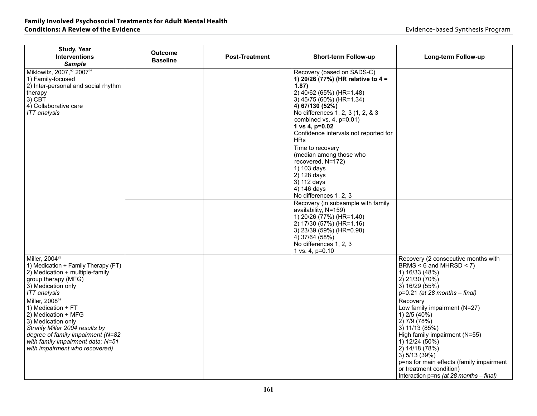# **Family Involved Psychosocial Treatments for Adult Mental Health**

| <b>Study, Year</b><br><b>Interventions</b><br><b>Sample</b>                                                                                                                                                                                  | Outcome<br><b>Baseline</b> | <b>Post-Treatment</b> | <b>Short-term Follow-up</b>                                                                                                                                                                                                                                                                          | Long-term Follow-up                                                                                                                                                                                                                                                                                    |
|----------------------------------------------------------------------------------------------------------------------------------------------------------------------------------------------------------------------------------------------|----------------------------|-----------------------|------------------------------------------------------------------------------------------------------------------------------------------------------------------------------------------------------------------------------------------------------------------------------------------------------|--------------------------------------------------------------------------------------------------------------------------------------------------------------------------------------------------------------------------------------------------------------------------------------------------------|
| Miklowitz, 2007,92 200795<br>1) Family-focused<br>2) Inter-personal and social rhythm<br>therapy<br>$3)$ CBT<br>4) Collaborative care<br><b>ITT</b> analysis                                                                                 |                            |                       | Recovery (based on SADS-C)<br>1) 20/26 (77%) (HR relative to 4 =<br>1.87)<br>2) 40/62 (65%) (HR=1.48)<br>3) 45/75 (60%) (HR=1.34)<br>4) 67/130 (52%)<br>No differences 1, 2, 3 (1, 2, & 3)<br>combined vs. $4$ , $p=0.01$ )<br>1 vs 4, p=0.02<br>Confidence intervals not reported for<br><b>HRs</b> |                                                                                                                                                                                                                                                                                                        |
|                                                                                                                                                                                                                                              |                            |                       | Time to recovery<br>(median among those who<br>recovered, N=172)<br>1) 103 days<br>2) 128 days<br>3) 112 days<br>4) 146 days<br>No differences 1, 2, 3                                                                                                                                               |                                                                                                                                                                                                                                                                                                        |
|                                                                                                                                                                                                                                              |                            |                       | Recovery (in subsample with family<br>availability, N=159)<br>1) 20/26 (77%) (HR=1.40)<br>2) 17/30 (57%) (HR=1.16)<br>3) 23/39 (59%) (HR=0.98)<br>4) 37/64 (58%)<br>No differences 1, 2, 3<br>1 vs. 4, p=0.10                                                                                        |                                                                                                                                                                                                                                                                                                        |
| Miller, 2004 <sup>89</sup><br>1) Medication + Family Therapy (FT)<br>2) Medication + multiple-family<br>group therapy (MFG)<br>3) Medication only<br><b>ITT</b> analysis                                                                     |                            |                       |                                                                                                                                                                                                                                                                                                      | Recovery (2 consecutive months with<br>BRMS < $6$ and MHRSD < $7$ )<br>1) 16/33 (48%)<br>2) 21/30 (70%)<br>3) 16/29 (55%)<br>$p=0.21$ (at 28 months - final)                                                                                                                                           |
| Miller, 2008 <sup>98</sup><br>1) Medication + FT<br>2) Medication + MFG<br>3) Medication only<br>Stratify Miller 2004 results by<br>degree of family impairment (N=82<br>with family impairment data; N=51<br>with impairment who recovered) |                            |                       |                                                                                                                                                                                                                                                                                                      | Recovery<br>Low family impairment (N=27)<br>1) $2/5(40\%)$<br>2) 7/9 (78%)<br>3) 11/13 (85%)<br>High family impairment (N=55)<br>1) 12/24 (50%)<br>2) 14/18 (78%)<br>3) 5/13 (39%)<br>p=ns for main effects (family impairment<br>or treatment condition)<br>Interaction $p=ns$ (at 28 months – final) |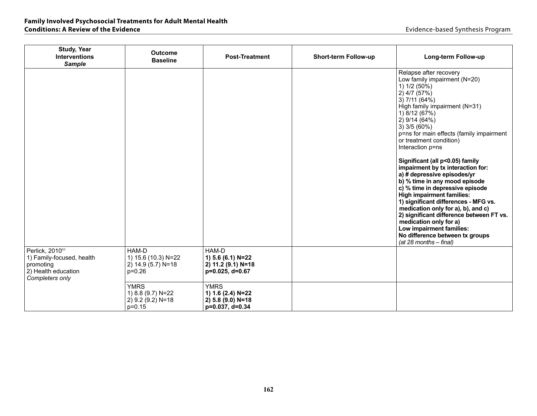| <b>Study, Year</b><br><b>Interventions</b><br><b>Sample</b>                                         | <b>Outcome</b><br><b>Baseline</b>                                   | <b>Post-Treatment</b>                                                    | Short-term Follow-up | Long-term Follow-up                                                                                                                                                                                                                                                                                                                                                                                                                                                                                                                                                                                                                                                                                                                                   |
|-----------------------------------------------------------------------------------------------------|---------------------------------------------------------------------|--------------------------------------------------------------------------|----------------------|-------------------------------------------------------------------------------------------------------------------------------------------------------------------------------------------------------------------------------------------------------------------------------------------------------------------------------------------------------------------------------------------------------------------------------------------------------------------------------------------------------------------------------------------------------------------------------------------------------------------------------------------------------------------------------------------------------------------------------------------------------|
|                                                                                                     |                                                                     |                                                                          |                      | Relapse after recovery<br>Low family impairment (N=20)<br>1) 1/2 (50%)<br>$2)$ 4/7 (57%)<br>3) 7/11 (64%)<br>High family impairment (N=31)<br>1) 8/12 (67%)<br>2) 9/14 (64%)<br>$3)$ 3/5 (60%)<br>p=ns for main effects (family impairment<br>or treatment condition)<br>Interaction p=ns<br>Significant (all p<0.05) family<br>impairment by tx interaction for:<br>a) # depressive episodes/yr<br>b) % time in any mood episode<br>c) % time in depressive episode<br><b>High impairment families:</b><br>1) significant differences - MFG vs.<br>medication only for a), b), and c)<br>2) significant difference between FT vs.<br>medication only for a)<br>Low impairment families:<br>No difference between tx groups<br>(at 28 months - final) |
| Perlick, 201093<br>1) Family-focused, health<br>promoting<br>2) Health education<br>Completers only | HAM-D<br>1) 15.6 (10.3) N=22<br>2) 14.9 (5.7) N=18<br>$p=0.26$      | HAM-D<br>1) 5.6 (6.1) N=22<br>2) 11.2 (9.1) N=18<br>p=0.025, d=0.67      |                      |                                                                                                                                                                                                                                                                                                                                                                                                                                                                                                                                                                                                                                                                                                                                                       |
|                                                                                                     | <b>YMRS</b><br>1) 8.8 (9.7) N=22<br>2) 9.2 (9.2) N=18<br>$p = 0.15$ | <b>YMRS</b><br>1) 1.6 (2.4) N=22<br>2) 5.8 (9.0) N=18<br>p=0.037, d=0.34 |                      |                                                                                                                                                                                                                                                                                                                                                                                                                                                                                                                                                                                                                                                                                                                                                       |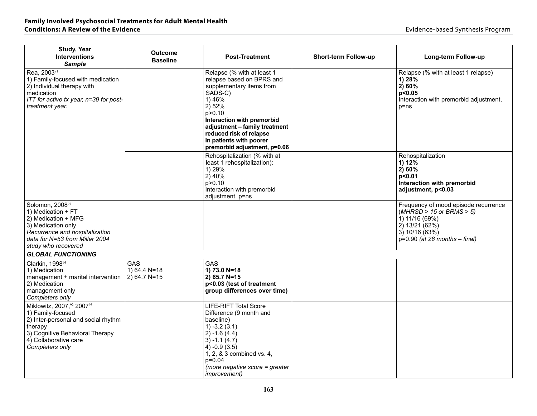# **Family Involved Psychosocial Treatments for Adult Mental Health**

| <b>Study, Year</b><br><b>Interventions</b><br><b>Sample</b>                                                                                                                     | <b>Outcome</b><br><b>Baseline</b>            | <b>Post-Treatment</b>                                                                                                                                                                                                                                                               | <b>Short-term Follow-up</b> | Long-term Follow-up                                                                                                                                               |
|---------------------------------------------------------------------------------------------------------------------------------------------------------------------------------|----------------------------------------------|-------------------------------------------------------------------------------------------------------------------------------------------------------------------------------------------------------------------------------------------------------------------------------------|-----------------------------|-------------------------------------------------------------------------------------------------------------------------------------------------------------------|
| Rea, 200391<br>1) Family-focused with medication<br>2) Individual therapy with<br>medication<br>ITT for active tx year, n=39 for post-<br>treatment year.                       |                                              | Relapse (% with at least 1<br>relapse based on BPRS and<br>supplementary items from<br>SADS-C)<br>1) 46%<br>2) 52%<br>p > 0.10<br>Interaction with premorbid<br>adjustment - family treatment<br>reduced risk of relapse<br>in patients with poorer<br>premorbid adjustment, p=0.06 |                             | Relapse (% with at least 1 relapse)<br>1) 28%<br>2)60%<br>p<0.05<br>Interaction with premorbid adjustment,<br>$p = ns$                                            |
|                                                                                                                                                                                 |                                              | Rehospitalization (% with at<br>least 1 rehospitalization):<br>1) 29%<br>2)40%<br>p > 0.10<br>Interaction with premorbid<br>adjustment, p=ns                                                                                                                                        |                             | Rehospitalization<br>1) 12%<br>2)60%<br>p < 0.01<br>Interaction with premorbid<br>adjustment, p<0.03                                                              |
| Solomon, 200897<br>1) Medication + FT<br>2) Medication + MFG<br>3) Medication only<br>Recurrence and hospitalization<br>data for N=53 from Miller 2004<br>study who recovered   |                                              |                                                                                                                                                                                                                                                                                     |                             | Frequency of mood episode recurrence<br>$(MHRSD > 15$ or BRMS $> 5$ )<br>$(1)$ 11/16 (69%)<br>2) 13/21 (62%)<br>3) 10/16 (63%)<br>$p=0.90$ (at 28 months - final) |
| <b>GLOBAL FUNCTIONING</b>                                                                                                                                                       |                                              |                                                                                                                                                                                                                                                                                     |                             |                                                                                                                                                                   |
| Clarkin, 199894<br>1) Medication<br>management + marital intervention<br>2) Medication<br>management only<br>Completers only                                                    | <b>GAS</b><br>1) 64.4 $N=18$<br>2) 64.7 N=15 | GAS<br>1) 73.0 N=18<br>2) 65.7 N=15<br>p<0.03 (test of treatment<br>group differences over time)                                                                                                                                                                                    |                             |                                                                                                                                                                   |
| Miklowitz, 2007,92 200795<br>1) Family-focused<br>2) Inter-personal and social rhythm<br>therapy<br>3) Cognitive Behavioral Therapy<br>4) Collaborative care<br>Completers only |                                              | <b>LIFE-RIFT Total Score</b><br>Difference (9 month and<br>baseline)<br>$1) -3.2(3.1)$<br>$2) -1.6(4.4)$<br>$3) -1.1(4.7)$<br>$4) -0.9(3.5)$<br>1, 2, & 3 combined vs. 4,<br>$p=0.04$<br>(more negative score = greater<br><i>improvement)</i>                                      |                             |                                                                                                                                                                   |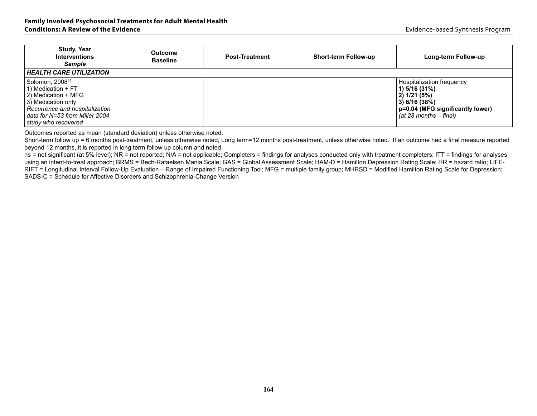| <b>Study, Year</b><br><b>Interventions</b><br><b>Sample</b><br><b>HEALTH CARE UTILIZATION</b>                                                                                              | <b>Outcome</b><br><b>Baseline</b> | <b>Post-Treatment</b> | <b>Short-term Follow-up</b> | Long-term Follow-up                                                                                                                           |
|--------------------------------------------------------------------------------------------------------------------------------------------------------------------------------------------|-----------------------------------|-----------------------|-----------------------------|-----------------------------------------------------------------------------------------------------------------------------------------------|
| Solomon, 2008 <sup>97</sup><br>1) Medication $+FT$<br>2) Medication + MFG<br>3) Medication only<br>Recurrence and hospitalization<br>data for N=53 from Miller 2004<br>study who recovered |                                   |                       |                             | Hospitalization frequency<br>1) 5/16 (31%)<br>  2) 1/21 (5%)<br>3) 6/16 (38%)<br>p=0.04 (MFG significantly lower)<br>(at 28 months $-$ final) |

Short-term follow up = 6 months post-treatment, unless otherwise noted; Long term=12 months post-treatment, unless otherwise noted. If an outcome had a final measure reported beyond 12 months, it is reported in long term follow up column and noted.

ns = not significant (at 5% level); NR = not reported; N/A = not applicable; Completers = findings for analyses conducted only with treatment completers; ITT = findings for analyses using an intent-to-treat approach; BRMS = Bech-Rafaelsen Mania Scale; GAS = Global Assessment Scale; HAM-D = Hamilton Depression Rating Scale; HR = hazard ratio; LIFE-RIFT = Longitudinal Interval Follow-Up Evaluation – Range of Impaired Functioning Tool; MFG = multiple family group; MHRSD = Modified Hamilton Rating Scale for Depression; SADS-C = Schedule for Affective Disorders and Schizophrenia-Change Version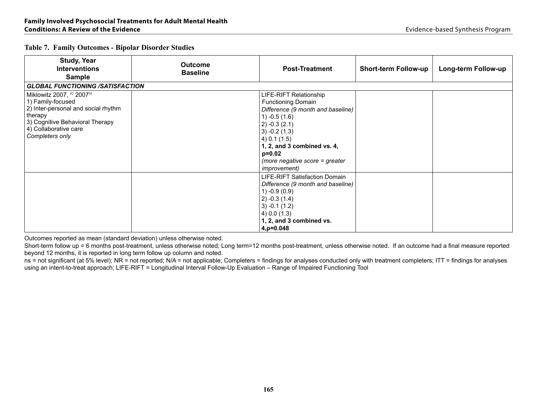| <b>Study, Year</b><br><b>Interventions</b><br><b>Sample</b>                                                                                                                     | <b>Outcome</b><br><b>Baseline</b> | <b>Post-Treatment</b>                                                                                                                                                                                                                                                     | <b>Short-term Follow-up</b> | Long-term Follow-up |
|---------------------------------------------------------------------------------------------------------------------------------------------------------------------------------|-----------------------------------|---------------------------------------------------------------------------------------------------------------------------------------------------------------------------------------------------------------------------------------------------------------------------|-----------------------------|---------------------|
| <b>GLOBAL FUNCTIONING /SATISFACTION</b>                                                                                                                                         |                                   |                                                                                                                                                                                                                                                                           |                             |                     |
| Miklowitz 2007, 92 200795<br>1) Family-focused<br>2) Inter-personal and social rhythm<br>therapy<br>3) Cognitive Behavioral Therapy<br>4) Collaborative care<br>Completers only |                                   | LIFE-RIFT Relationship<br><b>Functioning Domain</b><br>Difference (9 month and baseline)<br>$1) -0.5(1.6)$<br>$(2) -0.3(2.1)$<br>$3) -0.2(1.3)$<br>$(4)$ 0.1 $(1.5)$<br>1, 2, and 3 combined vs. 4,<br>$p=0.02$<br>(more negative score = greater<br><i>improvement</i> ) |                             |                     |
|                                                                                                                                                                                 |                                   | LIFE-RIFT Satisfaction Domain<br>Difference (9 month and baseline)<br>$1) -0.9(0.9)$<br>$(2) -0.3(1.4)$<br>$3) -0.1(1.2)$<br>$(4)$ 0.0 $(1.3)$<br>1, 2, and 3 combined vs.<br>$4, p=0.048$                                                                                |                             |                     |

Short-term follow up = 6 months post-treatment, unless otherwise noted; Long term=12 months post-treatment, unless otherwise noted. If an outcome had a final measure reported beyond 12 months, it is reported in long term follow up column and noted.

 $n =$  not significant (at 5% level); NR = not reported; N/A = not applicable; Completers = findings for analyses conducted only with treatment completers; ITT = findings for analyses using an intent-to-treat approach; LIFE-RIFT = Longitudinal Interval Follow-Up Evaluation – Range of Impaired Functioning Tool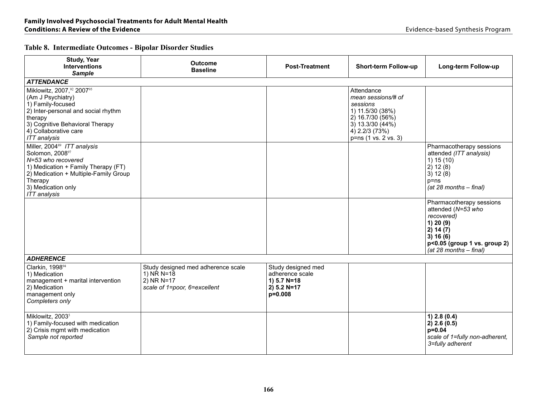| <b>Study, Year</b><br><b>Interventions</b><br><b>Sample</b>                                                                                                                                                              | <b>Outcome</b><br><b>Baseline</b>                                                                             | <b>Post-Treatment</b>                                                                  | Short-term Follow-up                                                                                                                               | Long-term Follow-up                                                                                                                                            |
|--------------------------------------------------------------------------------------------------------------------------------------------------------------------------------------------------------------------------|---------------------------------------------------------------------------------------------------------------|----------------------------------------------------------------------------------------|----------------------------------------------------------------------------------------------------------------------------------------------------|----------------------------------------------------------------------------------------------------------------------------------------------------------------|
| <b>ATTENDANCE</b>                                                                                                                                                                                                        |                                                                                                               |                                                                                        |                                                                                                                                                    |                                                                                                                                                                |
| Miklowitz, 2007,92 200795<br>(Am J Psychiatry)<br>1) Family-focused<br>2) Inter-personal and social rhythm<br>therapy<br>3) Cognitive Behavioral Therapy<br>4) Collaborative care<br><b>ITT</b> analysis                 |                                                                                                               |                                                                                        | Attendance<br>mean sessions/# of<br>sessions<br>1) 11.5/30 (38%)<br>2) 16.7/30 (56%)<br>3) 13.3/30 (44%)<br>4) 2.2/3 (73%)<br>p=ns (1 vs. 2 vs. 3) |                                                                                                                                                                |
| Miller, 2004 <sup>89</sup> ITT analysis<br>Solomon, 200897<br>N=53 who recovered<br>1) Medication + Family Therapy (FT)<br>2) Medication + Multiple-Family Group<br>Therapy<br>3) Medication only<br><b>ITT</b> analysis |                                                                                                               |                                                                                        |                                                                                                                                                    | Pharmacotherapy sessions<br>attended (ITT analysis)<br>1) 15(10)<br>2) 12(8)<br>3) 12(8)<br>$p = ns$<br>$(at 28 months - final)$                               |
|                                                                                                                                                                                                                          |                                                                                                               |                                                                                        |                                                                                                                                                    | Pharmacotherapy sessions<br>attended (N=53 who<br>recovered)<br>1) 20 (9)<br>2) 14 (7)<br>3) 16(6)<br>p<0.05 (group 1 vs. group 2)<br>$(at 28 months - final)$ |
| <b>ADHERENCE</b>                                                                                                                                                                                                         |                                                                                                               |                                                                                        |                                                                                                                                                    |                                                                                                                                                                |
| Clarkin, 199894<br>1) Medication<br>management + marital intervention<br>2) Medication<br>management only<br>Completers only                                                                                             | Study designed med adherence scale<br>1) $N\overline{R} N = 18$<br>2) NR N=17<br>scale of 1=poor, 6=excellent | Study designed med<br>adherence scale<br>1) $5.7 N = 18$<br>$2) 5.2 N=17$<br>$p=0.008$ |                                                                                                                                                    |                                                                                                                                                                |
| Miklowitz, 2003 <sup>5</sup><br>1) Family-focused with medication<br>2) Crisis mgmt with medication<br>Sample not reported                                                                                               |                                                                                                               |                                                                                        |                                                                                                                                                    | $1)$ 2.8 (0.4)<br>2) 2.6 (0.5)<br>$p=0.04$<br>scale of 1=fully non-adherent,<br>3=fully adherent                                                               |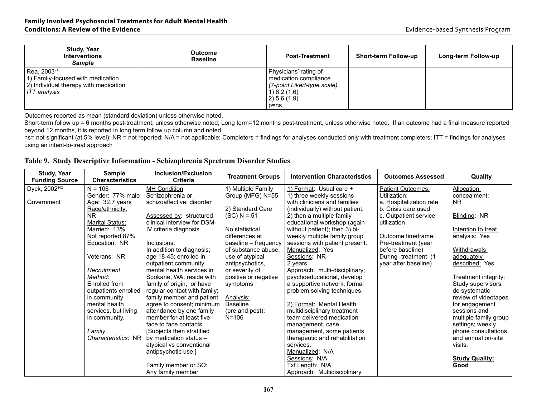| <b>Study, Year</b><br><b>Interventions</b><br><b>Sample</b>                                                             | Outcome<br><b>Baseline</b> | <b>Post-Treatment</b>                                                                                                           | <b>Short-term Follow-up</b> | Long-term Follow-up |
|-------------------------------------------------------------------------------------------------------------------------|----------------------------|---------------------------------------------------------------------------------------------------------------------------------|-----------------------------|---------------------|
| Rea, 2003 <sup>91</sup><br>1) Family-focused with medication<br>2) Individual therapy with medication<br>  ITT analvsis |                            | Physicians' rating of<br>medication compliance<br>(7-point Likert-type scale)<br>$(1)$ 6.2 (1.6)<br>$(2)$ 5.6 (1.9)<br>$p = ns$ |                             |                     |

Short-term follow up = 6 months post-treatment, unless otherwise noted; Long term=12 months post-treatment, unless otherwise noted. If an outcome had a final measure reported beyond 12 months, it is reported in long term follow up column and noted.

ns= not significant (at 5% level); NR = not reported; N/A = not applicable; Completers = findings for analyses conducted only with treatment completers; ITT = findings for analyses using an intent-to-treat approach

|  |  |  |  |  |  | Table 9. Study Descriptive Information - Schizophrenia Spectrum Disorder Studies |
|--|--|--|--|--|--|----------------------------------------------------------------------------------|
|--|--|--|--|--|--|----------------------------------------------------------------------------------|

| <b>Study, Year</b><br><b>Funding Source</b> | <b>Sample</b><br><b>Characteristics</b> | Inclusion/Exclusion<br><b>Criteria</b> | <b>Treatment Groups</b> | <b>Intervention Characteristics</b> | <b>Outcomes Assessed</b> | Quality                       |
|---------------------------------------------|-----------------------------------------|----------------------------------------|-------------------------|-------------------------------------|--------------------------|-------------------------------|
| Dyck, 2002 <sup>102</sup>                   | $N = 106$                               | <b>MH Condition:</b>                   | 1) Multiple Family      | 1) Format: Usual care +             | Patient Outcomes:        | Allocation                    |
|                                             | Gender: 77% male                        | Schizophrenia or                       | Group (MFG) N=55        | 1) three weekly sessions            | Utilization:             | concealment:                  |
| Government                                  | Age: 32.7 years                         | schizoaffective disorder               |                         | with clinicians and families        | a. Hospitalization rate  | NR.                           |
|                                             | Race/ethnicity:                         |                                        | 2) Standard Care        | (individually) without patient;     | b. Crisis care used      |                               |
|                                             | <b>NR</b>                               | Assessed by: structured                | $(SC) N = 51$           | 2) then a multiple family           | c. Outpatient service    | Blinding: NR                  |
|                                             | Marital Status:                         | clinical interview for DSM-            |                         | educational workshop (again         | utilization              |                               |
|                                             | Married: 13%                            | IV criteria diagnosis                  | No statistical          | without patient); then 3) bi-       |                          | Intention to treat            |
|                                             | Not reported 87%                        |                                        | differences at          | weekly multiple family group        | Outcome timeframe:       | analysis: Yes                 |
|                                             | Education: NR                           | Inclusions:                            | baseline - frequency    | sessions with patient present.      | Pre-treatment (year      |                               |
|                                             |                                         | In addition to diagnosis;              | of substance abuse,     | Manualized: Yes                     | before baseline)         | <b>Withdrawals</b>            |
|                                             | Veterans: NR                            | age 18-45; enrolled in                 | use of atypical         | Sessions: NR                        | During-treatment (1      | adequately                    |
|                                             |                                         | outpatient community                   | antipsychotics,         | 2 years                             | year after baseline)     | described: Yes                |
|                                             | Recruitment                             | mental health services in              | or severity of          | Approach: multi-disciplinary;       |                          |                               |
|                                             | Method:                                 | Spokane, WA, reside with               | positive or negative    | psychoeducational, develop          |                          | Treatment integrity:          |
|                                             | Enrolled from                           | family of origin, or have              | symptoms                | a supportive network, formal        |                          | Study supervisors             |
|                                             | outpatients enrolled                    | regular contact with family;           |                         | problem solving techniques.         |                          | do systematic                 |
|                                             | in community                            | family member and patient              | Analysis:               |                                     |                          | review of videotapes          |
|                                             | mental health                           | agree to consent; minimum              | <b>Baseline</b>         | 2) Format: Mental Health            |                          | for engagement                |
|                                             | services, but living                    | attendance by one family               | (pre and post):         | multidisciplinary treatment         |                          | sessions and                  |
|                                             | in community.                           | member for at least five               | $N = 106$               | team delivered medication           |                          | multiple family group         |
|                                             |                                         | face to face contacts.                 |                         | management, case                    |                          | settings; weekly              |
|                                             | Family                                  | Subjects then stratified               |                         | management, some patients           |                          | phone consultations.          |
|                                             | Characteristics: NR                     | by medication status -                 |                         | therapeutic and rehabilitation      |                          | and annual on-site            |
|                                             |                                         | atypical vs conventional               |                         | services.<br>Manualized: N/A        |                          | visits.                       |
|                                             |                                         | antipsychotic use.]                    |                         |                                     |                          |                               |
|                                             |                                         | Family member or SO:                   |                         | Sessions: N/A<br>Txt Length: N/A    |                          | <b>Study Quality:</b><br>Good |
|                                             |                                         | Any family member                      |                         |                                     |                          |                               |
|                                             |                                         |                                        |                         | Approach: Multidisciplinary         |                          |                               |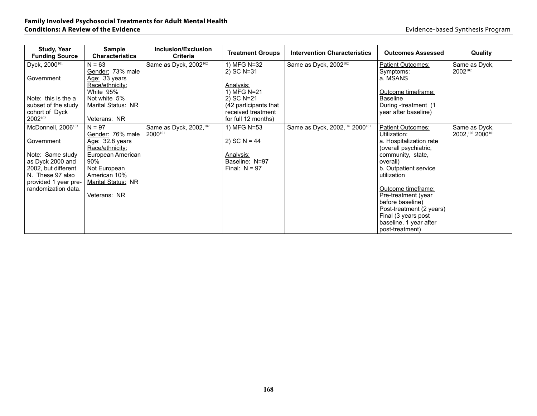| <b>Study, Year</b><br><b>Funding Source</b> | <b>Sample</b><br><b>Characteristics</b> | Inclusion/Exclusion<br><b>Criteria</b> | <b>Treatment Groups</b>                   | <b>Intervention Characteristics</b> | <b>Outcomes Assessed</b>      | <b>Quality</b>    |
|---------------------------------------------|-----------------------------------------|----------------------------------------|-------------------------------------------|-------------------------------------|-------------------------------|-------------------|
| Dyck, 2000 <sup>101</sup>                   | $N = 63$                                | Same as Dyck, 2002 <sup>102</sup>      | 1) MFG N=32                               | Same as Dyck, 2002 <sup>102</sup>   | <b>Patient Outcomes:</b>      | Same as Dyck,     |
|                                             | Gender: 73% male                        |                                        | 2) SC N=31                                |                                     | Symptoms:                     | 2002102           |
| Government                                  | Age: 33 years                           |                                        |                                           |                                     | a. MSANS                      |                   |
|                                             | Race/ethnicity:                         |                                        | Analysis:                                 |                                     |                               |                   |
|                                             | White 95%                               |                                        | 1) MFG N=21                               |                                     | Outcome timeframe:            |                   |
| Note: this is the a                         | Not white 5%                            |                                        | 2) SC N=21                                |                                     | <b>Baseline</b>               |                   |
| subset of the study                         | Marital Status: NR                      |                                        | (42 participants that)                    |                                     | During -treatment (1)         |                   |
| cohort of Dyck<br>2002102                   | Veterans: NR                            |                                        | received treatment<br>for full 12 months) |                                     | year after baseline)          |                   |
|                                             |                                         |                                        |                                           |                                     |                               |                   |
| McDonnell, 2006 <sup>103</sup>              | $N = 97$                                | Same as Dyck, 2002, 102                | 1) MFG N=53                               | Same as Dyck, 2002, 102 2000101     | <b>Patient Outcomes:</b>      | Same as Dyck,     |
|                                             | Gender: 76% male                        | 2000101                                |                                           |                                     | Utilization:                  | 2002, 102 2000101 |
| Government                                  | Age: 32.8 years                         |                                        | 2) SC $N = 44$                            |                                     | a. Hospitalization rate       |                   |
|                                             | Race/ethnicity:                         |                                        |                                           |                                     | (overall psychiatric,         |                   |
| Note: Same study<br>as Dyck 2000 and        | European American<br>$90\%$             |                                        | <u>Analysis:</u><br>Baseline: N=97        |                                     | community, state,<br>overall) |                   |
| 2002, but different                         | Not European                            |                                        | Final: $N = 97$                           |                                     | b. Outpatient service         |                   |
| N. These 97 also                            | American 10%                            |                                        |                                           |                                     | utilization                   |                   |
| provided 1 year pre-                        | <b>Marital Status: NR</b>               |                                        |                                           |                                     |                               |                   |
| randomization data.                         |                                         |                                        |                                           |                                     | Outcome timeframe:            |                   |
|                                             | Veterans: NR                            |                                        |                                           |                                     | Pre-treatment (year           |                   |
|                                             |                                         |                                        |                                           |                                     | before baseline)              |                   |
|                                             |                                         |                                        |                                           |                                     | Post-treatment (2 years)      |                   |
|                                             |                                         |                                        |                                           |                                     | Final (3 years post           |                   |
|                                             |                                         |                                        |                                           |                                     | baseline, 1 year after        |                   |
|                                             |                                         |                                        |                                           |                                     | post-treatment)               |                   |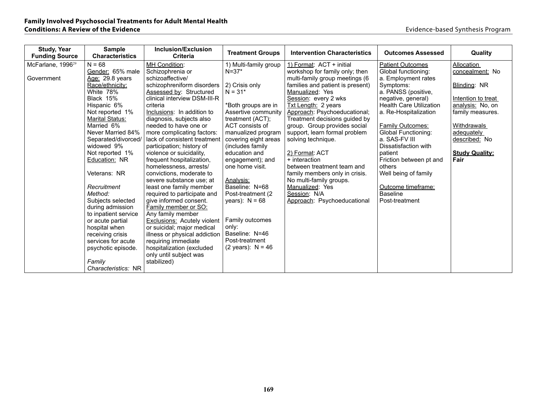| <b>Study, Year</b><br><b>Funding Source</b> | <b>Sample</b><br><b>Characteristics</b> | <b>Inclusion/Exclusion</b><br><b>Criteria</b>       | <b>Treatment Groups</b>      | <b>Intervention Characteristics</b>        | <b>Outcomes Assessed</b>       | Quality               |
|---------------------------------------------|-----------------------------------------|-----------------------------------------------------|------------------------------|--------------------------------------------|--------------------------------|-----------------------|
| McFarlane, 1996 <sup>29</sup>               | $N = 68$                                | MH Condition:                                       | 1) Multi-family group        | 1) Format: ACT + initial                   | <b>Patient Outcomes</b>        | Allocation            |
|                                             | Gender: 65% male                        | Schizophrenia or                                    | $N = 37*$                    | workshop for family only; then             | Global functioning:            | concealment: No       |
| Government                                  | Age: 29.8 years                         | schizoaffective/                                    |                              | multi-family group meetings (6             | a. Employment rates            |                       |
|                                             | Race/ethnicity:                         | schizophreniform disorders                          | 2) Crisis only               | families and patient is present)           | Symptoms:                      | Blinding: NR          |
|                                             | White 78%                               | Assessed by: Structured                             | $N = 31*$                    | Manualized: Yes                            | a. PANSS (positive,            |                       |
|                                             | Black 15%                               | clinical interview DSM-III-R                        |                              | Session: every 2 wks                       | negative, general)             | Intention to treat    |
|                                             | Hispanic 6%                             | criteria                                            | *Both groups are in          | <b>Txt Length: 2 years</b>                 | <b>Health Care Utilization</b> | analysis: No, on      |
|                                             | Not reported 1%                         | Inclusions: In addition to                          | Assertive community          | Approach: Psychoeducational;               | a. Re-Hospitalization          | family measures.      |
|                                             | Marital Status:                         | diagnosis, subjects also                            | treatment (ACT);             | Treatment decisions guided by              |                                |                       |
|                                             | Married 6%                              | needed to have one or                               | ACT consists of              | group. Group provides social               | <b>Family Outcomes:</b>        | Withdrawals           |
|                                             | Never Married 84%                       | more complicating factors:                          | manualized program           | support, learn formal problem              | <b>Global Functioning:</b>     | adequately            |
|                                             | Separated/divorced/                     | lack of consistent treatment                        | covering eight areas         | solving technique.                         | a. SAS-FV III                  | described: No         |
|                                             | widowed 9%                              | participation; history of                           | (includes family)            |                                            | Dissatisfaction with           |                       |
|                                             | Not reported 1%                         | violence or suicidality,                            | education and                | 2) Format: ACT                             | patient                        | <b>Study Quality:</b> |
|                                             | Education: NR                           | frequent hospitalization,                           | engagement); and             | + interaction                              | Friction between pt and        | Fair                  |
|                                             |                                         | homelessness, arrests/                              | one home visit.              | between treatment team and                 | others                         |                       |
|                                             | Veterans: NR                            | convictions, moderate to                            |                              | family members only in crisis.             | Well being of family           |                       |
|                                             | Recruitment                             | severe substance use; at<br>least one family member | Analysis:<br>Baseline: N=68  | No multi-family groups.<br>Manualized: Yes | Outcome timeframe:             |                       |
|                                             | Method:                                 | required to participate and                         | Post-treatment (2)           | Session: N/A                               | <b>Baseline</b>                |                       |
|                                             | Subjects selected                       | give informed consent.                              | years): $N = 68$             | Approach: Psychoeducational                | Post-treatment                 |                       |
|                                             | during admission                        | <b>Family member or SO:</b>                         |                              |                                            |                                |                       |
|                                             | to inpatient service                    | Any family member                                   |                              |                                            |                                |                       |
|                                             | or acute partial                        | Exclusions: Acutely violent                         | Family outcomes              |                                            |                                |                       |
|                                             | hospital when                           | or suicidal; major medical                          | only:                        |                                            |                                |                       |
|                                             | receiving crisis                        | illness or physical addiction                       | Baseline: N=46               |                                            |                                |                       |
|                                             | services for acute                      | requiring immediate                                 | Post-treatment               |                                            |                                |                       |
|                                             | psychotic episode.                      | hospitalization (excluded                           | $(2 \text{ years})$ : N = 46 |                                            |                                |                       |
|                                             |                                         | only until subject was                              |                              |                                            |                                |                       |
|                                             | Family                                  | stabilized)                                         |                              |                                            |                                |                       |
|                                             | Characteristics: NR                     |                                                     |                              |                                            |                                |                       |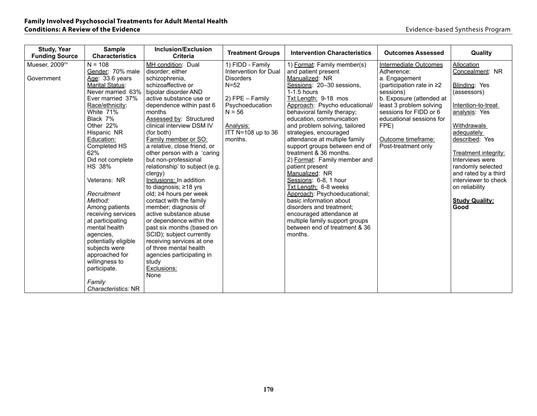| <b>Study, Year</b><br><b>Funding Source</b> | <b>Sample</b><br><b>Characteristics</b> | Inclusion/Exclusion<br><b>Criteria</b>                | <b>Treatment Groups</b> | <b>Intervention Characteristics</b>                             | <b>Outcomes Assessed</b>        | Quality                     |
|---------------------------------------------|-----------------------------------------|-------------------------------------------------------|-------------------------|-----------------------------------------------------------------|---------------------------------|-----------------------------|
| Mueser, 2009 <sup>99</sup>                  | $N = 108$                               | MH condition: Dual                                    | 1) FIDD - Family        | 1) Format: Family member(s)                                     | Intermediate Outcomes           | Allocation                  |
|                                             | Gender: 70% male                        | disorder; either                                      | Intervention for Dual   | and patient present                                             | Adherence:                      | Concealment: NR             |
| Government                                  | Age: 33.6 years                         | schizophrenia,                                        | <b>Disorders</b>        | Manualized: NR                                                  | a. Engagement                   |                             |
|                                             | <b>Marital Status:</b>                  | schizoaffective or                                    | $N = 52$                | Sessions: 20-30 sessions,                                       | (participation rate in $\geq$ 2 | Blinding: Yes               |
|                                             | Never married 63%                       | bipolar disorder AND                                  |                         | $1-1.5$ hours                                                   | sessions)                       | (assessors)                 |
|                                             | Ever married 37%                        | active substance use or                               | 2) FPE - Family         | Txt Length: 9-18 mos                                            | b. Exposure (attended at        |                             |
|                                             | Race/ethnicity:                         | dependence within past 6                              | Psychoeducation         | Approach: Psycho educational/                                   | least 3 problem solving         | Intention-to-treat          |
|                                             | White 71%                               | months                                                | $N = 56$                | behavioral family therapy;                                      | sessions for FIDD or 6          | analysis: Yes               |
|                                             | Black 7%                                | Assessed by: Structured                               |                         | education, communication                                        | educational sessions for        |                             |
|                                             | Other 22%                               | clinical interview DSM IV                             | Analysis:               | and problem solving, tailored                                   | FPE)                            | Withdrawals                 |
|                                             | Hispanic NR                             | (for both)                                            | ITT N=108 up to 36      | strategies, encouraged                                          |                                 | adequately                  |
|                                             | Education:                              | Family member or SO:                                  | months.                 | attendance at multiple family                                   | Outcome timeframe:              | described: Yes              |
|                                             | Completed HS                            | a relative, close friend, or                          |                         | support groups between end of                                   | Post-treatment only             |                             |
|                                             | 62%                                     | other person with a 'caring                           |                         | treatment & 36 months.                                          |                                 | <b>Treatment integrity:</b> |
|                                             | Did not complete                        | but non-professional                                  |                         | 2) Format: Family member and                                    |                                 | Interviews were             |
|                                             | <b>HS 38%</b>                           | relationship' to subject (e.g.                        |                         | patient present                                                 |                                 | randomly selected           |
|                                             |                                         | clergy)                                               |                         | Manualized: NR                                                  |                                 | and rated by a third        |
|                                             | Veterans: NR                            | Inclusions: In addition                               |                         | Sessions: 6-8, 1 hour                                           |                                 | interviewer to check        |
|                                             |                                         | to diagnosis; ≥18 yrs                                 |                         | Txt Length: 6-8 weeks                                           |                                 | on reliability              |
|                                             | Recruitment                             | old; ≥4 hours per week                                |                         | Approach: Psychoeducational;                                    |                                 |                             |
|                                             | Method:                                 | contact with the family                               |                         | basic information about                                         |                                 | <b>Study Quality:</b>       |
|                                             | Among patients                          | member; diagnosis of                                  |                         | disorders and treatment;                                        |                                 | Good                        |
|                                             | receiving services                      | active substance abuse                                |                         | encouraged attendance at                                        |                                 |                             |
|                                             | at participating<br>mental health       | or dependence within the                              |                         | multiple family support groups<br>between end of treatment & 36 |                                 |                             |
|                                             | agencies.                               | past six months (based on<br>SCID); subject currently |                         | months.                                                         |                                 |                             |
|                                             | potentially eligible                    | receiving services at one                             |                         |                                                                 |                                 |                             |
|                                             | subjects were                           | of three mental health                                |                         |                                                                 |                                 |                             |
|                                             | approached for                          | agencies participating in                             |                         |                                                                 |                                 |                             |
|                                             | willingness to                          | study                                                 |                         |                                                                 |                                 |                             |
|                                             | participate.                            | Exclusions:                                           |                         |                                                                 |                                 |                             |
|                                             |                                         | None                                                  |                         |                                                                 |                                 |                             |
|                                             | Family                                  |                                                       |                         |                                                                 |                                 |                             |
|                                             | Characteristics: NR                     |                                                       |                         |                                                                 |                                 |                             |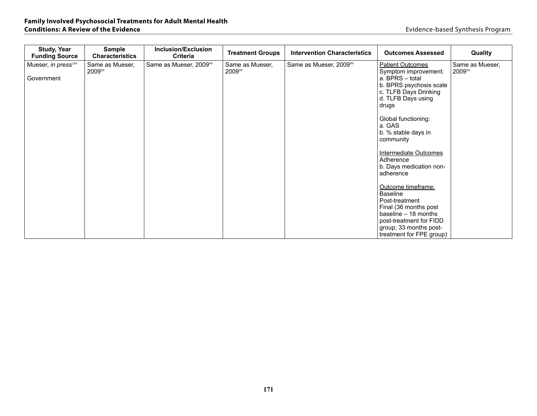| <b>Study, Year</b><br><b>Funding Source</b>   | <b>Sample</b><br><b>Characteristics</b> | <b>Inclusion/Exclusion</b><br><b>Criteria</b> | <b>Treatment Groups</b>   | <b>Intervention Characteristics</b> | <b>Outcomes Assessed</b>                                                                                                                                                                                                                                                                                                                                                                                                    | Quality                   |
|-----------------------------------------------|-----------------------------------------|-----------------------------------------------|---------------------------|-------------------------------------|-----------------------------------------------------------------------------------------------------------------------------------------------------------------------------------------------------------------------------------------------------------------------------------------------------------------------------------------------------------------------------------------------------------------------------|---------------------------|
| Mueser, in press <sup>100</sup><br>Government | Same as Mueser,<br>200999               | Same as Mueser, 2009 <sup>99</sup>            | Same as Mueser,<br>200999 | Same as Mueser, 2009 <sup>99</sup>  | <b>Patient Outcomes</b><br>Symptom improvement:<br>a. BPRS - total<br>b. BPRS psychosis scale<br>c. TLFB Days Drinking<br>d. TLFB Days using<br>drugs<br>Global functioning:<br>a. GAS<br>b. % stable days in<br>community<br><b>Intermediate Outcomes</b><br>Adherence<br>b. Days medication non-<br>adherence<br>Outcome timeframe:<br><b>Baseline</b><br>Post-treatment<br>Final (36 months post<br>baseline - 18 months | Same as Mueser,<br>200999 |
|                                               |                                         |                                               |                           |                                     | post-treatment for FIDD<br>group; 33 months post-<br>treatment for FPE group)                                                                                                                                                                                                                                                                                                                                               |                           |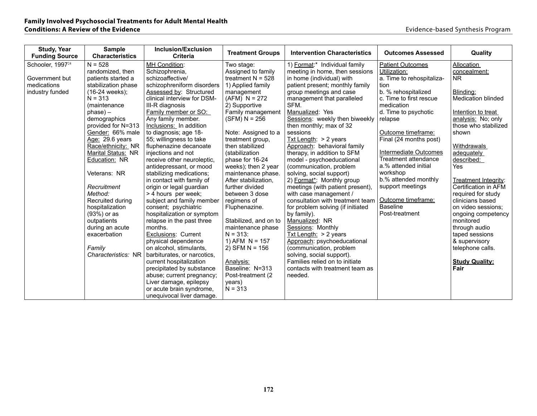| <b>Study, Year</b><br><b>Funding Source</b> | <b>Sample</b><br><b>Characteristics</b> | <b>Inclusion/Exclusion</b><br><b>Criteria</b>      | <b>Treatment Groups</b>      | <b>Intervention Characteristics</b> | <b>Outcomes Assessed</b>  | Quality                       |
|---------------------------------------------|-----------------------------------------|----------------------------------------------------|------------------------------|-------------------------------------|---------------------------|-------------------------------|
| Schooler, 1997 <sup>24</sup>                | $N = 528$                               | MH Condition:                                      | Two stage:                   | 1) Format:* Individual family       | <b>Patient Outcomes</b>   | Allocation                    |
|                                             | randomized, then                        | Schizophrenia,                                     | Assigned to family           | meeting in home, then sessions      | Utilization:              | concealment:                  |
| Government but                              | patients started a                      | schizoaffective/                                   | treatment $N = 528$          | in home (individual) with           | a. Time to rehospitaliza- | <b>NR</b>                     |
| medications                                 | stabilization phase                     | schizophreniform disorders                         | 1) Applied family            | patient present; monthly family     | tion                      |                               |
| industry funded                             | $(16-24$ weeks);                        | Assessed by: Structured                            | management                   | group meetings and case             | b. % rehospitalized       | Blinding:                     |
|                                             | $N = 313$                               | clinical interview for DSM-                        | $(AFM) N = 272$              | management that paralleled          | c. Time to first rescue   | Medication blinded            |
|                                             | (maintenance                            | III-R diagnosis                                    | 2) Supportive                | SFM.                                | medication                |                               |
|                                             | $phase) -$                              | Family member or SO:                               | Family management            | Manualized: Yes                     | d. Time to psychotic      | Intention to treat            |
|                                             | demographics                            | Any family member.                                 | $(SFM) N = 256$              | Sessions: weekly then biweekly      | relapse                   | analysis: No; only            |
|                                             | provided for N=313                      | Inclusions: In addition                            |                              | then monthly; max of 32             |                           | those who stabilized          |
|                                             | Gender: 66% male                        | to diagnosis; age 18-                              | Note: Assigned to a          | sessions                            | Outcome timeframe:        | shown                         |
|                                             | Age: 29.6 years                         | 55; willingness to take                            | treatment group,             | $Txt$ Length: $> 2$ years           | Final (24 months post)    |                               |
|                                             | Race/ethnicity: NR                      | fluphenazine decanoate                             | then stabilized              | Approach: behavioral family         |                           | Withdrawals                   |
|                                             | Marital Status: NR                      | injections and not                                 | (stabilization               | therapy, in addition to SFM         | Intermediate Outcomes     | adequately                    |
|                                             | Education: NR                           | receive other neuroleptic,                         | phase for 16-24              | model - psychoeducational           | Treatment attendance      | described:                    |
|                                             |                                         | antidepressant, or mood                            | weeks); then 2 year          | (communication, problem             | a.% attended initial      | Yes                           |
|                                             | Veterans: NR                            | stabilizing medications;                           | maintenance phase.           | solving, social support)            | workshop                  |                               |
|                                             |                                         | in contact with family of                          | After stabilization,         | 2) Format*: Monthly group           | b.% attended monthly      | Treatment Integrity:          |
|                                             | Recruitment                             | origin or legal guardian                           | further divided              | meetings (with patient present),    | support meetings          | Certification in AFM          |
|                                             | Method:                                 | > 4 hours per week;                                | between 3 dose               | with case management /              |                           | required for study            |
|                                             | Recruited during                        | subject and family member                          | regimens of                  | consultation with treatment team    | Outcome timeframe:        | clinicians based              |
|                                             | hospitalization                         | consent; psychiatric                               | Fluphenazine.                | for problem solving (if initiated   | <b>Baseline</b>           | on video sessions;            |
|                                             | (93%) or as                             | hospitalization or symptom                         |                              | by family).                         | Post-treatment            | ongoing competency            |
|                                             | outpatients                             | relapse in the past three                          | Stabilized, and on to        | Manualized: NR                      |                           | monitored                     |
|                                             | during an acute                         | months.                                            | maintenance phase            | Sessions: Monthly                   |                           | through audio                 |
|                                             | exacerbation                            | <b>Exclusions: Current</b>                         | $N = 313$ :                  | Txt Length: $> 2$ years             |                           | taped sessions                |
|                                             |                                         | physical dependence                                | 1) AFM $N = 157$             | Approach: psychoeducational         |                           | & supervisory                 |
|                                             | Family                                  | on alcohol, stimulants,                            | 2) SFM N = $156$             | (communication, problem             |                           | telephone calls.              |
|                                             | Characteristics: NR                     | barbiturates, or narcotics,                        |                              | solving, social support).           |                           |                               |
|                                             |                                         | current hospitalization                            | Analysis:<br>Baseline: N=313 | Families relied on to initiate      |                           | <b>Study Quality:</b><br>Fair |
|                                             |                                         | precipitated by substance                          |                              | contacts with treatment team as     |                           |                               |
|                                             |                                         | abuse; current pregnancy;                          | Post-treatment (2)           | needed.                             |                           |                               |
|                                             |                                         | Liver damage, epilepsy<br>or acute brain syndrome, | years)<br>$N = 313$          |                                     |                           |                               |
|                                             |                                         |                                                    |                              |                                     |                           |                               |
|                                             |                                         | unequivocal liver damage.                          |                              |                                     |                           |                               |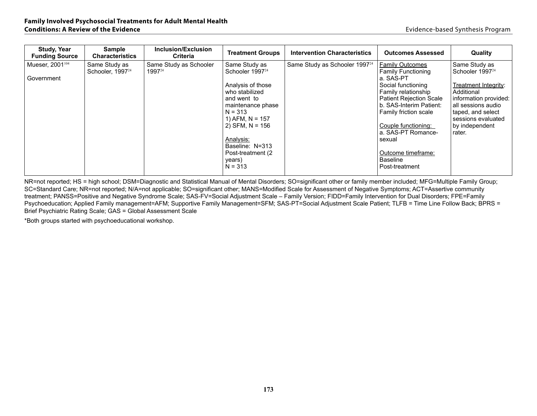| <b>Study, Year</b><br><b>Funding Source</b> | Sample<br><b>Characteristics</b>              | Inclusion/Exclusion<br><b>Criteria</b>       | <b>Treatment Groups</b>                                                                                                                                                                                                                                     | <b>Intervention Characteristics</b>       | <b>Outcomes Assessed</b>                                                                                                                                                                                                                                                                                              | Quality                                                                                                                                                                                                  |
|---------------------------------------------|-----------------------------------------------|----------------------------------------------|-------------------------------------------------------------------------------------------------------------------------------------------------------------------------------------------------------------------------------------------------------------|-------------------------------------------|-----------------------------------------------------------------------------------------------------------------------------------------------------------------------------------------------------------------------------------------------------------------------------------------------------------------------|----------------------------------------------------------------------------------------------------------------------------------------------------------------------------------------------------------|
| Mueser, 2001 <sup>104</sup><br>Government   | Same Study as<br>Schooler, 1997 <sup>24</sup> | Same Study as Schooler<br>1997 <sup>24</sup> | Same Study as<br>Schooler 1997 <sup>24</sup><br>Analysis of those<br>who stabilized<br>and went to<br>maintenance phase<br>$N = 313$<br>1) AFM, $N = 157$<br>2) SFM, $N = 156$<br>Analysis:<br>Baseline: N=313<br>Post-treatment (2)<br>years)<br>$N = 313$ | Same Study as Schooler 1997 <sup>24</sup> | <b>Family Outcomes</b><br><b>Family Functioning</b><br>a. SAS-PT<br>Social functioning<br>Family relationship<br><b>Patient Rejection Scale</b><br>b. SAS-Interim Patient:<br>Family friction scale<br>Couple functioning:<br>a. SAS-PT Romance-<br>sexual<br>Outcome timeframe:<br><b>Baseline</b><br>Post-treatment | Same Study as<br>Schooler 1997 <sup>24</sup><br>Treatment Integrity:<br>Additional<br>information provided:<br>all sessions audio<br>taped, and select<br>sessions evaluated<br>by independent<br>rater. |

NR=not reported; HS = high school; DSM=Diagnostic and Statistical Manual of Mental Disorders; SO=significant other or family member included; MFG=Multiple Family Group; SC=Standard Care; NR=not reported; N/A=not applicable; SO=significant other; MANS=Modified Scale for Assessment of Negative Symptoms; ACT=Assertive community treatment; PANSS=Positive and Negative Syndrome Scale; SAS-FV=Social Adjustment Scale – Family Version; FIDD=Family Intervention for Dual Disorders; FPE=Family Psychoeducation; Applied Family management=AFM; Supportive Family Management=SFM; SAS-PT=Social Adjustment Scale Patient; TLFB = Time Line Follow Back; BPRS = Brief Psychiatric Rating Scale; GAS = Global Assessment Scale

\*Both groups started with psychoeducational workshop.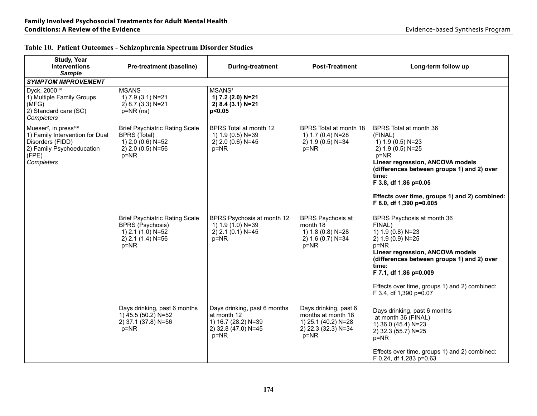| Table 10. Patient Outcomes - Schizophrenia Spectrum Disorder Studies |  |
|----------------------------------------------------------------------|--|
|----------------------------------------------------------------------|--|

| <b>Study, Year</b><br><b>Interventions</b><br><b>Sample</b>                                                                                              | <b>Pre-treatment (baseline)</b>                                                                                      | <b>During-treatment</b>                                                                               | <b>Post-Treatment</b>                                                                             | Long-term follow up                                                                                                                                                                                                                                                                        |
|----------------------------------------------------------------------------------------------------------------------------------------------------------|----------------------------------------------------------------------------------------------------------------------|-------------------------------------------------------------------------------------------------------|---------------------------------------------------------------------------------------------------|--------------------------------------------------------------------------------------------------------------------------------------------------------------------------------------------------------------------------------------------------------------------------------------------|
| <b>SYMPTOM IMPROVEMENT</b>                                                                                                                               |                                                                                                                      |                                                                                                       |                                                                                                   |                                                                                                                                                                                                                                                                                            |
| Dyck, 2000 <sup>101</sup><br>1) Multiple Family Groups<br>(MFG)<br>2) Standard care (SC)<br>Completers                                                   | <b>MSANS</b><br>1) 7.9 (3.1) N=21<br>2) 8.7 (3.3) N=21<br>$p=NR$ (ns)                                                | MSANS <sup>1</sup><br>1) 7.2 (2.0) N=21<br>2) 8.4 (3.1) N=21<br>p<0.05                                |                                                                                                   |                                                                                                                                                                                                                                                                                            |
| Mueser <sup>2</sup> , in press <sup>100</sup><br>1) Family Intervention for Dual<br>Disorders (FIDD)<br>2) Family Psychoeducation<br>(FPE)<br>Completers | <b>Brief Psychiatric Rating Scale</b><br><b>BPRS (Total)</b><br>1) 2.0 (0.6) N=52<br>2) 2.0 (0.5) N=56<br>$p = NR$   | BPRS Total at month 12<br>1) 1.9 (0.5) N=39<br>2) 2.0 (0.6) N=45<br>p=NR                              | BPRS Total at month 18<br>1) 1.7 (0.4) N=28<br>2) 1.9 (0.5) N=34<br>$p = NR$                      | BPRS Total at month 36<br>(FINAL)<br>1) 1.9 (0.5) N=23<br>2) 1.9 (0.5) N=25<br>$p = NR$<br>Linear regression, ANCOVA models<br>(differences between groups 1) and 2) over<br>time:<br>F 3.8, df 1,86 p=0.05<br>Effects over time, groups 1) and 2) combined:<br>F 8.0, df 1,390 p=0.005    |
|                                                                                                                                                          | <b>Brief Psychiatric Rating Scale</b><br><b>BPRS (Psychosis)</b><br>1) 2.1 (1.0) N=52<br>2) 2.1 (1.4) N=56<br>$p=NR$ | BPRS Psychosis at month 12<br>1) 1.9 (1.0) N=39<br>2) 2.1 (0.1) N=45<br>p=NR                          | <b>BPRS Psychosis at</b><br>month 18<br>1) 1.8 (0.8) N=28<br>2) 1.6 (0.7) N=34<br>$p = NR$        | BPRS Psychosis at month 36<br>FINAL)<br>1) 1.9 (0.8) N=23<br>2) 1.9 (0.9) N=25<br>$p = NR$<br>Linear regression, ANCOVA models<br>(differences between groups 1) and 2) over<br>time:<br>F 7.1, df 1,86 p=0.009<br>Effects over time, groups 1) and 2) combined:<br>F 3.4, df 1,390 p=0.07 |
|                                                                                                                                                          | Days drinking, past 6 months<br>1) 45.5 (50.2) N=52<br>2) 37.1 (37.8) N=56<br>p=NR                                   | Days drinking, past 6 months<br>at month 12<br>1) 16.7 (28.2) N=39<br>2) 32.8 (47.0) N=45<br>$p = NR$ | Days drinking, past 6<br>months at month 18<br>1) 25.1 (40.2) N=28<br>2) 22.3 (32.3) N=34<br>p=NR | Days drinking, past 6 months<br>at month 36 (FINAL)<br>1) 36.0 (45.4) N=23<br>2) 32.3 (55.7) N=25<br>$p = NR$<br>Effects over time, groups 1) and 2) combined:<br>F 0.24, df 1,283 p=0.63                                                                                                  |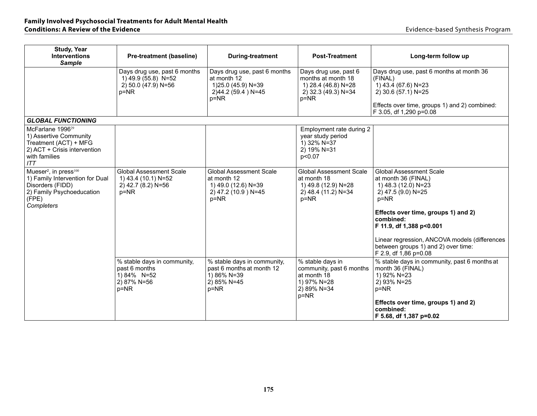#### **Family Involved Psychosocial Treatments for Adult Mental Health Conditions: A Review of the Evidence Evidence Evidence Conditions: A Review of the Evidence Evidence Evidence Evidence Evidence Evidence Evidence Evidence Evidence Evidence Evidence Evidence**

| <b>Study, Year</b><br><b>Interventions</b><br><b>Sample</b>                                                                                              | <b>Pre-treatment (baseline)</b>                                                         | <b>During-treatment</b>                                                                                 | <b>Post-Treatment</b>                                                                                 | Long-term follow up                                                                                                                                                                                                                                                                                             |
|----------------------------------------------------------------------------------------------------------------------------------------------------------|-----------------------------------------------------------------------------------------|---------------------------------------------------------------------------------------------------------|-------------------------------------------------------------------------------------------------------|-----------------------------------------------------------------------------------------------------------------------------------------------------------------------------------------------------------------------------------------------------------------------------------------------------------------|
|                                                                                                                                                          | Days drug use, past 6 months<br>1) 49.9 (55.8) N=52<br>2) 50.0 (47.9) N=56<br>p=NR      | Days drug use, past 6 months<br>at month 12<br>1)25.0 (45.9) N=39<br>2)44.2 (59.4) N=45<br>p=NR         | Days drug use, past 6<br>months at month 18<br>1) 28.4 (46.8) N=28<br>2) 32.3 (49.3) N=34<br>$p = NR$ | Days drug use, past 6 months at month 36<br>(FINAL)<br>$(1)$ 43.4 (67.6) N=23<br>2) 30.6 (57.1) N=25                                                                                                                                                                                                            |
|                                                                                                                                                          |                                                                                         |                                                                                                         |                                                                                                       | Effects over time, groups 1) and 2) combined:<br>F 3.05, df 1,290 p=0.08                                                                                                                                                                                                                                        |
| <b>GLOBAL FUNCTIONING</b>                                                                                                                                |                                                                                         |                                                                                                         |                                                                                                       |                                                                                                                                                                                                                                                                                                                 |
| McFarlane 1996 <sup>29</sup><br>1) Assertive Community<br>Treatment (ACT) + MFG<br>2) ACT + Crisis intervention<br>with families<br>ITT                  |                                                                                         |                                                                                                         | Employment rate during 2<br>year study period<br>1) 32% N=37<br>2) 19% N=31<br>p<0.07                 |                                                                                                                                                                                                                                                                                                                 |
| Mueser <sup>2</sup> , in press <sup>100</sup><br>1) Family Intervention for Dual<br>Disorders (FIDD)<br>2) Family Psychoeducation<br>(FPE)<br>Completers | <b>Global Assessment Scale</b><br>1) 43.4 (10.1) N=52<br>2) 42.7 (8.2) N=56<br>$p = NR$ | <b>Global Assessment Scale</b><br>at month 12<br>1) 49.0 (12.6) N=39<br>2) 47.2 (10.9) N=45<br>$p = NR$ | <b>Global Assessment Scale</b><br>at month 18<br>1) 49.8 (12.9) N=28<br>2) 48.4 (11.2) N=34<br>$p=NR$ | <b>Global Assessment Scale</b><br>at month 36 (FINAL)<br>1) 48.3 (12.0) N=23<br>2) 47.5 (9.0) N=25<br>$p = NR$<br>Effects over time, groups 1) and 2)<br>combined:<br>F 11.9, df 1,388 p<0.001<br>Linear regression, ANCOVA models (differences<br>between groups 1) and 2) over time:<br>F 2.9, df 1,86 p=0.08 |
|                                                                                                                                                          | % stable days in community,<br>past 6 months<br>1) 84% N=52<br>2) 87% N=56<br>p=NR      | % stable days in community,<br>past 6 months at month 12<br>1) 86% N=39<br>2) 85% N=45<br>$p = NR$      | % stable days in<br>community, past 6 months<br>at month 18<br>1) 97% N=28<br>2) 89% N=34<br>$p = NR$ | % stable days in community, past 6 months at<br>month 36 (FINAL)<br>1) 92% N=23<br>2) 93% N=25<br>p=NR<br>Effects over time, groups 1) and 2)<br>combined:<br>F 5.68, df 1,387 p=0.02                                                                                                                           |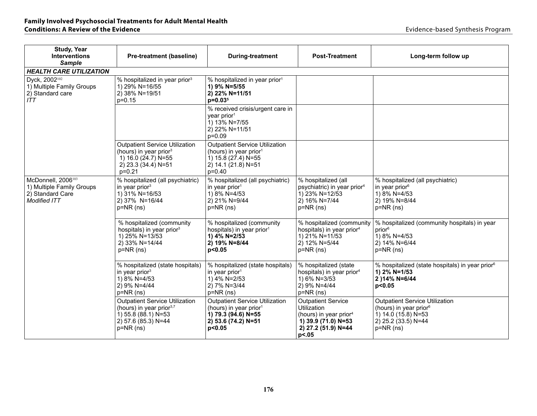#### **Family Involved Psychosocial Treatments for Adult Mental Health Conditions: A Review of the Evidence Evidence <b>Conditions: A Review of the Evidence Evidence Evidence Evidence Evidence Evidence Evidence Evidence Evidence Evidence Evidence Evidence Evidence E**

| Study, Year<br><b>Interventions</b><br><b>Sample</b>                                                   | <b>Pre-treatment (baseline)</b>                                                                                                           | <b>During-treatment</b>                                                                                                               | <b>Post-Treatment</b>                                                                                                                 | Long-term follow up                                                                                                                      |  |  |  |  |  |
|--------------------------------------------------------------------------------------------------------|-------------------------------------------------------------------------------------------------------------------------------------------|---------------------------------------------------------------------------------------------------------------------------------------|---------------------------------------------------------------------------------------------------------------------------------------|------------------------------------------------------------------------------------------------------------------------------------------|--|--|--|--|--|
| <b>HEALTH CARE UTILIZATION</b>                                                                         |                                                                                                                                           |                                                                                                                                       |                                                                                                                                       |                                                                                                                                          |  |  |  |  |  |
| Dyck, 2002 <sup>102</sup><br>1) Multiple Family Groups<br>2) Standard care<br>ITT                      | % hospitalized in year prior <sup>3</sup><br>1) 29% N=16/55<br>2) 38% N=19/51<br>$p=0.15$                                                 | % hospitalized in year prior <sup>1</sup><br>1) 9% N=5/55<br>2) 22% N=11/51<br>$p=0.035$                                              |                                                                                                                                       |                                                                                                                                          |  |  |  |  |  |
|                                                                                                        |                                                                                                                                           | % received crisis/urgent care in<br>year prior <sup>1</sup><br>$1) 13%$ N=7/55<br>2) 22% N=11/51<br>$p = 0.09$                        |                                                                                                                                       |                                                                                                                                          |  |  |  |  |  |
|                                                                                                        | <b>Outpatient Service Utilization</b><br>(hours) in year prior <sup>3</sup><br>1) 16.0 $(24.7)$ N=55<br>2) 23.3 (34.4) N=51<br>$p = 0.21$ | <b>Outpatient Service Utilization</b><br>(hours) in year prior <sup>1</sup><br>1) 15.8 (27.4) N=55<br>2) 14.1 (21.8) N=51<br>$p=0.40$ |                                                                                                                                       |                                                                                                                                          |  |  |  |  |  |
| McDonnell, 2006 <sup>103</sup><br>1) Multiple Family Groups<br>2) Standard Care<br><b>Modified ITT</b> | % hospitalized (all psychiatric)<br>in year prior $3$<br>1) 31% N=16/53<br>2) 37% N=16/44<br>$p=NR$ (ns)                                  | % hospitalized (all psychiatric)<br>in year prior <sup>1</sup><br>1) 8% N=4/53<br>2) 21% N=9/44<br>$p=NR$ (ns)                        | % hospitalized (all<br>psychiatric) in year prior <sup>4</sup><br>1) 23% N=12/53<br>2) 16% N=7/44<br>$p=NR$ (ns)                      | % hospitalized (all psychiatric)<br>in year prior <sup>6</sup><br>1) 8% N=4/53<br>2) 19% N=8/44<br>$p=NR$ (ns)                           |  |  |  |  |  |
|                                                                                                        | % hospitalized (community<br>hospitals) in year prior <sup>3</sup><br>1) 25% N=13/53<br>2) 33% N=14/44<br>$p=NR$ (ns)                     | % hospitalized (community<br>hospitals) in year prior <sup>1</sup><br>1) 4% N=2/53<br>2) 19% N=8/44<br>p<0.05                         | % hospitalized (community<br>hospitals) in year prior <sup>4</sup><br>1) 21% N=11/53<br>2) 12% N=5/44<br>$p=NR$ (ns)                  | % hospitalized (community hospitals) in year<br>prior <sup>6</sup><br>$1)$ 8% N=4/53<br>2) 14% N=6/44<br>$p=NR$ (ns)                     |  |  |  |  |  |
|                                                                                                        | % hospitalized (state hospitals)<br>in year prior $3$<br>1) 8% N=4/53<br>2) 9% N=4/44<br>$p=NR$ (ns)                                      | % hospitalized (state hospitals)<br>in year prior $1$<br>1) 4% N=2/53<br>2) 7% N=3/44<br>$p=NR$ (ns)                                  | % hospitalized (state<br>hospitals) in year prior <sup>4</sup><br>1) 6% N=3/53<br>2) 9% N=4/44<br>$p=NR$ (ns)                         | % hospitalized (state hospitals) in year prior <sup>6</sup><br>1) 2% N=1/53<br>2) 14% N=6/44<br>p<0.05                                   |  |  |  |  |  |
|                                                                                                        | <b>Outpatient Service Utilization</b><br>(hours) in year prior <sup>3,7</sup><br>1) 55.8 (88.1) N=53<br>2) 57.6 (85.3) N=44<br>p=NR (ns)  | <b>Outpatient Service Utilization</b><br>(hours) in year prior <sup>1</sup><br>1) 79.3 (94.6) N=55<br>2) 53.6 (74.2) N=51<br>p<0.05   | <b>Outpatient Service</b><br>Utilization<br>(hours) in year prior <sup>4</sup><br>1) 39.9 (71.0) N=53<br>2) 27.2 (51.9) N=44<br>p<.05 | <b>Outpatient Service Utilization</b><br>(hours) in year prior <sup>6</sup><br>1) 14.0 (15.8) N=53<br>2) 25.2 (33.5) N=44<br>$p=NR$ (ns) |  |  |  |  |  |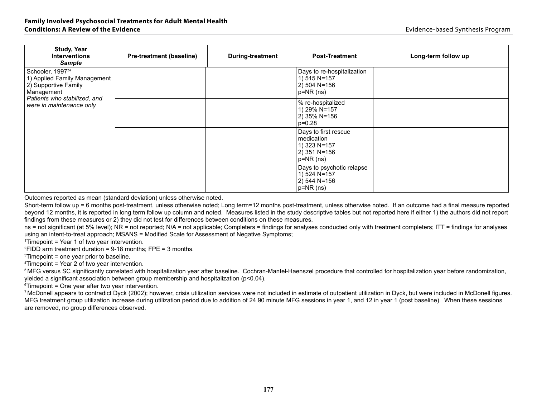| <b>Study, Year</b><br><b>Interventions</b><br><b>Sample</b>                                                                                                    | <b>Pre-treatment (baseline)</b> | During-treatment | <b>Post-Treatment</b>                                                             | Long-term follow up |
|----------------------------------------------------------------------------------------------------------------------------------------------------------------|---------------------------------|------------------|-----------------------------------------------------------------------------------|---------------------|
| Schooler, 1997 <sup>24</sup><br>1) Applied Family Management<br>2) Supportive Family<br>Management<br>Patients who stabilized, and<br>were in maintenance only |                                 |                  | Days to re-hospitalization<br>1) 515 N=157<br>2) 504 N=156<br>$p=NR(ns)$          |                     |
|                                                                                                                                                                |                                 |                  | % re-hospitalized<br>1) 29% N=157<br>2) 35% N=156<br>$p=0.28$                     |                     |
|                                                                                                                                                                |                                 |                  | Days to first rescue<br>medication<br>1) 323 N=157<br>2) 351 N=156<br>$p=NR$ (ns) |                     |
|                                                                                                                                                                |                                 |                  | Days to psychotic relapse<br>1) 524 N=157<br>2) 544 N=156<br>$p=NR$ (ns)          |                     |

Outcomes reported as mean (standard deviation) unless otherwise noted.

Short-term follow up = 6 months post-treatment, unless otherwise noted; Long term=12 months post-treatment, unless otherwise noted. If an outcome had a final measure reported beyond 12 months, it is reported in long term follow up column and noted. Measures listed in the study descriptive tables but not reported here if either 1) the authors did not report findings from these measures or 2) they did not test for differences between conditions on these measures.

ns = not significant (at 5% level); NR = not reported; N/A = not applicable; Completers = findings for analyses conducted only with treatment completers; ITT = findings for analyses using an intent-to-treat approach; MSANS = Modified Scale for Assessment of Negative Symptoms;

1Timepoint = Year 1 of two year intervention.

 $2$ FIDD arm treatment duration = 9-18 months; FPE = 3 months.

 $3$ Timepoint = one year prior to baseline.

<sup>4</sup>Timepoint = Year 2 of two year intervention.

<sup>5</sup>MFG versus SC significantly correlated with hospitalization year after baseline. Cochran-Mantel-Haenszel procedure that controlled for hospitalization year before randomization, yielded a significant association between group membership and hospitalization (p<0.04).

 $\textdegree$ Timepoint = One year after two year intervention.

<sup>7</sup> McDonell appears to contradict Dyck (2002); however, crisis utilization services were not included in estimate of outpatient utilization in Dyck, but were included in McDonell figures. MFG treatment group utilization increase during utilization period due to addition of 24 90 minute MFG sessions in year 1, and 12 in year 1 (post baseline). When these sessions are removed, no group differences observed.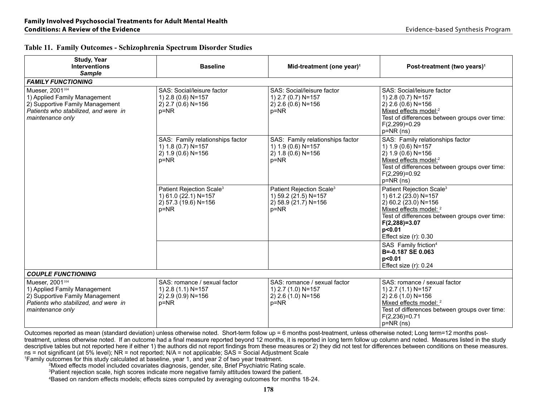| <b>Study, Year</b><br><b>Interventions</b><br><b>Sample</b>                                                                                                | <b>Baseline</b>                                                                                  | Mid-treatment (one year) <sup>1</sup>                                                            | Post-treatment (two years) <sup>1</sup>                                                                                                                                                                                          |
|------------------------------------------------------------------------------------------------------------------------------------------------------------|--------------------------------------------------------------------------------------------------|--------------------------------------------------------------------------------------------------|----------------------------------------------------------------------------------------------------------------------------------------------------------------------------------------------------------------------------------|
| <b>FAMILY FUNCTIONING</b>                                                                                                                                  |                                                                                                  |                                                                                                  |                                                                                                                                                                                                                                  |
| Mueser, 2001 <sup>104</sup><br>1) Applied Family Management<br>2) Supportive Family Management<br>Patients who stabilized, and were in<br>maintenance only | SAS: Social/leisure factor<br>1) 2.8 (0.6) N=157<br>2) 2.7 (0.6) N=156<br>$p = NR$               | SAS: Social/leisure factor<br>1) 2.7 (0.7) N=157<br>2) 2.6 (0.6) N=156<br>$p = NR$               | SAS: Social/leisure factor<br>1) 2.8 (0.7) N=157<br>2) 2.6 (0.6) N=156<br>Mixed effects model: <sup>2</sup><br>Test of differences between groups over time:<br>$F(2,299)=0.29$<br>p=NR (ns)                                     |
|                                                                                                                                                            | SAS: Family relationships factor<br>1) 1.8 (0.7) N=157<br>$2) 1.9 (0.6) N = 156$<br>$p = NR$     | SAS: Family relationships factor<br>1) 1.9 (0.6) N=157<br>$2)$ 1.8 (0.6) N=156<br>$p = NR$       | SAS: Family relationships factor<br>1) 1.9 (0.6) N=157<br>$2) 1.9 (0.6) N = 156$<br>Mixed effects model: <sup>2</sup><br>Test of differences between groups over time:<br>$F(2,299)=0.92$<br>$p=NR$ (ns)                         |
|                                                                                                                                                            | Patient Rejection Scale <sup>3</sup><br>1) 61.0 (22.1) N=157<br>2) 57.3 (19.6) N=156<br>$p = NR$ | Patient Rejection Scale <sup>3</sup><br>1) 59.2 (21.5) N=157<br>2) 58.9 (21.7) N=156<br>$p = NR$ | Patient Rejection Scale <sup>3</sup><br>1) 61.2 (23.0) N=157<br>2) 60.2 (23.0) N=156<br>Mixed effects model: <sup>2</sup><br>Test of differences between groups over time:<br>$F(2,288)=3.07$<br>p<0.01<br>Effect size (r): 0.30 |
|                                                                                                                                                            |                                                                                                  |                                                                                                  | SAS Family friction <sup>4</sup><br>B=-0.187 SE 0.063<br>p<0.01<br>Effect size (r): 0.24                                                                                                                                         |
| <b>COUPLE FUNCTIONING</b>                                                                                                                                  |                                                                                                  |                                                                                                  |                                                                                                                                                                                                                                  |
| Mueser, 2001 <sup>104</sup><br>1) Applied Family Management<br>2) Supportive Family Management<br>Patients who stabilized, and were in<br>maintenance only | SAS: romance / sexual factor<br>1) 2.8 (1.1) N=157<br>2) 2.9 (0.9) N=156<br>$p = NR$             | SAS: romance / sexual factor<br>1) 2.7 (1.0) N=157<br>2) 2.6 (1.0) N=156<br>$p = NR$             | SAS: romance / sexual factor<br>1) 2.7 (1.1) N=157<br>2) 2.6 (1.0) N=156<br>Mixed effects model: <sup>2</sup><br>Test of differences between groups over time:<br>$F(2,236)=0.71$<br>p=NR (ns)                                   |

# **Table 11. Family Outcomes - Schizophrenia Spectrum Disorder Studies**

Outcomes reported as mean (standard deviation) unless otherwise noted. Short-term follow up = 6 months post-treatment, unless otherwise noted; Long term=12 months posttreatment, unless otherwise noted. If an outcome had a final measure reported beyond 12 months, it is reported in long term follow up column and noted. Measures listed in the study descriptive tables but not reported here if either 1) the authors did not report findings from these measures or 2) they did not test for differences between conditions on these measures. ns = not significant (at 5% level); NR = not reported; N/A = not applicable; SAS = Social Adjustment Scale

1Family outcomes for this study calculated at baseline, year 1, and year 2 of two year treatment.

2Mixed effects model included covariates diagnosis, gender, site, Brief Psychiatric Rating scale.

<sup>3</sup>Patient rejection scale, high scores indicate more negative family attitudes toward the patient.

4Based on random effects models; effects sizes computed by averaging outcomes for months 18-24.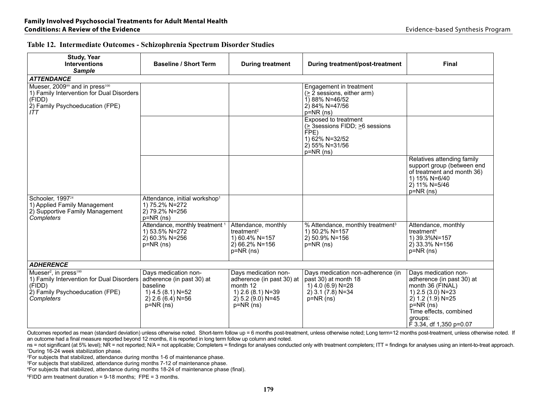|  |  |  |  |  |  | Table 12. Intermediate Outcomes - Schizophrenia Spectrum Disorder Studies |
|--|--|--|--|--|--|---------------------------------------------------------------------------|
|--|--|--|--|--|--|---------------------------------------------------------------------------|

| <b>Study, Year</b><br><b>Interventions</b><br><b>Sample</b>                                                                                                    | <b>Baseline / Short Term</b>                                                                                           | <b>During treatment</b>                                                                                                   | During treatment/post-treatment                                                                                                    | Final                                                                                                                                                                                              |  |  |  |
|----------------------------------------------------------------------------------------------------------------------------------------------------------------|------------------------------------------------------------------------------------------------------------------------|---------------------------------------------------------------------------------------------------------------------------|------------------------------------------------------------------------------------------------------------------------------------|----------------------------------------------------------------------------------------------------------------------------------------------------------------------------------------------------|--|--|--|
| <b>ATTENDANCE</b>                                                                                                                                              |                                                                                                                        |                                                                                                                           |                                                                                                                                    |                                                                                                                                                                                                    |  |  |  |
| Mueser, 2009 <sup>99</sup> and in press <sup>100</sup><br>1) Family Intervention for Dual Disorders<br>(FIDD)<br>2) Family Psychoeducation (FPE)<br><b>ITT</b> |                                                                                                                        |                                                                                                                           | Engagement in treatment<br>$($ > 2 sessions, either arm)<br>1) 88% N=46/52<br>2) 84% N=47/56<br>$p=NR$ (ns)                        |                                                                                                                                                                                                    |  |  |  |
|                                                                                                                                                                |                                                                                                                        |                                                                                                                           | <b>Exposed to treatment</b><br>$($ > 3 Sessions FIDD; $\geq$ 6 sessions<br>FPE)<br>1) 62% N=32/52<br>2) 55% N=31/56<br>$p=NR$ (ns) |                                                                                                                                                                                                    |  |  |  |
|                                                                                                                                                                |                                                                                                                        |                                                                                                                           |                                                                                                                                    | Relatives attending family<br>support group (between end<br>of treatment and month 36)<br>1) 15% N=6/40<br>$2)$ 11% N=5/46<br>$p=NR$ (ns)                                                          |  |  |  |
| Schooler, 1997 <sup>24</sup><br>1) Applied Family Management<br>2) Supportive Family Management<br>Completers                                                  | Attendance, initial workshop <sup>1</sup><br>1) 75.2% N=272<br>2) 79.2% N=256<br>$p=NR(ns)$                            |                                                                                                                           |                                                                                                                                    |                                                                                                                                                                                                    |  |  |  |
|                                                                                                                                                                | Attendance, monthly treatment <sup>1</sup><br>1) 53.5% N=272<br>2) 60.3% N=256<br>$p=NR$ (ns)                          | Attendance, monthly<br>treatment <sup>2</sup><br>1) 60.4% N=157<br>$2)$ 66.2% N=156<br>$p=NR$ (ns)                        | % Attendance, monthly treatment <sup>3</sup><br>1) 50.2% N=157<br>$2$ ) 50.9% N=156<br>$p=NR(ns)$                                  | Attendance, monthly<br>treatment <sup>4</sup><br>1) 39.3%N=157<br>$2)$ 33.3% N=156<br>$p=NR$ (ns)                                                                                                  |  |  |  |
| <b>ADHERENCE</b>                                                                                                                                               |                                                                                                                        |                                                                                                                           |                                                                                                                                    |                                                                                                                                                                                                    |  |  |  |
| Mueser <sup>2</sup> , in press <sup>100</sup><br>1) Family Intervention for Dual Disorders<br>(FIDD)<br>2) Family Psychoeducation (FPE)<br>Completers          | Days medication non-<br>adherence (in past 30) at<br>baseline<br>1) 4.5 (8.1) N=52<br>2) 2.6 (6.4) N=56<br>$p=NR$ (ns) | Days medication non-<br>adherence (in past 30) at<br>month 12<br>1) 2.6 (8.1) N=39<br>$(2)$ 5.2 $(9.0)$ N=45<br>p=NR (ns) | Days medication non-adherence (in<br>past 30) at month 18<br>1) 4.0 (6.9) N=28<br>$2)$ 3.1 (7.8) N=34<br>$p=NR$ (ns)               | Days medication non-<br>adherence (in past 30) at<br>month 36 (FINAL)<br>1) $2.5(3.0)$ N=23<br>$2) 1.2 (1.9) N = 25$<br>$p=NR(ns)$<br>Time effects, combined<br>groups:<br>F 3.34, df 1,350 p=0.07 |  |  |  |

Outcomes reported as mean (standard deviation) unless otherwise noted. Short-term follow up = 6 months post-treatment, unless otherwise noted; Long term=12 months post-treatment, unless otherwise noted. If an outcome had a final measure reported beyond 12 months, it is reported in long term follow up column and noted.

ns = not significant (at 5% level); NR = not reported; N/A = not applicable; Completers = findings for analyses conducted only with treatment completers; ITT = findings for analyses using an intent-to-treat approach. 1During 16-24 week stabilization phase.

<sup>2</sup>For subjects that stabilized, attendance during months 1-6 of maintenance phase.

<sup>3</sup>For subjects that stabilized, attendance during months 7-12 of maintenance phase.

<sup>4</sup>For subjects that stabilized, attendance during months 18-24 of maintenance phase (final).

5FIDD arm treatment duration = 9-18 months; FPE = 3 months.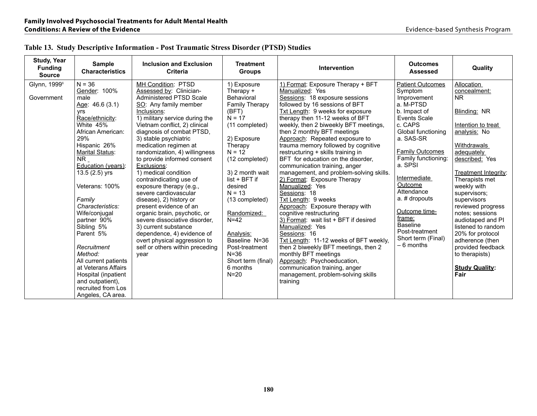| <b>Study, Year</b><br><b>Funding</b><br><b>Source</b> | <b>Sample</b><br><b>Characteristics</b>                                                                                                                                                                                                                                | <b>Inclusion and Exclusion</b><br>Criteria                                                                                                                                                                                                                                                              | <b>Treatment</b><br><b>Groups</b>                                                                                                                                      | <b>Intervention</b>                                                                                                                                                                                                                                                                                                                                                                                                         | <b>Outcomes</b><br><b>Assessed</b>                                                                                                          | Quality                                                                                                                                                                                                                                      |
|-------------------------------------------------------|------------------------------------------------------------------------------------------------------------------------------------------------------------------------------------------------------------------------------------------------------------------------|---------------------------------------------------------------------------------------------------------------------------------------------------------------------------------------------------------------------------------------------------------------------------------------------------------|------------------------------------------------------------------------------------------------------------------------------------------------------------------------|-----------------------------------------------------------------------------------------------------------------------------------------------------------------------------------------------------------------------------------------------------------------------------------------------------------------------------------------------------------------------------------------------------------------------------|---------------------------------------------------------------------------------------------------------------------------------------------|----------------------------------------------------------------------------------------------------------------------------------------------------------------------------------------------------------------------------------------------|
| Glynn, 1999 <sup>8</sup>                              | $N = 36$                                                                                                                                                                                                                                                               | MH Condition: PTSD                                                                                                                                                                                                                                                                                      | 1) Exposure                                                                                                                                                            | 1) Format: Exposure Therapy + BFT                                                                                                                                                                                                                                                                                                                                                                                           | <b>Patient Outcomes</b>                                                                                                                     | Allocation                                                                                                                                                                                                                                   |
|                                                       | Gender: 100%                                                                                                                                                                                                                                                           | Assessed by: Clinician-                                                                                                                                                                                                                                                                                 | Therapy +                                                                                                                                                              | Manualized: Yes                                                                                                                                                                                                                                                                                                                                                                                                             | Symptom                                                                                                                                     | concealment:                                                                                                                                                                                                                                 |
| Government                                            | male                                                                                                                                                                                                                                                                   | Administered PTSD Scale                                                                                                                                                                                                                                                                                 | Behavioral                                                                                                                                                             | Sessions: 18 exposure sessions                                                                                                                                                                                                                                                                                                                                                                                              | Improvement                                                                                                                                 | <b>NR</b>                                                                                                                                                                                                                                    |
|                                                       | Age: 46.6 (3.1)                                                                                                                                                                                                                                                        | SO: Any family member                                                                                                                                                                                                                                                                                   | <b>Family Therapy</b>                                                                                                                                                  | followed by 16 sessions of BFT                                                                                                                                                                                                                                                                                                                                                                                              | a. M-PTSD                                                                                                                                   |                                                                                                                                                                                                                                              |
|                                                       | <b>vrs</b>                                                                                                                                                                                                                                                             | Inclusions:                                                                                                                                                                                                                                                                                             | (BFT)                                                                                                                                                                  | Txt Length: 9 weeks for exposure                                                                                                                                                                                                                                                                                                                                                                                            | b. Impact of                                                                                                                                | Blinding: NR                                                                                                                                                                                                                                 |
|                                                       | Race/ethnicity:                                                                                                                                                                                                                                                        | 1) military service during the                                                                                                                                                                                                                                                                          | $N = 17$                                                                                                                                                               | therapy then 11-12 weeks of BFT                                                                                                                                                                                                                                                                                                                                                                                             | <b>Events Scale</b>                                                                                                                         |                                                                                                                                                                                                                                              |
|                                                       | White 45%                                                                                                                                                                                                                                                              | Vietnam conflict, 2) clinical                                                                                                                                                                                                                                                                           | (11 completed)                                                                                                                                                         | weekly, then 2 biweekly BFT meetings,                                                                                                                                                                                                                                                                                                                                                                                       | c. CAPS                                                                                                                                     | Intention to treat                                                                                                                                                                                                                           |
|                                                       | African American:                                                                                                                                                                                                                                                      | diagnosis of combat PTSD,                                                                                                                                                                                                                                                                               |                                                                                                                                                                        | then 2 monthly BFT meetings                                                                                                                                                                                                                                                                                                                                                                                                 | Global functioning                                                                                                                          | analysis: No                                                                                                                                                                                                                                 |
|                                                       | 29%                                                                                                                                                                                                                                                                    | 3) stable psychiatric                                                                                                                                                                                                                                                                                   | 2) Exposure                                                                                                                                                            | Approach: Repeated exposure to                                                                                                                                                                                                                                                                                                                                                                                              | a. SAS-SR                                                                                                                                   |                                                                                                                                                                                                                                              |
|                                                       | Hispanic 26%                                                                                                                                                                                                                                                           | medication regimen at                                                                                                                                                                                                                                                                                   | Therapy                                                                                                                                                                | trauma memory followed by cognitive                                                                                                                                                                                                                                                                                                                                                                                         |                                                                                                                                             | Withdrawals                                                                                                                                                                                                                                  |
|                                                       | Marital Status:                                                                                                                                                                                                                                                        | randomization, 4) willingness                                                                                                                                                                                                                                                                           | $N = 12$                                                                                                                                                               | restructuring + skills training in                                                                                                                                                                                                                                                                                                                                                                                          | <b>Family Outcomes</b>                                                                                                                      | adequately                                                                                                                                                                                                                                   |
|                                                       | $NR_$                                                                                                                                                                                                                                                                  | to provide informed consent                                                                                                                                                                                                                                                                             | (12 completed)                                                                                                                                                         | BFT for education on the disorder,                                                                                                                                                                                                                                                                                                                                                                                          | Family functioning:                                                                                                                         | described: Yes                                                                                                                                                                                                                               |
|                                                       | Education (years):                                                                                                                                                                                                                                                     | Exclusions:                                                                                                                                                                                                                                                                                             |                                                                                                                                                                        | communication training, anger                                                                                                                                                                                                                                                                                                                                                                                               | a. SPSI                                                                                                                                     |                                                                                                                                                                                                                                              |
|                                                       | 13.5 (2.5) yrs                                                                                                                                                                                                                                                         | 1) medical condition                                                                                                                                                                                                                                                                                    | 3) 2 month wait                                                                                                                                                        | management, and problem-solving skills.                                                                                                                                                                                                                                                                                                                                                                                     |                                                                                                                                             | Treatment Integrity:                                                                                                                                                                                                                         |
|                                                       |                                                                                                                                                                                                                                                                        | contraindicating use of                                                                                                                                                                                                                                                                                 | $list + BFT$ if                                                                                                                                                        | 2) Format: Exposure Therapy                                                                                                                                                                                                                                                                                                                                                                                                 | Intermediate                                                                                                                                | Therapists met                                                                                                                                                                                                                               |
|                                                       |                                                                                                                                                                                                                                                                        |                                                                                                                                                                                                                                                                                                         |                                                                                                                                                                        |                                                                                                                                                                                                                                                                                                                                                                                                                             |                                                                                                                                             |                                                                                                                                                                                                                                              |
|                                                       |                                                                                                                                                                                                                                                                        |                                                                                                                                                                                                                                                                                                         |                                                                                                                                                                        |                                                                                                                                                                                                                                                                                                                                                                                                                             |                                                                                                                                             |                                                                                                                                                                                                                                              |
|                                                       |                                                                                                                                                                                                                                                                        |                                                                                                                                                                                                                                                                                                         |                                                                                                                                                                        |                                                                                                                                                                                                                                                                                                                                                                                                                             |                                                                                                                                             |                                                                                                                                                                                                                                              |
|                                                       |                                                                                                                                                                                                                                                                        |                                                                                                                                                                                                                                                                                                         |                                                                                                                                                                        |                                                                                                                                                                                                                                                                                                                                                                                                                             |                                                                                                                                             |                                                                                                                                                                                                                                              |
|                                                       |                                                                                                                                                                                                                                                                        |                                                                                                                                                                                                                                                                                                         |                                                                                                                                                                        |                                                                                                                                                                                                                                                                                                                                                                                                                             |                                                                                                                                             |                                                                                                                                                                                                                                              |
|                                                       |                                                                                                                                                                                                                                                                        |                                                                                                                                                                                                                                                                                                         |                                                                                                                                                                        |                                                                                                                                                                                                                                                                                                                                                                                                                             |                                                                                                                                             |                                                                                                                                                                                                                                              |
|                                                       |                                                                                                                                                                                                                                                                        |                                                                                                                                                                                                                                                                                                         |                                                                                                                                                                        |                                                                                                                                                                                                                                                                                                                                                                                                                             |                                                                                                                                             |                                                                                                                                                                                                                                              |
|                                                       |                                                                                                                                                                                                                                                                        |                                                                                                                                                                                                                                                                                                         |                                                                                                                                                                        |                                                                                                                                                                                                                                                                                                                                                                                                                             |                                                                                                                                             |                                                                                                                                                                                                                                              |
|                                                       |                                                                                                                                                                                                                                                                        |                                                                                                                                                                                                                                                                                                         |                                                                                                                                                                        |                                                                                                                                                                                                                                                                                                                                                                                                                             |                                                                                                                                             |                                                                                                                                                                                                                                              |
|                                                       |                                                                                                                                                                                                                                                                        |                                                                                                                                                                                                                                                                                                         |                                                                                                                                                                        |                                                                                                                                                                                                                                                                                                                                                                                                                             |                                                                                                                                             |                                                                                                                                                                                                                                              |
|                                                       |                                                                                                                                                                                                                                                                        |                                                                                                                                                                                                                                                                                                         |                                                                                                                                                                        |                                                                                                                                                                                                                                                                                                                                                                                                                             |                                                                                                                                             |                                                                                                                                                                                                                                              |
|                                                       |                                                                                                                                                                                                                                                                        |                                                                                                                                                                                                                                                                                                         |                                                                                                                                                                        |                                                                                                                                                                                                                                                                                                                                                                                                                             |                                                                                                                                             |                                                                                                                                                                                                                                              |
|                                                       |                                                                                                                                                                                                                                                                        |                                                                                                                                                                                                                                                                                                         |                                                                                                                                                                        |                                                                                                                                                                                                                                                                                                                                                                                                                             |                                                                                                                                             |                                                                                                                                                                                                                                              |
|                                                       |                                                                                                                                                                                                                                                                        |                                                                                                                                                                                                                                                                                                         |                                                                                                                                                                        |                                                                                                                                                                                                                                                                                                                                                                                                                             |                                                                                                                                             |                                                                                                                                                                                                                                              |
|                                                       |                                                                                                                                                                                                                                                                        |                                                                                                                                                                                                                                                                                                         |                                                                                                                                                                        |                                                                                                                                                                                                                                                                                                                                                                                                                             |                                                                                                                                             |                                                                                                                                                                                                                                              |
|                                                       |                                                                                                                                                                                                                                                                        |                                                                                                                                                                                                                                                                                                         |                                                                                                                                                                        |                                                                                                                                                                                                                                                                                                                                                                                                                             |                                                                                                                                             |                                                                                                                                                                                                                                              |
|                                                       | Veterans: 100%<br>Family<br>Characteristics:<br>Wife/conjugal<br>partner 90%<br>Sibling 5%<br>Parent 5%<br>Recruitment<br>Method:<br>All current patients<br>at Veterans Affairs<br>Hospital (inpatient<br>and outpatient),<br>recruited from Los<br>Angeles, CA area. | exposure therapy (e.g.,<br>severe cardiovascular<br>disease), 2) history or<br>present evidence of an<br>organic brain, psychotic, or<br>severe dissociative disorder.<br>3) current substance<br>dependence, 4) evidence of<br>overt physical aggression to<br>self or others within preceding<br>year | desired<br>$N = 13$<br>(13 completed)<br>Randomized:<br>$N=42$<br>Analysis:<br>Baseline N=36<br>Post-treatment<br>$N = 36$<br>Short term (final)<br>6 months<br>$N=20$ | Manualized: Yes<br>Sessions: 18<br>Txt Length: 9 weeks<br>Approach: Exposure therapy with<br>cognitive restructuring<br>3) Format: wait list + BFT if desired<br>Manualized: Yes<br>Sessions: 16<br>Txt Length: 11-12 weeks of BFT weekly,<br>then 2 biweekly BFT meetings, then 2<br>monthly BFT meetings<br>Approach: Psychoeducation,<br>communication training, anger<br>management, problem-solving skills<br>training | Outcome<br>Attendance<br>a. # dropouts<br>Outcome time-<br>frame:<br><b>Baseline</b><br>Post-treatment<br>Short term (Final)<br>$-6$ months | weekly with<br>supervisors;<br>supervisors<br>reviewed progress<br>notes; sessions<br>audiotaped and PI<br>listened to random<br>20% for protocol<br>adherence (then<br>provided feedback<br>to therapists)<br><b>Study Quality:</b><br>Fair |

# **Table 13. Study Descriptive Information - Post Traumatic Stress Disorder (PTSD) Studies**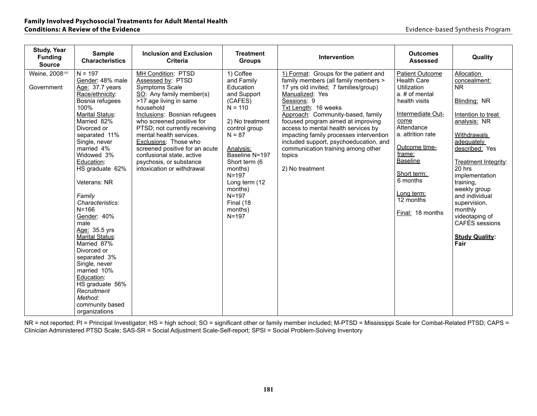| <b>Study, Year</b><br><b>Funding</b><br><b>Source</b> | <b>Sample</b><br><b>Characteristics</b>                                                                                                                                                                                                                                                                                                                                                                                                                                                                                                 | <b>Inclusion and Exclusion</b><br><b>Criteria</b>                                                                                                                                                                                                                                                                                                                                                      | <b>Treatment</b><br><b>Groups</b>                                                                                                                                                                                                                                                 | <b>Intervention</b>                                                                                                                                                                                                                                                                                                                                                                                                                                        | <b>Outcomes</b><br><b>Assessed</b>                                                                                                                                                                                                                                                            | Quality                                                                                                                                                                                                                                                                                                                                         |
|-------------------------------------------------------|-----------------------------------------------------------------------------------------------------------------------------------------------------------------------------------------------------------------------------------------------------------------------------------------------------------------------------------------------------------------------------------------------------------------------------------------------------------------------------------------------------------------------------------------|--------------------------------------------------------------------------------------------------------------------------------------------------------------------------------------------------------------------------------------------------------------------------------------------------------------------------------------------------------------------------------------------------------|-----------------------------------------------------------------------------------------------------------------------------------------------------------------------------------------------------------------------------------------------------------------------------------|------------------------------------------------------------------------------------------------------------------------------------------------------------------------------------------------------------------------------------------------------------------------------------------------------------------------------------------------------------------------------------------------------------------------------------------------------------|-----------------------------------------------------------------------------------------------------------------------------------------------------------------------------------------------------------------------------------------------------------------------------------------------|-------------------------------------------------------------------------------------------------------------------------------------------------------------------------------------------------------------------------------------------------------------------------------------------------------------------------------------------------|
| Weine, 2008 <sup>105</sup><br>Government              | $N = 197$<br>Gender: 48% male<br>Age: 37.7 years<br>Race/ethnicity:<br>Bosnia refugees<br>100%<br>Marital Status:<br>Married 82%<br>Divorced or<br>separated 11%<br>Single, never<br>married 4%<br>Widowed 3%<br>Education:<br>HS graduate 62%<br>Veterans: NR<br>Family<br>Characteristics:<br>$N = 166$<br>Gender: 40%<br>male<br>Age: 35.5 yrs<br><b>Marital Status:</b><br>Married 87%<br>Divorced or<br>separated 3%<br>Single, never<br>married 10%<br>Education:<br>HS graduate 56%<br>Recruitment<br>Method:<br>community based | MH Condition: PTSD<br>Assessed by: PTSD<br>Symptoms Scale<br>SO: Any family member(s)<br>>17 age living in same<br>household<br>Inclusions: Bosnian refugees<br>who screened positive for<br>PTSD; not currently receiving<br>mental health services.<br>Exclusions: Those who<br>screened positive for an acute<br>confusional state, active<br>psychosis, or substance<br>intoxication or withdrawal | 1) Coffee<br>and Family<br>Education<br>and Support<br>(CAFES)<br>$N = 110$<br>2) No treatment<br>control group<br>$N = 87$<br>Analysis:<br>Baseline N=197<br>Short term (6<br>months)<br>$N = 197$<br>Long term (12<br>months)<br>$N = 197$<br>Final (18<br>months)<br>$N = 197$ | 1) Format: Groups for the patient and<br>family members (all family members ><br>17 yrs old invited; 7 families/group)<br>Manualized: Yes<br>Sessions: 9<br>Txt Length: 16 weeks<br>Approach: Community-based, family<br>focused program aimed at improving<br>access to mental health services by<br>impacting family processes intervention<br>included support, psychoeducation, and<br>communication training among other<br>topics<br>2) No treatment | <b>Patient Outcome</b><br><b>Health Care</b><br><b>Utilization</b><br>a. # of mental<br>health visits<br>Intermediate Out-<br>come<br>Attendance<br>a. attrition rate<br>Outcome time-<br>frame:<br><b>Baseline</b><br>Short term:<br>6 months<br>Long term:<br>12 months<br>Final: 18 months | Allocation<br>concealment:<br><b>NR</b><br>Blinding: NR<br>Intention to treat<br>analysis: NR<br>Withdrawals<br>adequately<br>described: Yes<br>Treatment Integrity:<br>20 hrs<br>implementation<br>training,<br>weekly group<br>and individual<br>supervision,<br>monthly<br>videotaping of<br>CAFÉS sessions<br><b>Study Quality:</b><br>Fair |
|                                                       | organizations                                                                                                                                                                                                                                                                                                                                                                                                                                                                                                                           |                                                                                                                                                                                                                                                                                                                                                                                                        |                                                                                                                                                                                                                                                                                   |                                                                                                                                                                                                                                                                                                                                                                                                                                                            |                                                                                                                                                                                                                                                                                               |                                                                                                                                                                                                                                                                                                                                                 |

NR = not reported; PI = Principal Investigator; HS = high school; SO = significant other or family member included; M-PTSD = Mississippi Scale for Combat-Related PTSD; CAPS = Clinician Administered PTSD Scale; SAS-SR = Social Adjustment Scale-Self-report; SPSI = Social Problem-Solving Inventory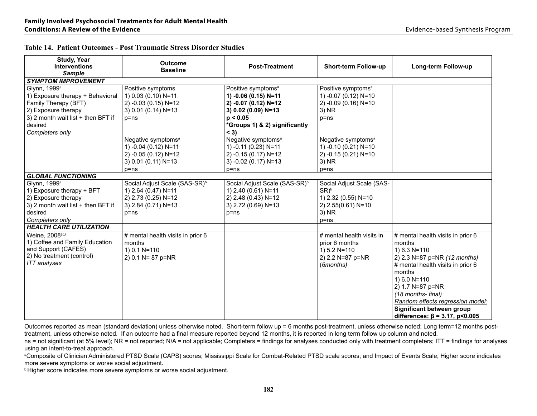| <b>Study, Year</b><br><b>Interventions</b><br><b>Sample</b>                                                                                                                     | <b>Outcome</b><br><b>Baseline</b>                                                                                          | <b>Post-Treatment</b>                                                                                                                                        | <b>Short-term Follow-up</b>                                                                            | Long-term Follow-up                                                                                                                                                                                                                                                                                               |
|---------------------------------------------------------------------------------------------------------------------------------------------------------------------------------|----------------------------------------------------------------------------------------------------------------------------|--------------------------------------------------------------------------------------------------------------------------------------------------------------|--------------------------------------------------------------------------------------------------------|-------------------------------------------------------------------------------------------------------------------------------------------------------------------------------------------------------------------------------------------------------------------------------------------------------------------|
| <b>SYMPTOM IMPROVEMENT</b>                                                                                                                                                      |                                                                                                                            |                                                                                                                                                              |                                                                                                        |                                                                                                                                                                                                                                                                                                                   |
| Glynn, 1999 <sup>8</sup><br>1) Exposure therapy + Behavioral<br>Family Therapy (BFT)<br>2) Exposure therapy<br>3) 2 month wait list + then BFT if<br>desired<br>Completers only | Positive symptoms<br>1) 0.03 (0.10) N=11<br>2) -0.03 (0.15) N=12<br>3) 0.01 (0.14) N=13<br>$p = ns$                        | Positive symptoms <sup>a</sup><br>1) -0.06 (0.15) N=11<br>2) -0.07 (0.12) N=12<br>3) 0.02 (0.09) N=13<br>p < 0.05<br>*Groups 1) & 2) significantly<br>$<$ 3) | Positive symptoms <sup>a</sup><br>1) -0.07 (0.12) N=10<br>2) -0.09 (0.16) N=10<br>3) NR<br>$p = ns$    |                                                                                                                                                                                                                                                                                                                   |
|                                                                                                                                                                                 | Negative symptoms <sup>a</sup><br>1) -0.04 (0.12) N=11<br>2) -0.05 (0.12) N=12<br>3) 0.01 (0.11) N=13<br>$p = ns$          | Negative symptoms <sup>a</sup><br>1) -0.11 (0.23) N=11<br>2) -0.15 (0.17) N=12<br>3) -0.02 (0.17) N=13<br>$p = ns$                                           | Negative symptoms <sup>a</sup><br>1) -0.10 (0.21) N=10<br>2) -0.15 (0.21) N=10<br>3) NR<br>$p = ns$    |                                                                                                                                                                                                                                                                                                                   |
| <b>GLOBAL FUNCTIONING</b>                                                                                                                                                       |                                                                                                                            |                                                                                                                                                              |                                                                                                        |                                                                                                                                                                                                                                                                                                                   |
| Glynn, 1999 <sup>8</sup><br>1) Exposure therapy + BFT<br>2) Exposure therapy<br>3) 2 month wait list + then BFT if<br>desired<br>Completers only                                | Social Adjust Scale (SAS-SR) <sup>b</sup><br>1) 2.64 (0.47) N=11<br>2) 2.73 (0.25) N=12<br>3) 2.84 (0.71) N=13<br>$p = ns$ | Social Adjust Scale (SAS-SR) <sup>b</sup><br>1) 2.40 (0.61) N=11<br>2) 2.48 (0.43) N=12<br>3) 2.72 (0.69) N=13<br>$p = ns$                                   | Social Adjust Scale (SAS-<br>$SR)^b$<br>1) 2.32 (0.55) N=10<br>2) 2.55(0.61) N=10<br>3) NR<br>$p = ns$ |                                                                                                                                                                                                                                                                                                                   |
| <b>HEALTH CARE UTILIZATION</b>                                                                                                                                                  |                                                                                                                            |                                                                                                                                                              |                                                                                                        |                                                                                                                                                                                                                                                                                                                   |
| Weine, 2008 <sup>105</sup><br>1) Coffee and Family Education<br>and Support (CAFES)<br>2) No treatment (control)<br><b>ITT</b> analyses                                         | # mental health visits in prior 6<br>months<br>$1) 0.1 N = 110$<br>2) 0.1 N= 87 p=NR                                       |                                                                                                                                                              | # mental health visits in<br>prior 6 months<br>1) 5.2 N=110<br>2) 2.2 N=87 p=NR<br>(6months)           | # mental health visits in prior 6<br>months<br>1) $6.3 N = 110$<br>2) 2.3 N=87 p=NR (12 months)<br># mental health visits in prior 6<br>months<br>1) 6.0 N=110<br>2) 1.7 N=87 p=NR<br>(18 months- final)<br>Random effects regression model:<br>Significant between group<br>differences: $\beta$ = 3.17, p<0.005 |

Outcomes reported as mean (standard deviation) unless otherwise noted. Short-term follow up = 6 months post-treatment, unless otherwise noted; Long term=12 months posttreatment, unless otherwise noted. If an outcome had a final measure reported beyond 12 months, it is reported in long term follow up column and noted.

ns = not significant (at 5% level); NR = not reported; N/A = not applicable; Completers = findings for analyses conducted only with treatment completers; ITT = findings for analyses using an intent-to-treat approach.

aComposite of Clinician Administered PTSD Scale (CAPS) scores; Mississippi Scale for Combat-Related PTSD scale scores; and Impact of Events Scale; Higher score indicates more severe symptoms or worse social adjustment.

**b Higher score indicates more severe symptoms or worse social adjustment.**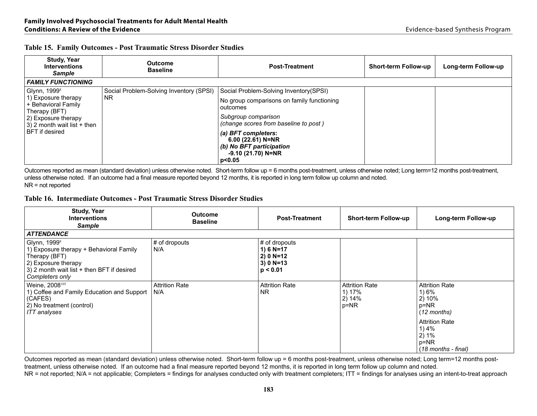| Table 15. Family Outcomes - Post Traumatic Stress Disorder Studies |  |
|--------------------------------------------------------------------|--|
|--------------------------------------------------------------------|--|

| <b>Study, Year</b><br><b>Interventions</b><br><b>Sample</b>                                                                                  | <b>Outcome</b><br><b>Baseline</b>       | <b>Post-Treatment</b>                                                                                   | <b>Short-term Follow-up</b> | Long-term Follow-up |
|----------------------------------------------------------------------------------------------------------------------------------------------|-----------------------------------------|---------------------------------------------------------------------------------------------------------|-----------------------------|---------------------|
| <b>FAMILY FUNCTIONING</b>                                                                                                                    |                                         |                                                                                                         |                             |                     |
| Glynn, 1999 <sup>8</sup>                                                                                                                     | Social Problem-Solving Inventory (SPSI) | Social Problem-Solving Inventory (SPSI)                                                                 |                             |                     |
| 1) Exposure therapy<br>+ Behavioral Family<br>Therapy (BFT)<br>2) Exposure therapy<br>$3)$ 2 month wait list + then<br><b>BFT</b> if desired | <b>NR</b>                               | No group comparisons on family functioning<br>outcomes                                                  |                             |                     |
|                                                                                                                                              |                                         | Subgroup comparison<br>(change scores from baseline to post)                                            |                             |                     |
|                                                                                                                                              |                                         | (a) BFT completers:<br>6.00 $(22.61)$ N=NR<br>(b) No BFT participation<br>$-9.10(21.70)$ N=NR<br>p<0.05 |                             |                     |

Outcomes reported as mean (standard deviation) unless otherwise noted. Short-term follow up = 6 months post-treatment, unless otherwise noted; Long term=12 months post-treatment, unless otherwise noted. If an outcome had a final measure reported beyond 12 months, it is reported in long term follow up column and noted. NR = not reported

# **Table 16. Intermediate Outcomes - Post Traumatic Stress Disorder Studies**

| <b>Study, Year</b><br><b>Interventions</b><br><b>Sample</b>                                                                                                                  | <b>Outcome</b><br><b>Baseline</b> | <b>Post-Treatment</b>                                                      | <b>Short-term Follow-up</b>                      | Long-term Follow-up                                                                                                                          |
|------------------------------------------------------------------------------------------------------------------------------------------------------------------------------|-----------------------------------|----------------------------------------------------------------------------|--------------------------------------------------|----------------------------------------------------------------------------------------------------------------------------------------------|
| <b>ATTENDANCE</b>                                                                                                                                                            |                                   |                                                                            |                                                  |                                                                                                                                              |
| Glynn, 1999 <sup>8</sup><br>1) Exposure therapy + Behavioral Family<br>Therapy (BFT)<br>2) Exposure therapy<br>3) 2 month wait list + then BFT if desired<br>Completers only | # of dropouts<br>N/A              | # of dropouts<br>1) 6 $N=17$<br>$2) 0 N = 12$<br>$3) 0 N = 13$<br>p < 0.01 |                                                  |                                                                                                                                              |
| Weine, 2008 <sup>105</sup><br>1) Coffee and Family Education and Support<br>(CAFES)<br>2) No treatment (control)<br>ITT analyses                                             | <b>Attrition Rate</b><br>N/A      | <b>Attrition Rate</b><br>NR.                                               | <b>Attrition Rate</b><br>1) 17%<br>2)14%<br>p=NR | <b>Attrition Rate</b><br>1) 6%<br>2) 10%<br>$p=NR$<br>(12 months)<br><b>Attrition Rate</b><br>1) 4%<br>2)1%<br>p=NR<br>$(18$ months - final) |

Outcomes reported as mean (standard deviation) unless otherwise noted. Short-term follow up = 6 months post-treatment, unless otherwise noted; Long term=12 months posttreatment, unless otherwise noted. If an outcome had a final measure reported beyond 12 months, it is reported in long term follow up column and noted. NR = not reported; N/A = not applicable; Completers = findings for analyses conducted only with treatment completers; ITT = findings for analyses using an intent-to-treat approach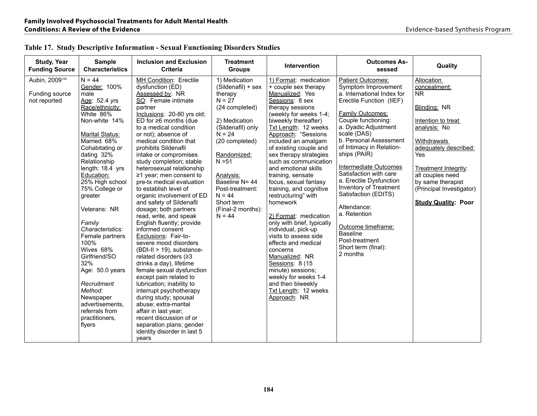| Study, Year<br><b>Funding Source</b>             | <b>Sample</b><br><b>Characteristics</b>                                                                                                                                                                                                                                                                                                                                                                                                                                                                                 | <b>Inclusion and Exclusion</b><br><b>Criteria</b>                                                                                                                                                                                                                                                                                                                                                                                                                                                                                                                                                                                                                                                                                                                                                                                                                                                                                                                                                                              | <b>Treatment</b><br><b>Groups</b>                                                                                                                                                                                                                                                        | <b>Intervention</b>                                                                                                                                                                                                                                                                                                                                                                                                                                                                                                                                                                                                                                                                                                                        | <b>Outcomes As-</b><br>sessed                                                                                                                                                                                                                                                                                                                                                                                                                                                                                                         | Quality                                                                                                                                                                                                                                                                 |
|--------------------------------------------------|-------------------------------------------------------------------------------------------------------------------------------------------------------------------------------------------------------------------------------------------------------------------------------------------------------------------------------------------------------------------------------------------------------------------------------------------------------------------------------------------------------------------------|--------------------------------------------------------------------------------------------------------------------------------------------------------------------------------------------------------------------------------------------------------------------------------------------------------------------------------------------------------------------------------------------------------------------------------------------------------------------------------------------------------------------------------------------------------------------------------------------------------------------------------------------------------------------------------------------------------------------------------------------------------------------------------------------------------------------------------------------------------------------------------------------------------------------------------------------------------------------------------------------------------------------------------|------------------------------------------------------------------------------------------------------------------------------------------------------------------------------------------------------------------------------------------------------------------------------------------|--------------------------------------------------------------------------------------------------------------------------------------------------------------------------------------------------------------------------------------------------------------------------------------------------------------------------------------------------------------------------------------------------------------------------------------------------------------------------------------------------------------------------------------------------------------------------------------------------------------------------------------------------------------------------------------------------------------------------------------------|---------------------------------------------------------------------------------------------------------------------------------------------------------------------------------------------------------------------------------------------------------------------------------------------------------------------------------------------------------------------------------------------------------------------------------------------------------------------------------------------------------------------------------------|-------------------------------------------------------------------------------------------------------------------------------------------------------------------------------------------------------------------------------------------------------------------------|
| Aubin, 2009106<br>Funding source<br>not reported | $N = 44$<br>Gender: 100%<br>male<br>Age: 52.4 yrs<br>Race/ethnicity:<br>White 86%<br>Non-white 14%<br><b>Marital Status:</b><br>Married 68%<br>Cohabitating or<br>dating 32%<br>Relationship<br>length: 18.4 yrs<br>Education:<br>25% High school<br>75% College or<br>greater<br>Veterans: NR<br>Family<br>Characteristics:<br>Female partners<br>100%<br>Wives 68%<br>Girlfriend/SO<br>32%<br>Age: 50.0 years<br>Recruitment<br>Method:<br>Newspaper<br>advertisements.<br>referrals from<br>practitioners,<br>flyers | MH Condition: Erectile<br>dysfunction (ED)<br>Assessed by: NR<br>SO: Female intimate<br>partner<br>Inclusions: 20-80 yrs old;<br>ED for $\geq 6$ months (due<br>to a medical condition<br>or not); absence of<br>medical condition that<br>prohibits Sildenafil<br>intake or compromises<br>study completion; stable<br>heterosexual relationship<br>$\geq$ 1 year; men consent to<br>pre-tx medical evaluation<br>to establish level of<br>organic involvement of ED<br>and safety of Sildenafil<br>dosage; both partners<br>read, write, and speak<br>English fluently; provide<br>informed consent<br>Exclusions: Fair-to-<br>severe mood disorders<br>(BDI-II > 19), substance-<br>related disorders (≥3<br>drinks a day), lifetime<br>female sexual dysfunction<br>except pain related to<br>lubrication; inability to<br>interrupt psychotherapy<br>during study; spousal<br>abuse; extra-marital<br>affair in last year;<br>recent discussion of or<br>separation plans; gender<br>identity disorder in last 5<br>vears | 1) Medication<br>(Sildenafil) + sex<br>therapy<br>$N = 27$<br>(24 completed)<br>2) Medication<br>(Sildenafil) only<br>$N = 24$<br>(20 completed)<br>Randomized:<br>$N = 51$<br>Analysis:<br>Baseline N= 44<br>Post-treatment:<br>$N = 44$<br>Short term<br>(Final-2 months):<br>$N = 44$ | 1) Format: medication<br>+ couple sex therapy<br>Manualized: Yes<br>Sessions: 8 sex<br>therapy sessions<br>(weekly for weeks 1-4;<br>biweekly thereafter)<br>Txt Length: 12 weeks<br>Approach: "Sessions<br>included an amalgam<br>of existing couple and<br>sex therapy strategies<br>such as communication<br>and emotional skills<br>training, sensate<br>focus, sexual fantasy<br>training, and cognitive<br>restructuring" with<br>homework<br>2) Format: medication<br>only with brief, typically<br>individual, pick-up<br>visits to assess side<br>effects and medical<br>concerns<br>Manualized: NR<br>Sessions: 8 (15)<br>minute) sessions;<br>weekly for weeks 1-4<br>and then biweekly<br>Txt Length: 12 weeks<br>Approach: NR | <b>Patient Outcomes:</b><br>Symptom Improvement<br>a. International Index for<br>Erectile Function (IIEF)<br><b>Family Outcomes:</b><br>Couple functioning:<br>a. Dyadic Adjustment<br>scale (DAS)<br>b. Personal Assessment<br>of Intimacy in Relation-<br>ships (PAIR)<br>Intermediate Outcomes<br>Satisfaction with care<br>a. Erectile Dysfunction<br>Inventory of Treatment<br>Satisfaction (EDITS)<br>Attendance:<br>a. Retention<br>Outcome timeframe:<br><b>Baseline</b><br>Post-treatment<br>Short term (final):<br>2 months | Allocation<br>concealment:<br><b>NR</b><br>Blinding: NR<br>Intention to treat<br>analysis: No<br>Withdrawals<br>adequately described:<br>Yes<br>Treatment Integrity:<br>all couples need<br>by same therapist<br>(Principal Investigator)<br><b>Study Quality: Poor</b> |

# **Table 17. Study Descriptive Information - Sexual Functioning Disorders Studies**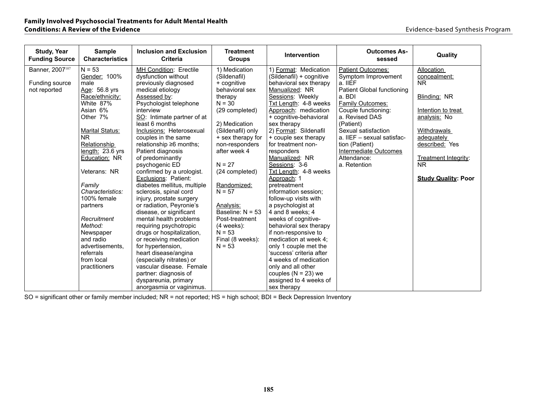| <b>Study, Year</b><br><b>Funding Source</b> | <b>Sample</b><br><b>Characteristics</b> | <b>Inclusion and Exclusion</b><br><b>Criteria</b> | <b>Treatment</b><br><b>Groups</b> | Intervention             | <b>Outcomes As-</b><br>sessed | Quality                    |
|---------------------------------------------|-----------------------------------------|---------------------------------------------------|-----------------------------------|--------------------------|-------------------------------|----------------------------|
| Banner, 2007 <sup>107</sup>                 | $N = 53$                                | MH Condition: Erectile                            | 1) Medication                     | 1) Format: Medication    | Patient Outcomes:             | Allocation                 |
|                                             | Gender: 100%                            | dysfunction without                               | (Sildenafil)                      | (Sildenafil) + cognitive | Symptom Improvement           | concealment:               |
| Funding source                              | male                                    | previously diagnosed                              | + cognitive                       | behavioral sex therapy   | a. IIEF                       | <b>NR</b>                  |
| not reported                                | Age: 56.8 yrs                           | medical etiology                                  | behavioral sex                    | Manualized: NR           | Patient Global functioning    |                            |
|                                             | Race/ethnicity:                         | Assessed by:                                      | therapy                           | Sessions: Weekly         | a. BDI                        | Blinding: NR               |
|                                             | White 87%                               | Psychologist telephone                            | $N = 30$                          | Txt Length: 4-8 weeks    | <b>Family Outcomes:</b>       |                            |
|                                             | Asian 6%                                | interview                                         | (29 completed)                    | Approach: medication     | Couple functioning:           | Intention to treat         |
|                                             | Other 7%                                | SO: Intimate partner of at                        |                                   | + cognitive-behavioral   | a. Revised DAS                | analysis: No               |
|                                             |                                         | least 6 months                                    | 2) Medication                     | sex therapy              | (Patient)                     |                            |
|                                             | <b>Marital Status:</b>                  | Inclusions: Heterosexual                          | (Sildenafil) only                 | 2) Format: Sildenafil    | Sexual satisfaction           | Withdrawals                |
|                                             | N <sub>R</sub>                          | couples in the same                               | + sex therapy for                 | + couple sex therapy     | a. IIEF - sexual satisfac-    | adequately                 |
|                                             | Relationship                            | relationship ≥6 months;                           | non-responders                    | for treatment non-       | tion (Patient)                | described: Yes             |
|                                             | $l$ ength: 23.6 yrs                     | Patient diagnosis                                 | after week 4                      | responders               | Intermediate Outcomes         |                            |
|                                             | Education: NR                           | of predominantly                                  |                                   | Manualized: NR           | Attendance:                   | Treatment Integrity:       |
|                                             |                                         | psychogenic ED                                    | $N = 27$                          | Sessions: 3-6            | a. Retention                  | <b>NR</b>                  |
|                                             | Veterans: NR                            | confirmed by a urologist.                         | (24 completed)                    | Txt Length: 4-8 weeks    |                               |                            |
|                                             |                                         | Exclusions: Patient:                              |                                   | Approach: 1              |                               | <b>Study Quality: Poor</b> |
|                                             | Familv                                  | diabetes mellitus, multiple                       | Randomized:                       | pretreatment             |                               |                            |
|                                             | Characteristics:                        | sclerosis, spinal cord                            | $N = 57$                          | information session:     |                               |                            |
|                                             | 100% female                             | injury, prostate surgery                          |                                   | follow-up visits with    |                               |                            |
|                                             | partners                                | or radiation, Peyronie's                          | Analysis:                         | a psychologist at        |                               |                            |
|                                             |                                         | disease, or significant                           | Baseline: $N = 53$                | 4 and 8 weeks: 4         |                               |                            |
|                                             | Recruitment                             | mental health problems                            | Post-treatment                    | weeks of cognitive-      |                               |                            |
|                                             | Method:                                 | requiring psychotropic                            | $(4$ weeks $)$ :                  | behavioral sex therapy   |                               |                            |
|                                             | Newspaper                               | drugs or hospitalization,                         | $N = 53$                          | if non-responsive to     |                               |                            |
|                                             | and radio                               | or receiving medication                           | Final (8 weeks):                  | medication at week 4;    |                               |                            |
|                                             | advertisements.                         | for hypertension,                                 | $N = 53$                          | only 1 couple met the    |                               |                            |
|                                             | referrals                               | heart disease/angina                              |                                   | 'success' criteria after |                               |                            |
|                                             | from local                              | (especially nitrates) or                          |                                   | 4 weeks of medication    |                               |                            |
|                                             | practitioners                           | vascular disease. Female                          |                                   | only and all other       |                               |                            |
|                                             |                                         | partner: diagnosis of                             |                                   | couples $(N = 23)$ we    |                               |                            |
|                                             |                                         | dyspareunia, primary                              |                                   | assigned to 4 weeks of   |                               |                            |
|                                             |                                         | anorgasmia or vaginimus.                          |                                   | sex therapy              |                               |                            |

SO = significant other or family member included; NR = not reported; HS = high school; BDI = Beck Depression Inventory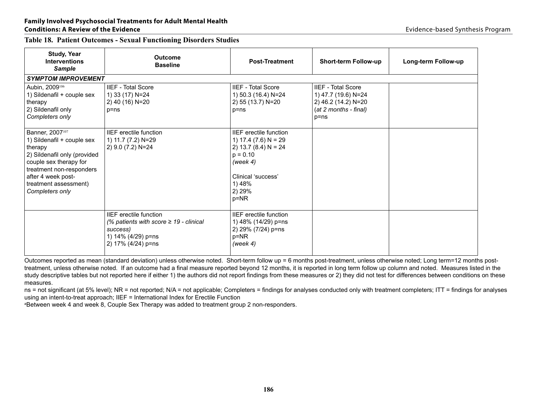# **Family Involved Psychosocial Treatments for Adult Mental Health**

| <b>Table 18. Patient Outcomes - Sexual Functioning Disorders Studies</b> |  |  |  |  |  |  |  |
|--------------------------------------------------------------------------|--|--|--|--|--|--|--|
|--------------------------------------------------------------------------|--|--|--|--|--|--|--|

| <b>Study, Year</b><br><b>Interventions</b><br><b>Sample</b>                                                                                                                                                                  | <b>Outcome</b><br><b>Baseline</b>                                                                                                    | <b>Post-Treatment</b>                                                                                                                                             | <b>Short-term Follow-up</b>                                                                                  | Long-term Follow-up |
|------------------------------------------------------------------------------------------------------------------------------------------------------------------------------------------------------------------------------|--------------------------------------------------------------------------------------------------------------------------------------|-------------------------------------------------------------------------------------------------------------------------------------------------------------------|--------------------------------------------------------------------------------------------------------------|---------------------|
| <b>SYMPTOM IMPROVEMENT</b>                                                                                                                                                                                                   |                                                                                                                                      |                                                                                                                                                                   |                                                                                                              |                     |
| Aubin, 2009 <sup>106</sup><br>1) Sildenafil + couple sex<br>therapy<br>2) Sildenafil only<br>Completers only                                                                                                                 | <b>IIEF - Total Score</b><br>1) 33 (17) N=24<br>2) 40 (16) N=20<br>$p = ns$                                                          | <b>IIEF - Total Score</b><br>1) 50.3 (16.4) N=24<br>2) 55 (13.7) N=20<br>$p = ns$                                                                                 | <b>IIEF - Total Score</b><br>1) 47.7 (19.6) N=24<br>2) 46.2 (14.2) N=20<br>(at 2 months - final)<br>$p = ns$ |                     |
| Banner, 2007 <sup>107</sup><br>1) Sildenafil + couple sex<br>therapy<br>2) Sildenafil only (provided<br>couple sex therapy for<br>treatment non-responders<br>after 4 week post-<br>treatment assessment)<br>Completers only | <b>IIEF</b> erectile function<br>1) 11.7 (7.2) N=29<br>2) 9.0 (7.2) N=24                                                             | <b>IIEF</b> erectile function<br>1) 17.4 (7.6) $N = 29$<br>2) 13.7 (8.4) $N = 24$<br>$p = 0.10$<br>(week 4)<br>Clinical 'success'<br>1) 48%<br>2) 29%<br>$p = NR$ |                                                                                                              |                     |
|                                                                                                                                                                                                                              | <b>IIEF</b> erectile function<br>(% patients with score $\geq$ 19 - clinical<br>success)<br>1) 14% (4/29) p=ns<br>2) 17% (4/24) p=ns | <b>IIEF</b> erectile function<br>1) 48% (14/29) p=ns<br>2) 29% (7/24) p=ns<br>$p = NR$<br>(week $4$ )                                                             |                                                                                                              |                     |

Outcomes reported as mean (standard deviation) unless otherwise noted. Short-term follow up = 6 months post-treatment, unless otherwise noted; Long term=12 months posttreatment, unless otherwise noted. If an outcome had a final measure reported beyond 12 months, it is reported in long term follow up column and noted. Measures listed in the study descriptive tables but not reported here if either 1) the authors did not report findings from these measures or 2) they did not test for differences between conditions on these measures.

ns = not significant (at 5% level); NR = not reported; N/A = not applicable; Completers = findings for analyses conducted only with treatment completers; ITT = findings for analyses using an intent-to-treat approach; IIEF = International Index for Erectile Function

aBetween week 4 and week 8, Couple Sex Therapy was added to treatment group 2 non-responders.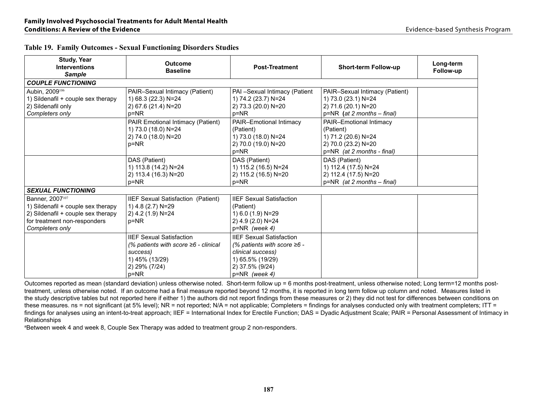| <b>Study, Year</b><br><b>Interventions</b><br><b>Sample</b>                                                                                                | <b>Outcome</b><br><b>Baseline</b>                                                                                                    | <b>Post-Treatment</b>                                                                                                                               | Short-term Follow-up                                                                                             | Long-term<br>Follow-up |
|------------------------------------------------------------------------------------------------------------------------------------------------------------|--------------------------------------------------------------------------------------------------------------------------------------|-----------------------------------------------------------------------------------------------------------------------------------------------------|------------------------------------------------------------------------------------------------------------------|------------------------|
| <b>COUPLE FUNCTIONING</b>                                                                                                                                  |                                                                                                                                      |                                                                                                                                                     |                                                                                                                  |                        |
| Aubin, 2009106<br>1) Sildenafil + couple sex therapy<br>2) Sildenafil only<br>Completers only                                                              | PAIR-Sexual Intimacy (Patient)<br>1) 68.3 (22.3) N=24<br>2) 67.6 (21.4) N=20<br>p=NR                                                 | PAI -Sexual Intimacy (Patient<br>1) 74.2 (23.7) N=24<br>2) 73.3 (20.0) N=20<br>$p = NR$                                                             | PAIR-Sexual Intimacy (Patient)<br>1) 73.0 (23.1) N=24<br>2) 71.6 (20.1) N=20<br>$p=NR$ (at 2 months - final)     |                        |
|                                                                                                                                                            | PAIR Emotional Intimacy (Patient)<br>1) 73.0 (18.0) N=24<br>2) 74.0 (18.0) N=20<br>p=NR                                              | PAIR-Emotional Intimacy<br>(Patient)<br>1) 73.0 (18.0) N=24<br>2) 70.0 (19.0) N=20<br>$p = NR$                                                      | PAIR-Emotional Intimacy<br>(Patient)<br>1) 71.2 (20.6) N=24<br>2) 70.0 (23.2) N=20<br>p=NR (at 2 months - final) |                        |
|                                                                                                                                                            | DAS (Patient)<br>1) 113.8 (14.2) N=24<br>2) 113.4 (16.3) N=20<br>p=NR                                                                | DAS (Patient)<br>1) 115.2 (16.5) N=24<br>2) 115.2 (16.5) N=20<br>$p = NR$                                                                           | DAS (Patient)<br>1) 112.4 (17.5) N=24<br>2) 112.4 (17.5) N=20<br>$p=NR$ (at 2 months - final)                    |                        |
| <b>SEXUAL FUNCTIONING</b>                                                                                                                                  |                                                                                                                                      |                                                                                                                                                     |                                                                                                                  |                        |
| Banner, 2007 <sup>107</sup><br>1) Sildenafil + couple sex therapy<br>2) Sildenafil + couple sex therapy<br>for treatment non-responders<br>Completers only | IIEF Sexual Satisfaction (Patient)<br>1) 4.8 (2.7) N=29<br>2) 4.2 (1.9) N=24<br>p=NR                                                 | <b>IIEF Sexual Satisfaction</b><br>(Patient)<br>1) 6.0 (1.9) N=29<br>2) 4.9 (2.0) N=24<br>$p = NR$ (week 4)                                         |                                                                                                                  |                        |
|                                                                                                                                                            | <b>IIEF Sexual Satisfaction</b><br>(% patients with score $\geq 6$ - clinical<br>success)<br>1) 45% (13/29)<br>2) 29% (7/24)<br>p=NR | <b>IIEF Sexual Satisfaction</b><br>(% patients with score $\geq 6$ -<br>clinical success)<br>1) 65.5% (19/29)<br>2) 37.5% (9/24)<br>$p=NR$ (week 4) |                                                                                                                  |                        |

|  |  | <b>Table 19. Family Outcomes - Sexual Functioning Disorders Studies</b> |  |
|--|--|-------------------------------------------------------------------------|--|
|  |  |                                                                         |  |

Outcomes reported as mean (standard deviation) unless otherwise noted. Short-term follow up = 6 months post-treatment, unless otherwise noted; Long term=12 months posttreatment, unless otherwise noted. If an outcome had a final measure reported beyond 12 months, it is reported in long term follow up column and noted. Measures listed in the study descriptive tables but not reported here if either 1) the authors did not report findings from these measures or 2) they did not test for differences between conditions on these measures. ns = not significant (at 5% level); NR = not reported; N/A = not applicable; Completers = findings for analyses conducted only with treatment completers; ITT = findings for analyses using an intent-to-treat approach; IIEF = International Index for Erectile Function; DAS = Dyadic Adjustment Scale; PAIR = Personal Assessment of Intimacy in Relationships

aBetween week 4 and week 8, Couple Sex Therapy was added to treatment group 2 non-responders.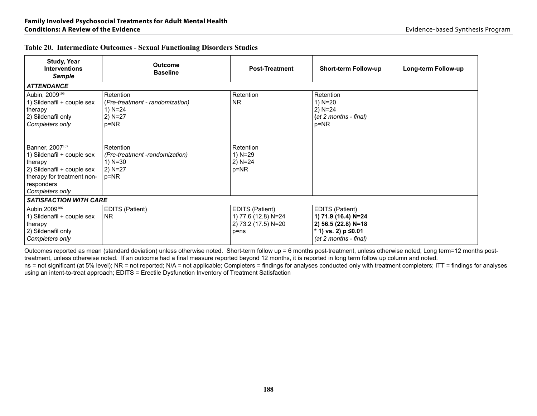| <b>Study, Year</b><br><b>Interventions</b><br><b>Sample</b>                                                                                                       | <b>Outcome</b><br><b>Baseline</b>                                                    | <b>Post-Treatment</b>                                                 | <b>Short-term Follow-up</b>                                                                                        | Long-term Follow-up |
|-------------------------------------------------------------------------------------------------------------------------------------------------------------------|--------------------------------------------------------------------------------------|-----------------------------------------------------------------------|--------------------------------------------------------------------------------------------------------------------|---------------------|
| <b>ATTENDANCE</b>                                                                                                                                                 |                                                                                      |                                                                       |                                                                                                                    |                     |
| Aubin, 2009 <sup>106</sup><br>1) Sildenafil + couple sex<br>therapy<br>2) Sildenafil only<br>Completers only                                                      | Retention<br>(Pre-treatment - randomization)<br>1) $N = 24$<br>$2)$ N=27<br>$p = NR$ | Retention<br>NR.                                                      | Retention<br>1) N=20<br>$2) N = 24$<br>(at 2 months - final)<br>p=NR                                               |                     |
| Banner, 2007 <sup>107</sup><br>1) Sildenafil + couple sex<br>therapy<br>2) Sildenafil + couple sex<br>therapy for treatment non-<br>responders<br>Completers only | Retention<br>(Pre-treatment-randomization)<br>1) $N = 30$<br>$2) N = 27$<br>$p = NR$ | Retention<br>1) N=29<br>2) N=24<br>p=NR                               |                                                                                                                    |                     |
| <b>SATISFACTION WITH CARE</b>                                                                                                                                     |                                                                                      |                                                                       |                                                                                                                    |                     |
| Aubin, 2009 <sup>106</sup><br>1) Sildenafil + couple sex<br>therapy<br>2) Sildenafil only<br>Completers only                                                      | EDITS (Patient)<br>NR.                                                               | EDITS (Patient)<br>1) 77.6 (12.8) N=24<br>2) 73.2 (17.5) N=20<br>p=ns | EDITS (Patient)<br>1) 71.9 (16.4) N=24<br>2) 56.5 (22.8) N=18<br>* 1) vs. 2) $p \le 0.01$<br>(at 2 months - final) |                     |

#### **Table 20. Intermediate Outcomes - Sexual Functioning Disorders Studies**

Outcomes reported as mean (standard deviation) unless otherwise noted. Short-term follow up = 6 months post-treatment, unless otherwise noted; Long term=12 months posttreatment, unless otherwise noted. If an outcome had a final measure reported beyond 12 months, it is reported in long term follow up column and noted.

ns = not significant (at 5% level); NR = not reported; N/A = not applicable; Completers = findings for analyses conducted only with treatment completers; ITT = findings for analyses using an intent-to-treat approach; EDITS = Erectile Dysfunction Inventory of Treatment Satisfaction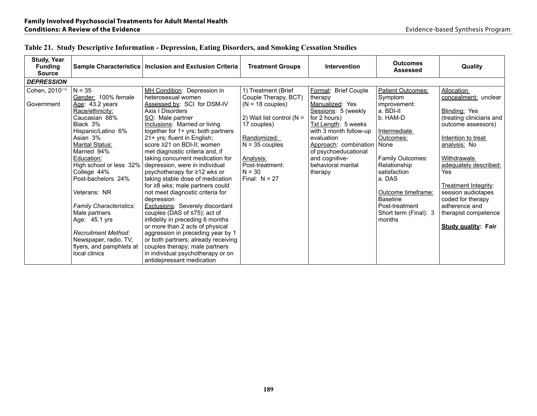| Study, Year<br><b>Funding</b><br><b>Source</b> |                                                                                                  | Sample Characteristics   Inclusion and Exclusion Criteria                                                                                                                    | <b>Treatment Groups</b>                                           | Intervention                                                              | <b>Outcomes</b><br><b>Assessed</b>                         | Quality                                                                |
|------------------------------------------------|--------------------------------------------------------------------------------------------------|------------------------------------------------------------------------------------------------------------------------------------------------------------------------------|-------------------------------------------------------------------|---------------------------------------------------------------------------|------------------------------------------------------------|------------------------------------------------------------------------|
| <b>DEPRESSION</b>                              |                                                                                                  |                                                                                                                                                                              |                                                                   |                                                                           |                                                            |                                                                        |
| Cohen, 2010 <sup>114</sup><br>Government       | $N = 35$<br>Gender: 100% female<br>Age: 43.2 years<br>Race/ethnicity:                            | MH Condition: Depression in<br>heterosexual women<br>Assessed by: SCI for DSM-IV<br>Axis   Disorders                                                                         | 1) Treatment (Brief<br>Couple Therapy, BCT)<br>$(N = 18$ couples) | Format: Brief Couple<br>therapy<br>Manualized: Yes<br>Sessions: 5 (weekly | Patient Outcomes:<br>Symptom<br>improvement:<br>a. BDI-II  | Allocation<br>concealment: unclear<br>Blinding: Yes                    |
|                                                | Caucasian 88%<br>Black 3%<br>Hispanic/Latino 6%                                                  | SO: Male partner<br>Inclusions: Married or living<br>together for 1+ yrs; both partners                                                                                      | 2) Wait list control ( $N =$<br>17 couples)                       | for 2 hours)<br>Txt Length: 5 weeks<br>with 3 month follow-up             | b. HAM-D<br>Intermediate                                   | (treating clinicians and<br>outcome assessors)                         |
|                                                | Asian 3%<br><b>Marital Status:</b><br>Married 94%                                                | 21+ yrs; fluent in English;<br>score ≥21 on BDI-II: women<br>met diagnostic criteria and, if                                                                                 | Randomized:<br>$N = 35$ couples                                   | evaluation<br>Approach: combination<br>of psychoeducational               | Outcomes:<br>None                                          | Intention to treat<br>analysis: No                                     |
|                                                | Education:<br>High school or less 32%<br>College 44%<br>Post-bachelors 24%                       | taking concurrent medication for<br>depression, were in individual<br>psychotherapy for ≥12 wks or<br>taking stable dose of medication                                       | Analysis:<br>Post-treatment:<br>$N = 30$<br>Final: $N = 27$       | and cognitive-<br>behavioral marital<br>therapy                           | Family Outcomes:<br>Relationship<br>satisfaction<br>a. DAS | <b>Withdrawals</b><br>adequately described:<br>Yes                     |
|                                                | Veterans: NR                                                                                     | for $\geq$ 8 wks; male partners could<br>not meet diagnostic criteria for<br>depression                                                                                      |                                                                   |                                                                           | Outcome timeframe:<br><b>Baseline</b>                      | <b>Treatment Integrity:</b><br>session audiotapes<br>coded for therapy |
|                                                | <b>Family Characteristics:</b><br>Male partners<br>Age: 45.1 yrs                                 | <b>Exclusions: Severely discordant</b><br>couples (DAS of $\leq$ 75); act of<br>infidelity in preceding 6 months<br>or more than 2 acts of physical                          |                                                                   |                                                                           | Post-treatment<br>Short term (Final): 3<br>months          | adherence and<br>therapist competence<br>Study quality: Fair           |
|                                                | <b>Recruitment Method:</b><br>Newspaper, radio, TV,<br>flyers, and pamphlets at<br>local clinics | aggression in preceding year by 1<br>or both partners; already receiving<br>couples therapy; male partners<br>in individual psychotherapy or on<br>antidepressant medication |                                                                   |                                                                           |                                                            |                                                                        |

| Table 21. Study Descriptive Information - Depression, Eating Disorders, and Smoking Cessation Studies |  |  |  |
|-------------------------------------------------------------------------------------------------------|--|--|--|
|-------------------------------------------------------------------------------------------------------|--|--|--|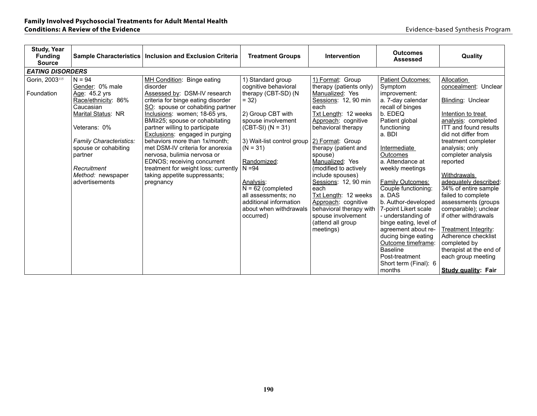| <b>Study, Year</b><br><b>Funding</b><br><b>Source</b> |                                                                                                                                                                                                                                            | Sample Characteristics   Inclusion and Exclusion Criteria                                                                                                                                                                                                                                                                                                                                                                                                                                                               | <b>Treatment Groups</b>                                                                                                                                                                                                                                                                                                                         | <b>Intervention</b>                                                                                                                                                                                                                                                                                                                                                                                                                                          | <b>Outcomes</b><br><b>Assessed</b>                                                                                                                                                                                                                                                                                                                                                                                                                                                                   | Quality                                                                                                                                                                                                                                                                                                                                                                                                                                                                                                             |
|-------------------------------------------------------|--------------------------------------------------------------------------------------------------------------------------------------------------------------------------------------------------------------------------------------------|-------------------------------------------------------------------------------------------------------------------------------------------------------------------------------------------------------------------------------------------------------------------------------------------------------------------------------------------------------------------------------------------------------------------------------------------------------------------------------------------------------------------------|-------------------------------------------------------------------------------------------------------------------------------------------------------------------------------------------------------------------------------------------------------------------------------------------------------------------------------------------------|--------------------------------------------------------------------------------------------------------------------------------------------------------------------------------------------------------------------------------------------------------------------------------------------------------------------------------------------------------------------------------------------------------------------------------------------------------------|------------------------------------------------------------------------------------------------------------------------------------------------------------------------------------------------------------------------------------------------------------------------------------------------------------------------------------------------------------------------------------------------------------------------------------------------------------------------------------------------------|---------------------------------------------------------------------------------------------------------------------------------------------------------------------------------------------------------------------------------------------------------------------------------------------------------------------------------------------------------------------------------------------------------------------------------------------------------------------------------------------------------------------|
| <b>EATING DISORDERS</b>                               |                                                                                                                                                                                                                                            |                                                                                                                                                                                                                                                                                                                                                                                                                                                                                                                         |                                                                                                                                                                                                                                                                                                                                                 |                                                                                                                                                                                                                                                                                                                                                                                                                                                              |                                                                                                                                                                                                                                                                                                                                                                                                                                                                                                      |                                                                                                                                                                                                                                                                                                                                                                                                                                                                                                                     |
| Gorin, 2003 <sup>115</sup><br>Foundation              | $N = 94$<br>Gender: 0% male<br>Age: 45.2 yrs<br>Race/ethnicity: 86%<br>Caucasian<br>Marital Status: NR<br>Veterans: 0%<br>Family Characteristics:<br>spouse or cohabiting<br>partner<br>Recruitment<br>Method: newspaper<br>advertisements | MH Condition: Binge eating<br>disorder<br>Assessed by: DSM-IV research<br>criteria for binge eating disorder<br>SO: spouse or cohabiting partner<br>Inclusions: women; 18-65 yrs,<br>BMI≥25; spouse or cohabitating<br>partner willing to participate<br><b>Exclusions:</b> engaged in purging<br>behaviors more than 1x/month:<br>met DSM-IV criteria for anorexia<br>nervosa, bulimia nervosa or<br>EDNOS; receiving concurrent<br>treatment for weight loss; currently<br>taking appetite suppressants;<br>pregnancy | 1) Standard group<br>cognitive behavioral<br>therapy (CBT-SD) (N<br>$= 32$<br>2) Group CBT with<br>spouse involvement<br>$(CBT-SI) (N = 31)$<br>3) Wait-list control group<br>$(N = 31)$<br>Randomized:<br>$N = 94$<br>Analysis:<br>$N = 62$ (completed<br>all assessments; no<br>additional information<br>about when withdrawals<br>occurred) | 1) Format: Group<br>therapy (patients only)<br>Manualized: Yes<br>Sessions: 12, 90 min<br>each<br>Txt Length: 12 weeks<br>Approach: cognitive<br>behavioral therapy<br>2) Format: Group<br>therapy (patient and<br>spouse)<br>Manualized: Yes<br>(modified to actively<br>include spouses)<br>Sessions: 12, 90 min<br>each<br>Txt Length: 12 weeks<br>Approach: cognitive<br>behavioral therapy with<br>spouse involvement<br>(attend all group<br>meetings) | Patient Outcomes:<br>Symptom<br>improvement:<br>a. 7-day calendar<br>recall of binges<br>b. EDEQ<br>Patient global<br>functioning<br>a. BDI<br>Intermediate<br>Outcomes<br>a. Attendance at<br>weekly meetings<br>Family Outcomes:<br>Couple functioning:<br>a. DAS<br>b. Author-developed<br>7-point Likert scale<br>- understanding of<br>binge eating, level of<br>agreement about re-<br>ducing binge eating<br>Outcome timeframe:<br><b>Baseline</b><br>Post-treatment<br>Short term (Final): 6 | Allocation<br>concealment: Unclear<br>Blinding: Unclear<br>Intention to treat<br>analysis: completed<br><b>ITT</b> and found results<br>did not differ from<br>treatment completer<br>analysis; only<br>completer analysis<br>reported<br>Withdrawals<br>adequately described:<br>34% of entire sample<br>failed to complete<br>assessments (groups<br>comparable); unclear<br>if other withdrawals<br>Treatment Integrity:<br>Adherence checklist<br>completed by<br>therapist at the end of<br>each group meeting |
|                                                       |                                                                                                                                                                                                                                            |                                                                                                                                                                                                                                                                                                                                                                                                                                                                                                                         |                                                                                                                                                                                                                                                                                                                                                 |                                                                                                                                                                                                                                                                                                                                                                                                                                                              | months                                                                                                                                                                                                                                                                                                                                                                                                                                                                                               | Study quality: Fair                                                                                                                                                                                                                                                                                                                                                                                                                                                                                                 |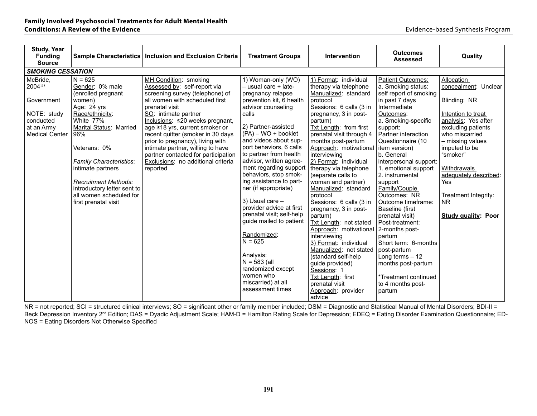| <b>Study, Year</b><br><b>Funding</b><br><b>Source</b>                                                |                                                                                                                                                                                                                                                                                                                                       | Sample Characteristics   Inclusion and Exclusion Criteria                                                                                                                                                                                                                                                                                                                                                                                        | <b>Treatment Groups</b>                                                                                                                                                                                                                                                                                                                                                                                                                                                                                                                                                                       | <b>Intervention</b>                                                                                                                                                                                                                                                                                                                                                                                                                                                                                                                                                                                                                                                           | <b>Outcomes</b><br><b>Assessed</b>                                                                                                                                                                                                                                                                                                                                                                                                                                                                                                                                  | Quality                                                                                                                                                                                                                                                                                             |  |  |  |  |
|------------------------------------------------------------------------------------------------------|---------------------------------------------------------------------------------------------------------------------------------------------------------------------------------------------------------------------------------------------------------------------------------------------------------------------------------------|--------------------------------------------------------------------------------------------------------------------------------------------------------------------------------------------------------------------------------------------------------------------------------------------------------------------------------------------------------------------------------------------------------------------------------------------------|-----------------------------------------------------------------------------------------------------------------------------------------------------------------------------------------------------------------------------------------------------------------------------------------------------------------------------------------------------------------------------------------------------------------------------------------------------------------------------------------------------------------------------------------------------------------------------------------------|-------------------------------------------------------------------------------------------------------------------------------------------------------------------------------------------------------------------------------------------------------------------------------------------------------------------------------------------------------------------------------------------------------------------------------------------------------------------------------------------------------------------------------------------------------------------------------------------------------------------------------------------------------------------------------|---------------------------------------------------------------------------------------------------------------------------------------------------------------------------------------------------------------------------------------------------------------------------------------------------------------------------------------------------------------------------------------------------------------------------------------------------------------------------------------------------------------------------------------------------------------------|-----------------------------------------------------------------------------------------------------------------------------------------------------------------------------------------------------------------------------------------------------------------------------------------------------|--|--|--|--|
| <b>SMOKING CESSATION</b>                                                                             |                                                                                                                                                                                                                                                                                                                                       |                                                                                                                                                                                                                                                                                                                                                                                                                                                  |                                                                                                                                                                                                                                                                                                                                                                                                                                                                                                                                                                                               |                                                                                                                                                                                                                                                                                                                                                                                                                                                                                                                                                                                                                                                                               |                                                                                                                                                                                                                                                                                                                                                                                                                                                                                                                                                                     |                                                                                                                                                                                                                                                                                                     |  |  |  |  |
| McBride,<br>2004118<br>Government<br>NOTE: study<br>conducted<br>at an Army<br><b>Medical Center</b> | $N = 625$<br>Gender: 0% male<br>(enrolled pregnant<br>women)<br>Age: 24 yrs<br>Race/ethnicity:<br>White 77%<br>Marital Status: Married<br>96%<br>Veterans: 0%<br><b>Family Characteristics:</b><br>intimate partners<br><b>Recruitment Methods:</b><br>introductory letter sent to<br>all women scheduled for<br>first prenatal visit | MH Condition: smoking<br>Assessed by: self-report via<br>screening survey (telephone) of<br>all women with scheduled first<br>prenatal visit<br>SO: intimate partner<br>Inclusions: ≤20 weeks pregnant,<br>age ≥18 yrs, current smoker or<br>recent quitter (smoker in 30 days<br>prior to pregnancy), living with<br>intimate partner, willing to have<br>partner contacted for participation<br>Exclusions: no additional criteria<br>reported | 1) Woman-only (WO)<br>- usual care + late-<br>pregnancy relapse<br>prevention kit, 6 health<br>advisor counseling<br>calls<br>2) Partner-assisted<br>$(PA) - WO +$ booklet<br>and videos about sup-<br>port behaviors, 6 calls<br>to partner from health<br>advisor, written agree-<br>ment regarding support<br>behaviors, stop smok-<br>ing assistance to part-<br>ner (if appropriate)<br>3) Usual care -<br>provider advice at first<br>prenatal visit; self-help<br>guide mailed to patient<br>Randomized:<br>$N = 625$<br>Analysis:<br>$N = 583$ (all<br>randomized except<br>women who | 1) Format: individual<br>therapy via telephone<br>Manualized: standard<br>protocol<br>Sessions: 6 calls (3 in<br>pregnancy, 3 in post-<br>partum)<br>Txt Length: from first<br>prenatal visit through 4<br>months post-partum<br>Approach: motivational<br>interviewing<br>2) Format: individual<br>therapy via telephone<br>(separate calls to<br>woman and partner)<br>Manualized: standard<br>protocol<br>Sessions: 6 calls (3 in<br>pregnancy, 3 in post-<br>partum)<br>Txt Length: not stated<br>Approach: motivational<br>interviewing<br>3) Format: individual<br>Manualized: not stated<br>(standard self-help<br>guide provided)<br>Sessions: 1<br>Txt Length: first | Patient Outcomes:<br>a. Smoking status:<br>self report of smoking<br>in past 7 days<br>Intermediate<br>Outcomes:<br>a. Smoking-specific<br>support:<br>Partner interaction<br>Questionnaire (10<br>item version)<br>b. General<br>interpersonal support:<br>1. emotional support<br>2. instrumental<br>support<br>Family/Couple<br>Outcomes: NR<br>Outcome timeframe:<br>Baseline (first<br>prenatal visit)<br>Post-treatment:<br>2-months post-<br>partum<br>Short term: 6-months<br>post-partum<br>Long terms $-12$<br>months post-partum<br>*Treatment continued | Allocation<br>concealment: Unclear<br>Blinding: NR<br>Intention to treat<br>analysis: Yes after<br>excluding patients<br>who miscarried<br>- missing values<br>imputed to be<br>"smoker"<br>Withdrawals<br>adequately described:<br>Yes<br>Treatment Integrity:<br><b>NR</b><br>Study quality: Poor |  |  |  |  |
|                                                                                                      |                                                                                                                                                                                                                                                                                                                                       |                                                                                                                                                                                                                                                                                                                                                                                                                                                  | miscarried) at all<br>assessment times                                                                                                                                                                                                                                                                                                                                                                                                                                                                                                                                                        | prenatal visit<br>Approach: provider                                                                                                                                                                                                                                                                                                                                                                                                                                                                                                                                                                                                                                          | to 4 months post-<br>partum                                                                                                                                                                                                                                                                                                                                                                                                                                                                                                                                         |                                                                                                                                                                                                                                                                                                     |  |  |  |  |
|                                                                                                      |                                                                                                                                                                                                                                                                                                                                       |                                                                                                                                                                                                                                                                                                                                                                                                                                                  |                                                                                                                                                                                                                                                                                                                                                                                                                                                                                                                                                                                               | advice                                                                                                                                                                                                                                                                                                                                                                                                                                                                                                                                                                                                                                                                        |                                                                                                                                                                                                                                                                                                                                                                                                                                                                                                                                                                     |                                                                                                                                                                                                                                                                                                     |  |  |  |  |

NR = not reported; SCI = structured clinical interviews; SO = significant other or family member included; DSM = Diagnostic and Statistical Manual of Mental Disorders; BDI-II = Beck Depression Inventory 2<sup>nd</sup> Edition; DAS = Dyadic Adjustment Scale; HAM-D = Hamilton Rating Scale for Depression; EDEQ = Eating Disorder Examination Questionnaire; ED-NOS = Eating Disorders Not Otherwise Specified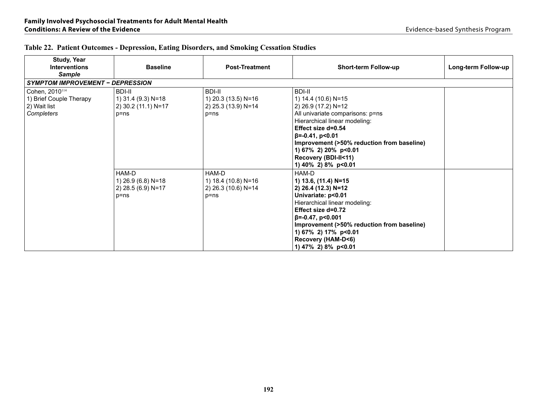| <b>Study, Year</b><br>Interventions<br><b>Sample</b>                                | <b>Baseline</b>                                                        | <b>Post-Treatment</b>                                                   | <b>Short-term Follow-up</b>                                                                                                                                                                                                                                                                           | Long-term Follow-up |  |  |
|-------------------------------------------------------------------------------------|------------------------------------------------------------------------|-------------------------------------------------------------------------|-------------------------------------------------------------------------------------------------------------------------------------------------------------------------------------------------------------------------------------------------------------------------------------------------------|---------------------|--|--|
| <b>SYMPTOM IMPROVEMENT - DEPRESSION</b>                                             |                                                                        |                                                                         |                                                                                                                                                                                                                                                                                                       |                     |  |  |
| Cohen, 2010 <sup>114</sup><br>1) Brief Couple Therapy<br>2) Wait list<br>Completers | <b>BDI-II</b><br>1) 31.4 (9.3) N=18<br>2) 30.2 (11.1) N=17<br>$p = ns$ | <b>BDI-II</b><br>1) 20.3 (13.5) N=16<br>2) 25.3 (13.9) N=14<br>$p = nS$ | <b>BDI-II</b><br>1) 14.4 (10.6) N=15<br>2) 26.9 (17.2) N=12<br>All univariate comparisons: p=ns<br>Hierarchical linear modeling:<br>Effect size d=0.54<br>$\beta$ =-0.41, p<0.01<br>Improvement (>50% reduction from baseline)<br>1) 67% 2) 20% p<0.01<br>Recovery (BDI-II<11)<br>1) 40% 2) 8% p<0.01 |                     |  |  |
|                                                                                     | HAM-D<br>1) 26.9 (6.8) N=18<br>2) 28.5 (6.9) N=17<br>$p = ns$          | HAM-D<br>1) 18.4 (10.8) N=16<br>2) 26.3 (10.6) N=14<br>$p = nS$         | HAM-D<br>1) 13.6, (11.4) N=15<br>2) 26.4 (12.3) N=12<br>Univariate: p<0.01<br>Hierarchical linear modeling:<br>Effect size d=0.72<br>$\beta$ =-0.47, p<0.001<br>Improvement (>50% reduction from baseline)<br>1) 67% 2) 17% p<0.01<br>Recovery (HAM-D<6)<br>1) 47% 2) 8% p<0.01                       |                     |  |  |

# **Table 22. Patient Outcomes - Depression, Eating Disorders, and Smoking Cessation Studies**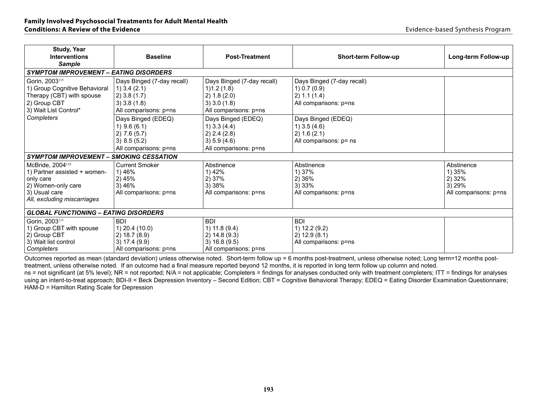| <b>Study, Year</b><br><b>Interventions</b><br><b>Sample</b>                                                                                     | <b>Baseline</b>                                                                                           | <b>Post-Treatment</b>                                                                             | <b>Short-term Follow-up</b>                                                         | Long-term Follow-up                                               |  |  |  |  |  |  |  |
|-------------------------------------------------------------------------------------------------------------------------------------------------|-----------------------------------------------------------------------------------------------------------|---------------------------------------------------------------------------------------------------|-------------------------------------------------------------------------------------|-------------------------------------------------------------------|--|--|--|--|--|--|--|
| <b>SYMPTOM IMPROVEMENT - EATING DISORDERS</b>                                                                                                   |                                                                                                           |                                                                                                   |                                                                                     |                                                                   |  |  |  |  |  |  |  |
| Gorin, 2003 <sup>115</sup><br>1) Group Cognitive Behavioral<br>Therapy (CBT) with spouse<br>2) Group CBT<br>3) Wait List Control*               | Days Binged (7-day recall)<br>$1)$ 3.4 (2.1)<br>$2)$ 3.8 (1.7)<br>$3)$ 3.8 (1.8)<br>All comparisons: p=ns | Days Binged (7-day recall)<br>1)1.2(1.8)<br>2) 1.8 (2.0)<br>3) 3.0 (1.8)<br>All comparisons: p=ns | Days Binged (7-day recall)<br>1) 0.7 (0.9)<br>2) 1.1 (1.4)<br>All comparisons: p=ns |                                                                   |  |  |  |  |  |  |  |
| Completers                                                                                                                                      | Days Binged (EDEQ)<br>1) $9.6(6.1)$<br>2) 7.6(5.7)<br>3) 8.5 (5.2)<br>All comparisons: p=ns               | Days Binged (EDEQ)<br>1) $3.3(4.4)$<br>2) 2.4 (2.8)<br>3) 5.9 (4.6)<br>All comparisons: p=ns      | Days Binged (EDEQ)<br>1) $3.5(4.6)$<br>2) 1.6 (2.1)<br>All comparisons: p= ns       |                                                                   |  |  |  |  |  |  |  |
| <b>SYMPTOM IMPROVEMENT-</b>                                                                                                                     | <b>SMOKING CESSATION</b>                                                                                  |                                                                                                   |                                                                                     |                                                                   |  |  |  |  |  |  |  |
| McBride, 2004 <sup>118</sup><br>1) Partner assisted + women-<br>only care<br>2) Women-only care<br>3) Usual care<br>All, excluding miscarriages | <b>Current Smoker</b><br>1) 46%<br>2) 45%<br>3) 46%<br>All comparisons: p=ns                              | Abstinence<br>1) 42%<br>2) 37%<br>3)38%<br>All comparisons: p=ns                                  | Abstinence<br>1) 37%<br>2) 36%<br>3)33%<br>All comparisons: p=ns                    | Abstinence<br>1) 35%<br>2) 32%<br>3) 29%<br>All comparisons: p=ns |  |  |  |  |  |  |  |
| <b>GLOBAL FUNCTIONING - EATING DISORDERS</b>                                                                                                    |                                                                                                           |                                                                                                   |                                                                                     |                                                                   |  |  |  |  |  |  |  |
| Gorin, 2003 <sup>115</sup><br>1) Group CBT with spouse<br>2) Group CBT<br>3) Wait list control<br>Completers                                    | <b>BDI</b><br>$(1)$ 20.4 $(10.0)$<br>2) 18.7 (8.9)<br>3) 17.4 (9.9)<br>All comparisons: p=ns              | <b>BDI</b><br>1) $11.8(9.4)$<br>2) 14.8 (9.3)<br>3) 16.8 (9.5)<br>All comparisons: p=ns           | <b>BDI</b><br>1) 12.2 (9.2)<br>2) 12.9 (8.1)<br>All comparisons: p=ns               |                                                                   |  |  |  |  |  |  |  |

Outcomes reported as mean (standard deviation) unless otherwise noted. Short-term follow up = 6 months post-treatment, unless otherwise noted; Long term=12 months posttreatment, unless otherwise noted. If an outcome had a final measure reported beyond 12 months, it is reported in long term follow up column and noted.

ns = not significant (at 5% level); NR = not reported; N/A = not applicable; Completers = findings for analyses conducted only with treatment completers; ITT = findings for analyses using an intent-to-treat approach; BDI-II = Beck Depression Inventory – Second Edition; CBT = Cognitive Behavioral Therapy; EDEQ = Eating Disorder Examination Questionnaire; HAM-D = Hamilton Rating Scale for Depression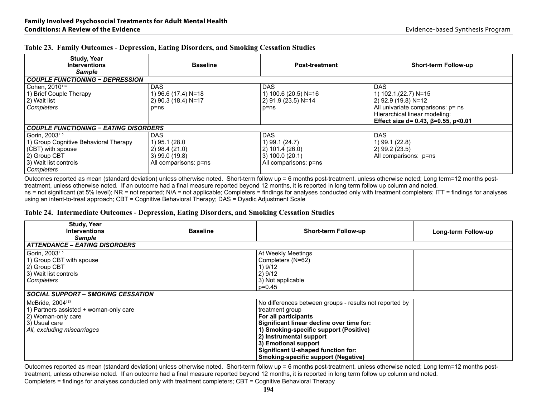| <b>Study, Year</b><br><b>Interventions</b><br><b>Sample</b>                                                                                     | <b>Baseline</b>                                                                       | <b>Post-treatment</b>                                                                  | <b>Short-term Follow-up</b>                                                                                                                                                    |
|-------------------------------------------------------------------------------------------------------------------------------------------------|---------------------------------------------------------------------------------------|----------------------------------------------------------------------------------------|--------------------------------------------------------------------------------------------------------------------------------------------------------------------------------|
| <b>COUPLE FUNCTIONING - DEPRESSION</b>                                                                                                          |                                                                                       |                                                                                        |                                                                                                                                                                                |
| Cohen, 2010 <sup>114</sup><br>1) Brief Couple Therapy<br>2) Wait list<br>Completers                                                             | <b>DAS</b><br>1) 96.6 (17.4) N=18<br>2) 90.3 (18.4) N=17<br>p=ns                      | DAS.<br>1) 100.6 (20.5) N=16<br>2) 91.9 (23.5) N=14<br>$p = ns$                        | <b>DAS</b><br>1) 102.1, (22.7) N=15<br>2) 92.9 (19.8) N=12<br>All univariate comparisons: p= ns<br>Hierarchical linear modeling:<br>Effect size d= 0.43, $\beta$ =0.55, p<0.01 |
| <b>COUPLE FUNCTIONING - EATING DISORDERS</b>                                                                                                    |                                                                                       |                                                                                        |                                                                                                                                                                                |
| Gorin. 2003 <sup>115</sup><br>1) Group Cognitive Behavioral Therapy<br>(CBT) with spouse<br>2) Group CBT<br>3) Wait list controls<br>Completers | DAS.<br>1) 95.1 (28.0<br>2) 98.4 (21.0)<br>$(3)$ 99.0 (19.8)<br>All comparisons: p=ns | DAS.<br>1) 99.1 (24.7)<br>2) 101.4 (26.0)<br>(3) 100.0 (20.1)<br>All comparisons: p=ns | <b>DAS</b><br>1) 99.1 (22.8)<br>$(2)$ 99.2 (23.5)<br>All comparisons: p=ns                                                                                                     |

#### **Table 23. Family Outcomes - Depression, Eating Disorders, and Smoking Cessation Studies**

Outcomes reported as mean (standard deviation) unless otherwise noted. Short-term follow up = 6 months post-treatment, unless otherwise noted; Long term=12 months posttreatment, unless otherwise noted. If an outcome had a final measure reported beyond 12 months, it is reported in long term follow up column and noted.

ns = not significant (at 5% level); NR = not reported; N/A = not applicable; Completers = findings for analyses conducted only with treatment completers; ITT = findings for analyses using an intent-to-treat approach; CBT = Cognitive Behavioral Therapy; DAS = Dyadic Adjustment Scale

#### **Table 24. Intermediate Outcomes - Depression, Eating Disorders, and Smoking Cessation Studies**

| <b>Study, Year</b><br><b>Interventions</b><br><b>Sample</b>                                                                                  | <b>Baseline</b> | <b>Short-term Follow-up</b>                                                                                                                                                                                                                                                                                                      | Long-term Follow-up |
|----------------------------------------------------------------------------------------------------------------------------------------------|-----------------|----------------------------------------------------------------------------------------------------------------------------------------------------------------------------------------------------------------------------------------------------------------------------------------------------------------------------------|---------------------|
| <b>ATTENDANCE – EATING DISORDERS</b>                                                                                                         |                 |                                                                                                                                                                                                                                                                                                                                  |                     |
| Gorin, 2003 <sup>115</sup><br>1) Group CBT with spouse<br>2) Group CBT<br>3) Wait list controls<br>Completers                                |                 | At Weekly Meetings<br>Completers (N=62)<br>1) 9/12<br>2)9/12<br>3) Not applicable<br>p=0.45                                                                                                                                                                                                                                      |                     |
| <b>SOCIAL SUPPORT – SMOKING CESSATION</b>                                                                                                    |                 |                                                                                                                                                                                                                                                                                                                                  |                     |
| McBride, 2004 <sup>118</sup><br>1) Partners assisted + woman-only care<br>2) Woman-only care<br>3) Usual care<br>All, excluding miscarriages |                 | No differences between groups - results not reported by<br>treatment group<br>For all participants<br>Significant linear decline over time for:<br>1) Smoking-specific support (Positive)<br>2) Instrumental support<br>3) Emotional support<br>Significant U-shaped function for:<br><b>Smoking-specific support (Negative)</b> |                     |

Outcomes reported as mean (standard deviation) unless otherwise noted. Short-term follow up = 6 months post-treatment, unless otherwise noted; Long term=12 months posttreatment, unless otherwise noted. If an outcome had a final measure reported beyond 12 months, it is reported in long term follow up column and noted. Completers = findings for analyses conducted only with treatment completers; CBT = Cognitive Behavioral Therapy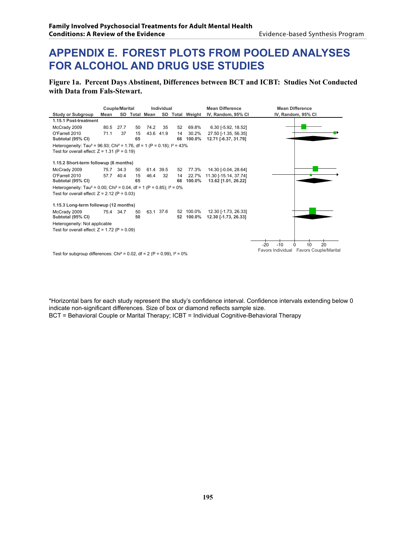# **APPENDIX E. Forest Plots from Pooled Analyses for Alcohol and Drug Use Studies**

**Figure 1a. Percent Days Abstinent, Differences between BCT and ICBT: Studies Not Conducted with Data from Fals-Stewart.** 



\*Horizontal bars for each study represent the study's confidence interval. Confidence intervals extending below 0 indicate non-significant differences. Size of box or diamond reflects sample size. BCT = Behavioral Couple or Marital Therapy; ICBT = Individual Cognitive-Behavioral Therapy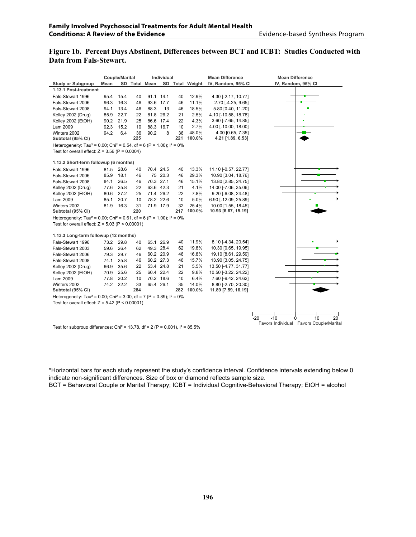#### **Figure 1b. Percent Days Abstinent, Differences between BCT and ICBT: Studies Conducted with Data from Fals-Stewart.**

|                                                                                                 |      | <b>Couple/Marital</b> |     |               | Individual |     |                 | <b>Mean Difference</b> | <b>Mean Difference</b>                              |
|-------------------------------------------------------------------------------------------------|------|-----------------------|-----|---------------|------------|-----|-----------------|------------------------|-----------------------------------------------------|
| <b>Study or Subgroup</b>                                                                        | Mean |                       |     | SD Total Mean |            |     | SD Total Weight | IV, Random, 95% CI     | IV, Random, 95% CI                                  |
| 1.13.1 Post-treatment                                                                           |      |                       |     |               |            |     |                 |                        |                                                     |
| Fals-Stewart 1996                                                                               | 95.4 | 15.4                  | 40  |               | 91.1 14.1  | 40  | 12.9%           | 4.30 [-2.17, 10.77]    |                                                     |
| Fals-Stewart 2006                                                                               | 96.3 | 16.3                  | 46  |               | 93.6 17.7  | 46  | 11.1%           | 2.70 [-4.25, 9.65]     |                                                     |
| Fals-Stewart 2008                                                                               | 94.1 | 13.4                  | 46  | 88.3          | 13         | 46  | 18.5%           | 5.80 [0.40, 11.20]     |                                                     |
| Kelley 2002 (Drug)                                                                              | 85.9 | 22.7                  | 22  |               | 81.8 26.2  | 21  | 2.5%            | 4.10 [-10.58, 18.78]   |                                                     |
| Kelley 2002 (EtOH)                                                                              | 90.2 | 21.9                  | 25  |               | 86.6 17.4  | 22  | 4.3%            | 3.60 [-7.65, 14.85]    |                                                     |
| Lam 2009                                                                                        | 92.3 | 15.2                  | 10  |               | 88.3 16.7  | 10  | 2.7%            | 4.00 [-10.00, 18.00]   |                                                     |
| Winters 2002                                                                                    | 94.2 | 6.4                   | 36  | 90.2          | 8          | 36  | 48.0%           | 4.00 [0.65, 7.35]      |                                                     |
| Subtotal (95% CI)                                                                               |      |                       | 225 |               |            | 221 | 100.0%          | 4.21 [1.89, 6.53]      |                                                     |
| Heterogeneity: Tau <sup>2</sup> = 0.00; Chi <sup>2</sup> = 0.54, df = 6 (P = 1.00); $I^2 = 0\%$ |      |                       |     |               |            |     |                 |                        |                                                     |
| Test for overall effect: $Z = 3.56$ (P = 0.0004)                                                |      |                       |     |               |            |     |                 |                        |                                                     |
| 1.13.2 Short-term followup (6 months)                                                           |      |                       |     |               |            |     |                 |                        |                                                     |
| Fals-Stewart 1996                                                                               | 81.5 | 28.6                  | 40  |               | 70.4 24.5  | 40  | 13.3%           | 11.10 [-0.57, 22.77]   |                                                     |
| Fals-Stewart 2006                                                                               | 85.9 | 18.1                  | 46  |               | 75 20.3    | 46  | 29.3%           | 10.90 [3.04, 18.76]    |                                                     |
| Fals-Stewart 2008                                                                               | 84.1 | 26.5                  | 46  |               | 70.3 27.1  | 46  | 15.1%           | 13.80 [2.85, 24.75]    |                                                     |
| Kelley 2002 (Drug)                                                                              | 77.6 | 25.8                  | 22  |               | 63.6 42.3  | 21  | 4.1%            | 14.00 [-7.06, 35.06]   |                                                     |
| Kelley 2002 (EtOH)                                                                              | 80.6 | 27.2                  | 25  |               | 71.4 26.2  | 22  | 7.8%            | 9.20 [-6.08, 24.48]    |                                                     |
| Lam 2009                                                                                        | 85.1 | 20.7                  | 10  |               | 78.2 22.6  | 10  | 5.0%            | 6.90 [-12.09, 25.89]   |                                                     |
| Winters 2002                                                                                    | 81.9 | 16.3                  | 31  |               | 71.9 17.9  | 32  | 25.4%           | 10.00 [1.55, 18.45]    |                                                     |
| Subtotal (95% CI)                                                                               |      |                       | 220 |               |            | 217 | 100.0%          | 10.93 [6.67, 15.19]    |                                                     |
| Heterogeneity: Tau <sup>2</sup> = 0.00; Chi <sup>2</sup> = 0.61, df = 6 (P = 1.00); $I^2 = 0\%$ |      |                       |     |               |            |     |                 |                        |                                                     |
| Test for overall effect: $Z = 5.03$ (P < 0.00001)                                               |      |                       |     |               |            |     |                 |                        |                                                     |
| 1.13.3 Long-term followup (12 months)                                                           |      |                       |     |               |            |     |                 |                        |                                                     |
| Fals-Stewart 1996                                                                               | 73.2 | 29.8                  | 40  |               | 65.1 26.9  | 40  | 11.9%           | 8.10 [-4.34, 20.54]    |                                                     |
| Fals-Stewart 2003                                                                               | 59.6 | 26.4                  | 62  |               | 49.3 28.4  | 62  | 19.8%           | 10.30 [0.65, 19.95]    |                                                     |
| Fals-Stewart 2006                                                                               | 79.3 | 29.7                  | 46  |               | 60.2 20.9  | 46  | 16.8%           | 19.10 [8.61, 29.59]    |                                                     |
| Fals-Stewart 2008                                                                               | 74.1 | 25.8                  | 46  |               | 60.2 27.3  | 46  | 15.7%           | 13.90 [3.05, 24.75]    |                                                     |
| Kelley 2002 (Drug)                                                                              | 66.9 | 35.6                  | 22  |               | 53.4 24.8  | 21  | 5.5%            | 13.50 [-4.77, 31.77]   |                                                     |
| Kelley 2002 (EtOH)                                                                              | 70.9 | 25.6                  | 25  |               | 60.4 22.4  | 22  | 9.8%            | 10.50 [-3.22, 24.22]   |                                                     |
| Lam 2009                                                                                        | 77.8 | 20.2                  | 10  |               | 70.2 18.6  | 10  | 6.4%            | 7.60 [-9.42, 24.62]    |                                                     |
| Winters 2002                                                                                    | 74.2 | 22.2                  | 33  |               | 65.4 26.1  | 35  | 14.0%           | 8.80 [-2.70, 20.30]    |                                                     |
| Subtotal (95% CI)                                                                               |      |                       | 284 |               |            | 282 | 100.0%          | 11.89 [7.59, 16.19]    |                                                     |
| Heterogeneity: Tau <sup>2</sup> = 0.00; Chi <sup>2</sup> = 3.00, df = 7 (P = 0.89); $I^2 = 0\%$ |      |                       |     |               |            |     |                 |                        |                                                     |
| Test for overall effect: $Z = 5.42$ (P < 0.00001)                                               |      |                       |     |               |            |     |                 |                        |                                                     |
|                                                                                                 |      |                       |     |               |            |     |                 |                        |                                                     |
|                                                                                                 |      |                       |     |               |            |     |                 |                        | $-20$<br>$-10$<br>20 <sup>2</sup><br>10<br>$\Omega$ |
|                                                                                                 |      |                       |     |               |            |     |                 |                        | Favors Individual Favors Couple/Marital             |
| Test for subgroup differences: Chi <sup>2</sup> = 13.78, df = 2 (P = 0.001), $I^2 = 85.5\%$     |      |                       |     |               |            |     |                 |                        |                                                     |

\*Horizontal bars for each study represent the study's confidence interval. Confidence intervals extending below 0 indicate non-significant differences. Size of box or diamond reflects sample size. BCT = Behavioral Couple or Marital Therapy; ICBT = Individual Cognitive-Behavioral Therapy; EtOH = alcohol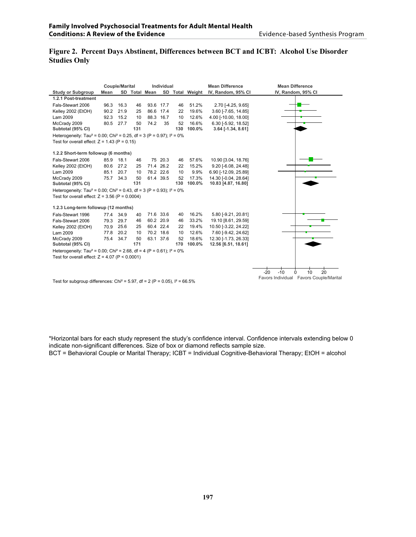# **Figure 2. Percent Days Abstinent, Differences between BCT and ICBT: Alcohol Use Disorder Studies Only**

|                                                                                                 |      | Couple/Marital |     |               | Individual |     |                 | <b>Mean Difference</b> | <b>Mean Difference</b>                  |  |
|-------------------------------------------------------------------------------------------------|------|----------------|-----|---------------|------------|-----|-----------------|------------------------|-----------------------------------------|--|
| <b>Study or Subgroup</b>                                                                        | Mean |                |     | SD Total Mean |            |     | SD Total Weight | IV, Random, 95% CI     | IV, Random, 95% CI                      |  |
| 1.2.1 Post-treatment                                                                            |      |                |     |               |            |     |                 |                        |                                         |  |
| Fals-Stewart 2006                                                                               | 96.3 | 16.3           | 46  |               | 93.6 17.7  | 46  | 51.2%           | 2.70 [-4.25, 9.65]     |                                         |  |
| Kelley 2002 (EtOH)                                                                              | 90.2 | 21.9           | 25  |               | 86.6 17.4  | 22  | 19.6%           | 3.60 [-7.65, 14.85]    |                                         |  |
| Lam 2009                                                                                        | 92.3 | 15.2           | 10  | 88.3          | 16.7       | 10  | 12.6%           | 4.00 [-10.00, 18.00]   |                                         |  |
| McCrady 2009                                                                                    | 80.5 | 27.7           | 50  | 74.2          | 35         | 52  | 16.6%           | 6.30 [-5.92, 18.52]    |                                         |  |
| Subtotal (95% CI)                                                                               |      |                | 131 |               |            | 130 | 100.0%          | 3.64 [-1.34, 8.61]     |                                         |  |
| Heterogeneity: Tau <sup>2</sup> = 0.00; Chi <sup>2</sup> = 0.25, df = 3 (P = 0.97); $I^2 = 0\%$ |      |                |     |               |            |     |                 |                        |                                         |  |
| Test for overall effect: $Z = 1.43$ (P = 0.15)                                                  |      |                |     |               |            |     |                 |                        |                                         |  |
|                                                                                                 |      |                |     |               |            |     |                 |                        |                                         |  |
| 1.2.2 Short-term followup (6 months)                                                            |      |                |     |               |            |     |                 |                        |                                         |  |
| Fals-Stewart 2006                                                                               | 85.9 | 18.1           | 46  |               | 75 20.3    | 46  | 57.6%           | 10.90 [3.04, 18.76]    |                                         |  |
| Kelley 2002 (EtOH)                                                                              | 80.6 | 27.2           | 25  |               | 71.4 26.2  | 22  | 15.2%           | 9.20 [-6.08, 24.48]    |                                         |  |
| Lam 2009                                                                                        | 85.1 | 20.7           | 10  |               | 78.2 22.6  | 10  | 9.9%            | 6.90 [-12.09, 25.89]   |                                         |  |
| McCrady 2009                                                                                    | 75.7 | 34.3           | 50  |               | 61.4 39.5  | 52  | 17.3%           | 14.30 [-0.04, 28.64]   |                                         |  |
| Subtotal (95% CI)                                                                               |      |                | 131 |               |            | 130 | 100.0%          | 10.83 [4.87, 16.80]    |                                         |  |
| Heterogeneity: Tau <sup>2</sup> = 0.00; Chi <sup>2</sup> = 0.43, df = 3 (P = 0.93); $I^2 = 0\%$ |      |                |     |               |            |     |                 |                        |                                         |  |
| Test for overall effect: $Z = 3.56$ (P = 0.0004)                                                |      |                |     |               |            |     |                 |                        |                                         |  |
| 1.2.3 Long-term followup (12 months)                                                            |      |                |     |               |            |     |                 |                        |                                         |  |
| Fals-Stewart 1996                                                                               | 77.4 | 34.9           | 40  |               | 71.6 33.6  | 40  | 16.2%           | 5.80 [-9.21, 20.81]    |                                         |  |
| Fals-Stewart 2006                                                                               | 79.3 | 29.7           | 46  |               | 60.2 20.9  | 46  | 33.2%           | 19.10 [8.61, 29.59]    |                                         |  |
| Kelley 2002 (EtOH)                                                                              | 70.9 | 25.6           | 25  |               | 60.4 22.4  | 22  | 19.4%           | 10.50 [-3.22, 24.22]   |                                         |  |
| Lam 2009                                                                                        | 77.8 | 20.2           | 10  |               | 70.2 18.6  | 10  | 12.6%           | 7.60 [-9.42, 24.62]    |                                         |  |
| McCrady 2009                                                                                    | 75.4 | 34.7           | 50  |               | 63.1 37.6  | 52  | 18.6%           | 12.30 [-1.73, 26.33]   |                                         |  |
| Subtotal (95% CI)                                                                               |      |                | 171 |               |            | 170 | 100.0%          | 12.56 [6.51, 18.61]    |                                         |  |
| Heterogeneity: Tau <sup>2</sup> = 0.00; Chi <sup>2</sup> = 2.68, df = 4 (P = 0.61); $I^2 = 0\%$ |      |                |     |               |            |     |                 |                        |                                         |  |
| Test for overall effect: $Z = 4.07$ (P < 0.0001)                                                |      |                |     |               |            |     |                 |                        |                                         |  |
|                                                                                                 |      |                |     |               |            |     |                 |                        |                                         |  |
|                                                                                                 |      |                |     |               |            |     |                 |                        | 20<br>$-20$<br>$-10$<br>10<br>0         |  |
|                                                                                                 |      |                |     |               |            |     |                 |                        | Favors Individual Favors Couple/Marital |  |

Test for subgroup differences: Chi<sup>2</sup> = 5.97, df = 2 (P = 0.05),  $I^2$  = 66.5%

\*Horizontal bars for each study represent the study's confidence interval. Confidence intervals extending below 0 indicate non-significant differences. Size of box or diamond reflects sample size.

BCT = Behavioral Couple or Marital Therapy; ICBT = Individual Cognitive-Behavioral Therapy; EtOH = alcohol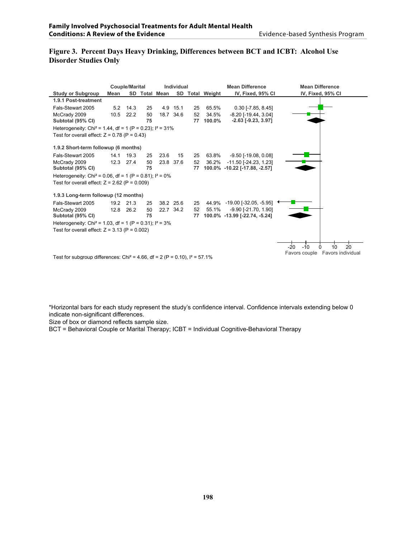# **Figure 3. Percent Days Heavy Drinking, Differences between BCT and ICBT: Alcohol Use Disorder Studies Only**

|                                                                                          |      | <b>Couple/Marital</b> |    |               | Individual |    |                 | <b>Mean Difference</b>        | <b>Mean Difference</b>             |  |  |
|------------------------------------------------------------------------------------------|------|-----------------------|----|---------------|------------|----|-----------------|-------------------------------|------------------------------------|--|--|
| <b>Study or Subgroup</b>                                                                 | Mean |                       |    | SD Total Mean |            |    | SD Total Weight | IV, Fixed, 95% CI             | IV, Fixed, 95% CI                  |  |  |
| 1.9.1 Post-treatment                                                                     |      |                       |    |               |            |    |                 |                               |                                    |  |  |
| Fals-Stewart 2005                                                                        |      | $5.2$ 14.3            | 25 |               | 4.9 15.1   | 25 | 65.5%           | $0.30$ [-7.85, 8.45]          |                                    |  |  |
| McCrady 2009                                                                             | 10.5 | 22.2                  | 50 |               | 18.7 34.6  | 52 | 34.5%           | $-8.20$ [ $-19.44$ , $3.04$ ] |                                    |  |  |
| Subtotal (95% CI)                                                                        |      |                       | 75 |               |            | 77 | 100.0%          | $-2.63$ [ $-9.23$ , $3.97$ ]  |                                    |  |  |
| Heterogeneity: Chi <sup>2</sup> = 1.44, df = 1 (P = 0.23); $1^2$ = 31%                   |      |                       |    |               |            |    |                 |                               |                                    |  |  |
| Test for overall effect: $Z = 0.78$ (P = 0.43)                                           |      |                       |    |               |            |    |                 |                               |                                    |  |  |
| 1.9.2 Short-term followup (6 months)                                                     |      |                       |    |               |            |    |                 |                               |                                    |  |  |
| Fals-Stewart 2005                                                                        | 14.1 | 19.3                  | 25 | 23.6          | 15         | 25 | 63.8%           | -9.50 [-19.08, 0.08]          |                                    |  |  |
| McCrady 2009                                                                             |      | 12.3 27.4             | 50 |               | 23.8 37.6  | 52 | 36.2%           | $-11.50$ $[-24.23, 1.23]$     |                                    |  |  |
| Subtotal (95% CI)                                                                        |      |                       | 75 |               |            | 77 |                 | 100.0% -10.22 [-17.88, -2.57] |                                    |  |  |
| Heterogeneity: Chi <sup>2</sup> = 0.06, df = 1 (P = 0.81); $I^2 = 0\%$                   |      |                       |    |               |            |    |                 |                               |                                    |  |  |
| Test for overall effect: $Z = 2.62$ (P = 0.009)                                          |      |                       |    |               |            |    |                 |                               |                                    |  |  |
| 1.9.3 Long-term followup (12 months)                                                     |      |                       |    |               |            |    |                 |                               |                                    |  |  |
| Fals-Stewart 2005                                                                        |      | 19.2 21.3             | 25 |               | 38.2 25.6  | 25 |                 | 44.9% -19.00 [-32.05, -5.95]  |                                    |  |  |
| McCrady 2009                                                                             |      | 12.8 26.2             | 50 |               | 22.7 34.2  | 52 | 55.1%           | $-9.90$ [ $-21.70$ , $1.90$ ] |                                    |  |  |
| Subtotal (95% CI)                                                                        |      |                       | 75 |               |            | 77 |                 | 100.0% -13.99 [-22.74, -5.24] |                                    |  |  |
| Heterogeneity: Chi <sup>2</sup> = 1.03, df = 1 (P = 0.31); $I^2 = 3\%$                   |      |                       |    |               |            |    |                 |                               |                                    |  |  |
| Test for overall effect: $Z = 3.13$ (P = 0.002)                                          |      |                       |    |               |            |    |                 |                               |                                    |  |  |
|                                                                                          |      |                       |    |               |            |    |                 |                               |                                    |  |  |
|                                                                                          |      |                       |    |               |            |    |                 |                               | 20<br>$-10$<br>10<br>$-20$<br>0    |  |  |
|                                                                                          |      |                       |    |               |            |    |                 |                               | Favors individual<br>Favors couple |  |  |
| Test for subgroup differences: Chi <sup>2</sup> = 4.66, df = 2 (P = 0.10), $I^2$ = 57.1% |      |                       |    |               |            |    |                 |                               |                                    |  |  |

\*Horizontal bars for each study represent the study's confidence interval. Confidence intervals extending below 0 indicate non-significant differences.

Size of box or diamond reflects sample size.

BCT = Behavioral Couple or Marital Therapy; ICBT = Individual Cognitive-Behavioral Therapy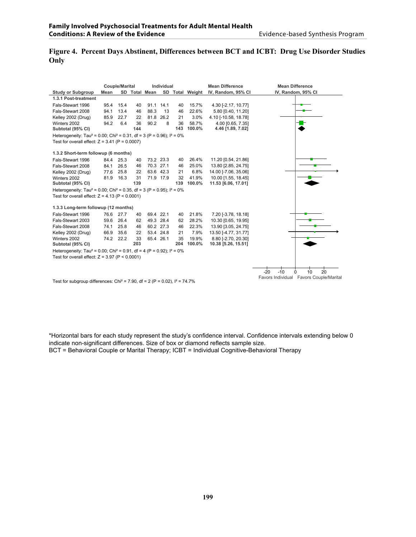# **Figure 4. Percent Days Abstinent, Differences between BCT and ICBT: Drug Use Disorder Studies Only**

|                                                                                                 |      | <b>Couple/Marital</b> |     |               | Individual |     |                 | <b>Mean Difference</b> | <b>Mean Difference</b>                                   |  |  |
|-------------------------------------------------------------------------------------------------|------|-----------------------|-----|---------------|------------|-----|-----------------|------------------------|----------------------------------------------------------|--|--|
| <b>Study or Subgroup</b>                                                                        | Mean |                       |     | SD Total Mean |            |     | SD Total Weight | IV, Random, 95% CI     | IV, Random, 95% CI                                       |  |  |
| 1.3.1 Post-treatment                                                                            |      |                       |     |               |            |     |                 |                        |                                                          |  |  |
| Fals-Stewart 1996                                                                               | 95.4 | 15.4                  | 40  | 91.1          | 14.1       | 40  | 15.7%           | 4.30 [-2.17, 10.77]    |                                                          |  |  |
| Fals-Stewart 2008                                                                               | 94.1 | 13.4                  | 46  | 88.3          | 13         | 46  | 22.6%           | 5.80 [0.40, 11.20]     |                                                          |  |  |
| Kelley 2002 (Drug)                                                                              | 85.9 | 22.7                  | 22  |               | 81.8 26.2  | 21  | 3.0%            | 4.10 [-10.58, 18.78]   |                                                          |  |  |
| Winters 2002                                                                                    | 94.2 | 6.4                   | 36  | 90.2          | 8          | 36  | 58.7%           | 4.00 [0.65, 7.35]      |                                                          |  |  |
| Subtotal (95% CI)                                                                               |      |                       | 144 |               |            | 143 | 100.0%          | 4.46 [1.89, 7.02]      |                                                          |  |  |
| Heterogeneity: Tau <sup>2</sup> = 0.00; Chi <sup>2</sup> = 0.31, df = 3 (P = 0.96); $I^2 = 0\%$ |      |                       |     |               |            |     |                 |                        |                                                          |  |  |
| Test for overall effect: $Z = 3.41$ (P = 0.0007)                                                |      |                       |     |               |            |     |                 |                        |                                                          |  |  |
| 1.3.2 Short-term followup (6 months)                                                            |      |                       |     |               |            |     |                 |                        |                                                          |  |  |
| Fals-Stewart 1996                                                                               |      | 84.4 25.3             | 40  |               | 73.2 23.3  | 40  | 26.4%           | 11.20 [0.54, 21.86]    |                                                          |  |  |
| Fals-Stewart 2008                                                                               | 84.1 | 26.5                  | 46  |               | 70.3 27.1  | 46  | 25.0%           | 13.80 [2.85, 24.75]    |                                                          |  |  |
| Kelley 2002 (Drug)                                                                              | 77.6 | 25.8                  | 22  |               | 63.6 42.3  | 21  | 6.8%            | 14.00 [-7.06, 35.06]   |                                                          |  |  |
| Winters 2002                                                                                    | 81.9 | 16.3                  | 31  |               | 71.9 17.9  | 32  | 41.9%           | 10.00 [1.55, 18.45]    |                                                          |  |  |
| Subtotal (95% CI)                                                                               |      |                       | 139 |               |            | 139 | 100.0%          | 11.53 [6.06, 17.01]    |                                                          |  |  |
| Heterogeneity: Tau <sup>2</sup> = 0.00; Chi <sup>2</sup> = 0.35, df = 3 (P = 0.95); $1^2$ = 0%  |      |                       |     |               |            |     |                 |                        |                                                          |  |  |
| Test for overall effect: $Z = 4.13$ (P < 0.0001)                                                |      |                       |     |               |            |     |                 |                        |                                                          |  |  |
| 1.3.3 Long-term followup (12 months)                                                            |      |                       |     |               |            |     |                 |                        |                                                          |  |  |
| Fals-Stewart 1996                                                                               | 76.6 | 27.7                  | 40  |               | 69.4 22.1  | 40  | 21.8%           | 7.20 [-3.78, 18.18]    |                                                          |  |  |
| Fals-Stewart 2003                                                                               | 59.6 | 26.4                  | 62  |               | 49.3 28.4  | 62  | 28.2%           | 10.30 [0.65, 19.95]    |                                                          |  |  |
| Fals-Stewart 2008                                                                               | 74.1 | 25.8                  | 46  |               | 60.2 27.3  | 46  | 22.3%           | 13.90 [3.05, 24.75]    |                                                          |  |  |
| Kelley 2002 (Drug)                                                                              | 66.9 | 35.6                  | 22  |               | 53.4 24.8  | 21  | 7.9%            | 13.50 [-4.77, 31.77]   |                                                          |  |  |
| Winters 2002                                                                                    |      | 74.2 22.2             | 33  |               | 65.4 26.1  | 35  | 19.9%           | 8.80 [-2.70, 20.30]    |                                                          |  |  |
| Subtotal (95% CI)                                                                               |      |                       | 203 |               |            | 204 | 100.0%          | 10.38 [5.26, 15.51]    |                                                          |  |  |
| Heterogeneity: Tau <sup>2</sup> = 0.00; Chi <sup>2</sup> = 0.91, df = 4 (P = 0.92); $I^2 = 0\%$ |      |                       |     |               |            |     |                 |                        |                                                          |  |  |
| Test for overall effect: $Z = 3.97$ (P < 0.0001)                                                |      |                       |     |               |            |     |                 |                        |                                                          |  |  |
|                                                                                                 |      |                       |     |               |            |     |                 |                        |                                                          |  |  |
|                                                                                                 |      |                       |     |               |            |     |                 |                        | 20<br>$-20$<br>10 <sup>10</sup><br>$-10$<br><sup>0</sup> |  |  |
|                                                                                                 |      |                       |     |               |            |     |                 |                        | Favors Individual Favors Couple/Marital                  |  |  |

Test for subgroup differences: Chi<sup>2</sup> = 7.90, df = 2 (P = 0.02),  $I^2$  = 74.7%

\*Horizontal bars for each study represent the study's confidence interval. Confidence intervals extending below 0 indicate non-significant differences. Size of box or diamond reflects sample size. BCT = Behavioral Couple or Marital Therapy; ICBT = Individual Cognitive-Behavioral Therapy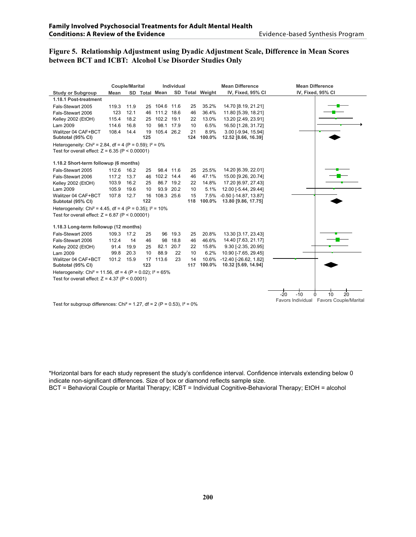# **Figure 5. Relationship Adjustment using Dyadic Adjustment Scale, Difference in Mean Scores between BCT and ICBT: Alcohol Use Disorder Studies Only**

|                                                                                        |       | <b>Couple/Marital</b> |     | Individual    |      |     |                 | <b>Mean Difference</b>         | <b>Mean Difference</b>                  |
|----------------------------------------------------------------------------------------|-------|-----------------------|-----|---------------|------|-----|-----------------|--------------------------------|-----------------------------------------|
| <b>Study or Subgroup</b>                                                               | Mean  |                       |     | SD Total Mean |      |     | SD Total Weight | IV, Fixed, 95% CI              | IV, Fixed, 95% CI                       |
| 1.18.1 Post-treatment                                                                  |       |                       |     |               |      |     |                 |                                |                                         |
| Fals-Stewart 2005                                                                      | 119.3 | 11.9                  | 25  | 104.6         | 11.6 | 25  | 35.2%           | 14.70 [8.19, 21.21]            |                                         |
| Fals-Stewart 2006                                                                      | 123   | 12.1                  | 46  | 111.2 18.6    |      | 46  | 36.4%           | 11.80 [5.39, 18.21]            |                                         |
| Kelley 2002 (EtOH)                                                                     | 115.4 | 18.2                  | 25  | 102.2 19.1    |      | 22  | 13.0%           | 13.20 [2.49, 23.91]            |                                         |
| Lam 2009                                                                               | 114.6 | 16.8                  | 10  | 98.1          | 17.9 | 10  | 6.5%            | 16.50 [1.28, 31.72]            |                                         |
| Walitzer 04 CAF+BCT                                                                    | 108.4 | 14.4                  | 19  | 105.4 26.2    |      | 21  | 8.9%            | 3.00 [-9.94, 15.94]            |                                         |
| Subtotal (95% CI)                                                                      |       |                       | 125 |               |      | 124 | 100.0%          | 12.52 [8.66, 16.39]            |                                         |
| Heterogeneity: Chi <sup>2</sup> = 2.84, df = 4 (P = 0.59); $I^2 = 0\%$                 |       |                       |     |               |      |     |                 |                                |                                         |
| Test for overall effect: $Z = 6.35$ (P < 0.00001)                                      |       |                       |     |               |      |     |                 |                                |                                         |
|                                                                                        |       |                       |     |               |      |     |                 |                                |                                         |
| 1.18.2 Short-term followup (6 months)                                                  |       |                       |     |               |      |     |                 |                                |                                         |
| Fals-Stewart 2005                                                                      | 112.6 | 16.2                  | 25  | 98.4 11.6     |      | 25  | 25.5%           | 14.20 [6.39, 22.01]            |                                         |
| Fals-Stewart 2006                                                                      | 117.2 | 13.7                  | 46  | 102.2 14.4    |      | 46  | 47.1%           | 15.00 [9.26, 20.74]            |                                         |
| Kelley 2002 (EtOH)                                                                     | 103.9 | 16.2                  | 25  | 86.7 19.2     |      | 22  | 14.8%           | 17.20 [6.97, 27.43]            |                                         |
| Lam 2009                                                                               | 105.9 | 19.6                  | 10  | 93.9 20.2     |      | 10  | 5.1%            | 12.00 [-5.44, 29.44]           |                                         |
| Walitzer 04 CAF+BCT                                                                    | 107.8 | 12.7                  | 16  | 108.3 25.6    |      | 15  | 7.5%            | $-0.50$ [ $-14.87, 13.87$ ]    |                                         |
| Subtotal (95% CI)                                                                      |       |                       | 122 |               |      | 118 | 100.0%          | 13.80 [9.86, 17.75]            |                                         |
| Heterogeneity: Chi <sup>2</sup> = 4.45, df = 4 (P = 0.35); $I^2$ = 10%                 |       |                       |     |               |      |     |                 |                                |                                         |
| Test for overall effect: $Z = 6.87$ (P < 0.00001)                                      |       |                       |     |               |      |     |                 |                                |                                         |
| 1.18.3 Long-term followup (12 months)                                                  |       |                       |     |               |      |     |                 |                                |                                         |
| Fals-Stewart 2005                                                                      | 109.3 | 17.2                  | 25  | 96            | 19.3 | 25  | 20.8%           | 13.30 [3.17, 23.43]            |                                         |
| Fals-Stewart 2006                                                                      | 112.4 | 14                    | 46  | 98            | 18.8 | 46  | 46.6%           | 14.40 [7.63, 21.17]            |                                         |
| Kelley 2002 (EtOH)                                                                     | 91.4  | 19.9                  | 25  | 82.1          | 20.7 | 22  | 15.8%           | 9.30 [-2.35, 20.95]            |                                         |
| Lam 2009                                                                               | 99.8  | 20.3                  | 10  | 88.9          | 22   | 10  | 6.2%            | 10.90 [-7.65, 29.45]           |                                         |
| Walitzer 04 CAF+BCT                                                                    | 101.2 | 15.9                  | 17  | 113.6         | 23   | 14  | 10.6%           | $-12.40$ [ $-26.62$ , $1.82$ ] |                                         |
| Subtotal (95% CI)                                                                      |       |                       | 123 |               |      | 117 | 100.0%          | 10.32 [5.69, 14.94]            |                                         |
| Heterogeneity: Chi <sup>2</sup> = 11.56, df = 4 (P = 0.02); $I^2$ = 65%                |       |                       |     |               |      |     |                 |                                |                                         |
| Test for overall effect: $Z = 4.37$ (P < 0.0001)                                       |       |                       |     |               |      |     |                 |                                |                                         |
|                                                                                        |       |                       |     |               |      |     |                 |                                |                                         |
|                                                                                        |       |                       |     |               |      |     |                 |                                |                                         |
|                                                                                        |       |                       |     |               |      |     |                 |                                | 10<br>20<br>$-20$<br>$-10$<br>$\Omega$  |
| Test for subgroup differences: Chi <sup>2</sup> = 1.27, df = 2 (P = 0.53), $I^2 = 0\%$ |       |                       |     |               |      |     |                 |                                | Favors Individual Favors Couple/Marital |

\*Horizontal bars for each study represent the study's confidence interval. Confidence intervals extending below 0 indicate non-significant differences. Size of box or diamond reflects sample size.

BCT = Behavioral Couple or Marital Therapy; ICBT = Individual Cognitive-Behavioral Therapy; EtOH = alcohol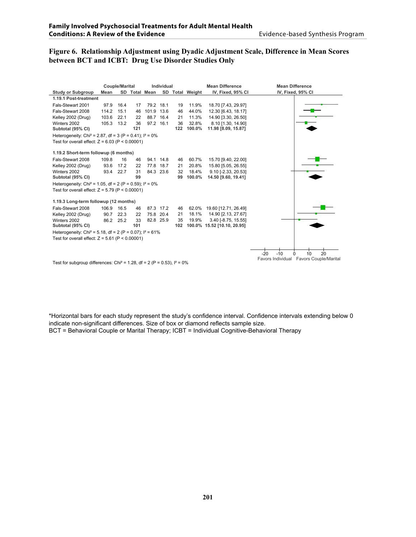# **Figure 6. Relationship Adjustment using Dyadic Adjustment Scale, Difference in Mean Scores between BCT and ICBT: Drug Use Disorder Studies Only**

|                                                                                        |       |      | <b>Couple/Marital</b><br><b>Individual</b> |               |           |           | <b>Mean Difference</b> | <b>Mean Difference</b>                    |                                                  |
|----------------------------------------------------------------------------------------|-------|------|--------------------------------------------|---------------|-----------|-----------|------------------------|-------------------------------------------|--------------------------------------------------|
| <b>Study or Subgroup</b>                                                               | Mean  |      |                                            | SD Total Mean |           |           | SD Total Weight        | IV, Fixed, 95% CI                         | IV, Fixed, 95% CI                                |
| 1.19.1 Post-treatment                                                                  |       |      |                                            |               |           |           |                        |                                           |                                                  |
| Fals-Stewart 2001                                                                      | 97.9  | 16.4 | 17                                         |               | 79.2 18.1 | 19        | 11.9%                  | 18.70 [7.43, 29.97]                       |                                                  |
| Fals-Stewart 2008                                                                      | 114.2 | 15.1 | 46                                         | 101.9         | 13.6      | 46        | 44.0%                  | 12.30 [6.43, 18.17]                       |                                                  |
| Kelley 2002 (Drug)                                                                     | 103.6 | 22.1 | 22                                         |               | 88.7 16.4 | 21        | 11.3%                  | 14.90 [3.30, 26.50]                       |                                                  |
| Winters 2002<br>Subtotal (95% CI)                                                      | 105.3 | 13.2 | 36<br>121                                  |               | 97.2 16.1 | 36<br>122 | 32.8%<br>100.0%        | 8.10 [1.30, 14.90]<br>11.98 [8.09, 15.87] |                                                  |
| Heterogeneity: Chi <sup>2</sup> = 2.87, df = 3 (P = 0.41); $I^2 = 0\%$                 |       |      |                                            |               |           |           |                        |                                           |                                                  |
| Test for overall effect: $Z = 6.03$ (P < 0.00001)                                      |       |      |                                            |               |           |           |                        |                                           |                                                  |
| 1.19.2 Short-term followup (6 months)                                                  |       |      |                                            |               |           |           |                        |                                           |                                                  |
| Fals-Stewart 2008                                                                      | 109.8 | 16   | 46                                         |               | 94.1 14.8 | 46        | 60.7%                  | 15.70 [9.40, 22.00]                       |                                                  |
| Kelley 2002 (Drug)                                                                     | 93.6  | 17.2 | 22                                         |               | 77.8 18.7 | 21        | 20.8%                  | 15.80 [5.05, 26.55]                       |                                                  |
| Winters 2002                                                                           | 93.4  | 22.7 | 31                                         |               | 84.3 23.6 | 32        | 18.4%                  | 9.10 [-2.33, 20.53]                       |                                                  |
| Subtotal (95% CI)                                                                      |       |      | 99                                         |               |           | 99        | 100.0%                 | 14.50 [9.60, 19.41]                       |                                                  |
| Heterogeneity: Chi <sup>2</sup> = 1.05, df = 2 (P = 0.59); $I^2 = 0\%$                 |       |      |                                            |               |           |           |                        |                                           |                                                  |
| Test for overall effect: $Z = 5.79$ (P < 0.00001)                                      |       |      |                                            |               |           |           |                        |                                           |                                                  |
| 1.19.3 Long-term followup (12 months)                                                  |       |      |                                            |               |           |           |                        |                                           |                                                  |
| Fals-Stewart 2008                                                                      | 106.9 | 16.5 | 46                                         |               | 87.3 17.2 | 46        | 62.0%                  | 19.60 [12.71, 26.49]                      |                                                  |
| Kelley 2002 (Drug)                                                                     | 90.7  | 22.3 | 22                                         |               | 75.8 20.4 | 21        | 18.1%                  | 14.90 [2.13, 27.67]                       |                                                  |
| Winters 2002                                                                           | 86.2  | 25.2 | 33                                         |               | 82.8 25.9 | 35        | 19.9%                  | 3.40 [-8.75, 15.55]                       |                                                  |
| Subtotal (95% CI)                                                                      |       |      | 101                                        |               |           | 102       |                        | 100.0% 15.52 [10.10, 20.95]               |                                                  |
| Heterogeneity: Chi <sup>2</sup> = 5.18, df = 2 (P = 0.07); $I^2$ = 61%                 |       |      |                                            |               |           |           |                        |                                           |                                                  |
| Test for overall effect: $Z = 5.61$ (P < 0.00001)                                      |       |      |                                            |               |           |           |                        |                                           |                                                  |
|                                                                                        |       |      |                                            |               |           |           |                        |                                           | $20^{\circ}$<br>$-20$<br>$-10$<br>10<br>$\Omega$ |
|                                                                                        |       |      |                                            |               |           |           |                        |                                           | Favors Individual Favors Couple/Marital          |
| Test for subgroup differences: Chi <sup>2</sup> = 1.28, df = 2 (P = 0.53), $I^2 = 0\%$ |       |      |                                            |               |           |           |                        |                                           |                                                  |

\*Horizontal bars for each study represent the study's confidence interval. Confidence intervals extending below 0 indicate non-significant differences. Size of box or diamond reflects sample size. BCT = Behavioral Couple or Marital Therapy; ICBT = Individual Cognitive-Behavioral Therapy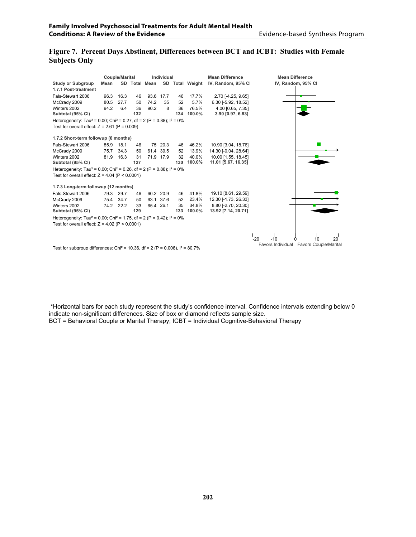#### **Figure 7. Percent Days Abstinent, Differences between BCT and ICBT: Studies with Female Subjects Only**

|                                                                                                 |             | <b>Couple/Marital</b> |     |               | Individual |     |                 | <b>Mean Difference</b> | <b>Mean Difference</b>                  |
|-------------------------------------------------------------------------------------------------|-------------|-----------------------|-----|---------------|------------|-----|-----------------|------------------------|-----------------------------------------|
| <b>Study or Subgroup</b>                                                                        | <b>Mean</b> |                       |     | SD Total Mean |            |     | SD Total Weight | IV, Random, 95% CI     | IV, Random, 95% CI                      |
| 1.7.1 Post-treatment                                                                            |             |                       |     |               |            |     |                 |                        |                                         |
| Fals-Stewart 2006                                                                               | 96.3        | 16.3                  | 46  |               | 93.6 17.7  | 46  | 17.7%           | 2.70 [-4.25, 9.65]     |                                         |
| McCrady 2009                                                                                    | 80.5        | 27.7                  | 50  | 74.2          | 35         | 52  | 5.7%            | 6.30 [-5.92, 18.52]    |                                         |
| Winters 2002                                                                                    | 94.2        | 6.4                   | 36  | 90.2          | 8          | 36  | 76.5%           | 4.00 [0.65, 7.35]      |                                         |
| Subtotal (95% CI)                                                                               |             |                       | 132 |               |            | 134 | 100.0%          | 3.90 [0.97, 6.83]      |                                         |
| Heterogeneity: Tau <sup>2</sup> = 0.00; Chi <sup>2</sup> = 0.27, df = 2 (P = 0.88); $I^2 = 0\%$ |             |                       |     |               |            |     |                 |                        |                                         |
| Test for overall effect: $Z = 2.61$ (P = 0.009)                                                 |             |                       |     |               |            |     |                 |                        |                                         |
| 1.7.2 Short-term followup (6 months)                                                            |             |                       |     |               |            |     |                 |                        |                                         |
| Fals-Stewart 2006                                                                               | 85.9        | 18.1                  | 46  |               | 75 20.3    | 46  | 46.2%           | 10.90 [3.04, 18.76]    |                                         |
| McCrady 2009                                                                                    | 75.7        | 34.3                  | 50  |               | 61.4 39.5  | 52  | 13.9%           | 14.30 [-0.04, 28.64]   |                                         |
| Winters 2002                                                                                    | 81.9        | 16.3                  | 31  |               | 71.9 17.9  | 32  | 40.0%           | 10.00 [1.55, 18.45]    |                                         |
| Subtotal (95% CI)                                                                               |             |                       | 127 |               |            | 130 | 100.0%          | 11.01 [5.67, 16.35]    |                                         |
| Heterogeneity: Tau <sup>2</sup> = 0.00; Chi <sup>2</sup> = 0.26, df = 2 (P = 0.88); $1^2$ = 0%  |             |                       |     |               |            |     |                 |                        |                                         |
| Test for overall effect: $Z = 4.04$ (P < 0.0001)                                                |             |                       |     |               |            |     |                 |                        |                                         |
| 1.7.3 Long-term followup (12 months)                                                            |             |                       |     |               |            |     |                 |                        |                                         |
| Fals-Stewart 2006                                                                               | 79.3        | 29.7                  | 46  |               | 60.2 20.9  | 46  | 41.8%           | 19.10 [8.61, 29.59]    |                                         |
| McCrady 2009                                                                                    | 75.4        | 34.7                  | 50  |               | 63.1 37.6  | 52  | 23.4%           | 12.30 [-1.73, 26.33]   |                                         |
| Winters 2002                                                                                    | 74.2        | 22.2                  | 33  |               | 65.4 26.1  | 35  | 34.8%           | 8.80 [-2.70, 20.30]    |                                         |
| Subtotal (95% CI)                                                                               |             |                       | 129 |               |            | 133 | 100.0%          | 13.92 [7.14, 20.71]    |                                         |
| Heterogeneity: Tau <sup>2</sup> = 0.00; Chi <sup>2</sup> = 1.75, df = 2 (P = 0.42); $1^2$ = 0%  |             |                       |     |               |            |     |                 |                        |                                         |
| Test for overall effect: $Z = 4.02$ (P < 0.0001)                                                |             |                       |     |               |            |     |                 |                        |                                         |
|                                                                                                 |             |                       |     |               |            |     |                 |                        |                                         |
|                                                                                                 |             |                       |     |               |            |     |                 |                        | $-20$<br>$-10$<br>10<br>20<br>$\Omega$  |
| Test for subgroup differences: Chi <sup>2</sup> = 10.36, df = 2 (P = 0.006), $I^2 = 80.7\%$     |             |                       |     |               |            |     |                 |                        | Favors Individual Favors Couple/Marital |

\*Horizontal bars for each study represent the study's confidence interval. Confidence intervals extending below 0 indicate non-significant differences. Size of box or diamond reflects sample size.

BCT = Behavioral Couple or Marital Therapy; ICBT = Individual Cognitive-Behavioral Therapy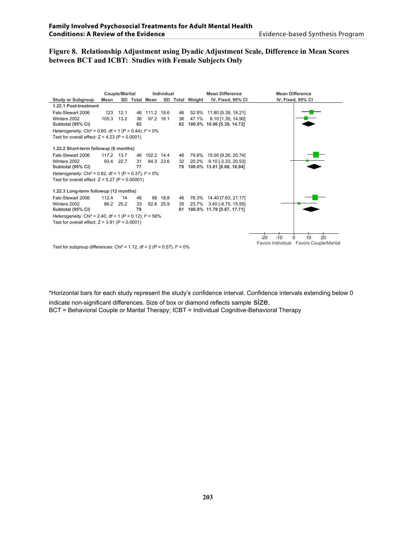#### **Figure 8. Relationship Adjustment using Dyadic Adjustment Scale, Difference in Mean Scores between BCT and ICBT: Studies with Female Subjects Only**

|                                                                                        | <b>Couple/Marital</b> |           |    |               | Individual |    |                 | <b>Mean Difference</b>     | <b>Mean Difference</b>                     |  |
|----------------------------------------------------------------------------------------|-----------------------|-----------|----|---------------|------------|----|-----------------|----------------------------|--------------------------------------------|--|
| <b>Study or Subgroup</b>                                                               | Mean                  |           |    | SD Total Mean |            |    | SD Total Weight | IV, Fixed, 95% CI          | IV, Fixed, 95% CI                          |  |
| 1.22.1 Post-treatment                                                                  |                       |           |    |               |            |    |                 |                            |                                            |  |
| Fals-Stewart 2006                                                                      | 123                   | 12.1      | 46 | 111.2 18.6    |            | 46 |                 | 52.9% 11.80 [5.39, 18.21]  |                                            |  |
| Winters 2002                                                                           | 105.3                 | 13.2      | 36 |               | 97.2 16.1  | 36 | 47.1%           | 8.10 [1.30, 14.90]         |                                            |  |
| Subtotal (95% CI)                                                                      |                       |           | 82 |               |            | 82 |                 | 100.0% 10.06 [5.39, 14.72] |                                            |  |
| Heterogeneity: Chi <sup>2</sup> = 0.60, df = 1 (P = 0.44); $I^2 = 0\%$                 |                       |           |    |               |            |    |                 |                            |                                            |  |
| Test for overall effect: $Z = 4.23$ (P < 0.0001)                                       |                       |           |    |               |            |    |                 |                            |                                            |  |
| 1.22.2 Short-term followup (6 months)                                                  |                       |           |    |               |            |    |                 |                            |                                            |  |
| Fals-Stewart 2006                                                                      | 117.2 13.7            |           | 46 | 102.2 14.4    |            | 46 |                 | 79.8% 15.00 [9.26, 20.74]  |                                            |  |
| Winters 2002                                                                           | 93.4                  | 22.7      | 31 |               | 84.3 23.6  | 32 |                 | 20.2% 9.10 [-2.33, 20.53]  |                                            |  |
| Subtotal (95% CI)                                                                      |                       |           | 77 |               |            | 78 |                 | 100.0% 13.81 [8.68, 18.94] |                                            |  |
| Heterogeneity: Chi <sup>2</sup> = 0.82, df = 1 (P = 0.37); $I^2 = 0\%$                 |                       |           |    |               |            |    |                 |                            |                                            |  |
| Test for overall effect: $Z = 5.27$ (P < 0.00001)                                      |                       |           |    |               |            |    |                 |                            |                                            |  |
| 1.22.3 Long-term followup (12 months)                                                  |                       |           |    |               |            |    |                 |                            |                                            |  |
| Fals-Stewart 2006                                                                      | 112.4                 | 14        | 46 |               | 98 18.8    | 46 |                 | 76.3% 14.40 [7.63, 21.17]  |                                            |  |
| Winters 2002                                                                           |                       | 86.2 25.2 | 33 |               | 82.8 25.9  | 35 |                 | 23.7% 3.40 [-8.75, 15.55]  |                                            |  |
| Subtotal (95% CI)                                                                      |                       |           | 79 |               |            | 81 |                 | 100.0% 11.79 [5.87, 17.71] |                                            |  |
| Heterogeneity: Chi <sup>2</sup> = 2.40, df = 1 (P = 0.12); $I^2$ = 58%                 |                       |           |    |               |            |    |                 |                            |                                            |  |
| Test for overall effect: $Z = 3.91$ (P < 0.0001)                                       |                       |           |    |               |            |    |                 |                            |                                            |  |
|                                                                                        |                       |           |    |               |            |    |                 |                            |                                            |  |
|                                                                                        |                       |           |    |               |            |    |                 |                            | 10<br>$-20$<br>$-10$<br>20<br><sup>0</sup> |  |
| Test for subgroup differences: Chi <sup>2</sup> = 1.12, df = 2 (P = 0.57), $I^2 = 0\%$ |                       |           |    |               |            |    |                 |                            | Favors Individual Favors Couple/Marital    |  |
|                                                                                        |                       |           |    |               |            |    |                 |                            |                                            |  |

\*Horizontal bars for each study represent the study's confidence interval. Confidence intervals extending below 0

indicate non-significant differences. Size of box or diamond reflects sample SIZE. BCT = Behavioral Couple or Marital Therapy; ICBT = Individual Cognitive-Behavioral Therapy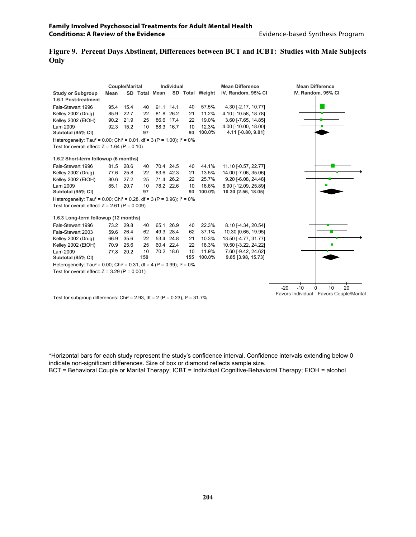# **Figure 9. Percent Days Abstinent, Differences between BCT and ICBT: Studies with Male Subjects Only**

|                                                                                                 |             | <b>Couple/Marital</b> |     |               | <b>Individual</b><br><b>Mean Difference</b> |     |                 |                      | <b>Mean Difference</b>                  |
|-------------------------------------------------------------------------------------------------|-------------|-----------------------|-----|---------------|---------------------------------------------|-----|-----------------|----------------------|-----------------------------------------|
| <b>Study or Subgroup</b>                                                                        | <b>Mean</b> |                       |     | SD Total Mean |                                             |     | SD Total Weight | IV, Random, 95% CI   | IV, Random, 95% CI                      |
| 1.6.1 Post-treatment                                                                            |             |                       |     |               |                                             |     |                 |                      |                                         |
| Fals-Stewart 1996                                                                               | 95.4        | 15.4                  | 40  | 91.1          | 14.1                                        | 40  | 57.5%           | 4.30 [-2.17, 10.77]  |                                         |
| Kelley 2002 (Drug)                                                                              | 85.9        | 22.7                  | 22  | 81.8          | 26.2                                        | 21  | 11.2%           | 4.10 [-10.58, 18.78] |                                         |
| Kelley 2002 (EtOH)                                                                              | 90.2        | 21.9                  | 25  |               | 86.6 17.4                                   | 22  | 19.0%           | 3.60 [-7.65, 14.85]  |                                         |
| Lam 2009                                                                                        | 92.3        | 15.2                  | 10  |               | 88.3 16.7                                   | 10  | 12.3%           | 4.00 [-10.00, 18.00] |                                         |
| Subtotal (95% CI)                                                                               |             |                       | 97  |               |                                             | 93  | 100.0%          | 4.11 [-0.80, 9.01]   |                                         |
| Heterogeneity: Tau <sup>2</sup> = 0.00; Chi <sup>2</sup> = 0.01, df = 3 (P = 1.00); $I^2 = 0\%$ |             |                       |     |               |                                             |     |                 |                      |                                         |
| Test for overall effect: $Z = 1.64$ (P = 0.10)                                                  |             |                       |     |               |                                             |     |                 |                      |                                         |
|                                                                                                 |             |                       |     |               |                                             |     |                 |                      |                                         |
| 1.6.2 Short-term followup (6 months)                                                            |             |                       |     |               |                                             |     |                 |                      |                                         |
| Fals-Stewart 1996                                                                               | 81.5        | 28.6                  | 40  |               | 70.4 24.5                                   | 40  | 44.1%           | 11.10 [-0.57, 22.77] |                                         |
| Kelley 2002 (Drug)                                                                              | 77.6        | 25.8                  | 22  |               | 63.6 42.3                                   | 21  | 13.5%           | 14.00 [-7.06, 35.06] |                                         |
| Kelley 2002 (EtOH)                                                                              | 80.6        | 27.2                  | 25  |               | 71.4 26.2                                   | 22  | 25.7%           | 9.20 [-6.08, 24.48]  |                                         |
| Lam 2009                                                                                        | 85.1        | 20.7                  | 10  |               | 78.2 22.6                                   | 10  | 16.6%           | 6.90 [-12.09, 25.89] |                                         |
| Subtotal (95% CI)                                                                               |             |                       | 97  |               |                                             | 93  | 100.0%          | 10.30 [2.56, 18.05]  |                                         |
| Heterogeneity: Tau <sup>2</sup> = 0.00; Chi <sup>2</sup> = 0.28, df = 3 (P = 0.96); $1^2$ = 0%  |             |                       |     |               |                                             |     |                 |                      |                                         |
| Test for overall effect: $Z = 2.61$ (P = 0.009)                                                 |             |                       |     |               |                                             |     |                 |                      |                                         |
| 1.6.3 Long-term followup (12 months)                                                            |             |                       |     |               |                                             |     |                 |                      |                                         |
| Fals-Stewart 1996                                                                               | 73.2        | 29.8                  | 40  |               | 65.1 26.9                                   | 40  | 22.3%           | 8.10 [-4.34, 20.54]  |                                         |
| Fals-Stewart 2003                                                                               | 59.6        | 26.4                  | 62  |               | 49.3 28.4                                   | 62  | 37.1%           | 10.30 [0.65, 19.95]  |                                         |
| Kelley 2002 (Drug)                                                                              | 66.9        | 35.6                  | 22  |               | 53.4 24.8                                   | 21  | 10.3%           | 13.50 [-4.77, 31.77] |                                         |
| Kelley 2002 (EtOH)                                                                              | 70.9        | 25.6                  | 25  |               | 60.4 22.4                                   | 22  | 18.3%           | 10.50 [-3.22, 24.22] |                                         |
| Lam 2009                                                                                        | 77.8        | 20.2                  | 10  |               | 70.2 18.6                                   | 10  | 11.9%           | 7.60 [-9.42, 24.62]  |                                         |
| Subtotal (95% CI)                                                                               |             |                       | 159 |               |                                             | 155 | 100.0%          | 9.85 [3.98, 15.73]   |                                         |
| Heterogeneity: Tau <sup>2</sup> = 0.00; Chi <sup>2</sup> = 0.31, df = 4 (P = 0.99); $I^2 = 0\%$ |             |                       |     |               |                                             |     |                 |                      |                                         |
| Test for overall effect: $Z = 3.29$ (P = 0.001)                                                 |             |                       |     |               |                                             |     |                 |                      |                                         |
|                                                                                                 |             |                       |     |               |                                             |     |                 |                      |                                         |
|                                                                                                 |             |                       |     |               |                                             |     |                 |                      | 20                                      |
|                                                                                                 |             |                       |     |               |                                             |     |                 |                      | $-20$<br>$-10$<br>10<br>$\Omega$        |
|                                                                                                 |             |                       |     |               |                                             |     |                 |                      | Favors Individual Favors Couple/Marital |

Test for subgroup differences: Chi<sup>2</sup> = 2.93, df = 2 (P = 0.23),  $1^2$  = 31.7%

\*Horizontal bars for each study represent the study's confidence interval. Confidence intervals extending below 0 indicate non-significant differences. Size of box or diamond reflects sample size.

BCT = Behavioral Couple or Marital Therapy; ICBT = Individual Cognitive-Behavioral Therapy; EtOH = alcohol